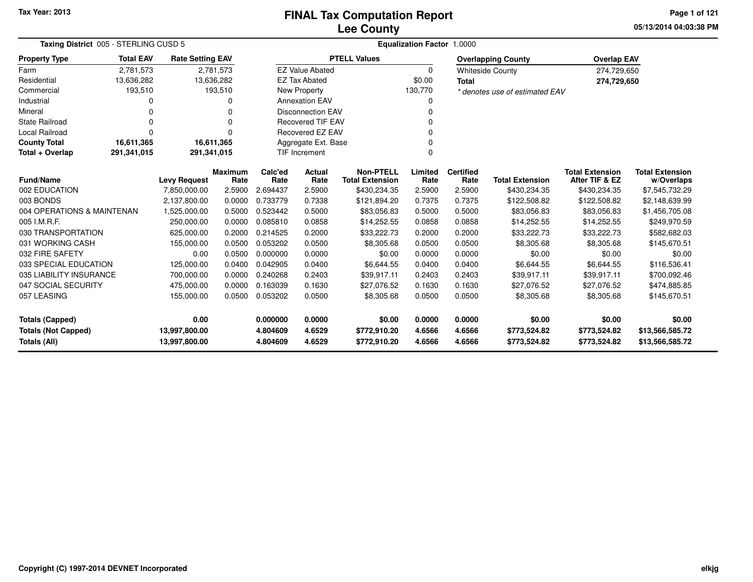# **Lee CountyFINAL Tax Computation Report**

**05/13/2014 04:03:38 PM Page 1 of 121**

| Taxing District 005 - STERLING CUSD 5 |                  |                         |                        | Equalization Factor 1.0000 |                               |                                            |                 |                          |                                |                                          |                                      |  |  |
|---------------------------------------|------------------|-------------------------|------------------------|----------------------------|-------------------------------|--------------------------------------------|-----------------|--------------------------|--------------------------------|------------------------------------------|--------------------------------------|--|--|
| <b>Property Type</b>                  | <b>Total EAV</b> | <b>Rate Setting EAV</b> |                        |                            |                               | <b>PTELL Values</b>                        |                 |                          | <b>Overlapping County</b>      | <b>Overlap EAV</b>                       |                                      |  |  |
| Farm                                  | 2,781,573        |                         | 2,781,573              |                            | <b>EZ Value Abated</b>        |                                            | $\Omega$        |                          | <b>Whiteside County</b>        | 274,729,650                              |                                      |  |  |
| Residential                           | 13,636,282       | 13,636,282              |                        |                            | <b>EZ Tax Abated</b>          |                                            | \$0.00          | <b>Total</b>             |                                | 274,729,650                              |                                      |  |  |
| Commercial                            | 193,510          |                         | 193,510                |                            | New Property                  |                                            | 130,770         |                          | * denotes use of estimated EAV |                                          |                                      |  |  |
| Industrial                            | 0                |                         | 0                      |                            | <b>Annexation EAV</b>         |                                            | 0               |                          |                                |                                          |                                      |  |  |
| Mineral                               | 0                |                         | 0                      |                            | <b>Disconnection EAV</b><br>0 |                                            |                 |                          |                                |                                          |                                      |  |  |
| State Railroad                        | $\Omega$         |                         | $\Omega$               |                            | <b>Recovered TIF EAV</b><br>0 |                                            |                 |                          |                                |                                          |                                      |  |  |
| <b>Local Railroad</b>                 | $\Omega$         |                         | $\Omega$               |                            | Recovered EZ EAV<br>0         |                                            |                 |                          |                                |                                          |                                      |  |  |
| <b>County Total</b>                   | 16,611,365       | 16,611,365              |                        |                            | Aggregate Ext. Base           |                                            | 0               |                          |                                |                                          |                                      |  |  |
| Total + Overlap                       | 291,341,015      | 291,341,015             |                        |                            | TIF Increment                 |                                            | $\Omega$        |                          |                                |                                          |                                      |  |  |
| <b>Fund/Name</b>                      |                  | <b>Levy Request</b>     | <b>Maximum</b><br>Rate | Calc'ed<br>Rate            | Actual<br>Rate                | <b>Non-PTELL</b><br><b>Total Extension</b> | Limited<br>Rate | <b>Certified</b><br>Rate | <b>Total Extension</b>         | <b>Total Extension</b><br>After TIF & EZ | <b>Total Extension</b><br>w/Overlaps |  |  |
| 002 EDUCATION                         |                  | 7,850,000.00            | 2.5900                 | 2.694437                   | 2.5900                        | \$430,234.35                               | 2.5900          | 2.5900                   | \$430,234.35                   | \$430,234.35                             | \$7,545,732.29                       |  |  |
| 003 BONDS                             |                  | 2.137.800.00            | 0.0000                 | 0.733779                   | 0.7338                        | \$121,894.20                               | 0.7375          | 0.7375                   | \$122,508.82                   | \$122,508.82                             | \$2,148,639.99                       |  |  |
| 004 OPERATIONS & MAINTENAN            |                  | 1,525,000.00            | 0.5000                 | 0.523442                   | 0.5000                        | \$83,056.83                                | 0.5000          | 0.5000                   | \$83,056.83                    | \$83,056.83                              | \$1,456,705.08                       |  |  |
| 005 I.M.R.F.                          |                  | 250,000.00              | 0.0000                 | 0.085810                   | 0.0858                        | \$14,252.55                                | 0.0858          | 0.0858                   | \$14,252.55                    | \$14,252.55                              | \$249,970.59                         |  |  |
| 030 TRANSPORTATION                    |                  | 625,000.00              | 0.2000                 | 0.214525                   | 0.2000                        | \$33,222.73                                | 0.2000          | 0.2000                   | \$33,222.73                    | \$33,222.73                              | \$582,682.03                         |  |  |
| 031 WORKING CASH                      |                  | 155,000.00              | 0.0500                 | 0.053202                   | 0.0500                        | \$8,305.68                                 | 0.0500          | 0.0500                   | \$8,305.68                     | \$8,305.68                               | \$145,670.51                         |  |  |
| 032 FIRE SAFETY                       |                  | 0.00                    | 0.0500                 | 0.000000                   | 0.0000                        | \$0.00                                     | 0.0000          | 0.0000                   | \$0.00                         | \$0.00                                   | \$0.00                               |  |  |
| 033 SPECIAL EDUCATION                 |                  | 125,000.00              | 0.0400                 | 0.042905                   | 0.0400                        | \$6,644.55                                 | 0.0400          | 0.0400                   | \$6,644.55                     | \$6,644.55                               | \$116,536.41                         |  |  |
| 035 LIABILITY INSURANCE               |                  | 700,000.00              | 0.0000                 | 0.240268                   | 0.2403                        | \$39,917.11                                | 0.2403          | 0.2403                   | \$39,917.11                    | \$39,917.11                              | \$700,092.46                         |  |  |
| 047 SOCIAL SECURITY                   |                  | 475,000.00              | 0.0000                 | 0.163039                   | 0.1630                        | \$27,076.52                                | 0.1630          | 0.1630                   | \$27,076.52                    | \$27,076.52                              | \$474,885.85                         |  |  |
| 057 LEASING                           |                  | 155,000.00              | 0.0500                 | 0.053202                   | 0.0500                        | \$8,305.68                                 | 0.0500          | 0.0500                   | \$8,305.68                     | \$8,305.68                               | \$145,670.51                         |  |  |
| <b>Totals (Capped)</b>                |                  | 0.00                    |                        | 0.000000                   | 0.0000                        | \$0.00                                     | 0.0000          | 0.0000                   | \$0.00                         | \$0.00                                   | \$0.00                               |  |  |
| <b>Totals (Not Capped)</b>            |                  | 13,997,800.00           |                        | 4.804609                   | 4.6529                        | \$772,910.20                               | 4.6566          | 4.6566                   | \$773,524.82                   | \$773,524.82                             | \$13,566,585.72                      |  |  |
| <b>Totals (All)</b>                   |                  | 13,997,800.00           |                        | 4.804609                   | 4.6529                        | \$772,910.20                               | 4.6566          | 4.6566                   | \$773,524.82                   | \$773,524.82                             | \$13,566,585.72                      |  |  |

 $\overline{\phantom{0}}$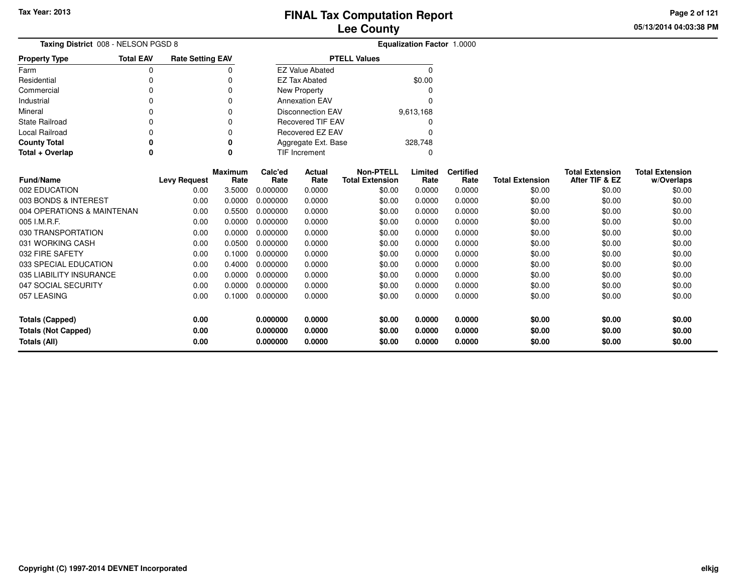**05/13/2014 04:03:38 PM Page 2 of 121**

| Taxing District 008 - NELSON PGSD 8 | <b>Equalization Factor 1.0000</b> |                         |                |          |                          |                        |        |           |                  |                        |                        |                        |
|-------------------------------------|-----------------------------------|-------------------------|----------------|----------|--------------------------|------------------------|--------|-----------|------------------|------------------------|------------------------|------------------------|
| <b>Property Type</b>                | <b>Total EAV</b>                  | <b>Rate Setting EAV</b> |                |          |                          | <b>PTELL Values</b>    |        |           |                  |                        |                        |                        |
| Farm                                | 0                                 |                         | 0              |          | <b>EZ Value Abated</b>   |                        |        | $\Omega$  |                  |                        |                        |                        |
| Residential                         | 0                                 |                         | 0              |          | <b>EZ Tax Abated</b>     |                        |        | \$0.00    |                  |                        |                        |                        |
| Commercial                          | 0                                 |                         | 0              |          | <b>New Property</b>      |                        |        |           |                  |                        |                        |                        |
| Industrial                          | 0                                 |                         | 0              |          | <b>Annexation EAV</b>    |                        |        | O         |                  |                        |                        |                        |
| Mineral                             | 0                                 |                         | 0              |          | <b>Disconnection EAV</b> |                        |        | 9,613,168 |                  |                        |                        |                        |
| <b>State Railroad</b>               | 0                                 |                         | 0              |          | <b>Recovered TIF EAV</b> |                        |        |           |                  |                        |                        |                        |
| Local Railroad                      | $\Omega$                          |                         | 0              |          | Recovered EZ EAV         |                        |        | 0         |                  |                        |                        |                        |
| <b>County Total</b>                 | 0                                 |                         | 0              |          | Aggregate Ext. Base      |                        |        | 328,748   |                  |                        |                        |                        |
| Total + Overlap                     | 0                                 |                         | 0              |          | <b>TIF Increment</b>     |                        |        | 0         |                  |                        |                        |                        |
|                                     |                                   |                         | <b>Maximum</b> | Calc'ed  | Actual                   | <b>Non-PTELL</b>       |        | Limited   | <b>Certified</b> |                        | <b>Total Extension</b> | <b>Total Extension</b> |
| <b>Fund/Name</b>                    |                                   | <b>Levy Request</b>     | Rate           | Rate     | Rate                     | <b>Total Extension</b> |        | Rate      | Rate             | <b>Total Extension</b> | After TIF & EZ         | w/Overlaps             |
| 002 EDUCATION                       |                                   | 0.00                    | 3.5000         | 0.000000 | 0.0000                   |                        | \$0.00 | 0.0000    | 0.0000           | \$0.00                 | \$0.00                 | \$0.00                 |
| 003 BONDS & INTEREST                |                                   | 0.00                    | 0.0000         | 0.000000 | 0.0000                   |                        | \$0.00 | 0.0000    | 0.0000           | \$0.00                 | \$0.00                 | \$0.00                 |
| 004 OPERATIONS & MAINTENAN          |                                   | 0.00                    | 0.5500         | 0.000000 | 0.0000                   |                        | \$0.00 | 0.0000    | 0.0000           | \$0.00                 | \$0.00                 | \$0.00                 |
| 005 I.M.R.F.                        |                                   | 0.00                    | 0.0000         | 0.000000 | 0.0000                   |                        | \$0.00 | 0.0000    | 0.0000           | \$0.00                 | \$0.00                 | \$0.00                 |
| 030 TRANSPORTATION                  |                                   | 0.00                    | 0.0000         | 0.000000 | 0.0000                   |                        | \$0.00 | 0.0000    | 0.0000           | \$0.00                 | \$0.00                 | \$0.00                 |
| 031 WORKING CASH                    |                                   | 0.00                    | 0.0500         | 0.000000 | 0.0000                   |                        | \$0.00 | 0.0000    | 0.0000           | \$0.00                 | \$0.00                 | \$0.00                 |
| 032 FIRE SAFETY                     |                                   | 0.00                    | 0.1000         | 0.000000 | 0.0000                   |                        | \$0.00 | 0.0000    | 0.0000           | \$0.00                 | \$0.00                 | \$0.00                 |
| 033 SPECIAL EDUCATION               |                                   | 0.00                    | 0.4000         | 0.000000 | 0.0000                   |                        | \$0.00 | 0.0000    | 0.0000           | \$0.00                 | \$0.00                 | \$0.00                 |
| 035 LIABILITY INSURANCE             |                                   | 0.00                    | 0.0000         | 0.000000 | 0.0000                   |                        | \$0.00 | 0.0000    | 0.0000           | \$0.00                 | \$0.00                 | \$0.00                 |
| 047 SOCIAL SECURITY                 |                                   | 0.00                    | 0.0000         | 0.000000 | 0.0000                   |                        | \$0.00 | 0.0000    | 0.0000           | \$0.00                 | \$0.00                 | \$0.00                 |
| 057 LEASING                         |                                   | 0.00                    | 0.1000         | 0.000000 | 0.0000                   |                        | \$0.00 | 0.0000    | 0.0000           | \$0.00                 | \$0.00                 | \$0.00                 |
|                                     |                                   |                         |                |          |                          |                        |        |           |                  |                        |                        |                        |
| <b>Totals (Capped)</b>              |                                   | 0.00                    |                | 0.000000 | 0.0000                   |                        | \$0.00 | 0.0000    | 0.0000           | \$0.00                 | \$0.00                 | \$0.00                 |
| <b>Totals (Not Capped)</b>          |                                   | 0.00                    |                | 0.000000 | 0.0000                   |                        | \$0.00 | 0.0000    | 0.0000           | \$0.00                 | \$0.00                 | \$0.00                 |
| <b>Totals (All)</b>                 |                                   | 0.00                    |                | 0.000000 | 0.0000                   |                        | \$0.00 | 0.0000    | 0.0000           | \$0.00                 | \$0.00                 | \$0.00                 |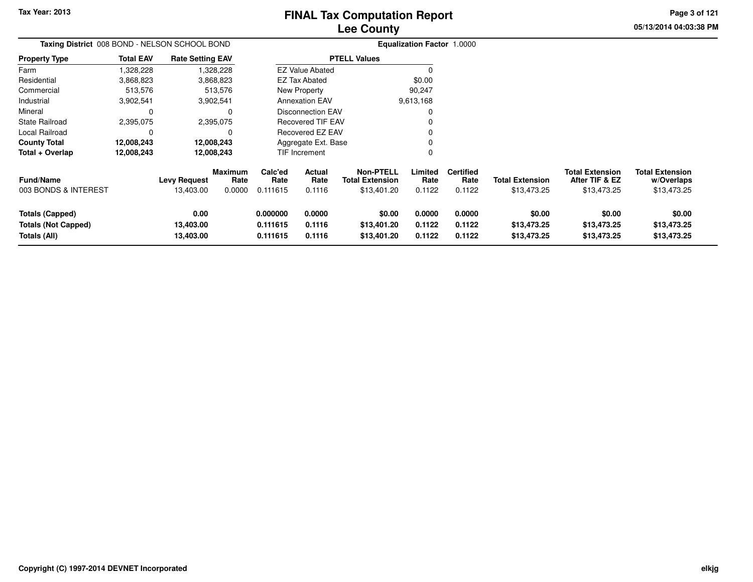**05/13/2014 04:03:38 PM Page 3 of 121**

| Taxing District 008 BOND - NELSON SCHOOL BOND |                  |                         |                        |                                    |                        |                                            | <b>Equalization Factor 1.0000</b> |                          |                        |                                          |                                      |
|-----------------------------------------------|------------------|-------------------------|------------------------|------------------------------------|------------------------|--------------------------------------------|-----------------------------------|--------------------------|------------------------|------------------------------------------|--------------------------------------|
| <b>Property Type</b>                          | <b>Total EAV</b> | <b>Rate Setting EAV</b> |                        |                                    |                        | <b>PTELL Values</b>                        |                                   |                          |                        |                                          |                                      |
| Farm                                          | ,328,228         |                         | 328,228,               |                                    | <b>EZ Value Abated</b> |                                            |                                   |                          |                        |                                          |                                      |
| Residential                                   | 3,868,823        |                         | 3,868,823              |                                    | EZ Tax Abated          |                                            | \$0.00                            |                          |                        |                                          |                                      |
| Commercial                                    | 513,576          |                         | 513,576                |                                    | New Property           |                                            | 90,247                            |                          |                        |                                          |                                      |
| Industrial                                    | 3,902,541        |                         | 3,902,541              | <b>Annexation EAV</b><br>9,613,168 |                        |                                            |                                   |                          |                        |                                          |                                      |
| Mineral                                       | 0                |                         | 0                      | <b>Disconnection EAV</b>           |                        |                                            |                                   |                          |                        |                                          |                                      |
| <b>State Railroad</b>                         | 2,395,075        |                         | 2,395,075              | <b>Recovered TIF EAV</b>           |                        |                                            |                                   |                          |                        |                                          |                                      |
| Local Railroad                                | 0                |                         | 0                      |                                    | Recovered EZ EAV       |                                            |                                   |                          |                        |                                          |                                      |
| <b>County Total</b>                           | 12,008,243       |                         | 12,008,243             |                                    | Aggregate Ext. Base    |                                            |                                   |                          |                        |                                          |                                      |
| Total + Overlap                               | 12,008,243       |                         | 12,008,243             |                                    | TIF Increment          |                                            | 0                                 |                          |                        |                                          |                                      |
| <b>Fund/Name</b>                              |                  | <b>Levy Request</b>     | <b>Maximum</b><br>Rate | Calc'ed<br>Rate                    | Actual<br>Rate         | <b>Non-PTELL</b><br><b>Total Extension</b> | Limited<br>Rate                   | <b>Certified</b><br>Rate | <b>Total Extension</b> | <b>Total Extension</b><br>After TIF & EZ | <b>Total Extension</b><br>w/Overlaps |
| 003 BONDS & INTEREST                          |                  | 13,403.00               | 0.0000                 | 0.111615                           | 0.1116                 | \$13,401.20                                | 0.1122                            | 0.1122                   | \$13,473.25            | \$13,473.25                              | \$13,473.25                          |
| <b>Totals (Capped)</b>                        |                  | 0.00                    |                        | 0.000000                           | 0.0000                 | \$0.00                                     | 0.0000                            | 0.0000                   | \$0.00                 | \$0.00                                   | \$0.00                               |
| <b>Totals (Not Capped)</b>                    |                  | 13,403.00               |                        | 0.111615                           | 0.1116                 | \$13,401.20                                | 0.1122                            | 0.1122                   | \$13,473.25            | \$13,473.25                              | \$13,473.25                          |
| Totals (All)                                  |                  | 13,403.00               |                        | 0.111615                           | 0.1116                 | \$13,401.20                                | 0.1122                            | 0.1122                   | \$13,473.25            | \$13,473.25                              | \$13,473.25                          |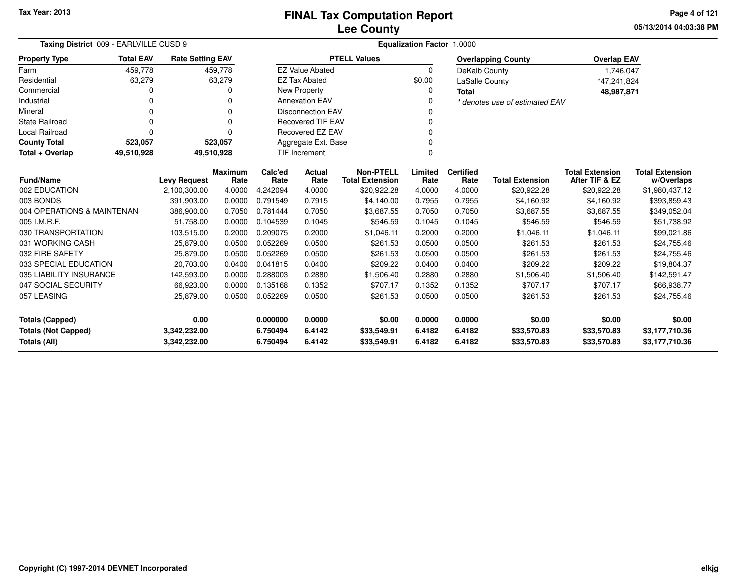**05/13/2014 04:03:38 PM Page 4 of 121**

| Taxing District 009 - EARLVILLE CUSD 9     |                  |                              |                        | <b>Equalization Factor 1.0000</b> |                          |                                       |                  |                          |                                |                                          |                                  |  |  |
|--------------------------------------------|------------------|------------------------------|------------------------|-----------------------------------|--------------------------|---------------------------------------|------------------|--------------------------|--------------------------------|------------------------------------------|----------------------------------|--|--|
| <b>Property Type</b>                       | <b>Total EAV</b> | <b>Rate Setting EAV</b>      |                        |                                   |                          | <b>PTELL Values</b>                   |                  |                          | <b>Overlapping County</b>      | <b>Overlap EAV</b>                       |                                  |  |  |
| Farm                                       | 459,778          |                              | 459,778                |                                   | <b>EZ Value Abated</b>   |                                       | $\Omega$         | DeKalb County            |                                | 1,746,047                                |                                  |  |  |
| Residential                                | 63,279           |                              | 63,279                 |                                   | <b>EZ Tax Abated</b>     |                                       | \$0.00           | <b>LaSalle County</b>    |                                | *47,241,824                              |                                  |  |  |
| Commercial                                 | 0                |                              | O                      |                                   | New Property             |                                       | 0                | <b>Total</b>             |                                | 48,987,871                               |                                  |  |  |
| Industrial                                 | 0                |                              | 0                      |                                   | <b>Annexation EAV</b>    |                                       |                  |                          | * denotes use of estimated EAV |                                          |                                  |  |  |
| Mineral                                    | 0                |                              | $\Omega$               |                                   | <b>Disconnection EAV</b> |                                       |                  |                          |                                |                                          |                                  |  |  |
| State Railroad                             | 0                |                              | $\Omega$               |                                   | <b>Recovered TIF EAV</b> |                                       |                  |                          |                                |                                          |                                  |  |  |
| Local Railroad                             | 0                |                              | $\Omega$               |                                   | Recovered EZ EAV         |                                       | 0                |                          |                                |                                          |                                  |  |  |
| <b>County Total</b>                        | 523,057          |                              | 523,057                |                                   | Aggregate Ext. Base      |                                       |                  |                          |                                |                                          |                                  |  |  |
| Total + Overlap                            | 49,510,928       | 49,510,928                   |                        |                                   | <b>TIF Increment</b>     |                                       | $\Omega$         |                          |                                |                                          |                                  |  |  |
| <b>Fund/Name</b><br><b>Levy Request</b>    |                  |                              | <b>Maximum</b><br>Rate | Calc'ed<br>Rate                   | Actual<br>Rate           | <b>Non-PTELL</b>                      | Limited<br>Rate  | <b>Certified</b><br>Rate | <b>Total Extension</b>         | <b>Total Extension</b><br>After TIF & EZ | <b>Total Extension</b>           |  |  |
| 002 EDUCATION                              |                  | 2,100,300.00                 | 4.0000                 | 4.242094                          | 4.0000                   | <b>Total Extension</b><br>\$20,922.28 | 4.0000           | 4.0000                   | \$20,922.28                    | \$20,922.28                              | w/Overlaps<br>\$1,980,437.12     |  |  |
| 003 BONDS                                  |                  | 391,903.00                   | 0.0000                 | 0.791549                          | 0.7915                   | \$4,140.00                            | 0.7955           | 0.7955                   | \$4,160.92                     | \$4,160.92                               | \$393,859.43                     |  |  |
| 004 OPERATIONS & MAINTENAN                 |                  | 386,900.00                   | 0.7050                 | 0.781444                          | 0.7050                   | \$3,687.55                            | 0.7050           | 0.7050                   | \$3,687.55                     | \$3,687.55                               | \$349,052.04                     |  |  |
| 005 I.M.R.F.                               |                  | 51.758.00                    | 0.0000                 | 0.104539                          | 0.1045                   | \$546.59                              | 0.1045           | 0.1045                   | \$546.59                       | \$546.59                                 | \$51,738.92                      |  |  |
| 030 TRANSPORTATION                         |                  | 103,515.00                   | 0.2000                 | 0.209075                          | 0.2000                   | \$1,046.11                            | 0.2000           | 0.2000                   | \$1,046.11                     | \$1,046.11                               | \$99,021.86                      |  |  |
| 031 WORKING CASH                           |                  | 25,879.00                    | 0.0500                 | 0.052269                          | 0.0500                   | \$261.53                              | 0.0500           | 0.0500                   | \$261.53                       | \$261.53                                 | \$24,755.46                      |  |  |
| 032 FIRE SAFETY                            |                  | 25,879.00                    | 0.0500                 | 0.052269                          | 0.0500                   | \$261.53                              | 0.0500           | 0.0500                   | \$261.53                       | \$261.53                                 | \$24,755.46                      |  |  |
| 033 SPECIAL EDUCATION                      |                  | 20,703.00                    | 0.0400                 | 0.041815                          | 0.0400                   | \$209.22                              | 0.0400           | 0.0400                   | \$209.22                       | \$209.22                                 | \$19,804.37                      |  |  |
| 035 LIABILITY INSURANCE                    |                  | 142,593.00                   | 0.0000                 | 0.288003                          | 0.2880                   | \$1,506.40                            | 0.2880           | 0.2880                   | \$1,506.40                     | \$1,506.40                               | \$142,591.47                     |  |  |
| 047 SOCIAL SECURITY                        |                  | 66,923.00                    | 0.0000                 | 0.135168                          | 0.1352                   | \$707.17                              | 0.1352           | 0.1352                   | \$707.17                       | \$707.17                                 | \$66,938.77                      |  |  |
| 057 LEASING                                |                  | 25,879.00                    | 0.0500                 | 0.052269                          | 0.0500                   | \$261.53                              | 0.0500           | 0.0500                   | \$261.53                       | \$261.53                                 | \$24,755.46                      |  |  |
| 0.00<br><b>Totals (Capped)</b>             |                  |                              |                        | 0.000000                          | 0.0000                   | \$0.00                                | 0.0000           | 0.0000                   | \$0.00                         | \$0.00                                   | \$0.00                           |  |  |
| <b>Totals (Not Capped)</b><br>Totals (All) |                  | 3,342,232.00<br>3,342,232.00 |                        | 6.750494<br>6.750494              | 6.4142<br>6.4142         | \$33,549.91<br>\$33,549.91            | 6.4182<br>6.4182 | 6.4182<br>6.4182         | \$33,570.83<br>\$33,570.83     | \$33,570.83<br>\$33,570.83               | \$3,177,710.36<br>\$3,177,710.36 |  |  |

 $\overline{\phantom{0}}$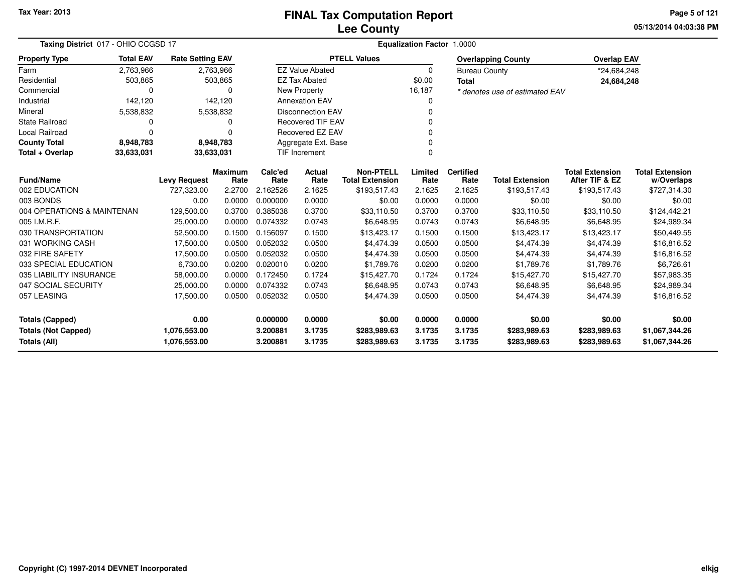**05/13/2014 04:03:38 PM Page 5 of 121**

| Taxing District 017 - OHIO CCGSD 17 |                  |                         |                 |                           |                          | <b>Equalization Factor</b>                 | 1.0000          |                          |                                |                                          |                                      |
|-------------------------------------|------------------|-------------------------|-----------------|---------------------------|--------------------------|--------------------------------------------|-----------------|--------------------------|--------------------------------|------------------------------------------|--------------------------------------|
| <b>Property Type</b>                | <b>Total EAV</b> | <b>Rate Setting EAV</b> |                 |                           |                          | <b>PTELL Values</b>                        |                 |                          | <b>Overlapping County</b>      | <b>Overlap EAV</b>                       |                                      |
| Farm                                | 2,763,966        | 2,763,966               |                 |                           | <b>EZ Value Abated</b>   |                                            | 0               | <b>Bureau County</b>     |                                | *24,684,248                              |                                      |
| Residential                         | 503,865          |                         | 503,865         |                           | <b>EZ Tax Abated</b>     |                                            | \$0.00          | <b>Total</b>             |                                | 24,684,248                               |                                      |
| Commercial                          | $\Omega$         |                         | 0               |                           | New Property             |                                            | 16,187          |                          | * denotes use of estimated EAV |                                          |                                      |
| Industrial                          | 142,120          |                         | 142,120         |                           | <b>Annexation EAV</b>    |                                            | 0               |                          |                                |                                          |                                      |
| Mineral                             | 5,538,832        | 5,538,832               |                 |                           | <b>Disconnection EAV</b> |                                            | 0               |                          |                                |                                          |                                      |
| <b>State Railroad</b>               | $\Omega$         |                         | 0               |                           | Recovered TIF EAV        |                                            | 0               |                          |                                |                                          |                                      |
| Local Railroad                      | $\Omega$         |                         | $\Omega$        |                           | Recovered EZ EAV         |                                            | 0               |                          |                                |                                          |                                      |
| <b>County Total</b>                 | 8,948,783        | 8,948,783               |                 |                           | 0<br>Aggregate Ext. Base |                                            |                 |                          |                                |                                          |                                      |
| Total + Overlap                     | 33,633,031       | 33,633,031              |                 | <b>TIF Increment</b><br>0 |                          |                                            |                 |                          |                                |                                          |                                      |
| <b>Fund/Name</b>                    |                  | <b>Levy Request</b>     | Maximum<br>Rate | Calc'ed<br>Rate           | Actual<br>Rate           | <b>Non-PTELL</b><br><b>Total Extension</b> | Limited<br>Rate | <b>Certified</b><br>Rate | <b>Total Extension</b>         | <b>Total Extension</b><br>After TIF & EZ | <b>Total Extension</b><br>w/Overlaps |
| 002 EDUCATION                       |                  | 727,323.00              | 2.2700          | 2.162526                  | 2.1625                   | \$193,517.43                               | 2.1625          | 2.1625                   | \$193,517.43                   | \$193,517.43                             | \$727,314.30                         |
| 003 BONDS                           |                  | 0.00                    | 0.0000          | 0.000000                  | 0.0000                   | \$0.00                                     | 0.0000          | 0.0000                   | \$0.00                         | \$0.00                                   | \$0.00                               |
| 004 OPERATIONS & MAINTENAN          |                  | 129,500.00              | 0.3700          | 0.385038                  | 0.3700                   | \$33,110.50                                | 0.3700          | 0.3700                   | \$33,110.50                    | \$33,110.50                              | \$124,442.21                         |
| 005 I.M.R.F.                        |                  | 25,000.00               | 0.0000          | 0.074332                  | 0.0743                   | \$6,648.95                                 | 0.0743          | 0.0743                   | \$6,648.95                     | \$6,648.95                               | \$24,989.34                          |
| 030 TRANSPORTATION                  |                  | 52,500.00               | 0.1500          | 0.156097                  | 0.1500                   | \$13,423.17                                | 0.1500          | 0.1500                   | \$13,423.17                    | \$13,423.17                              | \$50,449.55                          |
| 031 WORKING CASH                    |                  | 17,500.00               | 0.0500          | 0.052032                  | 0.0500                   | \$4,474.39                                 | 0.0500          | 0.0500                   | \$4,474.39                     | \$4,474.39                               | \$16,816.52                          |
| 032 FIRE SAFETY                     |                  | 17,500.00               | 0.0500          | 0.052032                  | 0.0500                   | \$4,474.39                                 | 0.0500          | 0.0500                   | \$4,474.39                     | \$4,474.39                               | \$16,816.52                          |
| 033 SPECIAL EDUCATION               |                  | 6,730.00                | 0.0200          | 0.020010                  | 0.0200                   | \$1,789.76                                 | 0.0200          | 0.0200                   | \$1,789.76                     | \$1,789.76                               | \$6,726.61                           |
| 035 LIABILITY INSURANCE             |                  | 58,000.00               | 0.0000          | 0.172450                  | 0.1724                   | \$15,427.70                                | 0.1724          | 0.1724                   | \$15,427.70                    | \$15,427.70                              | \$57,983.35                          |
| 047 SOCIAL SECURITY                 |                  | 25,000.00               | 0.0000          | 0.074332                  | 0.0743                   | \$6,648.95                                 | 0.0743          | 0.0743                   | \$6,648.95                     | \$6,648.95                               | \$24,989.34                          |
| 057 LEASING                         |                  | 17,500.00               | 0.0500          | 0.052032                  | 0.0500                   | \$4,474.39                                 | 0.0500          | 0.0500                   | \$4,474.39                     | \$4.474.39                               | \$16,816.52                          |
| <b>Totals (Capped)</b>              |                  | 0.00                    |                 | 0.000000                  | 0.0000                   | \$0.00                                     | 0.0000          | 0.0000                   | \$0.00                         | \$0.00                                   | \$0.00                               |
| <b>Totals (Not Capped)</b>          |                  | 1,076,553.00            |                 | 3.200881                  | 3.1735                   | \$283,989.63                               | 3.1735          | 3.1735                   | \$283,989.63                   | \$283,989.63                             | \$1,067,344.26                       |
| Totals (All)                        |                  | 1,076,553.00            |                 | 3.200881                  | 3.1735                   | \$283,989.63                               | 3.1735          | 3.1735                   | \$283,989.63                   | \$283,989.63                             | \$1,067,344.26                       |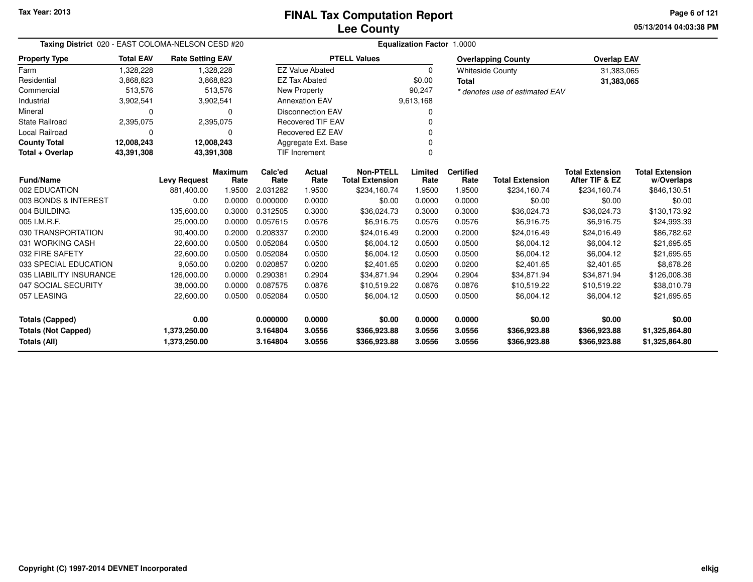**05/13/2014 04:03:38 PM Page 6 of 121**

| Taxing District 020 - EAST COLOMA-NELSON CESD #20 |                  |                         |                        | <b>Equalization Factor 1.0000</b> |                          |                                            |                 |                          |                                |                                          |                                      |  |  |
|---------------------------------------------------|------------------|-------------------------|------------------------|-----------------------------------|--------------------------|--------------------------------------------|-----------------|--------------------------|--------------------------------|------------------------------------------|--------------------------------------|--|--|
| <b>Property Type</b>                              | <b>Total EAV</b> | <b>Rate Setting EAV</b> |                        |                                   |                          | <b>PTELL Values</b>                        |                 |                          | <b>Overlapping County</b>      | <b>Overlap EAV</b>                       |                                      |  |  |
| Farm                                              | 1,328,228        |                         | 1,328,228              |                                   | <b>EZ Value Abated</b>   |                                            | $\Omega$        |                          | <b>Whiteside County</b>        | 31,383,065                               |                                      |  |  |
| Residential                                       | 3,868,823        |                         | 3,868,823              |                                   | <b>EZ Tax Abated</b>     |                                            | \$0.00          | <b>Total</b>             |                                | 31,383,065                               |                                      |  |  |
| Commercial                                        | 513,576          |                         | 513,576                |                                   | New Property             |                                            | 90,247          |                          | * denotes use of estimated EAV |                                          |                                      |  |  |
| Industrial                                        | 3,902,541        |                         | 3,902,541              |                                   | <b>Annexation EAV</b>    |                                            | 9,613,168       |                          |                                |                                          |                                      |  |  |
| Mineral                                           | $\Omega$         |                         | $\Omega$               |                                   | <b>Disconnection EAV</b> |                                            | O               |                          |                                |                                          |                                      |  |  |
| <b>State Railroad</b>                             | 2,395,075        |                         | 2,395,075              |                                   | <b>Recovered TIF EAV</b> |                                            | n               |                          |                                |                                          |                                      |  |  |
| Local Railroad                                    | 0                |                         | $\Omega$               |                                   | Recovered EZ EAV         |                                            | ŋ               |                          |                                |                                          |                                      |  |  |
| <b>County Total</b>                               | 12,008,243       | 12,008,243              |                        |                                   | Aggregate Ext. Base      |                                            |                 |                          |                                |                                          |                                      |  |  |
| Total + Overlap                                   | 43,391,308       | 43,391,308              |                        |                                   | <b>TIF Increment</b>     |                                            | 0               |                          |                                |                                          |                                      |  |  |
| <b>Fund/Name</b>                                  |                  | <b>Levy Request</b>     | <b>Maximum</b><br>Rate | Calc'ed<br>Rate                   | Actual<br>Rate           | <b>Non-PTELL</b><br><b>Total Extension</b> | Limited<br>Rate | <b>Certified</b><br>Rate | <b>Total Extension</b>         | <b>Total Extension</b><br>After TIF & EZ | <b>Total Extension</b><br>w/Overlaps |  |  |
| 002 EDUCATION                                     |                  | 881,400.00              | 1.9500                 | 2.031282                          | 1.9500                   | \$234,160.74                               | 1.9500          | 1.9500                   | \$234,160.74                   | \$234,160.74                             | \$846,130.51                         |  |  |
| 003 BONDS & INTEREST                              |                  | 0.00                    | 0.0000                 | 0.000000                          | 0.0000                   | \$0.00                                     | 0.0000          | 0.0000                   | \$0.00                         | \$0.00                                   | \$0.00                               |  |  |
| 004 BUILDING                                      |                  | 135,600.00              | 0.3000                 | 0.312505                          | 0.3000                   | \$36,024.73                                | 0.3000          | 0.3000                   | \$36,024.73                    | \$36,024.73                              | \$130,173.92                         |  |  |
| 005 I.M.R.F.                                      |                  | 25,000.00               | 0.0000                 | 0.057615                          | 0.0576                   | \$6,916.75                                 | 0.0576          | 0.0576                   | \$6,916.75                     | \$6,916.75                               | \$24,993.39                          |  |  |
| 030 TRANSPORTATION                                |                  | 90,400.00               | 0.2000                 | 0.208337                          | 0.2000                   | \$24,016.49                                | 0.2000          | 0.2000                   | \$24,016.49                    | \$24,016.49                              | \$86,782.62                          |  |  |
| 031 WORKING CASH                                  |                  | 22,600.00               | 0.0500                 | 0.052084                          | 0.0500                   | \$6,004.12                                 | 0.0500          | 0.0500                   | \$6,004.12                     | \$6,004.12                               | \$21,695.65                          |  |  |
| 032 FIRE SAFETY                                   |                  | 22,600.00               | 0.0500                 | 0.052084                          | 0.0500                   | \$6,004.12                                 | 0.0500          | 0.0500                   | \$6,004.12                     | \$6,004.12                               | \$21,695.65                          |  |  |
| 033 SPECIAL EDUCATION                             |                  | 9,050.00                | 0.0200                 | 0.020857                          | 0.0200                   | \$2,401.65                                 | 0.0200          | 0.0200                   | \$2,401.65                     | \$2,401.65                               | \$8,678.26                           |  |  |
| 035 LIABILITY INSURANCE                           |                  | 126,000.00              | 0.0000                 | 0.290381                          | 0.2904                   | \$34,871.94                                | 0.2904          | 0.2904                   | \$34,871.94                    | \$34,871.94                              | \$126,008.36                         |  |  |
| 047 SOCIAL SECURITY                               |                  | 38,000.00               | 0.0000                 | 0.087575                          | 0.0876                   | \$10,519.22                                | 0.0876          | 0.0876                   | \$10,519.22                    | \$10,519.22                              | \$38,010.79                          |  |  |
| 057 LEASING                                       |                  | 22,600.00               | 0.0500                 | 0.052084                          | 0.0500                   | \$6,004.12                                 | 0.0500          | 0.0500                   | \$6,004.12                     | \$6,004.12                               | \$21,695.65                          |  |  |
| <b>Totals (Capped)</b>                            |                  | 0.00                    |                        | 0.000000                          | 0.0000                   | \$0.00                                     | 0.0000          | 0.0000                   | \$0.00                         | \$0.00                                   | \$0.00                               |  |  |
| <b>Totals (Not Capped)</b>                        |                  | 1,373,250.00            |                        | 3.164804                          | 3.0556                   | \$366,923.88                               | 3.0556          | 3.0556                   | \$366,923.88                   | \$366,923.88                             | \$1,325,864.80                       |  |  |
| Totals (All)                                      |                  | 1,373,250.00            |                        | 3.164804                          | 3.0556                   | \$366,923.88                               | 3.0556          | 3.0556                   | \$366,923.88                   | \$366,923.88                             | \$1,325,864.80                       |  |  |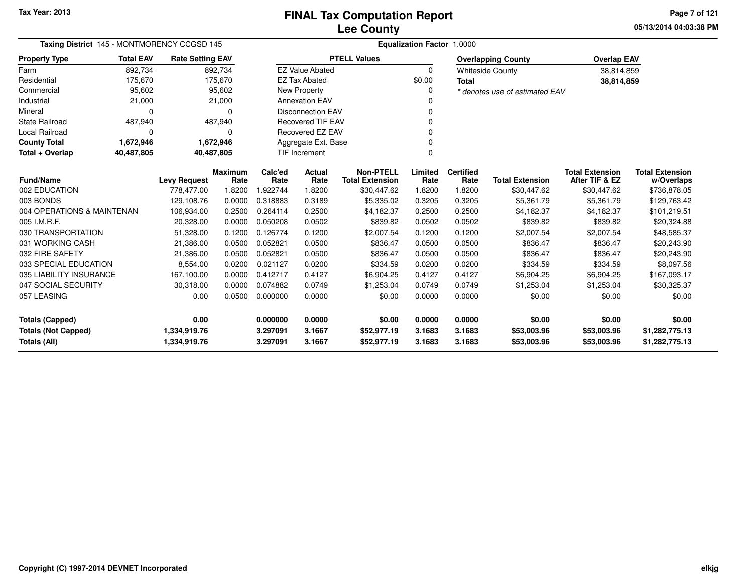**05/13/2014 04:03:38 PM Page 7 of 121**

| Taxing District 145 - MONTMORENCY CCGSD 145 |                  |                         |                        | <b>Equalization Factor 1.0000</b> |                          |                                            |                 |                          |                                |                                          |                                      |  |  |
|---------------------------------------------|------------------|-------------------------|------------------------|-----------------------------------|--------------------------|--------------------------------------------|-----------------|--------------------------|--------------------------------|------------------------------------------|--------------------------------------|--|--|
| <b>Property Type</b>                        | <b>Total EAV</b> | <b>Rate Setting EAV</b> |                        |                                   |                          | <b>PTELL Values</b>                        |                 |                          | <b>Overlapping County</b>      | <b>Overlap EAV</b>                       |                                      |  |  |
| Farm                                        | 892,734          |                         | 892,734                |                                   | <b>EZ Value Abated</b>   |                                            | $\Omega$        |                          | <b>Whiteside County</b>        | 38,814,859                               |                                      |  |  |
| Residential                                 | 175,670          |                         | 175,670                |                                   | <b>EZ Tax Abated</b>     |                                            | \$0.00          | <b>Total</b>             |                                | 38,814,859                               |                                      |  |  |
| Commercial                                  | 95,602           |                         | 95,602                 |                                   | New Property             |                                            | 0               |                          | * denotes use of estimated EAV |                                          |                                      |  |  |
| Industrial                                  | 21,000           |                         | 21,000                 |                                   | <b>Annexation EAV</b>    |                                            |                 |                          |                                |                                          |                                      |  |  |
| Mineral                                     | 0                |                         | $\Omega$               |                                   | <b>Disconnection EAV</b> |                                            |                 |                          |                                |                                          |                                      |  |  |
| <b>State Railroad</b>                       | 487,940          |                         | 487,940                |                                   | <b>Recovered TIF EAV</b> |                                            |                 |                          |                                |                                          |                                      |  |  |
| Local Railroad                              | 0                |                         | 0                      |                                   | Recovered EZ EAV         |                                            |                 |                          |                                |                                          |                                      |  |  |
| <b>County Total</b>                         | 1,672,946        |                         | 1,672,946              |                                   | Aggregate Ext. Base      |                                            |                 |                          |                                |                                          |                                      |  |  |
| 40,487,805<br>40,487,805<br>Total + Overlap |                  |                         |                        |                                   | <b>TIF Increment</b>     |                                            | $\Omega$        |                          |                                |                                          |                                      |  |  |
| <b>Fund/Name</b>                            |                  | <b>Levy Request</b>     | <b>Maximum</b><br>Rate | Calc'ed<br>Rate                   | Actual<br>Rate           | <b>Non-PTELL</b><br><b>Total Extension</b> | Limited<br>Rate | <b>Certified</b><br>Rate | <b>Total Extension</b>         | <b>Total Extension</b><br>After TIF & EZ | <b>Total Extension</b><br>w/Overlaps |  |  |
| 002 EDUCATION                               |                  | 778,477.00              | 1.8200                 | 1.922744                          | 1.8200                   | \$30,447.62                                | 1.8200          | 1.8200                   | \$30,447.62                    | \$30,447.62                              | \$736,878.05                         |  |  |
| 003 BONDS                                   |                  | 129,108.76              | 0.0000                 | 0.318883                          | 0.3189                   | \$5,335.02                                 | 0.3205          | 0.3205                   | \$5,361.79                     | \$5,361.79                               | \$129,763.42                         |  |  |
| 004 OPERATIONS & MAINTENAN                  |                  | 106,934.00              | 0.2500                 | 0.264114                          | 0.2500                   | \$4,182.37                                 | 0.2500          | 0.2500                   | \$4,182.37                     | \$4.182.37                               | \$101,219.51                         |  |  |
| 005 I.M.R.F.                                |                  | 20,328.00               | 0.0000                 | 0.050208                          | 0.0502                   | \$839.82                                   | 0.0502          | 0.0502                   | \$839.82                       | \$839.82                                 | \$20,324.88                          |  |  |
| 030 TRANSPORTATION                          |                  | 51,328.00               | 0.1200                 | 0.126774                          | 0.1200                   | \$2,007.54                                 | 0.1200          | 0.1200                   | \$2,007.54                     | \$2,007.54                               | \$48,585.37                          |  |  |
| 031 WORKING CASH                            |                  | 21,386.00               | 0.0500                 | 0.052821                          | 0.0500                   | \$836.47                                   | 0.0500          | 0.0500                   | \$836.47                       | \$836.47                                 | \$20,243.90                          |  |  |
| 032 FIRE SAFETY                             |                  | 21,386.00               | 0.0500                 | 0.052821                          | 0.0500                   | \$836.47                                   | 0.0500          | 0.0500                   | \$836.47                       | \$836.47                                 | \$20,243.90                          |  |  |
| 033 SPECIAL EDUCATION                       |                  | 8,554.00                | 0.0200                 | 0.021127                          | 0.0200                   | \$334.59                                   | 0.0200          | 0.0200                   | \$334.59                       | \$334.59                                 | \$8,097.56                           |  |  |
| 035 LIABILITY INSURANCE                     |                  | 167,100.00              | 0.0000                 | 0.412717                          | 0.4127                   | \$6,904.25                                 | 0.4127          | 0.4127                   | \$6,904.25                     | \$6,904.25                               | \$167,093.17                         |  |  |
| 047 SOCIAL SECURITY                         |                  | 30,318.00               | 0.0000                 | 0.074882                          | 0.0749                   | \$1,253.04                                 | 0.0749          | 0.0749                   | \$1,253.04                     | \$1,253.04                               | \$30,325.37                          |  |  |
| 057 LEASING                                 |                  | 0.00                    | 0.0500                 | 0.000000                          | 0.0000                   | \$0.00                                     | 0.0000          | 0.0000                   | \$0.00                         | \$0.00                                   | \$0.00                               |  |  |
| <b>Totals (Capped)</b><br>0.00              |                  |                         | 0.000000               | 0.0000                            | \$0.00                   | 0.0000                                     | 0.0000          | \$0.00                   | \$0.00                         | \$0.00                                   |                                      |  |  |
| <b>Totals (Not Capped)</b><br>1,334,919.76  |                  |                         | 3.297091               | 3.1667                            | \$52,977.19              | 3.1683                                     | 3.1683          | \$53,003.96              | \$53,003.96                    | \$1,282,775.13                           |                                      |  |  |
| <b>Totals (All)</b>                         |                  | 1,334,919.76            |                        | 3.297091                          | 3.1667                   | \$52,977.19                                | 3.1683          | 3.1683                   | \$53,003.96                    | \$53,003.96                              | \$1,282,775.13                       |  |  |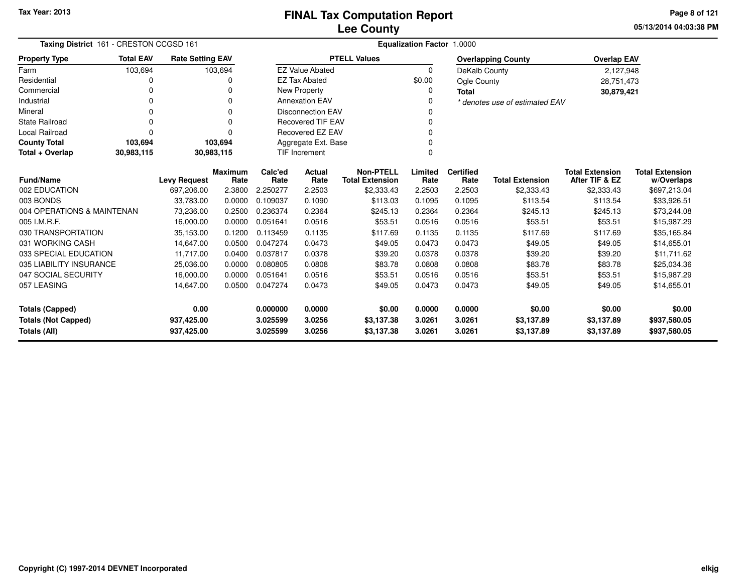**05/13/2014 04:03:38 PM Page 8 of 121**

| Taxing District 161 - CRESTON CCGSD 161    |                  |                          |                        | <b>Equalization Factor 1.0000</b> |                                                              |                                            |                  |                          |                           |                                          |                                      |  |  |
|--------------------------------------------|------------------|--------------------------|------------------------|-----------------------------------|--------------------------------------------------------------|--------------------------------------------|------------------|--------------------------|---------------------------|------------------------------------------|--------------------------------------|--|--|
| <b>Property Type</b>                       | <b>Total EAV</b> | <b>Rate Setting EAV</b>  |                        |                                   |                                                              | <b>PTELL Values</b>                        |                  |                          | <b>Overlapping County</b> | <b>Overlap EAV</b>                       |                                      |  |  |
| Farm                                       | 103,694          |                          | 103,694                |                                   | <b>EZ Value Abated</b>                                       |                                            | 0                | DeKalb County            |                           | 2,127,948                                |                                      |  |  |
| Residential                                | 0                |                          |                        |                                   | <b>EZ Tax Abated</b>                                         |                                            | \$0.00           | Ogle County              |                           | 28,751,473                               |                                      |  |  |
| Commercial                                 | 0                |                          |                        |                                   | <b>New Property</b>                                          |                                            | 0                | <b>Total</b>             |                           | 30,879,421                               |                                      |  |  |
| Industrial                                 | 0                |                          | $\Omega$               |                                   | <b>Annexation EAV</b><br>0<br>* denotes use of estimated EAV |                                            |                  |                          |                           |                                          |                                      |  |  |
| Mineral                                    | 0                |                          | 0                      | <b>Disconnection EAV</b><br>0     |                                                              |                                            |                  |                          |                           |                                          |                                      |  |  |
| <b>State Railroad</b>                      | 0                |                          | n                      |                                   | <b>Recovered TIF EAV</b>                                     |                                            | 0                |                          |                           |                                          |                                      |  |  |
| <b>Local Railroad</b>                      | 0                |                          | $\Omega$               |                                   | <b>Recovered EZ EAV</b>                                      |                                            | 0                |                          |                           |                                          |                                      |  |  |
| <b>County Total</b>                        | 103,694          |                          | 103,694                |                                   | Aggregate Ext. Base                                          |                                            | 0                |                          |                           |                                          |                                      |  |  |
| Total + Overlap                            | 30,983,115       | 30,983,115               |                        |                                   | <b>TIF Increment</b><br>0                                    |                                            |                  |                          |                           |                                          |                                      |  |  |
| <b>Fund/Name</b>                           |                  | <b>Levy Request</b>      | <b>Maximum</b><br>Rate | Calc'ed<br>Rate                   | Actual<br>Rate                                               | <b>Non-PTELL</b><br><b>Total Extension</b> | Limited<br>Rate  | <b>Certified</b><br>Rate | <b>Total Extension</b>    | <b>Total Extension</b><br>After TIF & EZ | <b>Total Extension</b><br>w/Overlaps |  |  |
| 002 EDUCATION                              |                  | 697,206.00               | 2.3800                 | 2.250277                          | 2.2503                                                       | \$2,333.43                                 | 2.2503           | 2.2503                   | \$2,333.43                | \$2,333.43                               | \$697,213.04                         |  |  |
| 003 BONDS                                  | 33,783.00        |                          | 0.0000                 | 0.109037                          | 0.1090                                                       | \$113.03                                   | 0.1095           | 0.1095                   | \$113.54                  | \$113.54                                 | \$33,926.51                          |  |  |
| 004 OPERATIONS & MAINTENAN                 |                  | 73,236.00                | 0.2500                 | 0.236374                          | 0.2364                                                       | \$245.13                                   | 0.2364           | 0.2364                   | \$245.13                  | \$245.13                                 | \$73,244.08                          |  |  |
| 005 I.M.R.F.                               |                  | 16,000.00                | 0.0000                 | 0.051641                          | 0.0516                                                       | \$53.51                                    | 0.0516           | 0.0516                   | \$53.51                   | \$53.51                                  | \$15,987.29                          |  |  |
| 030 TRANSPORTATION                         |                  | 35,153.00                | 0.1200                 | 0.113459                          | 0.1135                                                       | \$117.69                                   | 0.1135           | 0.1135                   | \$117.69                  | \$117.69                                 | \$35,165.84                          |  |  |
| 031 WORKING CASH                           |                  | 14.647.00                | 0.0500                 | 0.047274                          | 0.0473                                                       | \$49.05                                    | 0.0473           | 0.0473                   | \$49.05                   | \$49.05                                  | \$14,655.01                          |  |  |
| 033 SPECIAL EDUCATION                      |                  | 11,717.00                | 0.0400                 | 0.037817                          | 0.0378                                                       | \$39.20                                    | 0.0378           | 0.0378                   | \$39.20                   | \$39.20                                  | \$11,711.62                          |  |  |
| 035 LIABILITY INSURANCE                    |                  | 25,036.00                | 0.0000                 | 0.080805                          | 0.0808                                                       | \$83.78                                    | 0.0808           | 0.0808                   | \$83.78                   | \$83.78                                  | \$25,034.36                          |  |  |
| 047 SOCIAL SECURITY                        |                  | 16,000.00                | 0.0000                 | 0.051641                          | 0.0516                                                       | \$53.51                                    | 0.0516           | 0.0516                   | \$53.51                   | \$53.51                                  | \$15,987.29                          |  |  |
| 057 LEASING                                |                  | 14,647.00                | 0.0500                 | 0.047274                          | 0.0473                                                       | \$49.05                                    | 0.0473           | 0.0473                   | \$49.05                   | \$49.05                                  | \$14,655.01                          |  |  |
| <b>Totals (Capped)</b>                     |                  | 0.00                     |                        | 0.000000                          | 0.0000                                                       | \$0.00                                     | 0.0000           | 0.0000                   | \$0.00                    | \$0.00                                   | \$0.00                               |  |  |
| <b>Totals (Not Capped)</b><br>Totals (All) |                  | 937,425.00<br>937,425.00 |                        | 3.025599<br>3.025599              | 3.0256<br>3.0256                                             | \$3,137.38<br>\$3,137.38                   | 3.0261<br>3.0261 | 3.0261<br>3.0261         | \$3,137.89<br>\$3,137.89  | \$3,137.89<br>\$3,137.89                 | \$937,580.05<br>\$937,580.05         |  |  |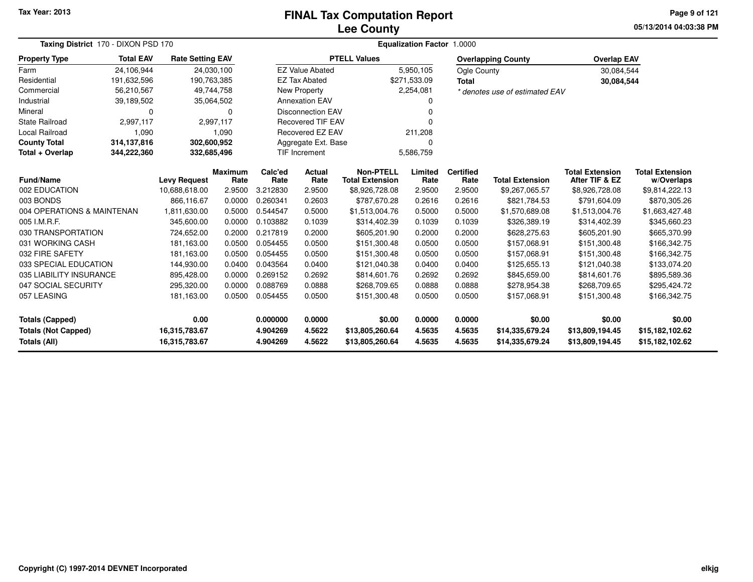# **Lee CountyFINAL Tax Computation Report**

**05/13/2014 04:03:38 PM Page 9 of 121**

| Taxing District 170 - DIXON PSD 170        |                  |                                      |                        | <b>Equalization Factor 1.0000</b>    |                          |                                            |                 |                          |                                |                                          |                                      |  |  |  |
|--------------------------------------------|------------------|--------------------------------------|------------------------|--------------------------------------|--------------------------|--------------------------------------------|-----------------|--------------------------|--------------------------------|------------------------------------------|--------------------------------------|--|--|--|
| <b>Property Type</b>                       | <b>Total EAV</b> | <b>Rate Setting EAV</b>              |                        |                                      |                          | <b>PTELL Values</b>                        |                 |                          | <b>Overlapping County</b>      | <b>Overlap EAV</b>                       |                                      |  |  |  |
| Farm                                       | 24,106,944       | 24,030,100                           |                        |                                      | <b>EZ Value Abated</b>   |                                            | 5,950,105       | Ogle County              |                                | 30,084,544                               |                                      |  |  |  |
| Residential                                | 191,632,596      | 190,763,385                          |                        |                                      | <b>EZ Tax Abated</b>     |                                            | \$271,533.09    | <b>Total</b>             |                                | 30,084,544                               |                                      |  |  |  |
| Commercial                                 | 56,210,567       | 49,744,758                           |                        |                                      | <b>New Property</b>      |                                            | 2,254,081       |                          | * denotes use of estimated EAV |                                          |                                      |  |  |  |
| Industrial                                 | 39,189,502       | 35,064,502                           |                        |                                      | <b>Annexation EAV</b>    |                                            | 0               |                          |                                |                                          |                                      |  |  |  |
| Mineral                                    | $\Omega$         |                                      | 0                      | <b>Disconnection EAV</b><br>$\Omega$ |                          |                                            |                 |                          |                                |                                          |                                      |  |  |  |
| <b>State Railroad</b>                      | 2,997,117        |                                      | 2,997,117              |                                      | <b>Recovered TIF EAV</b> |                                            | n               |                          |                                |                                          |                                      |  |  |  |
| Local Railroad                             | 1,090            |                                      | 1,090                  |                                      | Recovered EZ EAV         |                                            | 211,208         |                          |                                |                                          |                                      |  |  |  |
| <b>County Total</b>                        | 314,137,816      | 302,600,952                          |                        |                                      | Aggregate Ext. Base      |                                            | 0               |                          |                                |                                          |                                      |  |  |  |
| Total + Overlap                            | 344,222,360      | 332,685,496                          |                        |                                      | <b>TIF Increment</b>     | 5,586,759                                  |                 |                          |                                |                                          |                                      |  |  |  |
| Fund/Name                                  |                  |                                      | <b>Maximum</b><br>Rate | Calc'ed<br>Rate                      | Actual<br>Rate           | <b>Non-PTELL</b><br><b>Total Extension</b> | Limited<br>Rate | <b>Certified</b><br>Rate | <b>Total Extension</b>         | <b>Total Extension</b><br>After TIF & EZ | <b>Total Extension</b><br>w/Overlaps |  |  |  |
| 002 EDUCATION                              |                  | <b>Levy Request</b><br>10,688,618.00 | 2.9500                 | 3.212830                             | 2.9500                   | \$8,926,728.08                             | 2.9500          | 2.9500                   | \$9,267,065.57                 | \$8,926,728.08                           | \$9,814,222.13                       |  |  |  |
| 003 BONDS                                  |                  | 866,116.67                           | 0.0000                 | 0.260341                             | 0.2603                   | \$787,670.28                               | 0.2616          | 0.2616                   | \$821,784.53                   | \$791,604.09                             | \$870,305.26                         |  |  |  |
| 004 OPERATIONS & MAINTENAN                 |                  | 1,811,630.00                         | 0.5000                 | 0.544547                             | 0.5000                   | \$1,513,004.76                             | 0.5000          | 0.5000                   | \$1,570,689.08                 | \$1,513,004.76                           | \$1,663,427.48                       |  |  |  |
| 005 I.M.R.F.                               |                  | 345,600.00                           | 0.0000                 | 0.103882                             | 0.1039                   | \$314,402.39                               | 0.1039          | 0.1039                   | \$326,389.19                   | \$314,402.39                             | \$345,660.23                         |  |  |  |
| 030 TRANSPORTATION                         |                  | 724,652.00                           | 0.2000                 | 0.217819                             | 0.2000                   | \$605,201.90                               | 0.2000          | 0.2000                   | \$628,275.63                   | \$605,201.90                             | \$665,370.99                         |  |  |  |
| 031 WORKING CASH                           |                  | 181,163.00                           | 0.0500                 | 0.054455                             | 0.0500                   | \$151,300.48                               | 0.0500          | 0.0500                   | \$157,068.91                   | \$151,300.48                             | \$166,342.75                         |  |  |  |
| 032 FIRE SAFETY                            |                  | 181,163.00                           | 0.0500                 | 0.054455                             | 0.0500                   | \$151,300.48                               | 0.0500          | 0.0500                   | \$157,068.91                   | \$151,300.48                             | \$166,342.75                         |  |  |  |
| 033 SPECIAL EDUCATION                      |                  | 144,930.00                           | 0.0400                 | 0.043564                             | 0.0400                   | \$121,040.38                               | 0.0400          | 0.0400                   | \$125,655.13                   | \$121,040.38                             | \$133,074.20                         |  |  |  |
| 035 LIABILITY INSURANCE                    |                  | 895,428.00                           | 0.0000                 | 0.269152                             | 0.2692                   | \$814,601.76                               | 0.2692          | 0.2692                   | \$845,659.00                   | \$814,601.76                             | \$895,589.36                         |  |  |  |
| 047 SOCIAL SECURITY                        |                  | 295,320.00                           | 0.0000                 | 0.088769                             | 0.0888                   | \$268,709.65                               | 0.0888          | 0.0888                   | \$278,954.38                   | \$268,709.65                             | \$295,424.72                         |  |  |  |
| 057 LEASING                                |                  | 181,163.00                           | 0.0500                 | 0.054455                             | 0.0500                   | \$151,300.48                               | 0.0500          | 0.0500                   | \$157,068.91                   | \$151,300.48                             | \$166,342.75                         |  |  |  |
| <b>Totals (Capped)</b>                     |                  | 0.00                                 |                        | 0.000000                             | 0.0000                   | \$0.00                                     | 0.0000          | 0.0000                   | \$0.00                         | \$0.00                                   | \$0.00                               |  |  |  |
|                                            |                  | 16,315,783.67                        |                        | 4.904269                             | 4.5622                   | \$13,805,260.64                            | 4.5635          | 4.5635                   | \$14,335,679.24                | \$13,809,194.45                          | \$15,182,102.62                      |  |  |  |
| <b>Totals (Not Capped)</b><br>Totals (All) |                  | 16,315,783.67                        |                        | 4.904269                             | 4.5622                   | \$13,805,260.64                            | 4.5635          | 4.5635                   | \$14,335,679.24                | \$13,809,194.45                          | \$15,182,102.62                      |  |  |  |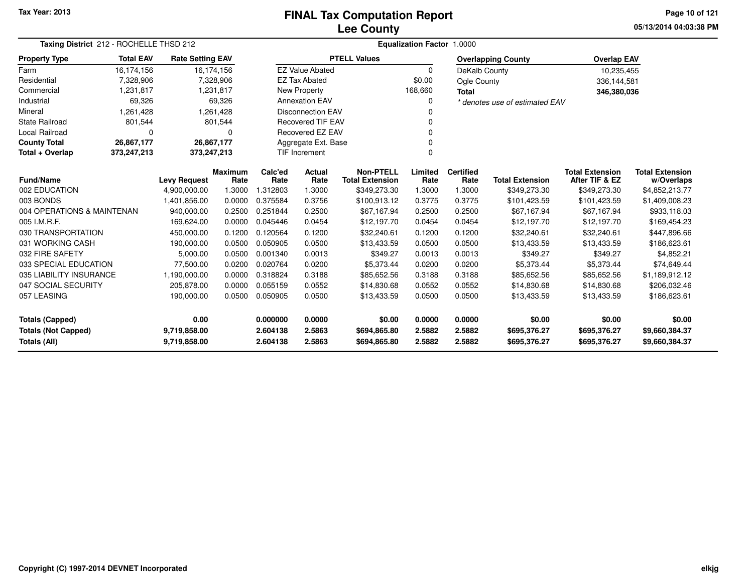# **Lee CountyFINAL Tax Computation Report**

**05/13/2014 04:03:38 PM Page 10 of 121**

| Taxing District 212 - ROCHELLE THSD 212    |                            |                         |                        | Equalization Factor 1.0000    |                        |                                            |                 |                          |                                |                                          |                                      |  |  |
|--------------------------------------------|----------------------------|-------------------------|------------------------|-------------------------------|------------------------|--------------------------------------------|-----------------|--------------------------|--------------------------------|------------------------------------------|--------------------------------------|--|--|
| <b>Property Type</b>                       | <b>Total EAV</b>           | <b>Rate Setting EAV</b> |                        |                               |                        | <b>PTELL Values</b>                        |                 |                          | <b>Overlapping County</b>      | <b>Overlap EAV</b>                       |                                      |  |  |
| Farm                                       | 16,174,156                 | 16,174,156              |                        |                               | <b>EZ Value Abated</b> |                                            | $\Omega$        | DeKalb County            |                                | 10,235,455                               |                                      |  |  |
| Residential                                | 7,328,906                  |                         | 7,328,906              |                               | <b>EZ Tax Abated</b>   |                                            | \$0.00          | Ogle County              |                                | 336,144,581                              |                                      |  |  |
| Commercial                                 | 1,231,817                  |                         | 1,231,817              |                               | New Property           |                                            | 168,660         | <b>Total</b>             |                                | 346,380,036                              |                                      |  |  |
| Industrial                                 | 69,326                     |                         | 69,326                 |                               | <b>Annexation EAV</b>  |                                            | <sup>0</sup>    |                          | * denotes use of estimated EAV |                                          |                                      |  |  |
| Mineral                                    | 1,261,428                  |                         | 1,261,428              | <b>Disconnection EAV</b>      |                        |                                            |                 |                          |                                |                                          |                                      |  |  |
| <b>State Railroad</b>                      | 801,544                    |                         | 801,544                | <b>Recovered TIF EAV</b><br>0 |                        |                                            |                 |                          |                                |                                          |                                      |  |  |
| Local Railroad                             | $\Omega$                   |                         | $\Omega$               | Recovered EZ EAV              |                        |                                            |                 |                          |                                |                                          |                                      |  |  |
| <b>County Total</b>                        | 26,867,177                 | 26,867,177              |                        |                               | Aggregate Ext. Base    |                                            | 0               |                          |                                |                                          |                                      |  |  |
| Total + Overlap                            | 373,247,213<br>373,247,213 |                         |                        |                               | <b>TIF Increment</b>   |                                            | $\Omega$        |                          |                                |                                          |                                      |  |  |
| <b>Fund/Name</b>                           |                            | <b>Levy Request</b>     | <b>Maximum</b><br>Rate | Calc'ed<br>Rate               | Actual<br>Rate         | <b>Non-PTELL</b><br><b>Total Extension</b> | Limited<br>Rate | <b>Certified</b><br>Rate | <b>Total Extension</b>         | <b>Total Extension</b><br>After TIF & EZ | <b>Total Extension</b><br>w/Overlaps |  |  |
| 002 EDUCATION                              |                            | 4,900,000.00            | 1.3000                 | 1.312803                      | 1.3000                 | \$349,273.30                               | 1.3000          | 1.3000                   | \$349,273.30                   | \$349,273.30                             | \$4,852,213.77                       |  |  |
| 003 BONDS                                  |                            | 1,401,856.00            | 0.0000                 | 0.375584                      | 0.3756                 | \$100,913.12                               | 0.3775          | 0.3775                   | \$101,423.59                   | \$101,423.59                             | \$1,409,008.23                       |  |  |
| 004 OPERATIONS & MAINTENAN                 |                            | 940,000.00              | 0.2500                 | 0.251844                      | 0.2500                 | \$67,167.94                                | 0.2500          | 0.2500                   | \$67,167.94                    | \$67,167.94                              | \$933,118.03                         |  |  |
| 005 I.M.R.F.                               |                            | 169,624.00              | 0.0000                 | 0.045446                      | 0.0454                 | \$12,197.70                                | 0.0454          | 0.0454                   | \$12,197.70                    | \$12,197.70                              | \$169,454.23                         |  |  |
| 030 TRANSPORTATION                         |                            | 450,000.00              | 0.1200                 | 0.120564                      | 0.1200                 | \$32,240.61                                | 0.1200          | 0.1200                   | \$32,240.61                    | \$32,240.61                              | \$447,896.66                         |  |  |
| 031 WORKING CASH                           |                            | 190,000.00              | 0.0500                 | 0.050905                      | 0.0500                 | \$13,433.59                                | 0.0500          | 0.0500                   | \$13,433.59                    | \$13,433.59                              | \$186,623.61                         |  |  |
| 032 FIRE SAFETY                            |                            | 5,000.00                | 0.0500                 | 0.001340                      | 0.0013                 | \$349.27                                   | 0.0013          | 0.0013                   | \$349.27                       | \$349.27                                 | \$4,852.21                           |  |  |
| 033 SPECIAL EDUCATION                      |                            | 77.500.00               | 0.0200                 | 0.020764                      | 0.0200                 | \$5,373.44                                 | 0.0200          | 0.0200                   | \$5,373.44                     | \$5,373.44                               | \$74.649.44                          |  |  |
| 035 LIABILITY INSURANCE                    |                            | 1,190,000.00            | 0.0000                 | 0.318824                      | 0.3188                 | \$85,652.56                                | 0.3188          | 0.3188                   | \$85,652.56                    | \$85,652.56                              | \$1,189,912.12                       |  |  |
| 047 SOCIAL SECURITY                        |                            | 205,878.00              | 0.0000                 | 0.055159                      | 0.0552                 | \$14,830.68                                | 0.0552          | 0.0552                   | \$14,830.68                    | \$14,830.68                              | \$206,032.46                         |  |  |
| 057 LEASING                                |                            | 190,000.00              | 0.0500                 | 0.050905                      | 0.0500                 | \$13,433.59                                | 0.0500          | 0.0500                   | \$13,433.59                    | \$13,433.59                              | \$186,623.61                         |  |  |
| 0.00<br><b>Totals (Capped)</b>             |                            |                         |                        | 0.000000                      | 0.0000                 | \$0.00                                     | 0.0000          | 0.0000                   | \$0.00                         | \$0.00                                   | \$0.00                               |  |  |
| <b>Totals (Not Capped)</b><br>9,719,858.00 |                            |                         |                        | 2.604138                      | 2.5863                 | \$694,865.80                               | 2.5882          | 2.5882                   | \$695,376.27                   | \$695,376.27                             | \$9,660,384.37                       |  |  |
| Totals (All)                               |                            | 9,719,858.00            |                        | 2.604138                      | 2.5863                 | \$694,865.80                               | 2.5882          | 2.5882                   | \$695,376.27                   | \$695,376.27                             | \$9,660,384.37                       |  |  |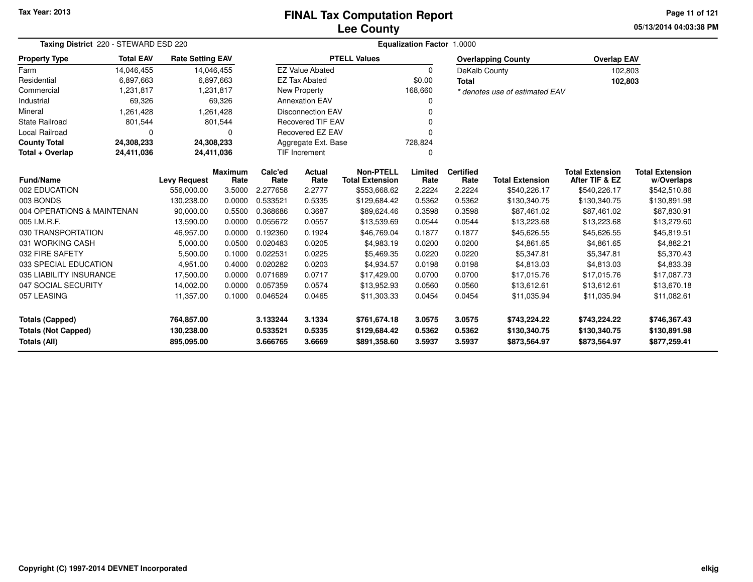#### **Lee CountyFINAL Tax Computation Report**

**05/13/2014 04:03:38 PMPage 11 of 121**

| Taxing District 220 - STEWARD ESD 220 |                  |                         |                |          | Equalization Factor 1.0000           |                        |          |                  |                                |                        |                        |  |  |
|---------------------------------------|------------------|-------------------------|----------------|----------|--------------------------------------|------------------------|----------|------------------|--------------------------------|------------------------|------------------------|--|--|
| <b>Property Type</b>                  | <b>Total EAV</b> | <b>Rate Setting EAV</b> |                |          |                                      | <b>PTELL Values</b>    |          |                  | <b>Overlapping County</b>      | <b>Overlap EAV</b>     |                        |  |  |
| Farm                                  | 14,046,455       | 14,046,455              |                |          | <b>EZ Value Abated</b>               |                        | $\Omega$ | DeKalb County    |                                | 102,803                |                        |  |  |
| Residential                           | 6,897,663        |                         | 6,897,663      |          | <b>EZ Tax Abated</b>                 |                        | \$0.00   | Total            |                                | 102,803                |                        |  |  |
| Commercial                            | 1,231,817        |                         | 1,231,817      |          | New Property                         |                        | 168,660  |                  | * denotes use of estimated EAV |                        |                        |  |  |
| Industrial                            | 69,326           |                         | 69,326         |          | <b>Annexation EAV</b>                |                        | 0        |                  |                                |                        |                        |  |  |
| Mineral                               | 1,261,428        |                         | 1,261,428      |          | <b>Disconnection EAV</b><br>n        |                        |          |                  |                                |                        |                        |  |  |
| <b>State Railroad</b>                 | 801,544          |                         | 801,544        |          | <b>Recovered TIF EAV</b>             |                        |          |                  |                                |                        |                        |  |  |
| <b>Local Railroad</b>                 | $\Omega$         |                         | 0              |          | Recovered EZ EAV<br>$\Omega$         |                        |          |                  |                                |                        |                        |  |  |
| <b>County Total</b>                   | 24,308,233       | 24,308,233              |                |          | Aggregate Ext. Base<br>728,824       |                        |          |                  |                                |                        |                        |  |  |
| Total + Overlap                       | 24,411,036       | 24,411,036              |                |          | <b>TIF Increment</b><br><sup>0</sup> |                        |          |                  |                                |                        |                        |  |  |
|                                       |                  |                         | <b>Maximum</b> | Calc'ed  | Actual                               | <b>Non-PTELL</b>       | Limited  | <b>Certified</b> |                                | <b>Total Extension</b> | <b>Total Extension</b> |  |  |
| <b>Fund/Name</b>                      |                  | <b>Levy Request</b>     | Rate           | Rate     | Rate                                 | <b>Total Extension</b> | Rate     | Rate             | <b>Total Extension</b>         | After TIF & EZ         | w/Overlaps             |  |  |
| 002 EDUCATION                         |                  | 556,000.00              | 3.5000         | 2.277658 | 2.2777                               | \$553,668.62           | 2.2224   | 2.2224           | \$540,226.17                   | \$540,226.17           | \$542,510.86           |  |  |
| 003 BONDS                             |                  | 130,238.00              | 0.0000         | 0.533521 | 0.5335                               | \$129,684.42           | 0.5362   | 0.5362           | \$130,340.75                   | \$130,340.75           | \$130,891.98           |  |  |
| 004 OPERATIONS & MAINTENAN            |                  | 90,000.00               | 0.5500         | 0.368686 | 0.3687                               | \$89,624.46            | 0.3598   | 0.3598           | \$87,461.02                    | \$87,461.02            | \$87,830.91            |  |  |
| 005 I.M.R.F.                          |                  | 13,590.00               | 0.0000         | 0.055672 | 0.0557                               | \$13,539.69            | 0.0544   | 0.0544           | \$13,223.68                    | \$13,223.68            | \$13,279.60            |  |  |
| 030 TRANSPORTATION                    |                  | 46,957.00               | 0.0000         | 0.192360 | 0.1924                               | \$46,769.04            | 0.1877   | 0.1877           | \$45,626.55                    | \$45,626.55            | \$45,819.51            |  |  |
| 031 WORKING CASH                      |                  | 5,000.00                | 0.0500         | 0.020483 | 0.0205                               | \$4,983.19             | 0.0200   | 0.0200           | \$4,861.65                     | \$4,861.65             | \$4,882.21             |  |  |
| 032 FIRE SAFETY                       |                  | 5,500.00                | 0.1000         | 0.022531 | 0.0225                               | \$5,469.35             | 0.0220   | 0.0220           | \$5,347.81                     | \$5,347.81             | \$5,370.43             |  |  |
| 033 SPECIAL EDUCATION                 |                  | 4,951.00                | 0.4000         | 0.020282 | 0.0203                               | \$4.934.57             | 0.0198   | 0.0198           | \$4.813.03                     | \$4,813.03             | \$4,833.39             |  |  |
| 035 LIABILITY INSURANCE               |                  | 17,500.00               | 0.0000         | 0.071689 | 0.0717                               | \$17,429.00            | 0.0700   | 0.0700           | \$17,015.76                    | \$17,015.76            | \$17,087.73            |  |  |
| 047 SOCIAL SECURITY                   |                  | 14,002.00               | 0.0000         | 0.057359 | 0.0574                               | \$13,952.93            | 0.0560   | 0.0560           | \$13,612.61                    | \$13,612.61            | \$13,670.18            |  |  |
| 057 LEASING                           |                  | 11,357.00               | 0.1000         | 0.046524 | 0.0465                               | \$11,303.33            | 0.0454   | 0.0454           | \$11,035.94                    | \$11,035.94            | \$11,082.61            |  |  |
| Totals (Capped)                       |                  | 764,857.00              |                | 3.133244 | 3.1334                               | \$761,674.18           | 3.0575   | 3.0575           | \$743,224.22                   | \$743,224.22           | \$746,367.43           |  |  |
| <b>Totals (Not Capped)</b>            |                  | 130,238.00              |                | 0.533521 | 0.5335                               | \$129,684.42           | 0.5362   | 0.5362           | \$130,340.75                   | \$130,340.75           | \$130,891.98           |  |  |
| Totals (All)                          |                  | 895,095.00              |                | 3.666765 | 3.6669                               | \$891,358.60           | 3.5937   | 3.5937           | \$873,564.97                   | \$873,564.97           | \$877,259.41           |  |  |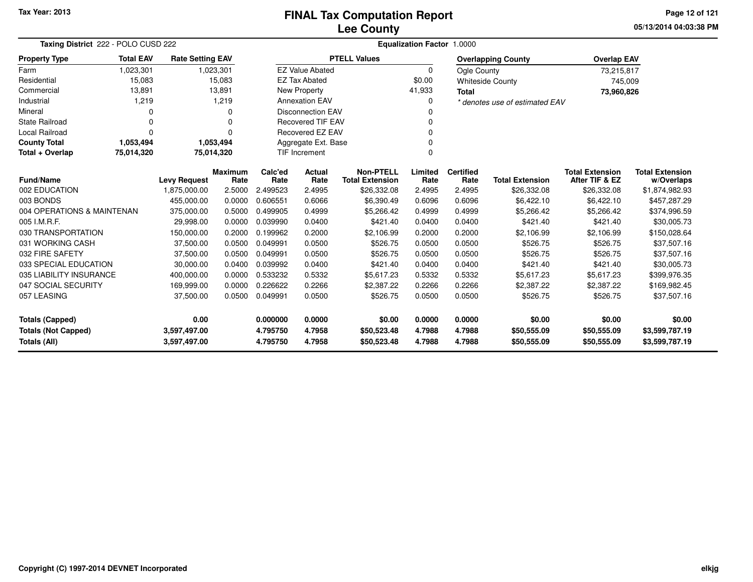**05/13/2014 04:03:38 PMPage 12 of 121**

| Taxing District 222 - POLO CUSD 222        |                  |                         |                        | Equalization Factor 1.0000 |                            |                                            |                 |                          |                                |                                          |                                      |  |  |
|--------------------------------------------|------------------|-------------------------|------------------------|----------------------------|----------------------------|--------------------------------------------|-----------------|--------------------------|--------------------------------|------------------------------------------|--------------------------------------|--|--|
| <b>Property Type</b>                       | <b>Total EAV</b> | <b>Rate Setting EAV</b> |                        |                            |                            | <b>PTELL Values</b>                        |                 |                          | <b>Overlapping County</b>      | <b>Overlap EAV</b>                       |                                      |  |  |
| Farm                                       | 1,023,301        |                         | 1,023,301              |                            | <b>EZ Value Abated</b>     |                                            | $\Omega$        | Ogle County              |                                | 73,215,817                               |                                      |  |  |
| Residential                                | 15,083           |                         | 15,083                 |                            | <b>EZ Tax Abated</b>       |                                            | \$0.00          |                          | <b>Whiteside County</b>        | 745,009                                  |                                      |  |  |
| Commercial                                 | 13,891           |                         | 13,891                 |                            | New Property               |                                            | 41,933          | <b>Total</b>             |                                | 73,960,826                               |                                      |  |  |
| Industrial                                 | 1,219            |                         | 1,219                  |                            | <b>Annexation EAV</b>      |                                            | $\Omega$        |                          | * denotes use of estimated EAV |                                          |                                      |  |  |
| Mineral                                    | 0                |                         | 0                      |                            | <b>Disconnection EAV</b>   |                                            |                 |                          |                                |                                          |                                      |  |  |
| <b>State Railroad</b>                      | 0                |                         | 0                      |                            | <b>Recovered TIF EAV</b>   |                                            | 0               |                          |                                |                                          |                                      |  |  |
| Local Railroad                             | 0                |                         | 0                      |                            | Recovered EZ EAV<br>0<br>0 |                                            |                 |                          |                                |                                          |                                      |  |  |
| <b>County Total</b>                        | 1,053,494        |                         | 1,053,494              |                            | Aggregate Ext. Base        |                                            |                 |                          |                                |                                          |                                      |  |  |
| Total + Overlap                            | 75,014,320       |                         | 75,014,320             |                            | $\Omega$<br>TIF Increment  |                                            |                 |                          |                                |                                          |                                      |  |  |
| <b>Fund/Name</b><br><b>Levy Request</b>    |                  |                         | <b>Maximum</b><br>Rate | Calc'ed<br>Rate            | <b>Actual</b><br>Rate      | <b>Non-PTELL</b><br><b>Total Extension</b> | Limited<br>Rate | <b>Certified</b><br>Rate | <b>Total Extension</b>         | <b>Total Extension</b><br>After TIF & EZ | <b>Total Extension</b><br>w/Overlaps |  |  |
| 002 EDUCATION                              |                  | 1,875,000.00            | 2.5000                 | 2.499523                   | 2.4995                     | \$26,332.08                                | 2.4995          | 2.4995                   | \$26,332.08                    | \$26,332.08                              | \$1,874,982.93                       |  |  |
| 003 BONDS                                  |                  | 455,000.00              | 0.0000                 | 0.606551                   | 0.6066                     | \$6,390.49                                 | 0.6096          | 0.6096                   | \$6,422.10                     | \$6,422.10                               | \$457,287.29                         |  |  |
| 004 OPERATIONS & MAINTENAN                 |                  | 375,000.00              | 0.5000                 | 0.499905                   | 0.4999                     | \$5,266.42                                 | 0.4999          | 0.4999                   | \$5,266.42                     | \$5,266.42                               | \$374,996.59                         |  |  |
| 005 I.M.R.F.                               |                  | 29.998.00               | 0.0000                 | 0.039990                   | 0.0400                     | \$421.40                                   | 0.0400          | 0.0400                   | \$421.40                       | \$421.40                                 | \$30,005.73                          |  |  |
| 030 TRANSPORTATION                         |                  | 150,000.00              | 0.2000                 | 0.199962                   | 0.2000                     | \$2,106.99                                 | 0.2000          | 0.2000                   | \$2,106.99                     | \$2,106.99                               | \$150,028.64                         |  |  |
| 031 WORKING CASH                           |                  | 37,500.00               | 0.0500                 | 0.049991                   | 0.0500                     | \$526.75                                   | 0.0500          | 0.0500                   | \$526.75                       | \$526.75                                 | \$37,507.16                          |  |  |
| 032 FIRE SAFETY                            |                  | 37,500.00               | 0.0500                 | 0.049991                   | 0.0500                     | \$526.75                                   | 0.0500          | 0.0500                   | \$526.75                       | \$526.75                                 | \$37,507.16                          |  |  |
| 033 SPECIAL EDUCATION                      |                  | 30.000.00               | 0.0400                 | 0.039992                   | 0.0400                     | \$421.40                                   | 0.0400          | 0.0400                   | \$421.40                       | \$421.40                                 | \$30,005.73                          |  |  |
| 035 LIABILITY INSURANCE                    |                  | 400,000.00              | 0.0000                 | 0.533232                   | 0.5332                     | \$5,617.23                                 | 0.5332          | 0.5332                   | \$5,617.23                     | \$5,617.23                               | \$399,976.35                         |  |  |
| 047 SOCIAL SECURITY                        |                  | 169,999.00              | 0.0000                 | 0.226622                   | 0.2266                     | \$2,387.22                                 | 0.2266          | 0.2266                   | \$2,387.22                     | \$2,387.22                               | \$169,982.45                         |  |  |
| 057 LEASING                                |                  | 37,500.00               | 0.0500                 | 0.049991                   | 0.0500                     | \$526.75                                   | 0.0500          | 0.0500                   | \$526.75                       | \$526.75                                 | \$37,507.16                          |  |  |
| <b>Totals (Capped)</b>                     |                  | 0.00                    |                        | 0.000000                   | 0.0000                     | \$0.00                                     | 0.0000          | 0.0000                   | \$0.00                         | \$0.00                                   | \$0.00                               |  |  |
| <b>Totals (Not Capped)</b><br>3,597,497.00 |                  |                         | 4.795750               | 4.7958                     | \$50,523.48                | 4.7988                                     | 4.7988          | \$50,555.09              | \$50,555.09                    | \$3,599,787.19                           |                                      |  |  |
| Totals (All)                               |                  | 3,597,497.00            |                        | 4.795750                   | 4.7958                     | \$50,523.48                                | 4.7988          | 4.7988                   | \$50,555.09                    | \$50,555.09                              | \$3,599,787.19                       |  |  |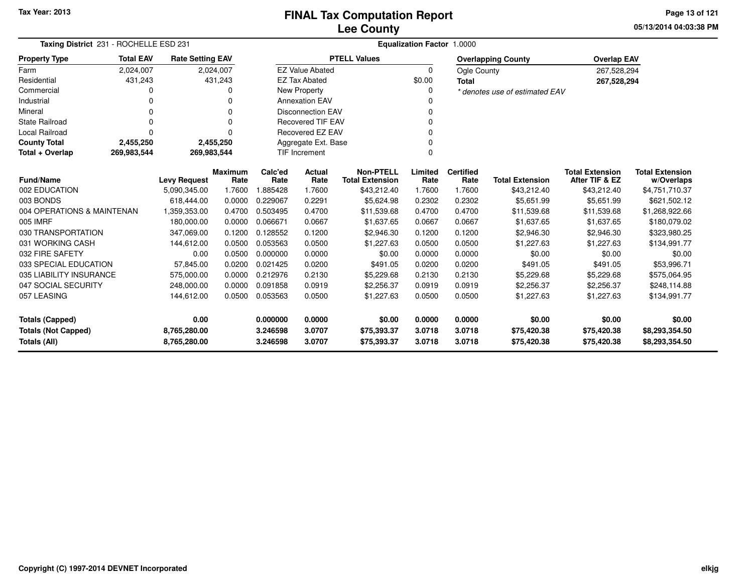**05/13/2014 04:03:38 PMPage 13 of 121**

|                            | Taxing District 231 - ROCHELLE ESD 231                     |                          |                  |                          | Equalization Factor 1.0000 |                                            |                  |                  |                                       |                                          |                                |  |  |  |
|----------------------------|------------------------------------------------------------|--------------------------|------------------|--------------------------|----------------------------|--------------------------------------------|------------------|------------------|---------------------------------------|------------------------------------------|--------------------------------|--|--|--|
| <b>Property Type</b>       | <b>Total EAV</b>                                           | <b>Rate Setting EAV</b>  |                  |                          |                            | <b>PTELL Values</b>                        |                  |                  | <b>Overlapping County</b>             | <b>Overlap EAV</b>                       |                                |  |  |  |
| Farm                       | 2,024,007                                                  |                          | 2,024,007        |                          | <b>EZ Value Abated</b>     |                                            | $\Omega$         | Ogle County      |                                       | 267,528,294                              |                                |  |  |  |
| Residential                | 431,243                                                    |                          | 431,243          |                          | <b>EZ Tax Abated</b>       |                                            | \$0.00           | Total            |                                       | 267,528,294                              |                                |  |  |  |
| Commercial                 | 0                                                          |                          | 0                | <b>New Property</b>      |                            |                                            | O                |                  | * denotes use of estimated EAV        |                                          |                                |  |  |  |
| Industrial                 | 0                                                          |                          |                  | <b>Annexation EAV</b>    |                            |                                            |                  |                  |                                       |                                          |                                |  |  |  |
| Mineral                    | 0                                                          |                          | $\Omega$         |                          | <b>Disconnection EAV</b>   |                                            | 0                |                  |                                       |                                          |                                |  |  |  |
| <b>State Railroad</b>      | 0                                                          |                          | ŋ                | <b>Recovered TIF EAV</b> |                            |                                            |                  |                  |                                       |                                          |                                |  |  |  |
| <b>Local Railroad</b>      | 0                                                          |                          | $\Omega$         | <b>Recovered EZ EAV</b>  |                            | $\Omega$                                   |                  |                  |                                       |                                          |                                |  |  |  |
| <b>County Total</b>        | 2,455,250                                                  |                          | 2,455,250        |                          | Aggregate Ext. Base        |                                            |                  |                  |                                       |                                          |                                |  |  |  |
| Total + Overlap            | 269,983,544                                                | 269,983,544              |                  | <b>TIF Increment</b>     |                            |                                            | $\Omega$         |                  |                                       |                                          |                                |  |  |  |
|                            | Maximum<br><b>Fund/Name</b><br><b>Levy Request</b><br>Rate |                          |                  | Calc'ed                  | Actual                     | <b>Non-PTELL</b><br><b>Total Extension</b> | Limited          | <b>Certified</b> |                                       | <b>Total Extension</b><br>After TIF & EZ | <b>Total Extension</b>         |  |  |  |
| 002 EDUCATION              |                                                            | 5,090,345.00             | 1.7600           | Rate<br>1.885428         | Rate<br>1.7600             | \$43,212.40                                | Rate<br>1.7600   | Rate<br>1.7600   | <b>Total Extension</b><br>\$43,212.40 | \$43,212.40                              | w/Overlaps                     |  |  |  |
| 003 BONDS                  |                                                            | 618.444.00               | 0.0000           | 0.229067                 | 0.2291                     | \$5,624.98                                 | 0.2302           | 0.2302           | \$5,651.99                            | \$5,651.99                               | \$4,751,710.37<br>\$621,502.12 |  |  |  |
| 004 OPERATIONS & MAINTENAN |                                                            |                          |                  | 0.503495                 |                            |                                            |                  |                  |                                       |                                          |                                |  |  |  |
| 005 IMRF                   |                                                            | 1,359,353.00             | 0.4700           | 0.066671                 | 0.4700<br>0.0667           | \$11,539.68                                | 0.4700<br>0.0667 | 0.4700<br>0.0667 | \$11,539.68                           | \$11,539.68                              | \$1,268,922.66                 |  |  |  |
| 030 TRANSPORTATION         |                                                            | 180,000.00<br>347,069.00 | 0.0000<br>0.1200 | 0.128552                 | 0.1200                     | \$1,637.65<br>\$2,946.30                   | 0.1200           | 0.1200           | \$1,637.65<br>\$2,946.30              | \$1,637.65<br>\$2,946.30                 | \$180,079.02<br>\$323,980.25   |  |  |  |
| 031 WORKING CASH           |                                                            | 144,612.00               | 0.0500           | 0.053563                 | 0.0500                     | \$1,227.63                                 | 0.0500           | 0.0500           | \$1,227.63                            | \$1,227.63                               |                                |  |  |  |
| 032 FIRE SAFETY            |                                                            | 0.00                     | 0.0500           | 0.000000                 | 0.0000                     | \$0.00                                     | 0.0000           | 0.0000           | \$0.00                                | \$0.00                                   | \$134,991.77<br>\$0.00         |  |  |  |
| 033 SPECIAL EDUCATION      |                                                            | 57,845.00                | 0.0200           | 0.021425                 | 0.0200                     | \$491.05                                   | 0.0200           | 0.0200           | \$491.05                              | \$491.05                                 | \$53,996.71                    |  |  |  |
| 035 LIABILITY INSURANCE    |                                                            | 575,000.00               | 0.0000           | 0.212976                 | 0.2130                     | \$5,229.68                                 | 0.2130           | 0.2130           | \$5,229.68                            | \$5,229.68                               | \$575,064.95                   |  |  |  |
| 047 SOCIAL SECURITY        |                                                            | 248,000.00               | 0.0000           | 0.091858                 | 0.0919                     | \$2,256.37                                 | 0.0919           | 0.0919           | \$2,256.37                            | \$2,256.37                               | \$248,114.88                   |  |  |  |
| 057 LEASING                |                                                            | 144,612.00               | 0.0500           | 0.053563                 | 0.0500                     | \$1,227.63                                 | 0.0500           | 0.0500           | \$1,227.63                            | \$1,227.63                               | \$134,991.77                   |  |  |  |
|                            |                                                            |                          |                  |                          |                            |                                            |                  |                  |                                       |                                          |                                |  |  |  |
| <b>Totals (Capped)</b>     |                                                            | 0.00                     |                  | 0.000000                 | 0.0000                     | \$0.00                                     | 0.0000           | 0.0000           | \$0.00                                | \$0.00                                   | \$0.00                         |  |  |  |
| <b>Totals (Not Capped)</b> |                                                            | 8,765,280.00             |                  | 3.246598                 | 3.0707                     | \$75,393.37                                | 3.0718           | 3.0718           | \$75,420.38                           | \$75,420.38                              | \$8,293,354.50                 |  |  |  |
| <b>Totals (All)</b>        |                                                            | 8,765,280.00             |                  | 3.246598                 | 3.0707                     | \$75,393.37                                | 3.0718           | 3.0718           | \$75,420.38                           | \$75,420.38                              | \$8,293,354.50                 |  |  |  |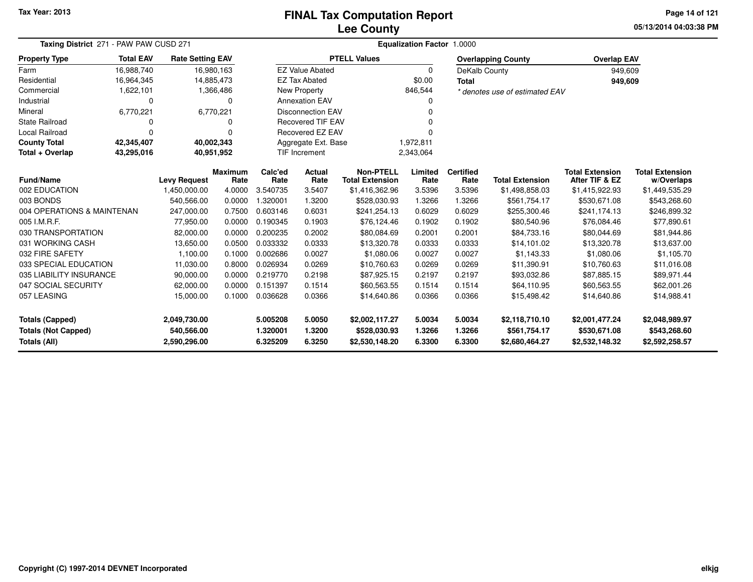# **Lee CountyFINAL Tax Computation Report**

**05/13/2014 04:03:38 PM Page 14 of 121**

|                            | Taxing District 271 - PAW PAW CUSD 271 |                         |                        |                 | Equalization Factor 1.0000        |                                            |                 |                          |                                |                                          |                                      |  |  |
|----------------------------|----------------------------------------|-------------------------|------------------------|-----------------|-----------------------------------|--------------------------------------------|-----------------|--------------------------|--------------------------------|------------------------------------------|--------------------------------------|--|--|
| <b>Property Type</b>       | <b>Total EAV</b>                       | <b>Rate Setting EAV</b> |                        |                 |                                   | <b>PTELL Values</b>                        |                 |                          | <b>Overlapping County</b>      | <b>Overlap EAV</b>                       |                                      |  |  |
| Farm                       | 16,988,740                             | 16,980,163              |                        |                 | <b>EZ Value Abated</b>            |                                            | 0               | DeKalb County            |                                | 949,609                                  |                                      |  |  |
| Residential                | 16,964,345                             | 14,885,473              |                        |                 | <b>EZ Tax Abated</b>              |                                            | \$0.00          | <b>Total</b>             |                                | 949,609                                  |                                      |  |  |
| Commercial                 | 1,622,101                              |                         | 1,366,486              |                 | New Property                      |                                            | 846,544         |                          | * denotes use of estimated EAV |                                          |                                      |  |  |
| Industrial                 | 0                                      |                         | $\Omega$               |                 | <b>Annexation EAV</b>             |                                            | n               |                          |                                |                                          |                                      |  |  |
| Mineral                    | 6,770,221                              |                         | 6,770,221              |                 | <b>Disconnection EAV</b>          |                                            |                 |                          |                                |                                          |                                      |  |  |
| <b>State Railroad</b>      | 0                                      |                         | 0                      |                 | <b>Recovered TIF EAV</b>          |                                            |                 |                          |                                |                                          |                                      |  |  |
| Local Railroad             | 0                                      |                         | $\Omega$               |                 | Recovered EZ EAV                  |                                            |                 |                          |                                |                                          |                                      |  |  |
| <b>County Total</b>        | 42,345,407                             | 40,002,343              |                        |                 | Aggregate Ext. Base               |                                            | 1,972,811       |                          |                                |                                          |                                      |  |  |
| Total + Overlap            | 43,295,016                             | 40.951,952              |                        |                 | <b>TIF Increment</b><br>2,343,064 |                                            |                 |                          |                                |                                          |                                      |  |  |
| <b>Fund/Name</b>           |                                        | <b>Levy Request</b>     | <b>Maximum</b><br>Rate | Calc'ed<br>Rate | Actual<br>Rate                    | <b>Non-PTELL</b><br><b>Total Extension</b> | Limited<br>Rate | <b>Certified</b><br>Rate | <b>Total Extension</b>         | <b>Total Extension</b><br>After TIF & EZ | <b>Total Extension</b><br>w/Overlaps |  |  |
| 002 EDUCATION              |                                        | 1,450,000.00            | 4.0000                 | 3.540735        | 3.5407                            | \$1,416,362.96                             | 3.5396          | 3.5396                   | \$1,498,858.03                 | \$1,415,922.93                           | \$1,449,535.29                       |  |  |
| 003 BONDS                  |                                        | 540,566.00              | 0.0000                 | .320001         | 1.3200                            | \$528,030.93                               | 1.3266          | 1.3266                   | \$561,754.17                   | \$530,671.08                             | \$543,268.60                         |  |  |
| 004 OPERATIONS & MAINTENAN |                                        | 247,000.00              | 0.7500                 | 0.603146        | 0.6031                            | \$241,254.13                               | 0.6029          | 0.6029                   | \$255,300.46                   | \$241.174.13                             | \$246,899.32                         |  |  |
| 005 I.M.R.F.               |                                        | 77,950.00               | 0.0000                 | 0.190345        | 0.1903                            | \$76,124.46                                | 0.1902          | 0.1902                   | \$80,540.96                    | \$76,084.46                              | \$77,890.61                          |  |  |
| 030 TRANSPORTATION         |                                        | 82,000.00               | 0.0000                 | 0.200235        | 0.2002                            | \$80,084.69                                | 0.2001          | 0.2001                   | \$84,733.16                    | \$80,044.69                              | \$81,944.86                          |  |  |
| 031 WORKING CASH           |                                        | 13,650.00               | 0.0500                 | 0.033332        | 0.0333                            | \$13,320.78                                | 0.0333          | 0.0333                   | \$14,101.02                    | \$13,320.78                              | \$13,637.00                          |  |  |
| 032 FIRE SAFETY            |                                        | 1,100.00                | 0.1000                 | 0.002686        | 0.0027                            | \$1,080.06                                 | 0.0027          | 0.0027                   | \$1,143.33                     | \$1,080.06                               | \$1,105.70                           |  |  |
| 033 SPECIAL EDUCATION      |                                        | 11,030.00               | 0.8000                 | 0.026934        | 0.0269                            | \$10,760.63                                | 0.0269          | 0.0269                   | \$11.390.91                    | \$10.760.63                              | \$11,016.08                          |  |  |
| 035 LIABILITY INSURANCE    |                                        | 90,000.00               | 0.0000                 | 0.219770        | 0.2198                            | \$87,925.15                                | 0.2197          | 0.2197                   | \$93,032.86                    | \$87,885.15                              | \$89,971.44                          |  |  |
| 047 SOCIAL SECURITY        |                                        | 62,000.00               | 0.0000                 | 0.151397        | 0.1514                            | \$60,563.55                                | 0.1514          | 0.1514                   | \$64,110.95                    | \$60,563.55                              | \$62,001.26                          |  |  |
| 057 LEASING                |                                        | 15,000.00               | 0.1000                 | 0.036628        | 0.0366                            | \$14,640.86                                | 0.0366          | 0.0366                   | \$15,498.42                    | \$14,640.86                              | \$14,988.41                          |  |  |
| <b>Totals (Capped)</b>     |                                        | 2,049,730.00            |                        | 5.005208        | 5.0050                            | \$2,002,117.27                             | 5.0034          | 5.0034                   | \$2,118,710.10                 | \$2,001,477.24                           | \$2,048,989.97                       |  |  |
| <b>Totals (Not Capped)</b> |                                        | 540,566.00              |                        | 1.320001        | 1.3200                            | \$528,030.93                               | 1.3266          | 1.3266                   | \$561,754.17                   | \$530,671.08                             | \$543,268.60                         |  |  |
| Totals (All)               |                                        | 2,590,296.00            |                        | 6.325209        | 6.3250                            | \$2,530,148.20                             | 6.3300          | 6.3300                   | \$2,680,464.27                 | \$2,532,148.32                           | \$2,592,258.57                       |  |  |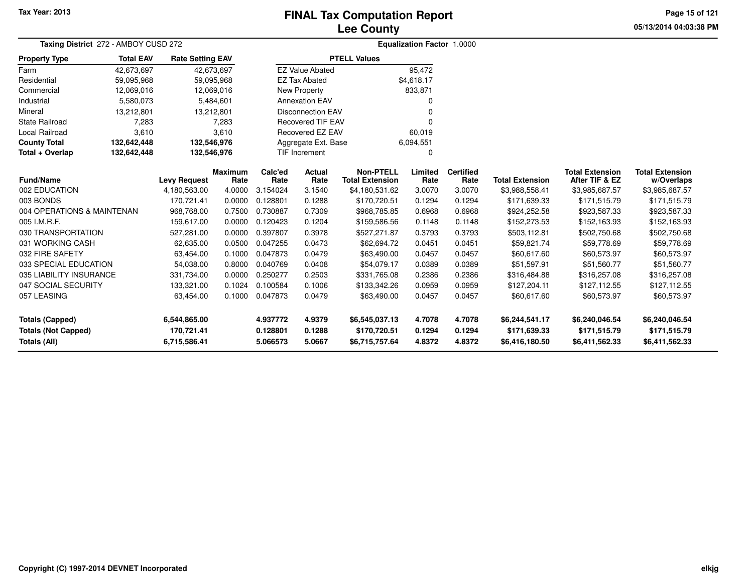# **Lee CountyFINAL Tax Computation Report**

**05/13/2014 04:03:38 PMPage 15 of 121**

| Taxing District 272 - AMBOY CUSD 272 |                  |                         |                  |                          |                        | <b>Equalization Factor 1.0000</b> |                  |                  |                            |                            |                            |  |
|--------------------------------------|------------------|-------------------------|------------------|--------------------------|------------------------|-----------------------------------|------------------|------------------|----------------------------|----------------------------|----------------------------|--|
| <b>Property Type</b>                 | <b>Total EAV</b> | <b>Rate Setting EAV</b> |                  |                          |                        | <b>PTELL Values</b>               |                  |                  |                            |                            |                            |  |
| Farm                                 | 42,673,697       | 42,673,697              |                  |                          | <b>EZ Value Abated</b> |                                   | 95,472           |                  |                            |                            |                            |  |
| Residential                          | 59,095,968       | 59,095,968              |                  |                          | <b>EZ Tax Abated</b>   |                                   | \$4,618.17       |                  |                            |                            |                            |  |
| Commercial                           | 12,069,016       | 12,069,016              |                  | <b>New Property</b>      |                        |                                   | 833,871          |                  |                            |                            |                            |  |
| Industrial                           | 5,580,073        |                         | 5,484,601        | <b>Annexation EAV</b>    |                        |                                   | $\Omega$         |                  |                            |                            |                            |  |
| Mineral                              | 13,212,801       | 13,212,801              |                  | <b>Disconnection EAV</b> |                        |                                   | 0                |                  |                            |                            |                            |  |
| State Railroad                       | 7,283            |                         | 7,283            | <b>Recovered TIF EAV</b> |                        |                                   | $\Omega$         |                  |                            |                            |                            |  |
| Local Railroad                       | 3,610            |                         | 3,610            |                          | Recovered EZ EAV       |                                   | 60,019           |                  |                            |                            |                            |  |
| <b>County Total</b>                  | 132,642,448      | 132,546,976             |                  |                          | Aggregate Ext. Base    |                                   | 6,094,551        |                  |                            |                            |                            |  |
| Total + Overlap                      | 132,642,448      | 132,546,976             |                  |                          | <b>TIF Increment</b>   |                                   | $\mathbf 0$      |                  |                            |                            |                            |  |
|                                      |                  |                         | <b>Maximum</b>   | Calc'ed                  | <b>Non-PTELL</b>       | Limited                           | <b>Certified</b> |                  | <b>Total Extension</b>     | <b>Total Extension</b>     |                            |  |
| <b>Fund/Name</b><br>002 EDUCATION    |                  | <b>Levy Request</b>     | Rate<br>4.0000   | Rate                     | Rate                   | <b>Total Extension</b>            | Rate             | Rate             | <b>Total Extension</b>     | After TIF & EZ             | w/Overlaps                 |  |
| 003 BONDS                            |                  | 4,180,563.00            |                  | 3.154024<br>0.128801     | 3.1540<br>0.1288       | \$4,180,531.62                    | 3.0070<br>0.1294 | 3.0070<br>0.1294 | \$3,988,558.41             | \$3,985,687.57             | \$3,985,687.57             |  |
|                                      |                  | 170,721.41              | 0.0000           |                          |                        | \$170,720.51                      |                  |                  | \$171,639.33               | \$171,515.79               | \$171,515.79               |  |
| 004 OPERATIONS & MAINTENAN           |                  | 968,768.00              | 0.7500           | 0.730887                 | 0.7309                 | \$968,785.85                      | 0.6968           | 0.6968           | \$924,252.58               | \$923,587.33               | \$923,587.33               |  |
| 005 I.M.R.F.<br>030 TRANSPORTATION   |                  | 159,617.00              | 0.0000           | 0.120423<br>0.397807     | 0.1204                 | \$159,586.56                      | 0.1148           | 0.1148           | \$152,273.53               | \$152,163.93               | \$152,163.93               |  |
| 031 WORKING CASH                     |                  | 527,281.00              | 0.0000<br>0.0500 | 0.047255                 | 0.3978<br>0.0473       | \$527,271.87                      | 0.3793<br>0.0451 | 0.3793<br>0.0451 | \$503,112.81               | \$502,750.68               | \$502,750.68               |  |
| 032 FIRE SAFETY                      |                  | 62,635.00<br>63,454.00  | 0.1000           | 0.047873                 | 0.0479                 | \$62,694.72                       | 0.0457           | 0.0457           | \$59,821.74<br>\$60,617.60 | \$59,778.69                | \$59,778.69                |  |
| 033 SPECIAL EDUCATION                |                  | 54,038.00               | 0.8000           | 0.040769                 | 0.0408                 | \$63,490.00<br>\$54,079.17        | 0.0389           | 0.0389           | \$51,597.91                | \$60,573.97<br>\$51,560.77 | \$60,573.97<br>\$51,560.77 |  |
| 035 LIABILITY INSURANCE              |                  | 331,734.00              | 0.0000           | 0.250277                 | 0.2503                 | \$331,765.08                      | 0.2386           | 0.2386           | \$316,484.88               | \$316,257.08               | \$316,257.08               |  |
| 047 SOCIAL SECURITY                  |                  | 133,321.00              | 0.1024           | 0.100584                 | 0.1006                 | \$133,342.26                      | 0.0959           | 0.0959           | \$127,204.11               | \$127,112.55               | \$127,112.55               |  |
| 057 LEASING                          |                  |                         | 0.1000           |                          |                        |                                   | 0.0457           |                  |                            |                            |                            |  |
|                                      |                  | 63,454.00               |                  | 0.0479<br>0.047873       |                        | \$63,490.00                       |                  | 0.0457           | \$60,617.60                | \$60,573.97                | \$60,573.97                |  |
| <b>Totals (Capped)</b>               |                  | 6,544,865.00            |                  | 4.937772                 | 4.9379                 | \$6,545,037.13                    | 4.7078           | 4.7078           | \$6,244,541.17             | \$6,240,046.54             | \$6,240,046.54             |  |
| <b>Totals (Not Capped)</b>           |                  | 170,721.41              |                  | 0.128801                 | 0.1288                 | \$170,720.51                      | 0.1294           | 0.1294           | \$171,639.33               | \$171,515.79               | \$171,515.79               |  |
| Totals (All)                         |                  | 6,715,586.41            |                  | 5.066573                 | 5.0667                 | \$6,715,757.64                    | 4.8372           | 4.8372           | \$6,416,180.50             | \$6,411,562.33             | \$6,411,562.33             |  |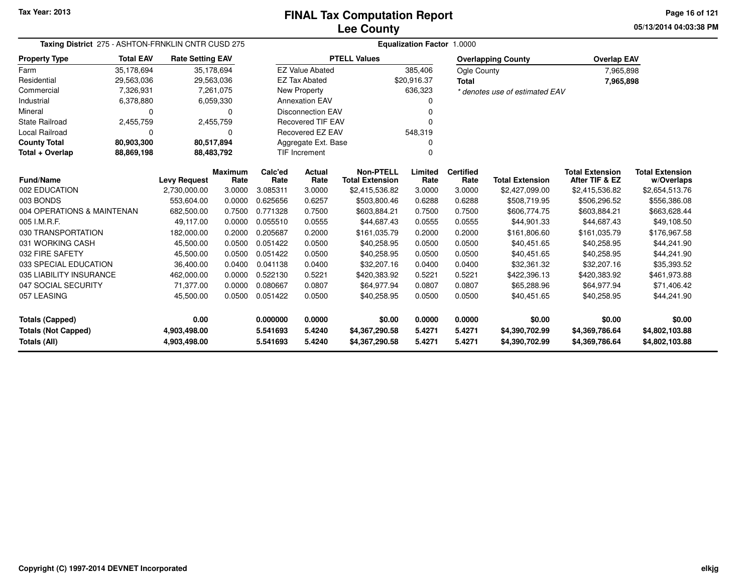**05/13/2014 04:03:38 PMPage 16 of 121**

| Taxing District 275 - ASHTON-FRNKLIN CNTR CUSD 275 |                          |                         |                        | Equalization Factor 1.0000 |                          |                                            |                 |                          |                                |                                          |                                      |  |  |
|----------------------------------------------------|--------------------------|-------------------------|------------------------|----------------------------|--------------------------|--------------------------------------------|-----------------|--------------------------|--------------------------------|------------------------------------------|--------------------------------------|--|--|
| <b>Property Type</b>                               | <b>Total EAV</b>         | <b>Rate Setting EAV</b> |                        |                            |                          | <b>PTELL Values</b>                        |                 |                          | <b>Overlapping County</b>      | <b>Overlap EAV</b>                       |                                      |  |  |
| Farm                                               | 35,178,694               | 35,178,694              |                        |                            | <b>EZ Value Abated</b>   |                                            | 385,406         | Ogle County              |                                | 7,965,898                                |                                      |  |  |
| Residential                                        | 29,563,036               | 29,563,036              |                        |                            | <b>EZ Tax Abated</b>     |                                            | \$20,916.37     | <b>Total</b>             |                                | 7,965,898                                |                                      |  |  |
| Commercial                                         | 7,326,931                |                         | 7,261,075              |                            | <b>New Property</b>      |                                            | 636,323         |                          | * denotes use of estimated EAV |                                          |                                      |  |  |
| Industrial                                         | 6,378,880                |                         | 6,059,330              |                            | <b>Annexation EAV</b>    |                                            | 0               |                          |                                |                                          |                                      |  |  |
| Mineral                                            | 0                        |                         | 0                      |                            | <b>Disconnection EAV</b> |                                            | 0               |                          |                                |                                          |                                      |  |  |
| State Railroad                                     | 2,455,759                |                         | 2,455,759              |                            | <b>Recovered TIF EAV</b> |                                            | 0               |                          |                                |                                          |                                      |  |  |
| Local Railroad                                     | 0                        |                         | 0                      |                            | <b>Recovered EZ EAV</b>  |                                            | 548,319         |                          |                                |                                          |                                      |  |  |
| <b>County Total</b>                                | 80,903,300               | 80,517,894              |                        |                            | Aggregate Ext. Base      |                                            | 0               |                          |                                |                                          |                                      |  |  |
| Total + Overlap                                    | 88,869,198<br>88,483,792 |                         |                        |                            | <b>TIF Increment</b>     |                                            | 0               |                          |                                |                                          |                                      |  |  |
| <b>Fund/Name</b>                                   |                          | <b>Levy Request</b>     | <b>Maximum</b><br>Rate | Calc'ed<br>Rate            | Actual<br>Rate           | <b>Non-PTELL</b><br><b>Total Extension</b> | Limited<br>Rate | <b>Certified</b><br>Rate | <b>Total Extension</b>         | <b>Total Extension</b><br>After TIF & EZ | <b>Total Extension</b><br>w/Overlaps |  |  |
| 002 EDUCATION                                      |                          | 2,730,000.00            | 3.0000                 | 3.085311                   | 3.0000                   | \$2,415,536.82                             | 3.0000          | 3.0000                   | \$2,427,099.00                 | \$2,415,536.82                           | \$2,654,513.76                       |  |  |
| 003 BONDS                                          |                          | 553,604.00              | 0.0000                 | 0.625656                   | 0.6257                   | \$503,800.46                               | 0.6288          | 0.6288                   | \$508,719.95                   | \$506,296.52                             | \$556,386.08                         |  |  |
| 004 OPERATIONS & MAINTENAN                         |                          | 682,500.00              | 0.7500                 | 0.771328                   | 0.7500                   | \$603,884.21                               | 0.7500          | 0.7500                   | \$606,774.75                   | \$603,884.21                             | \$663,628.44                         |  |  |
| 005 I.M.R.F.                                       |                          | 49,117.00               | 0.0000                 | 0.055510                   | 0.0555                   | \$44,687.43                                | 0.0555          | 0.0555                   | \$44,901.33                    | \$44,687.43                              | \$49,108.50                          |  |  |
| 030 TRANSPORTATION                                 |                          | 182,000.00              | 0.2000                 | 0.205687                   | 0.2000                   | \$161,035.79                               | 0.2000          | 0.2000                   | \$161,806.60                   | \$161,035.79                             | \$176,967.58                         |  |  |
| 031 WORKING CASH                                   |                          | 45,500.00               | 0.0500                 | 0.051422                   | 0.0500                   | \$40,258.95                                | 0.0500          | 0.0500                   | \$40,451.65                    | \$40,258.95                              | \$44,241.90                          |  |  |
| 032 FIRE SAFETY                                    |                          | 45,500.00               | 0.0500                 | 0.051422                   | 0.0500                   | \$40,258.95                                | 0.0500          | 0.0500                   | \$40,451.65                    | \$40,258.95                              | \$44,241.90                          |  |  |
| 033 SPECIAL EDUCATION                              |                          | 36,400.00               | 0.0400                 | 0.041138                   | 0.0400                   | \$32,207.16                                | 0.0400          | 0.0400                   | \$32,361.32                    | \$32,207.16                              | \$35,393.52                          |  |  |
| 035 LIABILITY INSURANCE                            |                          | 462,000.00              | 0.0000                 | 0.522130                   | 0.5221                   | \$420,383.92                               | 0.5221          | 0.5221                   | \$422,396.13                   | \$420,383.92                             | \$461,973.88                         |  |  |
| 047 SOCIAL SECURITY                                |                          | 71,377.00               | 0.0000                 | 0.080667                   | 0.0807                   | \$64,977.94                                | 0.0807          | 0.0807                   | \$65,288.96                    | \$64,977.94                              | \$71,406.42                          |  |  |
| 057 LEASING                                        |                          | 45,500.00               | 0.0500                 | 0.051422                   | 0.0500                   | \$40,258.95                                | 0.0500          | 0.0500                   | \$40,451.65                    | \$40,258.95                              | \$44,241.90                          |  |  |
| <b>Totals (Capped)</b>                             |                          | 0.00                    |                        | 0.000000                   | 0.0000                   | \$0.00                                     | 0.0000          | 0.0000                   | \$0.00                         | \$0.00                                   | \$0.00                               |  |  |
| <b>Totals (Not Capped)</b>                         |                          | 4,903,498.00            |                        | 5.541693                   | 5.4240                   | \$4,367,290.58                             | 5.4271          | 5.4271                   | \$4,390,702.99                 | \$4,369,786.64                           | \$4,802,103.88                       |  |  |
| Totals (All)                                       |                          | 4,903,498.00            |                        | 5.541693                   | 5.4240                   | \$4,367,290.58                             | 5.4271          | 5.4271                   | \$4,390,702.99                 | \$4,369,786.64                           | \$4,802,103.88                       |  |  |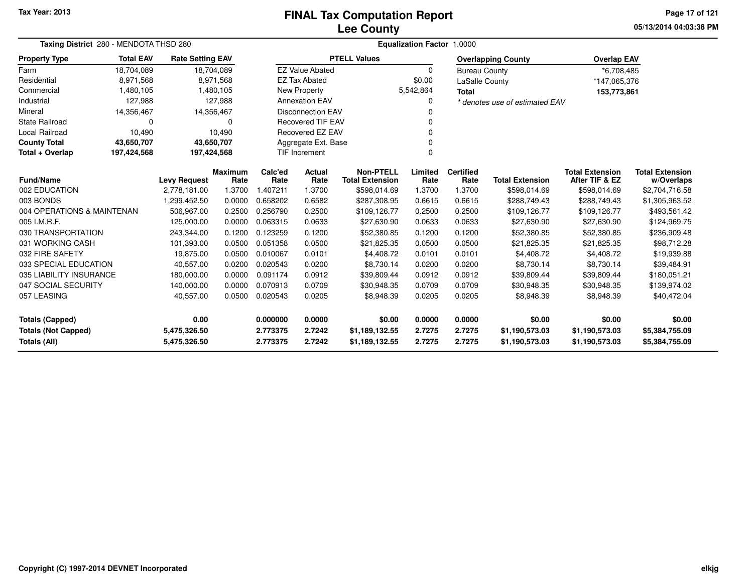# **Lee CountyFINAL Tax Computation Report**

**05/13/2014 04:03:38 PM Page 17 of 121**

| Taxing District 280 - MENDOTA THSD 280            |                  | Equalization Factor 1.0000   |                 |                      |                          |                                            |                  |                          |                                  |                                          |                                      |  |
|---------------------------------------------------|------------------|------------------------------|-----------------|----------------------|--------------------------|--------------------------------------------|------------------|--------------------------|----------------------------------|------------------------------------------|--------------------------------------|--|
| <b>Property Type</b>                              | <b>Total EAV</b> | <b>Rate Setting EAV</b>      |                 |                      |                          | <b>PTELL Values</b>                        |                  |                          | <b>Overlapping County</b>        | <b>Overlap EAV</b>                       |                                      |  |
| Farm                                              | 18,704,089       |                              | 18,704,089      |                      | <b>EZ Value Abated</b>   |                                            | $\Omega$         | <b>Bureau County</b>     |                                  | *6,708,485                               |                                      |  |
| Residential                                       | 8,971,568        |                              | 8,971,568       |                      | <b>EZ Tax Abated</b>     |                                            | \$0.00           | LaSalle County           |                                  | *147,065,376                             |                                      |  |
| Commercial                                        | 1,480,105        |                              | 1,480,105       |                      | New Property             |                                            | 5,542,864        | <b>Total</b>             |                                  | 153,773,861                              |                                      |  |
| Industrial                                        | 127,988          |                              | 127,988         |                      | <b>Annexation EAV</b>    |                                            |                  |                          | * denotes use of estimated EAV   |                                          |                                      |  |
| Mineral                                           | 14,356,467       | 14,356,467                   |                 |                      | <b>Disconnection EAV</b> |                                            |                  |                          |                                  |                                          |                                      |  |
| <b>State Railroad</b>                             | 0                |                              | 0               |                      | <b>Recovered TIF EAV</b> |                                            |                  |                          |                                  |                                          |                                      |  |
| Local Railroad                                    | 10,490           |                              | 10,490          |                      | Recovered EZ EAV         |                                            |                  |                          |                                  |                                          |                                      |  |
| <b>County Total</b>                               | 43,650,707       | 43,650,707                   |                 |                      | Aggregate Ext. Base      |                                            |                  |                          |                                  |                                          |                                      |  |
| Total + Overlap                                   | 197,424,568      | 197,424,568                  |                 |                      | <b>TIF Increment</b>     |                                            | $\Omega$         |                          |                                  |                                          |                                      |  |
| Fund/Name                                         |                  | <b>Levy Request</b>          | Maximum<br>Rate | Calc'ed<br>Rate      | Actual<br>Rate           | <b>Non-PTELL</b><br><b>Total Extension</b> | Limited<br>Rate  | <b>Certified</b><br>Rate | <b>Total Extension</b>           | <b>Total Extension</b><br>After TIF & EZ | <b>Total Extension</b><br>w/Overlaps |  |
| 002 EDUCATION                                     |                  | 2,778,181.00                 | 1.3700          | 1.407211             | 1.3700                   | \$598,014.69                               | 1.3700           | 1.3700                   | \$598,014.69                     | \$598,014.69                             | \$2,704,716.58                       |  |
| 003 BONDS                                         |                  | 1,299,452.50                 | 0.0000          | 0.658202             | 0.6582                   | \$287,308.95                               | 0.6615           | 0.6615                   | \$288,749.43                     | \$288,749.43                             | \$1,305,963.52                       |  |
| 004 OPERATIONS & MAINTENAN                        |                  | 506,967.00                   | 0.2500          | 0.256790             | 0.2500                   | \$109,126.77                               | 0.2500           | 0.2500                   | \$109,126.77                     | \$109,126.77                             | \$493,561.42                         |  |
| 005 I.M.R.F.                                      |                  | 125,000.00                   | 0.0000          | 0.063315             | 0.0633                   | \$27,630.90                                | 0.0633           | 0.0633                   | \$27,630.90                      | \$27,630.90                              | \$124,969.75                         |  |
| 030 TRANSPORTATION                                |                  | 243,344.00                   | 0.1200          | 0.123259             | 0.1200                   | \$52,380.85                                | 0.1200           | 0.1200                   | \$52,380.85                      | \$52,380.85                              | \$236,909.48                         |  |
| 031 WORKING CASH                                  |                  | 101,393.00                   | 0.0500          | 0.051358             | 0.0500                   | \$21,825.35                                | 0.0500           | 0.0500                   | \$21,825.35                      | \$21,825.35                              | \$98,712.28                          |  |
| 032 FIRE SAFETY                                   |                  | 19,875.00                    | 0.0500          | 0.010067             | 0.0101                   | \$4,408.72                                 | 0.0101           | 0.0101                   | \$4,408.72                       | \$4,408.72                               | \$19,939.88                          |  |
| 033 SPECIAL EDUCATION                             |                  | 40,557.00                    | 0.0200          | 0.020543             | 0.0200                   | \$8,730.14                                 | 0.0200           | 0.0200                   | \$8,730.14                       | \$8,730.14                               | \$39,484.91                          |  |
| 035 LIABILITY INSURANCE                           |                  | 180,000.00                   | 0.0000          | 0.091174             | 0.0912                   | \$39,809.44                                | 0.0912           | 0.0912                   | \$39,809.44                      | \$39,809.44                              | \$180,051.21                         |  |
| 047 SOCIAL SECURITY                               |                  | 140,000.00                   | 0.0000          | 0.070913             | 0.0709                   | \$30,948.35                                | 0.0709           | 0.0709                   | \$30,948.35                      | \$30,948.35                              | \$139,974.02                         |  |
| 057 LEASING                                       | 40,557.00        | 0.0500                       | 0.020543        | 0.0205               | \$8,948.39               | 0.0205                                     | 0.0205           | \$8,948.39               | \$8,948.39                       | \$40,472.04                              |                                      |  |
| <b>Totals (Capped)</b>                            |                  | 0.00                         | 0.000000        | 0.0000               | \$0.00                   | 0.0000                                     | 0.0000           | \$0.00                   | \$0.00                           | \$0.00                                   |                                      |  |
| <b>Totals (Not Capped)</b><br><b>Totals (All)</b> |                  | 5,475,326.50<br>5,475,326.50 |                 | 2.773375<br>2.773375 | 2.7242<br>2.7242         | \$1,189,132.55<br>\$1,189,132.55           | 2.7275<br>2.7275 | 2.7275<br>2.7275         | \$1,190,573.03<br>\$1,190,573.03 | \$1,190,573.03<br>\$1,190,573.03         | \$5,384,755.09<br>\$5,384,755.09     |  |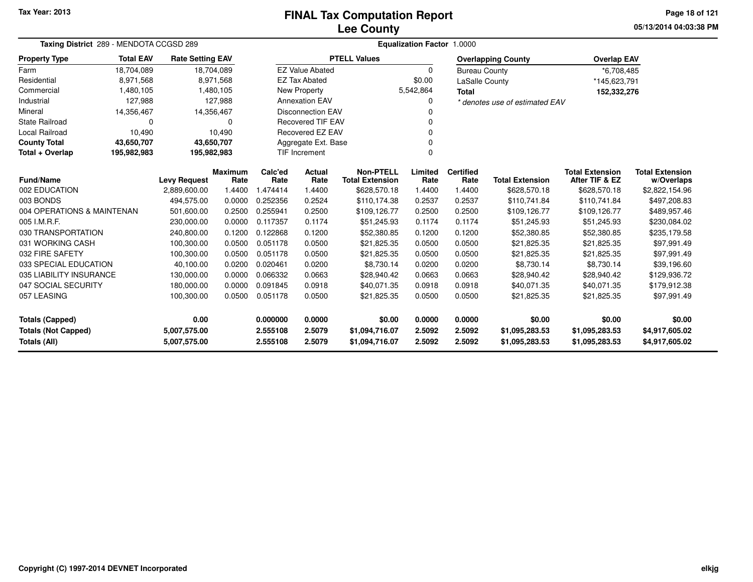# **Lee CountyFINAL Tax Computation Report**

**05/13/2014 04:03:38 PM Page 18 of 121**

| Taxing District 289 - MENDOTA CCGSD 289    |                  |                              |                | <b>Equalization Factor 1.0000</b> |                          |                                  |                  |                      |                                  |                                  |                                  |  |  |
|--------------------------------------------|------------------|------------------------------|----------------|-----------------------------------|--------------------------|----------------------------------|------------------|----------------------|----------------------------------|----------------------------------|----------------------------------|--|--|
| <b>Property Type</b>                       | <b>Total EAV</b> | <b>Rate Setting EAV</b>      |                |                                   |                          | <b>PTELL Values</b>              |                  |                      | <b>Overlapping County</b>        | <b>Overlap EAV</b>               |                                  |  |  |
| Farm                                       | 18,704,089       | 18,704,089                   |                |                                   | <b>EZ Value Abated</b>   |                                  | $\Omega$         | <b>Bureau County</b> |                                  | *6,708,485                       |                                  |  |  |
| Residential                                | 8,971,568        |                              | 8,971,568      |                                   | <b>EZ Tax Abated</b>     |                                  | \$0.00           | LaSalle County       |                                  | *145,623,791                     |                                  |  |  |
| Commercial                                 | 1,480,105        |                              | 1,480,105      |                                   | New Property             |                                  | 5,542,864        | <b>Total</b>         |                                  | 152,332,276                      |                                  |  |  |
| Industrial                                 | 127,988          |                              | 127,988        |                                   | <b>Annexation EAV</b>    |                                  | 0                |                      | * denotes use of estimated EAV   |                                  |                                  |  |  |
| Mineral                                    | 14,356,467       | 14,356,467                   |                |                                   | <b>Disconnection EAV</b> |                                  |                  |                      |                                  |                                  |                                  |  |  |
| <b>State Railroad</b>                      | 0                |                              | $\Omega$       |                                   | Recovered TIF EAV        |                                  |                  |                      |                                  |                                  |                                  |  |  |
| <b>Local Railroad</b>                      | 10,490           |                              | 10,490         |                                   | <b>Recovered EZ EAV</b>  |                                  | 0                |                      |                                  |                                  |                                  |  |  |
| <b>County Total</b>                        | 43,650,707       | 43,650,707                   |                |                                   | Aggregate Ext. Base      |                                  | 0                |                      |                                  |                                  |                                  |  |  |
| Total + Overlap                            | 195,982,983      | 195,982,983                  |                |                                   | <b>TIF Increment</b>     |                                  | $\Omega$         |                      |                                  |                                  |                                  |  |  |
| Fund/Name                                  |                  |                              | <b>Maximum</b> | Calc'ed                           | Actual                   | <b>Non-PTELL</b>                 | Limited          | <b>Certified</b>     |                                  | <b>Total Extension</b>           | <b>Total Extension</b>           |  |  |
|                                            |                  | <b>Levy Request</b>          | Rate           | Rate                              | Rate                     | <b>Total Extension</b>           | Rate             | Rate                 | <b>Total Extension</b>           | After TIF & EZ                   | w/Overlaps                       |  |  |
| 002 EDUCATION                              |                  | 2,889,600.00                 | 1.4400         | 1.474414                          | 1.4400                   | \$628,570.18                     | 1.4400           | 1.4400               | \$628,570.18                     | \$628,570.18                     | \$2,822,154.96                   |  |  |
| 003 BONDS                                  |                  | 494.575.00                   | 0.0000         | 0.252356                          | 0.2524                   | \$110.174.38                     | 0.2537           | 0.2537               | \$110,741.84                     | \$110,741.84                     | \$497,208.83                     |  |  |
| 004 OPERATIONS & MAINTENAN                 |                  | 501,600.00                   | 0.2500         | 0.255941                          | 0.2500                   | \$109,126.77                     | 0.2500           | 0.2500               | \$109,126.77                     | \$109,126.77                     | \$489,957.46                     |  |  |
| 005 I.M.R.F.                               |                  | 230,000.00                   | 0.0000         | 0.117357                          | 0.1174                   | \$51,245.93                      | 0.1174           | 0.1174               | \$51,245.93                      | \$51,245.93                      | \$230,084.02                     |  |  |
| 030 TRANSPORTATION                         |                  | 240,800.00                   | 0.1200         | 0.122868                          | 0.1200                   | \$52,380.85                      | 0.1200           | 0.1200               | \$52,380.85                      | \$52,380.85                      | \$235,179.58                     |  |  |
| 031 WORKING CASH                           |                  | 100,300.00                   | 0.0500         | 0.051178                          | 0.0500                   | \$21,825.35                      | 0.0500           | 0.0500               | \$21,825.35                      | \$21,825.35                      | \$97,991.49                      |  |  |
| 032 FIRE SAFETY                            |                  | 100,300.00                   | 0.0500         | 0.051178                          | 0.0500                   | \$21,825.35                      | 0.0500           | 0.0500               | \$21,825.35                      | \$21,825.35                      | \$97,991.49                      |  |  |
| 033 SPECIAL EDUCATION                      |                  | 40,100.00                    | 0.0200         | 0.020461                          | 0.0200                   | \$8,730.14                       | 0.0200           | 0.0200               | \$8,730.14                       | \$8,730.14                       | \$39,196.60                      |  |  |
| 035 LIABILITY INSURANCE                    |                  | 130,000.00                   | 0.0000         | 0.066332                          | 0.0663                   | \$28,940.42                      | 0.0663           | 0.0663               | \$28,940.42                      | \$28,940.42                      | \$129,936.72                     |  |  |
| 047 SOCIAL SECURITY                        |                  | 180,000.00                   | 0.0000         | 0.091845                          | 0.0918                   | \$40,071.35                      | 0.0918           | 0.0918               | \$40,071.35                      | \$40,071.35                      | \$179,912.38                     |  |  |
| 057 LEASING                                |                  | 100,300.00                   | 0.0500         | 0.051178                          | 0.0500                   | \$21,825.35                      | 0.0500           | 0.0500               | \$21,825.35                      | \$21,825.35                      | \$97,991.49                      |  |  |
| <b>Totals (Capped)</b>                     |                  | 0.00                         |                | 0.000000                          | 0.0000                   | \$0.00                           | 0.0000           | 0.0000               | \$0.00                           | \$0.00                           | \$0.00                           |  |  |
| <b>Totals (Not Capped)</b><br>Totals (All) |                  | 5.007,575.00<br>5,007,575.00 |                | 2.555108<br>2.555108              | 2.5079<br>2.5079         | \$1,094,716.07<br>\$1,094,716.07 | 2.5092<br>2.5092 | 2.5092<br>2.5092     | \$1,095,283.53<br>\$1,095,283.53 | \$1,095,283.53<br>\$1,095,283.53 | \$4,917,605.02<br>\$4,917,605.02 |  |  |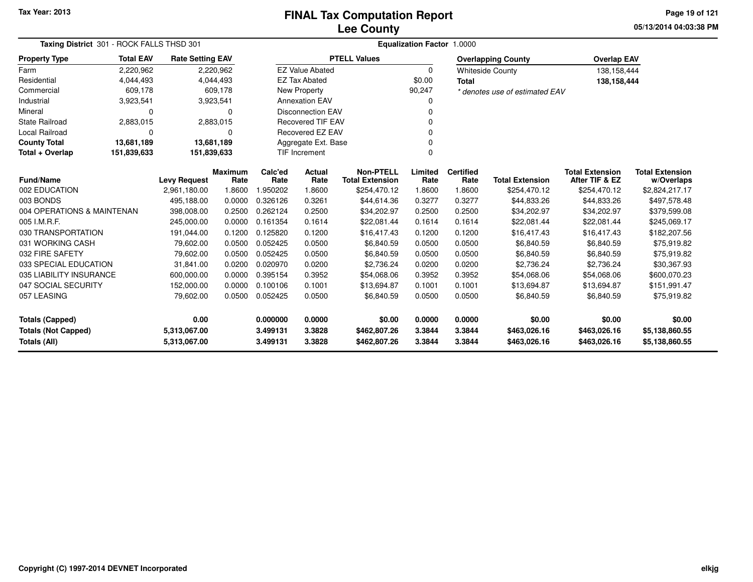**05/13/2014 04:03:38 PM Page 19 of 121**

|                            | Taxing District 301 - ROCK FALLS THSD 301 |                         |                |                 | Equalization Factor 1.0000 |                                            |                 |                          |                                |                                          |                              |  |  |  |
|----------------------------|-------------------------------------------|-------------------------|----------------|-----------------|----------------------------|--------------------------------------------|-----------------|--------------------------|--------------------------------|------------------------------------------|------------------------------|--|--|--|
| <b>Property Type</b>       | <b>Total EAV</b>                          | <b>Rate Setting EAV</b> |                |                 |                            | <b>PTELL Values</b>                        |                 |                          | <b>Overlapping County</b>      | <b>Overlap EAV</b>                       |                              |  |  |  |
| Farm                       | 2,220,962                                 |                         | 2,220,962      |                 | <b>EZ Value Abated</b>     |                                            | $\Omega$        |                          | <b>Whiteside County</b>        | 138,158,444                              |                              |  |  |  |
| Residential                | 4,044,493                                 |                         | 4,044,493      |                 | <b>EZ Tax Abated</b>       |                                            | \$0.00          | <b>Total</b>             |                                | 138,158,444                              |                              |  |  |  |
| Commercial                 | 609,178                                   |                         | 609,178        |                 | New Property               |                                            | 90,247          |                          | * denotes use of estimated EAV |                                          |                              |  |  |  |
| Industrial                 | 3,923,541                                 |                         | 3,923,541      |                 | <b>Annexation EAV</b>      |                                            | ი               |                          |                                |                                          |                              |  |  |  |
| Mineral                    | 0                                         |                         | $\Omega$       |                 | <b>Disconnection EAV</b>   |                                            | 0               |                          |                                |                                          |                              |  |  |  |
| <b>State Railroad</b>      | 2,883,015                                 |                         | 2,883,015      |                 | <b>Recovered TIF EAV</b>   |                                            |                 |                          |                                |                                          |                              |  |  |  |
| <b>Local Railroad</b>      | 0                                         |                         | $\Omega$       |                 | <b>Recovered EZ EAV</b>    |                                            |                 |                          |                                |                                          |                              |  |  |  |
| <b>County Total</b>        | 13,681,189                                | 13,681,189              |                |                 | Aggregate Ext. Base        |                                            | 0               |                          |                                |                                          |                              |  |  |  |
| Total + Overlap            | 151,839,633                               | 151,839,633             |                |                 | <b>TIF Increment</b>       |                                            | 0               |                          |                                |                                          |                              |  |  |  |
| <b>Fund/Name</b>           |                                           | <b>Levy Request</b>     | <b>Maximum</b> | Calc'ed<br>Rate | <b>Actual</b><br>Rate      | <b>Non-PTELL</b><br><b>Total Extension</b> | Limited<br>Rate | <b>Certified</b><br>Rate | <b>Total Extension</b>         | <b>Total Extension</b><br>After TIF & EZ | <b>Total Extension</b>       |  |  |  |
|                            | 002 EDUCATION                             | 2,961,180.00            | Rate<br>1.8600 | 1.950202        | 1.8600                     | \$254,470.12                               | 1.8600          | 1.8600                   | \$254,470.12                   | \$254,470.12                             | w/Overlaps<br>\$2,824,217.17 |  |  |  |
| 003 BONDS                  |                                           | 495,188.00              | 0.0000         | 0.326126        | 0.3261                     | \$44,614.36                                | 0.3277          | 0.3277                   | \$44,833.26                    | \$44,833.26                              | \$497,578.48                 |  |  |  |
| 004 OPERATIONS & MAINTENAN |                                           | 398,008.00              | 0.2500         | 0.262124        | 0.2500                     | \$34,202.97                                | 0.2500          | 0.2500                   | \$34,202.97                    | \$34,202.97                              | \$379,599.08                 |  |  |  |
| 005 I.M.R.F.               |                                           | 245,000.00              | 0.0000         | 0.161354        | 0.1614                     | \$22,081.44                                | 0.1614          | 0.1614                   | \$22,081.44                    | \$22,081.44                              | \$245,069.17                 |  |  |  |
| 030 TRANSPORTATION         |                                           | 191,044.00              | 0.1200         | 0.125820        | 0.1200                     | \$16,417.43                                | 0.1200          | 0.1200                   | \$16,417.43                    | \$16,417.43                              | \$182,207.56                 |  |  |  |
| 031 WORKING CASH           |                                           | 79,602.00               | 0.0500         | 0.052425        | 0.0500                     | \$6,840.59                                 | 0.0500          | 0.0500                   | \$6,840.59                     | \$6,840.59                               | \$75,919.82                  |  |  |  |
| 032 FIRE SAFETY            |                                           | 79,602.00               | 0.0500         | 0.052425        | 0.0500                     | \$6,840.59                                 | 0.0500          | 0.0500                   | \$6,840.59                     | \$6,840.59                               | \$75,919.82                  |  |  |  |
| 033 SPECIAL EDUCATION      |                                           | 31.841.00               | 0.0200         | 0.020970        | 0.0200                     | \$2,736.24                                 | 0.0200          | 0.0200                   | \$2,736.24                     | \$2,736.24                               | \$30,367.93                  |  |  |  |
| 035 LIABILITY INSURANCE    |                                           | 600,000.00              | 0.0000         | 0.395154        | 0.3952                     | \$54,068.06                                | 0.3952          | 0.3952                   | \$54,068.06                    | \$54,068.06                              | \$600,070.23                 |  |  |  |
| 047 SOCIAL SECURITY        |                                           | 152,000.00              | 0.0000         | 0.100106        | 0.1001                     | \$13,694.87                                | 0.1001          | 0.1001                   | \$13,694.87                    | \$13,694.87                              | \$151,991.47                 |  |  |  |
| 057 LEASING                |                                           | 79,602.00               | 0.0500         | 0.052425        | 0.0500                     | \$6,840.59                                 | 0.0500          | 0.0500                   | \$6,840.59                     | \$6,840.59                               | \$75,919.82                  |  |  |  |
| Totals (Capped)            |                                           | 0.00                    |                | 0.000000        | 0.0000                     | \$0.00                                     | 0.0000          | 0.0000                   | \$0.00                         | \$0.00                                   | \$0.00                       |  |  |  |
| <b>Totals (Not Capped)</b> |                                           | 5,313,067.00            |                | 3.499131        | 3.3828                     | \$462,807.26                               | 3.3844          | 3.3844                   | \$463,026.16                   | \$463,026.16                             | \$5,138,860.55               |  |  |  |
| Totals (All)               |                                           | 5,313,067.00            |                | 3.499131        | 3.3828                     | \$462,807.26                               | 3.3844          | 3.3844                   | \$463,026.16                   | \$463,026.16                             | \$5,138,860.55               |  |  |  |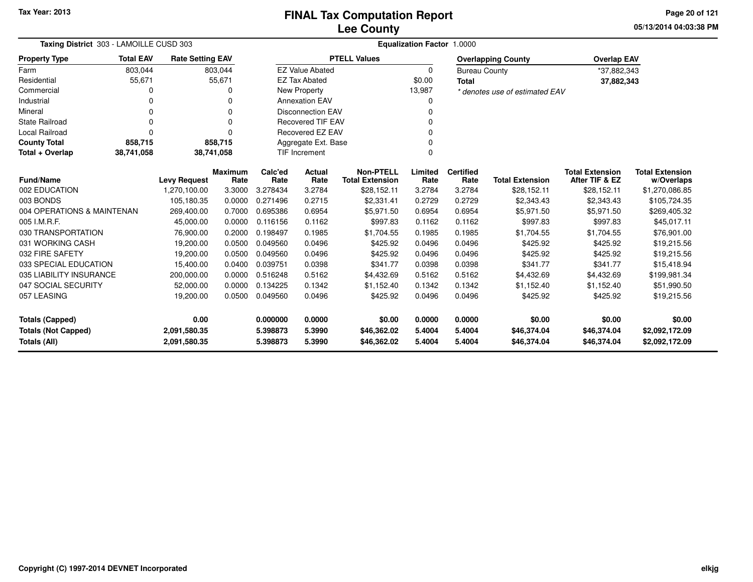**05/13/2014 04:03:38 PM Page 20 of 121**

|                                                   | Taxing District 303 - LAMOILLE CUSD 303 |                              |                        |                      |                          |                                            | <b>Equalization Factor</b> | 1.0000                   |                                |                                          |                                      |
|---------------------------------------------------|-----------------------------------------|------------------------------|------------------------|----------------------|--------------------------|--------------------------------------------|----------------------------|--------------------------|--------------------------------|------------------------------------------|--------------------------------------|
| <b>Property Type</b>                              | <b>Total EAV</b>                        | <b>Rate Setting EAV</b>      |                        |                      |                          | <b>PTELL Values</b>                        |                            |                          | <b>Overlapping County</b>      | <b>Overlap EAV</b>                       |                                      |
| Farm                                              | 803,044                                 |                              | 803,044                |                      | <b>EZ Value Abated</b>   |                                            | 0                          | <b>Bureau County</b>     |                                | *37,882,343                              |                                      |
| Residential                                       | 55,671                                  |                              | 55,671                 |                      | <b>EZ Tax Abated</b>     |                                            | \$0.00                     | <b>Total</b>             |                                | 37,882,343                               |                                      |
| Commercial                                        | 0                                       |                              | 0                      |                      | New Property             |                                            | 13,987                     |                          | * denotes use of estimated EAV |                                          |                                      |
| Industrial                                        | 0                                       |                              | $\Omega$               |                      | <b>Annexation EAV</b>    |                                            | 0                          |                          |                                |                                          |                                      |
| Mineral                                           | 0                                       |                              | $\Omega$               |                      | <b>Disconnection EAV</b> |                                            | 0                          |                          |                                |                                          |                                      |
| <b>State Railroad</b>                             | $\mathbf 0$                             |                              | $\Omega$               |                      | <b>Recovered TIF EAV</b> |                                            | 0                          |                          |                                |                                          |                                      |
| <b>Local Railroad</b>                             | $\Omega$                                |                              | $\Omega$               |                      | <b>Recovered EZ EAV</b>  |                                            | 0                          |                          |                                |                                          |                                      |
| <b>County Total</b>                               | 858,715                                 |                              | 858,715                |                      | Aggregate Ext. Base      |                                            | 0                          |                          |                                |                                          |                                      |
| Total + Overlap<br>38,741,058                     |                                         |                              | 38,741,058             |                      | <b>TIF Increment</b>     |                                            | $\Omega$                   |                          |                                |                                          |                                      |
| <b>Fund/Name</b>                                  |                                         | <b>Levy Request</b>          | <b>Maximum</b><br>Rate | Calc'ed<br>Rate      | <b>Actual</b><br>Rate    | <b>Non-PTELL</b><br><b>Total Extension</b> | Limited<br>Rate            | <b>Certified</b><br>Rate | <b>Total Extension</b>         | <b>Total Extension</b><br>After TIF & EZ | <b>Total Extension</b><br>w/Overlaps |
| 002 EDUCATION                                     |                                         | 1,270,100.00                 | 3.3000                 | 3.278434             | 3.2784                   | \$28,152.11                                | 3.2784                     | 3.2784                   | \$28,152.11                    | \$28,152.11                              | \$1,270,086.85                       |
| 003 BONDS                                         |                                         | 105,180.35                   | 0.0000                 | 0.271496             | 0.2715                   | \$2,331.41                                 | 0.2729                     | 0.2729                   | \$2,343.43                     | \$2,343.43                               | \$105,724.35                         |
| 004 OPERATIONS & MAINTENAN                        |                                         | 269,400.00                   | 0.7000                 | 0.695386             | 0.6954                   | \$5,971.50                                 | 0.6954                     | 0.6954                   | \$5,971.50                     | \$5,971.50                               | \$269,405.32                         |
| 005 I.M.R.F.                                      |                                         | 45,000.00                    | 0.0000                 | 0.116156             | 0.1162                   | \$997.83                                   | 0.1162                     | 0.1162                   | \$997.83                       | \$997.83                                 | \$45,017.11                          |
| 030 TRANSPORTATION                                |                                         | 76,900.00                    | 0.2000                 | 0.198497             | 0.1985                   | \$1,704.55                                 | 0.1985                     | 0.1985                   | \$1,704.55                     | \$1,704.55                               | \$76,901.00                          |
| 031 WORKING CASH                                  |                                         | 19,200.00                    | 0.0500                 | 0.049560             | 0.0496                   | \$425.92                                   | 0.0496                     | 0.0496                   | \$425.92                       | \$425.92                                 | \$19,215.56                          |
| 032 FIRE SAFETY                                   |                                         | 19,200.00                    | 0.0500                 | 0.049560             | 0.0496                   | \$425.92                                   | 0.0496                     | 0.0496                   | \$425.92                       | \$425.92                                 | \$19,215.56                          |
| 033 SPECIAL EDUCATION                             |                                         | 15,400.00                    | 0.0400                 | 0.039751             | 0.0398                   | \$341.77                                   | 0.0398                     | 0.0398                   | \$341.77                       | \$341.77                                 | \$15,418.94                          |
| 035 LIABILITY INSURANCE                           |                                         | 200,000.00                   | 0.0000                 | 0.516248             | 0.5162                   | \$4,432.69                                 | 0.5162                     | 0.5162                   | \$4,432.69                     | \$4,432.69                               | \$199,981.34                         |
| 047 SOCIAL SECURITY                               |                                         | 52,000.00                    | 0.0000                 | 0.134225             | 0.1342                   | \$1,152.40                                 | 0.1342                     | 0.1342                   | \$1,152.40                     | \$1,152.40                               | \$51,990.50                          |
| 057 LEASING                                       |                                         | 19,200.00                    | 0.0500                 | 0.049560             | 0.0496                   | \$425.92                                   | 0.0496                     | 0.0496                   | \$425.92                       | \$425.92                                 | \$19,215.56                          |
| <b>Totals (Capped)</b>                            |                                         | 0.00                         |                        | 0.000000             | 0.0000                   | \$0.00                                     | 0.0000                     | 0.0000                   | \$0.00                         | \$0.00                                   | \$0.00                               |
| <b>Totals (Not Capped)</b><br><b>Totals (All)</b> |                                         | 2,091,580.35<br>2,091,580.35 |                        | 5.398873<br>5.398873 | 5.3990<br>5.3990         | \$46,362.02<br>\$46,362.02                 | 5.4004<br>5.4004           | 5.4004<br>5.4004         | \$46,374.04<br>\$46,374.04     | \$46,374.04<br>\$46,374.04               | \$2,092,172.09<br>\$2,092,172.09     |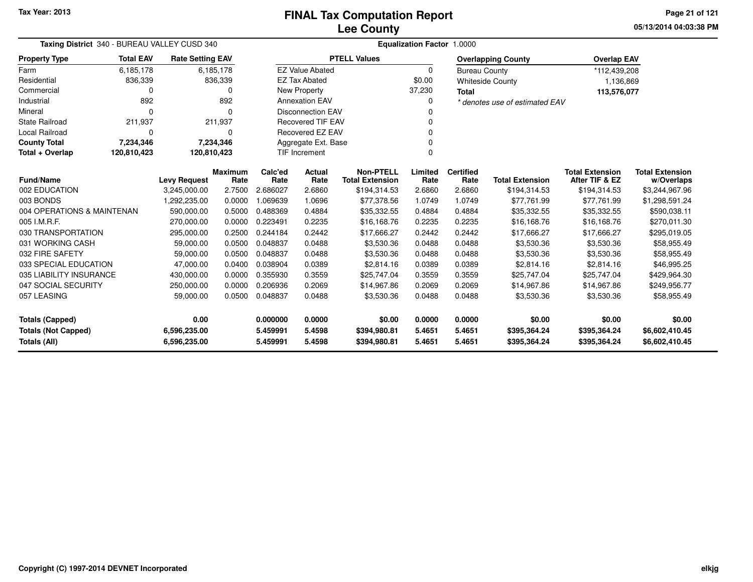**05/13/2014 04:03:38 PMPage 21 of 121**

|                                            | Taxing District 340 - BUREAU VALLEY CUSD 340 |                              |                 |                       | Equalization Factor 1.0000                 |                              |                          |                        |                                          |                                      |                                  |  |  |  |
|--------------------------------------------|----------------------------------------------|------------------------------|-----------------|-----------------------|--------------------------------------------|------------------------------|--------------------------|------------------------|------------------------------------------|--------------------------------------|----------------------------------|--|--|--|
| <b>Property Type</b>                       | <b>Total EAV</b>                             | <b>Rate Setting EAV</b>      |                 |                       |                                            | <b>PTELL Values</b>          |                          |                        | <b>Overlapping County</b>                | <b>Overlap EAV</b>                   |                                  |  |  |  |
| Farm                                       | 6,185,178                                    |                              | 6,185,178       |                       | <b>EZ Value Abated</b>                     |                              | $\Omega$                 | <b>Bureau County</b>   |                                          | *112,439,208                         |                                  |  |  |  |
| Residential                                | 836,339                                      |                              | 836,339         |                       | <b>EZ Tax Abated</b>                       |                              | \$0.00                   |                        | <b>Whiteside County</b>                  | 1,136,869                            |                                  |  |  |  |
| Commercial                                 | 0                                            |                              | 0               |                       | New Property                               |                              | 37,230                   | <b>Total</b>           |                                          | 113,576,077                          |                                  |  |  |  |
| Industrial                                 | 892                                          |                              | 892             |                       | <b>Annexation EAV</b>                      |                              | $\Omega$                 |                        | * denotes use of estimated EAV           |                                      |                                  |  |  |  |
| Mineral                                    | $\Omega$                                     |                              | n               |                       | <b>Disconnection EAV</b>                   |                              | O                        |                        |                                          |                                      |                                  |  |  |  |
| <b>State Railroad</b>                      | 211,937                                      |                              | 211,937         |                       | <b>Recovered TIF EAV</b>                   |                              |                          |                        |                                          |                                      |                                  |  |  |  |
| Local Railroad                             | $\Omega$                                     |                              | 0               | Recovered EZ EAV      |                                            |                              | $\Omega$                 |                        |                                          |                                      |                                  |  |  |  |
| <b>County Total</b>                        | 7,234,346                                    |                              | 7,234,346       |                       | Aggregate Ext. Base                        |                              |                          |                        |                                          |                                      |                                  |  |  |  |
| Total + Overlap                            | 120,810,423                                  | 120,810,423                  |                 | <b>TIF Increment</b>  |                                            |                              | $\Omega$                 |                        |                                          |                                      |                                  |  |  |  |
| <b>Fund/Name</b><br><b>Levy Request</b>    |                                              | <b>Maximum</b><br>Rate       | Calc'ed<br>Rate | <b>Actual</b><br>Rate | <b>Non-PTELL</b><br><b>Total Extension</b> | Limited<br>Rate              | <b>Certified</b><br>Rate | <b>Total Extension</b> | <b>Total Extension</b><br>After TIF & EZ | <b>Total Extension</b><br>w/Overlaps |                                  |  |  |  |
| 002 EDUCATION                              |                                              | 3,245,000.00                 | 2.7500          | 2.686027              | 2.6860                                     | \$194,314.53                 | 2.6860                   | 2.6860                 | \$194,314.53                             | \$194,314.53                         | \$3,244,967.96                   |  |  |  |
| 003 BONDS                                  |                                              | 1,292,235.00                 | 0.0000          | 1.069639              | 1.0696                                     | \$77,378.56                  | 1.0749                   | 1.0749                 | \$77,761.99                              | \$77,761.99                          | \$1,298,591.24                   |  |  |  |
| 004 OPERATIONS & MAINTENAN                 |                                              | 590,000.00                   | 0.5000          | 0.488369              | 0.4884                                     | \$35,332.55                  | 0.4884                   | 0.4884                 | \$35,332.55                              | \$35,332.55                          | \$590,038.11                     |  |  |  |
| 005 I.M.R.F.                               |                                              | 270.000.00                   | 0.0000          | 0.223491              | 0.2235                                     | \$16,168.76                  | 0.2235                   | 0.2235                 | \$16,168.76                              | \$16,168.76                          | \$270,011.30                     |  |  |  |
| 030 TRANSPORTATION                         |                                              | 295,000.00                   | 0.2500          | 0.244184              | 0.2442                                     | \$17,666.27                  | 0.2442                   | 0.2442                 | \$17,666.27                              | \$17,666.27                          | \$295,019.05                     |  |  |  |
| 031 WORKING CASH                           |                                              | 59,000.00                    | 0.0500          | 0.048837              | 0.0488                                     | \$3,530.36                   | 0.0488                   | 0.0488                 | \$3,530.36                               | \$3,530.36                           | \$58,955.49                      |  |  |  |
| 032 FIRE SAFETY                            |                                              | 59,000.00                    | 0.0500          | 0.048837              | 0.0488                                     | \$3,530.36                   | 0.0488                   | 0.0488                 | \$3,530.36                               | \$3,530.36                           | \$58,955.49                      |  |  |  |
| 033 SPECIAL EDUCATION                      |                                              | 47,000.00                    | 0.0400          | 0.038904              | 0.0389                                     | \$2,814.16                   | 0.0389                   | 0.0389                 | \$2,814.16                               | \$2,814.16                           | \$46,995.25                      |  |  |  |
| 035 LIABILITY INSURANCE                    |                                              | 430,000.00                   | 0.0000          | 0.355930              | 0.3559                                     | \$25,747.04                  | 0.3559                   | 0.3559                 | \$25,747.04                              | \$25,747.04                          | \$429,964.30                     |  |  |  |
| 047 SOCIAL SECURITY                        |                                              | 250,000.00                   | 0.0000          | 0.206936              | 0.2069                                     | \$14,967.86                  | 0.2069                   | 0.2069                 | \$14,967.86                              | \$14,967.86                          | \$249,956.77                     |  |  |  |
| 057 LEASING                                |                                              | 59,000.00                    | 0.0500          | 0.048837              | 0.0488                                     | \$3,530.36                   | 0.0488                   | 0.0488                 | \$3,530.36                               | \$3,530.36                           | \$58,955.49                      |  |  |  |
| <b>Totals (Capped)</b>                     |                                              | 0.00                         |                 | 0.000000              | 0.0000                                     | \$0.00                       | 0.0000                   | 0.0000                 | \$0.00                                   | \$0.00                               | \$0.00                           |  |  |  |
| <b>Totals (Not Capped)</b><br>Totals (All) |                                              | 6,596,235.00<br>6,596,235.00 |                 | 5.459991<br>5.459991  | 5.4598<br>5.4598                           | \$394,980.81<br>\$394,980.81 | 5.4651<br>5.4651         | 5.4651<br>5.4651       | \$395,364.24<br>\$395,364.24             | \$395,364.24<br>\$395,364.24         | \$6,602,410.45<br>\$6,602,410.45 |  |  |  |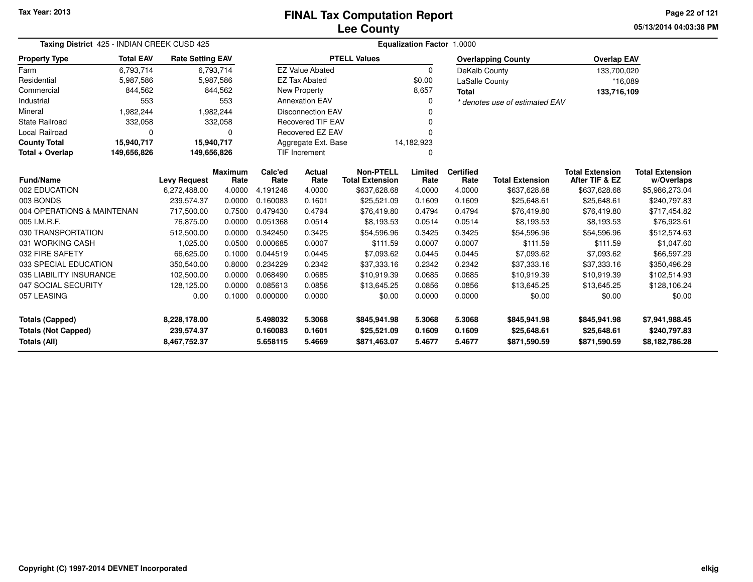**05/13/2014 04:03:38 PMPage 22 of 121**

| Taxing District 425 - INDIAN CREEK CUSD 425 |                  |                         |                | Equalization Factor 1.0000 |                          |                        |             |                  |                                |                        |                        |  |  |
|---------------------------------------------|------------------|-------------------------|----------------|----------------------------|--------------------------|------------------------|-------------|------------------|--------------------------------|------------------------|------------------------|--|--|
| <b>Property Type</b>                        | <b>Total EAV</b> | <b>Rate Setting EAV</b> |                |                            |                          | <b>PTELL Values</b>    |             |                  | <b>Overlapping County</b>      | <b>Overlap EAV</b>     |                        |  |  |
| Farm                                        | 6,793,714        |                         | 6,793,714      |                            | <b>EZ Value Abated</b>   |                        | $\mathbf 0$ | DeKalb County    |                                | 133,700,020            |                        |  |  |
| Residential                                 | 5,987,586        |                         | 5,987,586      |                            | <b>EZ Tax Abated</b>     |                        | \$0.00      | LaSalle County   |                                | *16,089                |                        |  |  |
| Commercial                                  | 844,562          |                         | 844,562        |                            | New Property             |                        | 8,657       | <b>Total</b>     |                                | 133,716,109            |                        |  |  |
| Industrial                                  | 553              |                         | 553            |                            | <b>Annexation EAV</b>    |                        | 0           |                  | * denotes use of estimated EAV |                        |                        |  |  |
| Mineral                                     | 1,982,244        |                         | 1,982,244      |                            | <b>Disconnection EAV</b> |                        |             |                  |                                |                        |                        |  |  |
| <b>State Railroad</b>                       | 332,058          |                         | 332,058        |                            | <b>Recovered TIF EAV</b> |                        |             |                  |                                |                        |                        |  |  |
| <b>Local Railroad</b>                       | $\Omega$         |                         | $\Omega$       |                            | <b>Recovered EZ EAV</b>  |                        | n           |                  |                                |                        |                        |  |  |
| <b>County Total</b>                         | 15,940,717       | 15,940,717              |                |                            | Aggregate Ext. Base      |                        | 14,182,923  |                  |                                |                        |                        |  |  |
| Total + Overlap                             | 149,656,826      | 149,656,826             |                |                            | <b>TIF Increment</b>     |                        | 0           |                  |                                |                        |                        |  |  |
| Fund/Name                                   |                  |                         | <b>Maximum</b> | Calc'ed                    | Actual                   | <b>Non-PTELL</b>       | Limited     | <b>Certified</b> |                                | <b>Total Extension</b> | <b>Total Extension</b> |  |  |
|                                             |                  | <b>Levy Request</b>     | Rate           | Rate                       | Rate                     | <b>Total Extension</b> | Rate        | Rate             | <b>Total Extension</b>         | After TIF & EZ         | w/Overlaps             |  |  |
| 002 EDUCATION                               |                  | 6,272,488.00            | 4.0000         | 4.191248                   | 4.0000                   | \$637,628.68           | 4.0000      | 4.0000           | \$637,628.68                   | \$637,628.68           | \$5,986,273.04         |  |  |
| 003 BONDS                                   |                  | 239,574.37              | 0.0000         | 0.160083                   | 0.1601                   | \$25,521.09            | 0.1609      | 0.1609           | \$25,648.61                    | \$25,648.61            | \$240,797.83           |  |  |
| 004 OPERATIONS & MAINTENAN                  |                  | 717,500.00              | 0.7500         | 0.479430                   | 0.4794                   | \$76,419.80            | 0.4794      | 0.4794           | \$76,419.80                    | \$76,419.80            | \$717,454.82           |  |  |
| 005 I.M.R.F.                                |                  | 76,875.00               | 0.0000         | 0.051368                   | 0.0514                   | \$8,193.53             | 0.0514      | 0.0514           | \$8,193.53                     | \$8,193.53             | \$76,923.61            |  |  |
| 030 TRANSPORTATION                          |                  | 512,500.00              | 0.0000         | 0.342450                   | 0.3425                   | \$54,596.96            | 0.3425      | 0.3425           | \$54,596.96                    | \$54,596.96            | \$512,574.63           |  |  |
| 031 WORKING CASH                            |                  | 1,025.00                | 0.0500         | 0.000685                   | 0.0007                   | \$111.59               | 0.0007      | 0.0007           | \$111.59                       | \$111.59               | \$1,047.60             |  |  |
| 032 FIRE SAFETY                             |                  | 66,625.00               | 0.1000         | 0.044519                   | 0.0445                   | \$7.093.62             | 0.0445      | 0.0445           | \$7,093.62                     | \$7,093.62             | \$66,597.29            |  |  |
| 033 SPECIAL EDUCATION                       |                  | 350,540.00              | 0.8000         | 0.234229                   | 0.2342                   | \$37,333.16            | 0.2342      | 0.2342           | \$37,333.16                    | \$37,333.16            | \$350,496.29           |  |  |
| 035 LIABILITY INSURANCE                     |                  | 102,500.00              | 0.0000         | 0.068490                   | 0.0685                   | \$10,919.39            | 0.0685      | 0.0685           | \$10,919.39                    | \$10,919.39            | \$102,514.93           |  |  |
| 047 SOCIAL SECURITY                         |                  | 128,125.00              | 0.0000         | 0.085613                   | 0.0856                   | \$13,645.25            | 0.0856      | 0.0856           | \$13,645.25                    | \$13,645.25            | \$128,106.24           |  |  |
| 057 LEASING                                 |                  | 0.00                    | 0.1000         | 0.000000                   | 0.0000                   | \$0.00                 | 0.0000      | 0.0000           | \$0.00                         | \$0.00                 | \$0.00                 |  |  |
| <b>Totals (Capped)</b>                      |                  | 8,228,178.00            |                | 5.498032                   | 5.3068                   | \$845,941.98           | 5.3068      | 5.3068           | \$845,941.98                   | \$845,941.98           | \$7,941,988.45         |  |  |
| <b>Totals (Not Capped)</b>                  |                  | 239,574.37              |                | 0.160083                   | 0.1601                   | \$25,521.09            | 0.1609      | 0.1609           | \$25,648.61                    | \$25,648.61            | \$240,797.83           |  |  |
| Totals (All)                                |                  | 8,467,752.37            |                | 5.658115                   | 5.4669                   | \$871,463.07           | 5.4677      | 5.4677           | \$871,590.59                   | \$871,590.59           | \$8,182,786.28         |  |  |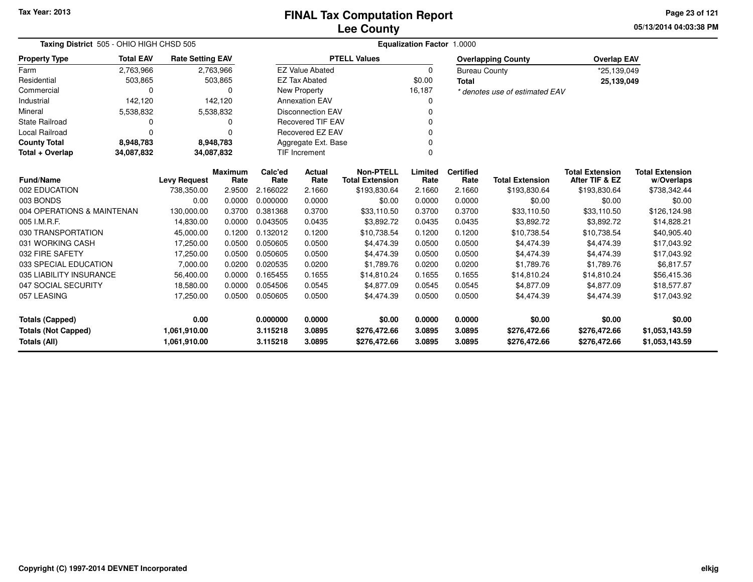**05/13/2014 04:03:38 PM Page 23 of 121**

|                            | Taxing District 505 - OHIO HIGH CHSD 505 |                         |                  |                      | <b>Equalization Factor 1.0000</b> |                        |          |                      |                                |                        |                        |  |  |  |
|----------------------------|------------------------------------------|-------------------------|------------------|----------------------|-----------------------------------|------------------------|----------|----------------------|--------------------------------|------------------------|------------------------|--|--|--|
| <b>Property Type</b>       | <b>Total EAV</b>                         | <b>Rate Setting EAV</b> |                  |                      |                                   | <b>PTELL Values</b>    |          |                      | <b>Overlapping County</b>      | <b>Overlap EAV</b>     |                        |  |  |  |
| Farm                       | 2,763,966                                |                         | 2,763,966        |                      | <b>EZ Value Abated</b>            |                        | $\Omega$ | <b>Bureau County</b> |                                | *25,139,049            |                        |  |  |  |
| Residential                | 503,865                                  |                         | 503,865          |                      | <b>EZ Tax Abated</b>              |                        | \$0.00   | <b>Total</b>         |                                | 25,139,049             |                        |  |  |  |
| Commercial                 | $\Omega$                                 |                         | 0                |                      | New Property                      |                        | 16,187   |                      | * denotes use of estimated EAV |                        |                        |  |  |  |
| Industrial                 | 142,120                                  |                         | 142,120          |                      | <b>Annexation EAV</b>             |                        |          |                      |                                |                        |                        |  |  |  |
| Mineral                    | 5,538,832                                |                         | 5,538,832        |                      | <b>Disconnection EAV</b>          |                        |          |                      |                                |                        |                        |  |  |  |
| <b>State Railroad</b>      | 0                                        |                         | 0                |                      | <b>Recovered TIF EAV</b>          |                        |          |                      |                                |                        |                        |  |  |  |
| Local Railroad             | $\Omega$                                 |                         | 0                |                      | Recovered EZ EAV                  |                        |          |                      |                                |                        |                        |  |  |  |
| <b>County Total</b>        | 8,948,783                                |                         | 8,948,783        |                      | Aggregate Ext. Base               |                        |          |                      |                                |                        |                        |  |  |  |
| Total + Overlap            | 34,087,832                               | 34,087,832              |                  |                      | <b>TIF Increment</b>              |                        |          |                      |                                |                        |                        |  |  |  |
| Fund/Name                  |                                          |                         | <b>Maximum</b>   | Calc'ed              | Actual                            | <b>Non-PTELL</b>       | Limited  | <b>Certified</b>     |                                | <b>Total Extension</b> | <b>Total Extension</b> |  |  |  |
|                            |                                          | <b>Levy Request</b>     | Rate             | Rate                 | Rate                              | <b>Total Extension</b> | Rate     | Rate                 | <b>Total Extension</b>         | After TIF & EZ         | w/Overlaps             |  |  |  |
| 002 EDUCATION<br>003 BONDS |                                          | 738,350.00<br>0.00      | 2.9500<br>0.0000 | 2.166022<br>0.000000 | 2.1660                            | \$193,830.64           | 2.1660   | 2.1660<br>0.0000     | \$193,830.64                   | \$193,830.64           | \$738,342.44           |  |  |  |
|                            |                                          |                         |                  |                      | 0.0000                            | \$0.00                 | 0.0000   |                      | \$0.00                         | \$0.00                 | \$0.00                 |  |  |  |
| 004 OPERATIONS & MAINTENAN |                                          | 130,000.00              | 0.3700           | 0.381368             | 0.3700                            | \$33,110.50            | 0.3700   | 0.3700               | \$33,110.50                    | \$33,110.50            | \$126,124.98           |  |  |  |
| 005 I.M.R.F.               |                                          | 14,830.00               | 0.0000           | 0.043505             | 0.0435                            | \$3,892.72             | 0.0435   | 0.0435               | \$3,892.72                     | \$3,892.72             | \$14,828.21            |  |  |  |
| 030 TRANSPORTATION         |                                          | 45,000.00               | 0.1200           | 0.132012             | 0.1200                            | \$10,738.54            | 0.1200   | 0.1200               | \$10,738.54                    | \$10,738.54            | \$40,905.40            |  |  |  |
| 031 WORKING CASH           |                                          | 17,250.00               | 0.0500           | 0.050605             | 0.0500                            | \$4,474.39             | 0.0500   | 0.0500               | \$4,474.39                     | \$4,474.39             | \$17,043.92            |  |  |  |
| 032 FIRE SAFETY            |                                          | 17,250.00               | 0.0500           | 0.050605             | 0.0500                            | \$4,474.39             | 0.0500   | 0.0500               | \$4,474.39                     | \$4,474.39             | \$17,043.92            |  |  |  |
| 033 SPECIAL EDUCATION      |                                          | 7,000.00                | 0.0200           | 0.020535             | 0.0200                            | \$1,789.76             | 0.0200   | 0.0200               | \$1,789.76                     | \$1,789.76             | \$6,817.57             |  |  |  |
| 035 LIABILITY INSURANCE    |                                          | 56,400.00               | 0.0000           | 0.165455             | 0.1655                            | \$14,810.24            | 0.1655   | 0.1655               | \$14,810.24                    | \$14,810.24            | \$56,415.36            |  |  |  |
| 047 SOCIAL SECURITY        |                                          | 18,580.00               | 0.0000           | 0.054506             | 0.0545                            | \$4,877.09             | 0.0545   | 0.0545               | \$4,877.09                     | \$4,877.09             | \$18,577.87            |  |  |  |
| 057 LEASING                |                                          | 17,250.00               | 0.0500           | 0.050605             | 0.0500                            | \$4,474.39             | 0.0500   | 0.0500               | \$4,474.39                     | \$4,474.39             | \$17,043.92            |  |  |  |
| <b>Totals (Capped)</b>     |                                          | 0.00                    |                  | 0.000000             | 0.0000                            | \$0.00                 | 0.0000   | 0.0000               | \$0.00                         | \$0.00                 | \$0.00                 |  |  |  |
| <b>Totals (Not Capped)</b> |                                          | 1,061,910.00            |                  | 3.115218             | 3.0895                            | \$276,472.66           | 3.0895   | 3.0895               | \$276,472.66                   | \$276,472.66           | \$1,053,143.59         |  |  |  |
| <b>Totals (All)</b>        |                                          | 1,061,910.00            |                  | 3.115218             | 3.0895                            | \$276,472.66           | 3.0895   | 3.0895               | \$276,472.66                   | \$276,472.66           | \$1,053,143.59         |  |  |  |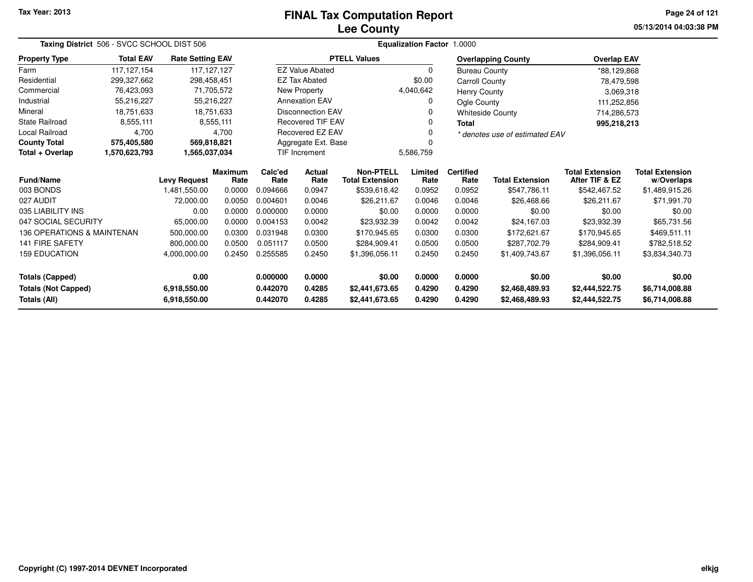#### **Lee CountyFINAL Tax Computation Report**

**05/13/2014 04:03:38 PM Page 24 of 121**

| Taxing District 506 - SVCC SCHOOL DIST 506 |                  |                         |                        | Equalization Factor 1.0000 |                          |                                            |                 |                          |                                |                                          |                                      |  |
|--------------------------------------------|------------------|-------------------------|------------------------|----------------------------|--------------------------|--------------------------------------------|-----------------|--------------------------|--------------------------------|------------------------------------------|--------------------------------------|--|
| <b>Property Type</b>                       | <b>Total EAV</b> | <b>Rate Setting EAV</b> |                        |                            |                          | <b>PTELL Values</b>                        |                 |                          | <b>Overlapping County</b>      | <b>Overlap EAV</b>                       |                                      |  |
| Farm                                       | 117, 127, 154    | 117, 127, 127           |                        |                            | <b>EZ Value Abated</b>   |                                            | 0               | <b>Bureau County</b>     |                                | *88,129,868                              |                                      |  |
| Residential                                | 299,327,662      | 298,458,451             |                        |                            | <b>EZ Tax Abated</b>     |                                            | \$0.00          | Carroll County           |                                | 78,479,598                               |                                      |  |
| Commercial                                 | 76,423,093       |                         | 71,705,572             |                            | <b>New Property</b>      |                                            | 4,040,642       | Henry County             |                                | 3,069,318                                |                                      |  |
| Industrial                                 | 55,216,227       |                         | 55,216,227             |                            | <b>Annexation EAV</b>    |                                            | 0               | Ogle County              |                                | 111,252,856                              |                                      |  |
| Mineral                                    | 18.751.633       |                         | 18.751.633             |                            | <b>Disconnection EAV</b> |                                            |                 |                          | <b>Whiteside County</b>        | 714,286,573                              |                                      |  |
| <b>State Railroad</b>                      | 8,555,111        |                         | 8,555,111              |                            | <b>Recovered TIF EAV</b> |                                            |                 | <b>Total</b>             |                                | 995,218,213                              |                                      |  |
| Local Railroad                             | 4,700            |                         | 4,700                  |                            | Recovered EZ EAV         |                                            |                 |                          | * denotes use of estimated EAV |                                          |                                      |  |
| <b>County Total</b>                        | 575,405,580      | 569,818,821             |                        |                            | Aggregate Ext. Base      |                                            |                 |                          |                                |                                          |                                      |  |
| Total + Overlap                            | 1,570,623,793    | 1,565,037,034           |                        |                            | <b>TIF Increment</b>     |                                            | 5,586,759       |                          |                                |                                          |                                      |  |
| <b>Fund/Name</b>                           |                  | <b>Levy Request</b>     | <b>Maximum</b><br>Rate | Calc'ed<br>Rate            | <b>Actual</b><br>Rate    | <b>Non-PTELL</b><br><b>Total Extension</b> | Limited<br>Rate | <b>Certified</b><br>Rate | <b>Total Extension</b>         | <b>Total Extension</b><br>After TIF & EZ | <b>Total Extension</b><br>w/Overlaps |  |
| 003 BONDS                                  |                  | 1,481,550.00            | 0.0000                 | 0.094666                   | 0.0947                   | \$539,618.42                               | 0.0952          | 0.0952                   | \$547,786.11                   | \$542,467.52                             | \$1,489,915.26                       |  |
| 027 AUDIT                                  |                  | 72,000.00               | 0.0050                 | 0.004601                   | 0.0046                   | \$26,211.67                                | 0.0046          | 0.0046                   | \$26,468.66                    | \$26,211.67                              | \$71,991.70                          |  |
| 035 LIABILITY INS                          |                  | 0.00                    | 0.0000                 | 0.000000                   | 0.0000                   | \$0.00                                     | 0.0000          | 0.0000                   | \$0.00                         | \$0.00                                   | \$0.00                               |  |
| 047 SOCIAL SECURITY                        |                  | 65,000.00               | 0.0000                 | 0.004153                   | 0.0042                   | \$23.932.39                                | 0.0042          | 0.0042                   | \$24,167.03                    | \$23,932.39                              | \$65,731.56                          |  |
| 136 OPERATIONS & MAINTENAN                 |                  | 500,000.00              | 0.0300                 | 0.031948                   | 0.0300                   | \$170,945.65                               | 0.0300          | 0.0300                   | \$172,621.67                   | \$170,945.65                             | \$469,511.11                         |  |
| <b>141 FIRE SAFETY</b>                     |                  | 800,000.00              | 0.0500                 | 0.051117                   | 0.0500                   | \$284,909.41                               | 0.0500          | 0.0500                   | \$287.702.79                   | \$284,909.41                             | \$782,518.52                         |  |
| <b>159 EDUCATION</b>                       |                  | 4,000,000.00            | 0.2450                 | 0.255585                   | 0.2450                   | \$1,396,056.11                             | 0.2450          | 0.2450                   | \$1,409,743.67                 | \$1,396,056.11                           | \$3,834,340.73                       |  |
| <b>Totals (Capped)</b>                     |                  | 0.00                    |                        | 0.000000                   | 0.0000                   | \$0.00                                     | 0.0000          | 0.0000                   | \$0.00                         | \$0.00                                   | \$0.00                               |  |
| <b>Totals (Not Capped)</b>                 |                  | 6,918,550.00            |                        | 0.442070                   | 0.4285                   | \$2,441,673.65                             | 0.4290          | 0.4290                   | \$2,468,489.93                 | \$2,444,522.75                           | \$6,714,008.88                       |  |
| <b>Totals (All)</b>                        |                  | 6,918,550.00            |                        | 0.442070                   | 0.4285                   | \$2,441,673.65                             | 0.4290          | 0.4290                   | \$2,468,489.93                 | \$2,444,522.75                           | \$6,714,008.88                       |  |

—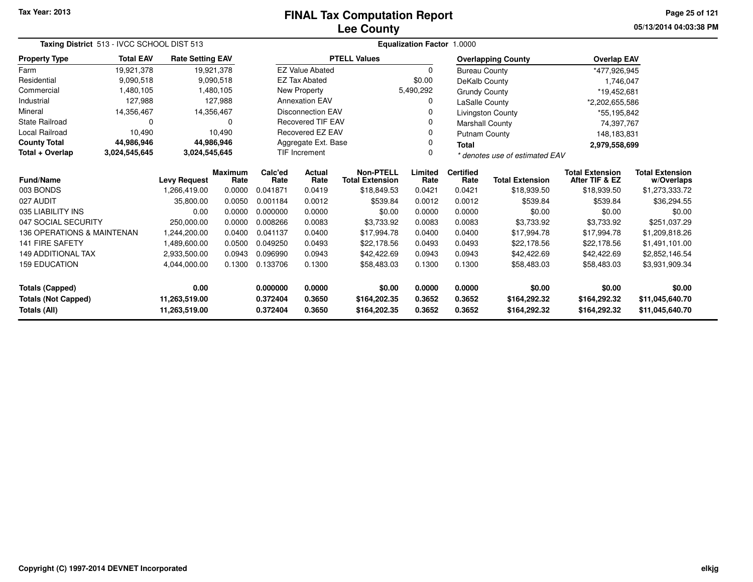# **Lee CountyFINAL Tax Computation Report**

**05/13/2014 04:03:38 PM Page 25 of 121**

|                            | Taxing District 513 - IVCC SCHOOL DIST 513 |                         |                        |                                          |                                             |                                            | Equalization Factor 1.0000 |                          |                                |                                          |                                      |
|----------------------------|--------------------------------------------|-------------------------|------------------------|------------------------------------------|---------------------------------------------|--------------------------------------------|----------------------------|--------------------------|--------------------------------|------------------------------------------|--------------------------------------|
| <b>Property Type</b>       | <b>Total EAV</b>                           | <b>Rate Setting EAV</b> |                        |                                          |                                             | <b>PTELL Values</b>                        |                            |                          | <b>Overlapping County</b>      | <b>Overlap EAV</b>                       |                                      |
| Farm                       | 19,921,378                                 |                         | 19,921,378             |                                          | <b>EZ Value Abated</b>                      |                                            | $\Omega$                   | <b>Bureau County</b>     |                                | *477,926,945                             |                                      |
| Residential                | 9,090,518                                  |                         | 9,090,518              |                                          | <b>EZ Tax Abated</b>                        |                                            | \$0.00                     | DeKalb County            |                                | 1,746,047                                |                                      |
| Commercial                 | 1,480,105                                  |                         | 1,480,105              |                                          | New Property                                |                                            | 5,490,292                  | <b>Grundy County</b>     |                                | *19,452,681                              |                                      |
| Industrial                 | 127,988                                    |                         | 127,988                |                                          | <b>Annexation EAV</b>                       |                                            | 0                          | LaSalle County           |                                | *2,202,655,586                           |                                      |
| Mineral                    | 14,356,467                                 |                         | 14,356,467             |                                          | <b>Disconnection EAV</b>                    |                                            | 0                          |                          | <b>Livingston County</b>       | *55,195,842                              |                                      |
| <b>State Railroad</b>      | 0                                          |                         | $\Omega$               |                                          | <b>Recovered TIF EAV</b>                    |                                            | 0                          | <b>Marshall County</b>   |                                | 74,397,767                               |                                      |
| Local Railroad             | 10,490                                     |                         | 10,490                 |                                          | <b>Recovered EZ EAV</b>                     |                                            | 0                          | <b>Putnam County</b>     |                                | 148,183,831                              |                                      |
| <b>County Total</b>        | 44,986,946                                 |                         | 44,986,946             |                                          | Aggregate Ext. Base<br><b>TIF Increment</b> |                                            |                            | <b>Total</b>             |                                | 2,979,558,699                            |                                      |
| Total + Overlap            | 3,024,545,645                              | 3,024,545,645           |                        |                                          |                                             |                                            | $\Omega$                   |                          | * denotes use of estimated EAV |                                          |                                      |
| Fund/Name                  |                                            | <b>Levy Request</b>     | <b>Maximum</b><br>Rate | Calc'ed<br><b>Actual</b><br>Rate<br>Rate |                                             | <b>Non-PTELL</b><br><b>Total Extension</b> | Limited<br>Rate            | <b>Certified</b><br>Rate | <b>Total Extension</b>         | <b>Total Extension</b><br>After TIF & EZ | <b>Total Extension</b><br>w/Overlaps |
| 003 BONDS                  |                                            | 1.266.419.00            | 0.0000                 | 0.041871                                 | 0.0419                                      | \$18,849.53                                | 0.0421                     | 0.0421                   | \$18,939.50                    | \$18,939.50                              | \$1,273,333.72                       |
| 027 AUDIT                  |                                            | 35,800.00               | 0.0050                 | 0.001184                                 | 0.0012                                      | \$539.84                                   | 0.0012                     | 0.0012                   | \$539.84                       | \$539.84                                 | \$36,294.55                          |
| 035 LIABILITY INS          |                                            | 0.00                    | 0.0000                 | 0.000000                                 | 0.0000                                      | \$0.00                                     | 0.0000                     | 0.0000                   | \$0.00                         | \$0.00                                   | \$0.00                               |
| 047 SOCIAL SECURITY        |                                            | 250.000.00              | 0.0000                 | 0.008266                                 | 0.0083                                      | \$3,733.92                                 | 0.0083                     | 0.0083                   | \$3,733.92                     | \$3,733.92                               | \$251,037.29                         |
| 136 OPERATIONS & MAINTENAN |                                            | 1,244,200.00            | 0.0400                 | 0.041137                                 | 0.0400                                      | \$17,994.78                                | 0.0400                     | 0.0400                   | \$17,994.78                    | \$17,994.78                              | \$1,209,818.26                       |
| <b>141 FIRE SAFETY</b>     |                                            | 1,489,600.00            | 0.0500                 | 0.049250                                 | 0.0493                                      | \$22,178.56                                | 0.0493                     | 0.0493                   | \$22,178.56                    | \$22,178.56                              | \$1,491,101.00                       |
| <b>149 ADDITIONAL TAX</b>  |                                            | 2,933,500.00            | 0.0943                 | 0.096990                                 | 0.0943                                      | \$42,422.69                                | 0.0943                     | 0.0943                   | \$42,422.69                    | \$42,422.69                              | \$2,852,146.54                       |
| <b>159 EDUCATION</b>       |                                            | 4,044,000.00            | 0.1300                 | 0.133706<br>0.1300                       |                                             | \$58,483.03                                | 0.1300                     | 0.1300                   | \$58,483.03                    | \$58,483.03                              | \$3,931,909.34                       |
| <b>Totals (Capped)</b>     |                                            | 0.00                    |                        | 0.000000                                 | 0.0000                                      | \$0.00                                     | 0.0000                     | 0.0000                   | \$0.00                         | \$0.00                                   | \$0.00                               |
| <b>Totals (Not Capped)</b> |                                            | 11,263,519.00           |                        | 0.372404                                 | 0.3650                                      | \$164,202.35                               | 0.3652                     | 0.3652                   | \$164,292.32                   | \$164,292.32                             | \$11,045,640.70                      |
| <b>Totals (All)</b>        |                                            | 11,263,519.00           |                        | 0.372404                                 | 0.3650                                      | \$164,202.35                               | 0.3652                     | 0.3652                   | \$164,292.32                   | \$164,292.32                             | \$11,045,640.70                      |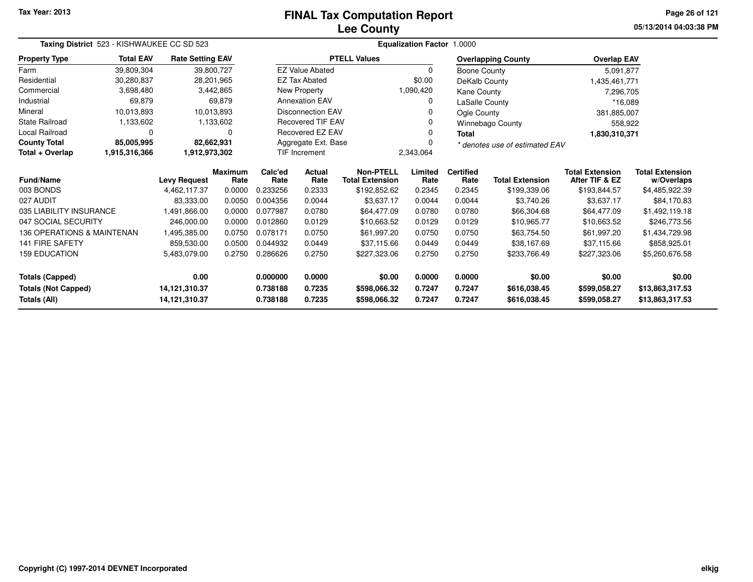# **Lee CountyFINAL Tax Computation Report**

**05/13/2014 04:03:38 PM Page 26 of 121**

| Taxing District 523 - KISHWAUKEE CC SD 523 |                  |                         |                        | <b>Equalization Factor 1.0000</b> |                          |                                            |                 |                          |                                |                                          |                                      |
|--------------------------------------------|------------------|-------------------------|------------------------|-----------------------------------|--------------------------|--------------------------------------------|-----------------|--------------------------|--------------------------------|------------------------------------------|--------------------------------------|
| <b>Property Type</b>                       | <b>Total EAV</b> | <b>Rate Setting EAV</b> |                        |                                   |                          | <b>PTELL Values</b>                        |                 |                          | <b>Overlapping County</b>      | <b>Overlap EAV</b>                       |                                      |
| Farm                                       | 39,809,304       |                         | 39,800,727             |                                   | <b>EZ Value Abated</b>   |                                            | $\Omega$        | Boone County             |                                | 5,091,877                                |                                      |
| Residential                                | 30.280.837       |                         | 28,201,965             |                                   | <b>EZ Tax Abated</b>     |                                            | \$0.00          | DeKalb County            |                                | 1,435,461,771                            |                                      |
| Commercial                                 | 3,698,480        |                         | 3,442,865              |                                   | New Property             |                                            | 1,090,420       | Kane County              |                                | 7,296,705                                |                                      |
| Industrial                                 | 69,879           |                         | 69,879                 |                                   | <b>Annexation EAV</b>    |                                            | 0               | LaSalle County           |                                | *16.089                                  |                                      |
| Mineral                                    | 10.013.893       |                         | 10.013.893             |                                   | <b>Disconnection EAV</b> |                                            |                 | Ogle County              |                                | 381,885,007                              |                                      |
| <b>State Railroad</b>                      | 1,133,602        |                         | 1,133,602              |                                   | <b>Recovered TIF EAV</b> |                                            |                 |                          | <b>Winnebago County</b>        | 558,922                                  |                                      |
| Local Railroad                             | 0                |                         | 0                      |                                   | Recovered EZ EAV         |                                            | 0               | <b>Total</b>             |                                | 1,830,310,371                            |                                      |
| <b>County Total</b>                        | 85,005,995       | 82,662,931              |                        |                                   | Aggregate Ext. Base      |                                            |                 |                          | * denotes use of estimated EAV |                                          |                                      |
| Total + Overlap                            | 1,915,316,366    | 1,912,973,302           |                        | <b>TIF Increment</b>              |                          |                                            | 2,343,064       |                          |                                |                                          |                                      |
| <b>Fund/Name</b>                           |                  | <b>Levy Request</b>     | <b>Maximum</b><br>Rate | Calc'ed<br>Rate                   | <b>Actual</b><br>Rate    | <b>Non-PTELL</b><br><b>Total Extension</b> | Limited<br>Rate | <b>Certified</b><br>Rate | <b>Total Extension</b>         | <b>Total Extension</b><br>After TIF & EZ | <b>Total Extension</b><br>w/Overlaps |
| 003 BONDS                                  |                  | 4,462,117.37            | 0.0000                 | 0.233256                          | 0.2333                   | \$192,852.62                               | 0.2345          | 0.2345                   | \$199,339.06                   | \$193,844.57                             | \$4,485,922.39                       |
| 027 AUDIT                                  |                  | 83.333.00               | 0.0050                 | 0.004356                          | 0.0044                   | \$3,637.17                                 | 0.0044          | 0.0044                   | \$3,740.26                     | \$3,637.17                               | \$84,170.83                          |
| 035 LIABILITY INSURANCE                    |                  | 1,491,866.00            | 0.0000                 | 0.077987                          | 0.0780                   | \$64,477.09                                | 0.0780          | 0.0780                   | \$66,304.68                    | \$64,477.09                              | \$1,492,119.18                       |
| 047 SOCIAL SECURITY                        |                  | 246.000.00              | 0.0000                 | 0.012860                          | 0.0129                   | \$10,663.52                                | 0.0129          | 0.0129                   | \$10,965.77                    | \$10,663.52                              | \$246,773.56                         |
| 136 OPERATIONS & MAINTENAN                 |                  | 1,495,385.00            | 0.0750                 | 0.078171                          | 0.0750                   | \$61,997.20                                | 0.0750          | 0.0750                   | \$63,754.50                    | \$61,997.20                              | \$1,434,729.98                       |
| <b>141 FIRE SAFETY</b>                     |                  | 859,530.00              | 0.0500                 | 0.044932                          | 0.0449                   | \$37,115.66                                | 0.0449          | 0.0449                   | \$38,167.69                    | \$37,115.66                              | \$858,925.01                         |
| <b>159 EDUCATION</b>                       |                  | 5,483,079.00            | 0.2750                 | 0.286626                          | 0.2750                   | \$227,323.06                               | 0.2750          | 0.2750                   | \$233,766.49                   | \$227,323.06                             | \$5,260,676.58                       |
| <b>Totals (Capped)</b>                     |                  | 0.00                    |                        | 0.000000                          | 0.0000                   | \$0.00                                     | 0.0000          | 0.0000                   | \$0.00                         | \$0.00                                   | \$0.00                               |
| <b>Totals (Not Capped)</b>                 |                  | 14,121,310.37           |                        | 0.738188                          | 0.7235                   | \$598,066.32                               | 0.7247          | 0.7247                   | \$616,038.45                   | \$599,058.27                             | \$13,863,317.53                      |
| Totals (All)                               |                  | 14,121,310.37           |                        | 0.738188                          | 0.7235                   | \$598,066.32                               | 0.7247          | 0.7247                   | \$616,038.45                   | \$599,058.27                             | \$13,863,317.53                      |

—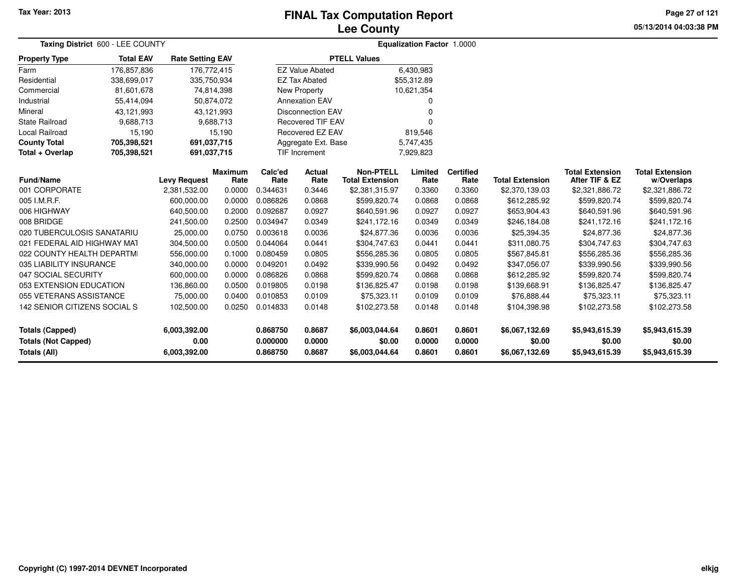### **Lee CountyFINAL Tax Computation Report**

**05/13/2014 04:03:38 PM Page 27 of 121**

| Taxing District 600 - LEE COUNTY           |                  |                         |                        |                          | <b>Equalization Factor 1.0000</b> |                                            |                  |                          |                          |                                          |                                      |  |
|--------------------------------------------|------------------|-------------------------|------------------------|--------------------------|-----------------------------------|--------------------------------------------|------------------|--------------------------|--------------------------|------------------------------------------|--------------------------------------|--|
| <b>Property Type</b>                       | <b>Total EAV</b> | <b>Rate Setting EAV</b> |                        |                          |                                   | <b>PTELL Values</b>                        |                  |                          |                          |                                          |                                      |  |
| Farm                                       | 176,857,836      | 176,772,415             |                        |                          | <b>EZ Value Abated</b>            |                                            | 6,430,983        |                          |                          |                                          |                                      |  |
| Residential                                | 338,699,017      | 335,750,934             |                        |                          | <b>EZ Tax Abated</b>              |                                            | \$55,312.89      |                          |                          |                                          |                                      |  |
| Commercial                                 | 81,601,678       | 74,814,398              |                        |                          | New Property                      |                                            | 10,621,354       |                          |                          |                                          |                                      |  |
| Industrial                                 | 55,414,094       | 50,874,072              |                        |                          | <b>Annexation EAV</b>             |                                            | O                |                          |                          |                                          |                                      |  |
| Mineral                                    | 43,121,993       | 43,121,993              |                        | <b>Disconnection EAV</b> |                                   |                                            |                  |                          |                          |                                          |                                      |  |
| State Railroad                             | 9,688,713        |                         | 9,688,713              | <b>Recovered TIF EAV</b> |                                   |                                            | $\Omega$         |                          |                          |                                          |                                      |  |
| Local Railroad                             | 15,190           |                         | 15,190                 | Recovered EZ EAV         |                                   |                                            | 819,546          |                          |                          |                                          |                                      |  |
| <b>County Total</b>                        | 705,398,521      | 691,037,715             |                        |                          | Aggregate Ext. Base               |                                            | 5,747,435        |                          |                          |                                          |                                      |  |
| Total + Overlap                            | 705,398,521      | 691,037,715             |                        | <b>TIF Increment</b>     |                                   |                                            | 7,929,823        |                          |                          |                                          |                                      |  |
| <b>Fund/Name</b>                           |                  | <b>Levy Request</b>     | <b>Maximum</b><br>Rate | Calc'ed<br>Rate          | Actual<br>Rate                    | <b>Non-PTELL</b><br><b>Total Extension</b> | Limited<br>Rate  | <b>Certified</b><br>Rate | <b>Total Extension</b>   | <b>Total Extension</b><br>After TIF & EZ | <b>Total Extension</b><br>w/Overlaps |  |
| 001 CORPORATE                              |                  | 2,381,532.00            | 0.0000                 | 0.344631                 | 0.3446                            | \$2,381,315.97                             | 0.3360           | 0.3360                   | \$2,370,139.03           | \$2,321,886.72                           | \$2,321,886.72                       |  |
| 005 I.M.R.F.                               |                  | 600,000.00              | 0.0000                 | 0.086826                 | 0.0868                            | \$599,820.74                               | 0.0868           | 0.0868                   | \$612,285.92             | \$599,820.74                             | \$599,820.74                         |  |
| 006 HIGHWAY                                |                  | 640,500.00              | 0.2000                 | 0.092687                 | 0.0927                            | \$640,591.96                               | 0.0927           | 0.0927                   | \$653,904.43             | \$640,591.96                             | \$640,591.96                         |  |
| 008 BRIDGE                                 |                  | 241,500.00              | 0.2500                 | 0.034947                 | 0.0349                            | \$241,172.16                               | 0.0349           | 0.0349                   | \$246,184.08             | \$241,172.16                             | \$241,172.16                         |  |
| 020 TUBERCULOSIS SANATARIU                 |                  | 25,000.00               | 0.0750                 | 0.003618                 | 0.0036                            | \$24,877.36                                | 0.0036           | 0.0036                   | \$25,394.35              | \$24,877.36                              | \$24,877.36                          |  |
| 021 FEDERAL AID HIGHWAY MAT                |                  | 304,500.00              | 0.0500                 | 0.044064                 | 0.0441                            | \$304,747.63                               | 0.0441           | 0.0441                   | \$311,080.75             | \$304,747.63                             | \$304,747.63                         |  |
| 022 COUNTY HEALTH DEPARTMI                 |                  | 556,000.00              | 0.1000                 | 0.080459                 | 0.0805                            | \$556,285.36                               | 0.0805           | 0.0805                   | \$567,845.81             | \$556,285.36                             | \$556,285.36                         |  |
| 035 LIABILITY INSURANCE                    |                  | 340,000.00              | 0.0000                 | 0.049201                 | 0.0492                            | \$339,990.56                               | 0.0492           | 0.0492                   | \$347,056.07             | \$339,990.56                             | \$339,990.56                         |  |
| 047 SOCIAL SECURITY                        |                  | 600,000.00              | 0.0000                 | 0.086826                 | 0.0868                            | \$599,820.74                               | 0.0868           | 0.0868                   | \$612,285.92             | \$599,820.74                             | \$599,820.74                         |  |
| 053 EXTENSION EDUCATION                    |                  | 136,860.00              | 0.0500                 | 0.019805                 | 0.0198                            | \$136,825.47                               | 0.0198           | 0.0198                   | \$139,668.91             | \$136,825.47                             | \$136,825.47                         |  |
| 055 VETERANS ASSISTANCE                    |                  | 75,000.00               | 0.0400                 | 0.010853                 | 0.0109                            | \$75,323.11                                | 0.0109           | 0.0109                   | \$76,888.44              | \$75,323.11                              | \$75,323.11                          |  |
| 142 SENIOR CITIZENS SOCIAL S               |                  | 102,500.00              | 0.0250                 | 0.014833                 | 0.0148                            | \$102,273.58                               | 0.0148           | 0.0148                   | \$104,398.98             | \$102,273.58                             | \$102,273.58                         |  |
| <b>Totals (Capped)</b>                     |                  | 6,003,392.00            |                        | 0.868750                 | 0.8687                            | \$6,003,044.64                             | 0.8601           | 0.8601                   | \$6,067,132.69           | \$5,943,615.39                           | \$5,943,615.39                       |  |
| <b>Totals (Not Capped)</b><br>Totals (All) |                  | 0.00<br>6,003,392.00    |                        | 0.000000<br>0.868750     | 0.0000<br>0.8687                  | \$0.00<br>\$6,003,044.64                   | 0.0000<br>0.8601 | 0.0000<br>0.8601         | \$0.00<br>\$6,067,132.69 | \$0.00<br>\$5,943,615.39                 | \$0.00<br>\$5,943,615.39             |  |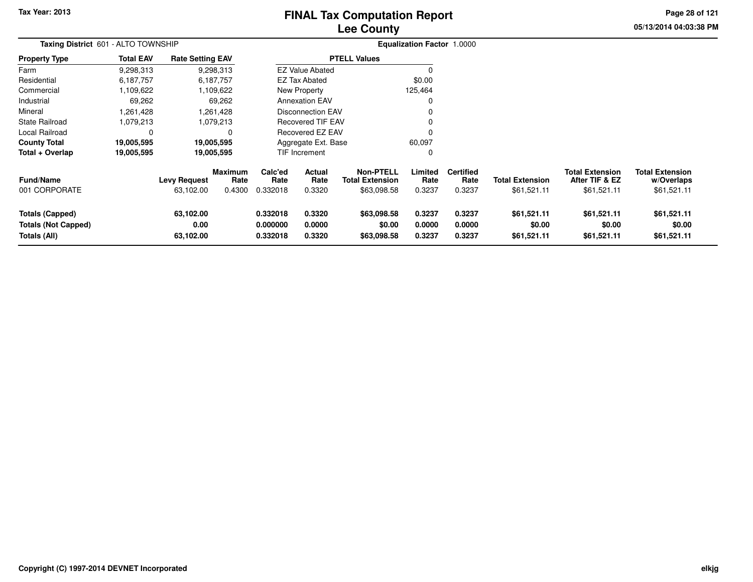# **Lee CountyFINAL Tax Computation Report**

**05/13/2014 04:03:38 PMPage 28 of 121**

|                                                                      | Taxing District 601 - ALTO TOWNSHIP |                                  |                                  |                                                                |                                 |                                                    | <b>Equalization Factor 1.0000</b> |                                    |                                       |                                                         |                                                     |
|----------------------------------------------------------------------|-------------------------------------|----------------------------------|----------------------------------|----------------------------------------------------------------|---------------------------------|----------------------------------------------------|-----------------------------------|------------------------------------|---------------------------------------|---------------------------------------------------------|-----------------------------------------------------|
| Property Type                                                        | <b>Total EAV</b>                    | <b>Rate Setting EAV</b>          |                                  |                                                                |                                 | <b>PTELL Values</b>                                |                                   |                                    |                                       |                                                         |                                                     |
| Farm                                                                 | 9,298,313                           |                                  | 9,298,313                        |                                                                | <b>EZ Value Abated</b>          |                                                    | O                                 |                                    |                                       |                                                         |                                                     |
| Residential                                                          | 6,187,757                           |                                  | 6,187,757                        |                                                                | <b>EZ Tax Abated</b>            |                                                    | \$0.00                            |                                    |                                       |                                                         |                                                     |
| Commercial                                                           | 1,109,622                           |                                  | 1,109,622                        |                                                                | New Property                    |                                                    | 125,464                           |                                    |                                       |                                                         |                                                     |
| Industrial                                                           | 69,262                              |                                  | 69,262                           |                                                                | <b>Annexation EAV</b>           |                                                    |                                   |                                    |                                       |                                                         |                                                     |
| Mineral                                                              | 1.261.428                           |                                  | 1,261,428                        |                                                                | <b>Disconnection EAV</b>        |                                                    |                                   |                                    |                                       |                                                         |                                                     |
| State Railroad                                                       | 1,079,213                           |                                  | 1,079,213                        | <b>Recovered TIF EAV</b>                                       |                                 |                                                    | 0                                 |                                    |                                       |                                                         |                                                     |
| Local Railroad                                                       |                                     |                                  | 0                                |                                                                | Recovered EZ EAV                |                                                    |                                   |                                    |                                       |                                                         |                                                     |
| County Total                                                         | 19,005,595                          |                                  | 19,005,595                       |                                                                | Aggregate Ext. Base             |                                                    | 60,097                            |                                    |                                       |                                                         |                                                     |
| Total + Overlap                                                      | 19,005,595                          |                                  | 19,005,595                       |                                                                | <b>TIF Increment</b>            |                                                    | 0                                 |                                    |                                       |                                                         |                                                     |
| Fund/Name<br>001 CORPORATE                                           |                                     | <b>Levy Request</b><br>63,102.00 | <b>Maximum</b><br>Rate<br>0.4300 | Calc'ed<br>Rate<br>0.332018                                    | <b>Actual</b><br>Rate<br>0.3320 | <b>Non-PTELL</b><br>Total Extension<br>\$63,098.58 | Limited<br>Rate<br>0.3237         | <b>Certified</b><br>Rate<br>0.3237 | <b>Total Extension</b><br>\$61,521.11 | <b>Total Extension</b><br>After TIF & EZ<br>\$61,521.11 | <b>Total Extension</b><br>w/Overlaps<br>\$61,521.11 |
| <b>Totals (Capped)</b><br><b>Totals (Not Capped)</b><br>Totals (All) |                                     | 63,102.00<br>0.00<br>63,102.00   |                                  | 0.332018<br>0.3320<br>0.000000<br>0.0000<br>0.332018<br>0.3320 |                                 | \$63,098.58<br>\$0.00<br>\$63,098.58               | 0.3237<br>0.0000<br>0.3237        | 0.3237<br>0.0000<br>0.3237         | \$61,521.11<br>\$0.00<br>\$61,521.11  | \$61,521.11<br>\$0.00<br>\$61,521.11                    | \$61,521.11<br>\$0.00<br>\$61,521.11                |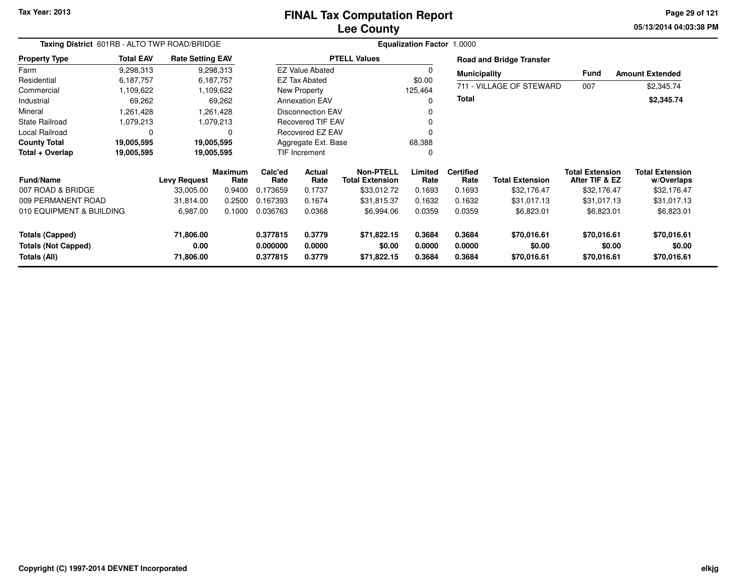# **Lee CountyFINAL Tax Computation Report**

**05/13/2014 04:03:38 PM Page 29 of 121**

|                                            | Taxing District 601RB - ALTO TWP ROAD/BRIDGE |                         |                 |                      |                                            |                       | <b>Equalization Factor 1.0000</b> |                        |                                          |                                      |                        |
|--------------------------------------------|----------------------------------------------|-------------------------|-----------------|----------------------|--------------------------------------------|-----------------------|-----------------------------------|------------------------|------------------------------------------|--------------------------------------|------------------------|
| <b>Property Type</b>                       | <b>Total EAV</b>                             | <b>Rate Setting EAV</b> |                 |                      |                                            | <b>PTELL Values</b>   |                                   |                        | <b>Road and Bridge Transfer</b>          |                                      |                        |
| Farm                                       | 9,298,313                                    |                         | 9,298,313       |                      | <b>EZ Value Abated</b>                     |                       |                                   | <b>Municipality</b>    |                                          | Fund                                 | <b>Amount Extended</b> |
| Residential                                | 6,187,757                                    |                         | 6,187,757       |                      | <b>EZ Tax Abated</b>                       |                       | \$0.00                            |                        |                                          |                                      |                        |
| Commercial                                 | 1,109,622                                    |                         | 1,109,622       |                      | New Property                               |                       | 125,464                           |                        | 711 - VILLAGE OF STEWARD                 | 007                                  | \$2,345.74             |
| Industrial                                 | 69,262                                       |                         | 69,262          |                      | <b>Annexation EAV</b>                      |                       |                                   | <b>Total</b>           |                                          |                                      | \$2,345.74             |
| Mineral                                    | 1,261,428                                    |                         | 1,261,428       |                      | Disconnection EAV                          |                       |                                   |                        |                                          |                                      |                        |
| <b>State Railroad</b>                      | 1,079,213                                    |                         | 1,079,213       |                      | Recovered TIF EAV                          |                       |                                   |                        |                                          |                                      |                        |
| Local Railroad                             | $\Omega$                                     |                         |                 |                      | <b>Recovered EZ EAV</b>                    |                       |                                   |                        |                                          |                                      |                        |
| <b>County Total</b>                        | 19,005,595                                   |                         | 19,005,595      |                      | Aggregate Ext. Base                        |                       | 68,388                            |                        |                                          |                                      |                        |
| Total + Overlap                            | 19,005,595                                   |                         | 19,005,595      |                      | <b>TIF Increment</b>                       |                       |                                   |                        |                                          |                                      |                        |
| <b>Fund/Name</b><br><b>Levy Request</b>    |                                              | <b>Maximum</b><br>Rate  | Calc'ed<br>Rate | Actual<br>Rate       | <b>Non-PTELL</b><br><b>Total Extension</b> | Limited<br>Rate       | <b>Certified</b><br>Rate          | <b>Total Extension</b> | <b>Total Extension</b><br>After TIF & EZ | <b>Total Extension</b><br>w/Overlaps |                        |
| 007 ROAD & BRIDGE                          |                                              | 33,005.00               | 0.9400          | 0.173659             | 0.1737                                     | \$33,012.72           | 0.1693                            | 0.1693                 | \$32,176.47                              | \$32,176.47                          | \$32,176.47            |
| 009 PERMANENT ROAD                         |                                              | 31,814.00               | 0.2500          | 0.167393             | 0.1674                                     | \$31,815.37           | 0.1632                            | 0.1632                 | \$31,017.13                              | \$31,017.13                          | \$31,017.13            |
| 010 EQUIPMENT & BUILDING                   |                                              | 6,987.00                | 0.1000          | 0.036763             | 0.0368                                     | \$6,994.06            | 0.0359                            | 0.0359                 | \$6,823.01                               | \$6,823.01                           | \$6,823.01             |
| <b>Totals (Capped)</b>                     |                                              | 71,806.00               |                 | 0.377815             | 0.3779                                     | \$71,822.15           | 0.3684                            | 0.3684                 | \$70,016.61                              | \$70,016.61                          | \$70,016.61            |
| <b>Totals (Not Capped)</b><br>Totals (All) |                                              | 0.00<br>71,806.00       |                 | 0.000000<br>0.377815 | 0.0000<br>0.3779                           | \$0.00<br>\$71,822.15 | 0.0000<br>0.3684                  | 0.0000<br>0.3684       | \$0.00<br>\$70,016.61                    | \$0.00<br>\$70,016.61                | \$0.00<br>\$70,016.61  |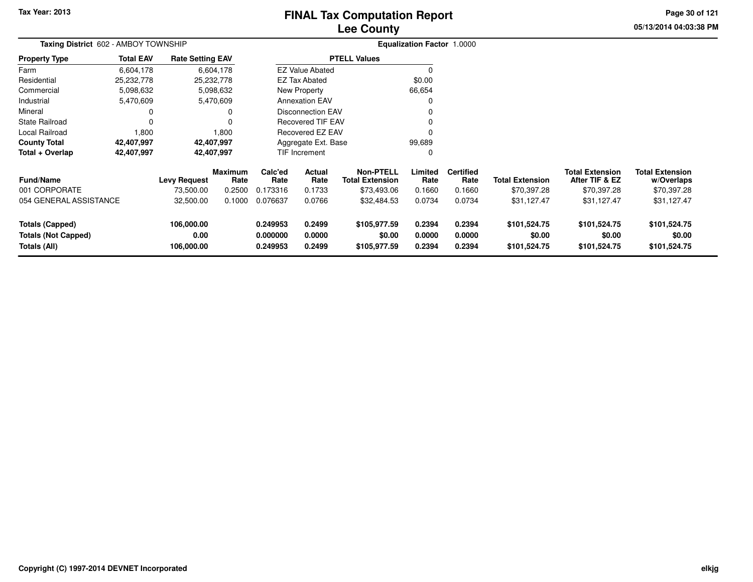# **Lee CountyFINAL Tax Computation Report**

**05/13/2014 04:03:38 PM Page 30 of 121**

|                                                               | Taxing District 602 - AMBOY TOWNSHIP |                                  |                 |                                  |                            |                                            | <b>Equalization Factor 1.0000</b> |                            |                                        |                                          |                                        |  |
|---------------------------------------------------------------|--------------------------------------|----------------------------------|-----------------|----------------------------------|----------------------------|--------------------------------------------|-----------------------------------|----------------------------|----------------------------------------|------------------------------------------|----------------------------------------|--|
| <b>Property Type</b>                                          | <b>Total EAV</b>                     | <b>Rate Setting EAV</b>          |                 |                                  |                            | <b>PTELL Values</b>                        |                                   |                            |                                        |                                          |                                        |  |
| Farm                                                          | 6,604,178                            |                                  | 6,604,178       |                                  | <b>EZ Value Abated</b>     |                                            | $\Omega$                          |                            |                                        |                                          |                                        |  |
| Residential                                                   | 25,232,778                           |                                  | 25,232,778      |                                  | <b>EZ Tax Abated</b>       |                                            | \$0.00                            |                            |                                        |                                          |                                        |  |
| Commercial                                                    | 5,098,632                            |                                  | 5,098,632       |                                  | New Property               |                                            | 66,654                            |                            |                                        |                                          |                                        |  |
| Industrial                                                    | 5,470,609                            |                                  | 5,470,609       |                                  | <b>Annexation EAV</b>      |                                            | 0                                 |                            |                                        |                                          |                                        |  |
| Mineral                                                       |                                      |                                  | 0               |                                  | Disconnection EAV          |                                            | 0                                 |                            |                                        |                                          |                                        |  |
| <b>State Railroad</b>                                         |                                      |                                  | $\Omega$        |                                  | <b>Recovered TIF EAV</b>   |                                            | 0                                 |                            |                                        |                                          |                                        |  |
| Local Railroad                                                | 1,800                                |                                  | 1,800           | Recovered EZ EAV                 |                            |                                            | 0                                 |                            |                                        |                                          |                                        |  |
| <b>County Total</b>                                           | 42,407,997                           |                                  | 42,407,997      | Aggregate Ext. Base              |                            |                                            | 99,689                            |                            |                                        |                                          |                                        |  |
| Total + Overlap                                               | 42,407,997                           |                                  | 42,407,997      |                                  | TIF Increment              |                                            | 0                                 |                            |                                        |                                          |                                        |  |
| <b>Fund/Name</b>                                              |                                      | <b>Levy Request</b>              | Maximum<br>Rate | Calc'ed<br>Rate                  | Actual<br>Rate             | <b>Non-PTELL</b><br><b>Total Extension</b> | Limited<br>Rate                   | <b>Certified</b><br>Rate   | <b>Total Extension</b>                 | <b>Total Extension</b><br>After TIF & EZ | <b>Total Extension</b><br>w/Overlaps   |  |
| 001 CORPORATE                                                 |                                      | 73,500.00                        | 0.2500          | 0.173316                         | 0.1733                     | \$73,493.06                                | 0.1660                            | 0.1660                     | \$70,397.28                            | \$70,397.28                              | \$70,397.28                            |  |
| 054 GENERAL ASSISTANCE                                        |                                      | 32,500.00                        | 0.1000          | 0.076637                         | 0.0766                     | \$32,484.53                                | 0.0734                            | 0.0734                     | \$31,127.47                            | \$31,127.47                              | \$31,127.47                            |  |
| Totals (Capped)<br><b>Totals (Not Capped)</b><br>Totals (All) |                                      | 106,000.00<br>0.00<br>106,000.00 |                 | 0.249953<br>0.000000<br>0.249953 | 0.2499<br>0.0000<br>0.2499 | \$105,977.59<br>\$0.00<br>\$105,977.59     | 0.2394<br>0.0000<br>0.2394        | 0.2394<br>0.0000<br>0.2394 | \$101,524.75<br>\$0.00<br>\$101,524.75 | \$101,524.75<br>\$0.00<br>\$101,524.75   | \$101,524.75<br>\$0.00<br>\$101,524.75 |  |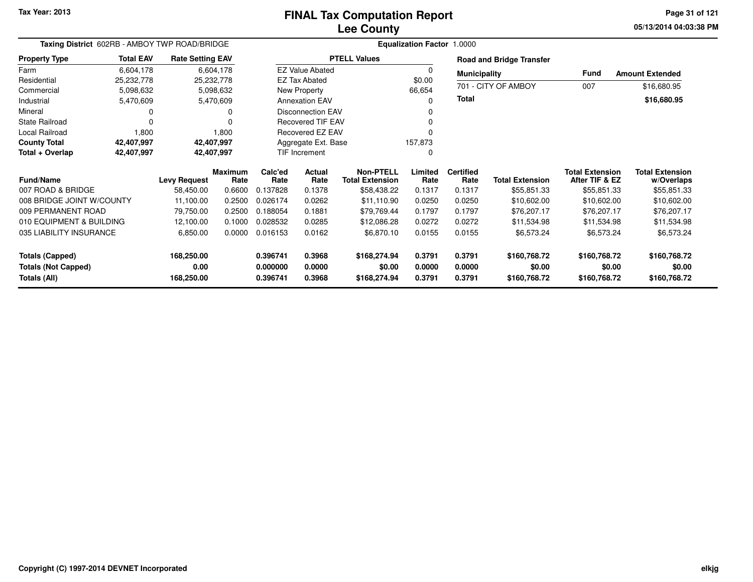#### **Lee CountyFINAL Tax Computation Report**

**05/13/2014 04:03:38 PM Page 31 of 121**

|                                                                      | Taxing District 602RB - AMBOY TWP ROAD/BRIDGE |                                  |                        |                                  |                                       |                                            | Equalization Factor 1.0000 |                            |                                        |                                          |                                        |
|----------------------------------------------------------------------|-----------------------------------------------|----------------------------------|------------------------|----------------------------------|---------------------------------------|--------------------------------------------|----------------------------|----------------------------|----------------------------------------|------------------------------------------|----------------------------------------|
| <b>Property Type</b>                                                 | <b>Total EAV</b>                              | <b>Rate Setting EAV</b>          |                        |                                  |                                       | <b>PTELL Values</b>                        |                            |                            | <b>Road and Bridge Transfer</b>        |                                          |                                        |
| Farm                                                                 | 6,604,178                                     |                                  | 6,604,178              |                                  | <b>EZ Value Abated</b>                |                                            |                            | <b>Municipality</b>        |                                        | <b>Fund</b>                              | <b>Amount Extended</b>                 |
| Residential<br>Commercial                                            | 25,232,778                                    | 25,232,778                       |                        |                                  | <b>EZ Tax Abated</b>                  |                                            | \$0.00<br>66,654           |                            | 701 - CITY OF AMBOY                    | 007                                      | \$16,680.95                            |
| Industrial                                                           | 5,098,632<br>5,470,609                        |                                  | 5,098,632<br>5,470,609 |                                  | New Property<br><b>Annexation EAV</b> |                                            |                            | Total                      |                                        |                                          | \$16,680.95                            |
| Mineral                                                              |                                               |                                  | 0                      |                                  | Disconnection EAV                     |                                            |                            |                            |                                        |                                          |                                        |
| <b>State Railroad</b>                                                | 0                                             |                                  | 0                      |                                  | Recovered TIF EAV                     |                                            |                            |                            |                                        |                                          |                                        |
| Local Railroad                                                       | 1,800                                         |                                  | 1,800                  |                                  | <b>Recovered EZ EAV</b>               |                                            |                            |                            |                                        |                                          |                                        |
| <b>County Total</b>                                                  | 42,407,997                                    | 42,407,997                       |                        |                                  | Aggregate Ext. Base                   |                                            | 157,873                    |                            |                                        |                                          |                                        |
| Total + Overlap                                                      | 42,407,997                                    | 42,407,997                       |                        |                                  | TIF Increment                         |                                            | 0                          |                            |                                        |                                          |                                        |
| <b>Fund/Name</b>                                                     |                                               | <b>Levy Request</b>              | <b>Maximum</b><br>Rate | Calc'ed<br>Rate                  | Actual<br>Rate                        | <b>Non-PTELL</b><br><b>Total Extension</b> | Limited<br>Rate            | <b>Certified</b><br>Rate   | <b>Total Extension</b>                 | <b>Total Extension</b><br>After TIF & EZ | <b>Total Extension</b><br>w/Overlaps   |
| 007 ROAD & BRIDGE                                                    |                                               | 58,450.00                        | 0.6600                 | 0.137828                         | 0.1378                                | \$58,438.22                                | 0.1317                     | 0.1317                     | \$55,851.33                            | \$55,851.33                              | \$55,851.33                            |
| 008 BRIDGE JOINT W/COUNTY                                            |                                               | 11,100.00                        | 0.2500                 | 0.026174                         | 0.0262                                | \$11,110.90                                | 0.0250                     | 0.0250                     | \$10,602.00                            | \$10,602.00                              | \$10,602.00                            |
| 009 PERMANENT ROAD                                                   |                                               | 79,750.00                        | 0.2500                 | 0.188054                         | 0.1881                                | \$79,769.44                                | 0.1797                     | 0.1797                     | \$76,207.17                            | \$76,207.17                              | \$76,207.17                            |
| 010 EQUIPMENT & BUILDING                                             |                                               | 12,100.00                        | 0.1000                 | 0.028532                         | 0.0285                                | \$12,086.28                                | 0.0272                     | 0.0272                     | \$11,534.98                            | \$11,534.98                              | \$11,534.98                            |
| 035 LIABILITY INSURANCE                                              |                                               | 6,850.00                         | 0.0000                 | 0.016153                         | 0.0162                                | \$6,870.10                                 | 0.0155                     | 0.0155                     | \$6,573.24                             | \$6,573.24                               | \$6,573.24                             |
| <b>Totals (Capped)</b><br><b>Totals (Not Capped)</b><br>Totals (All) |                                               | 168,250.00<br>0.00<br>168,250.00 |                        | 0.396741<br>0.000000<br>0.396741 | 0.3968<br>0.0000<br>0.3968            | \$168,274.94<br>\$0.00<br>\$168,274.94     | 0.3791<br>0.0000<br>0.3791 | 0.3791<br>0.0000<br>0.3791 | \$160,768.72<br>\$0.00<br>\$160,768.72 | \$160,768.72<br>\$0.00<br>\$160,768.72   | \$160,768.72<br>\$0.00<br>\$160,768.72 |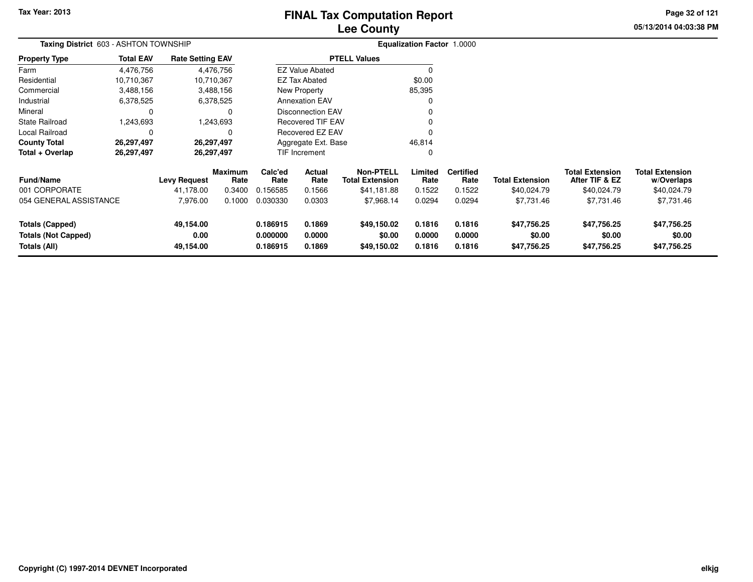# **Lee CountyFINAL Tax Computation Report**

**05/13/2014 04:03:38 PM Page 32 of 121**

|                                                                                                        | Taxing District 603 - ASHTON TOWNSHIP |                         |                                  |                            |                                      |                                            | <b>Equalization Factor 1.0000</b> |                                      |                                      |                                          |                                      |
|--------------------------------------------------------------------------------------------------------|---------------------------------------|-------------------------|----------------------------------|----------------------------|--------------------------------------|--------------------------------------------|-----------------------------------|--------------------------------------|--------------------------------------|------------------------------------------|--------------------------------------|
| <b>Property Type</b>                                                                                   | <b>Total EAV</b>                      | <b>Rate Setting EAV</b> |                                  |                            |                                      | <b>PTELL Values</b>                        |                                   |                                      |                                      |                                          |                                      |
| Farm                                                                                                   | 4,476,756                             |                         | 4,476,756                        |                            | <b>EZ Value Abated</b>               |                                            | 0                                 |                                      |                                      |                                          |                                      |
| Residential                                                                                            | 10,710,367                            |                         | 10,710,367                       |                            | <b>EZ Tax Abated</b>                 |                                            | \$0.00                            |                                      |                                      |                                          |                                      |
| Commercial                                                                                             | 3,488,156                             |                         | 3,488,156                        |                            | New Property                         |                                            | 85,395                            |                                      |                                      |                                          |                                      |
| Industrial                                                                                             | 6,378,525                             |                         | 6,378,525                        |                            | <b>Annexation EAV</b>                |                                            | 0                                 |                                      |                                      |                                          |                                      |
| Mineral                                                                                                |                                       |                         | 0                                |                            | Disconnection EAV                    |                                            |                                   |                                      |                                      |                                          |                                      |
| <b>State Railroad</b>                                                                                  | 1,243,693                             |                         | 1,243,693                        |                            | <b>Recovered TIF EAV</b>             |                                            |                                   |                                      |                                      |                                          |                                      |
| Local Railroad                                                                                         |                                       |                         | 0                                | Recovered EZ EAV           |                                      |                                            |                                   |                                      |                                      |                                          |                                      |
| <b>County Total</b>                                                                                    | 26,297,497                            |                         | 26,297,497                       | Aggregate Ext. Base        |                                      |                                            | 46,814                            |                                      |                                      |                                          |                                      |
| Total + Overlap                                                                                        | 26,297,497                            |                         | 26,297,497                       |                            | <b>TIF Increment</b>                 |                                            | 0                                 |                                      |                                      |                                          |                                      |
| <b>Maximum</b><br><b>Fund/Name</b><br>Levy Request                                                     |                                       |                         | Rate                             | Calc'ed<br>Rate            | Actual<br>Rate                       | <b>Non-PTELL</b><br><b>Total Extension</b> | Limited<br>Rate                   | <b>Certified</b><br>Rate             | <b>Total Extension</b>               | <b>Total Extension</b><br>After TIF & EZ | <b>Total Extension</b><br>w/Overlaps |
| 001 CORPORATE                                                                                          |                                       | 41,178.00               | 0.3400                           | 0.156585                   | 0.1566                               | \$41,181.88                                | 0.1522                            | 0.1522                               | \$40,024.79                          | \$40,024.79                              | \$40,024.79                          |
| 054 GENERAL ASSISTANCE<br>7,976.00                                                                     |                                       | 0.1000                  | 0.030330                         | 0.0303                     | \$7,968.14                           | 0.0294                                     | 0.0294                            | \$7,731.46                           | \$7,731.46                           | \$7,731.46                               |                                      |
| 49,154.00<br><b>Totals (Capped)</b><br>0.00<br><b>Totals (Not Capped)</b><br>Totals (All)<br>49,154.00 |                                       |                         | 0.186915<br>0.000000<br>0.186915 | 0.1869<br>0.0000<br>0.1869 | \$49,150.02<br>\$0.00<br>\$49,150.02 | 0.1816<br>0.0000<br>0.1816                 | 0.1816<br>0.0000<br>0.1816        | \$47,756.25<br>\$0.00<br>\$47,756.25 | \$47,756.25<br>\$0.00<br>\$47,756.25 | \$47,756.25<br>\$0.00<br>\$47,756.25     |                                      |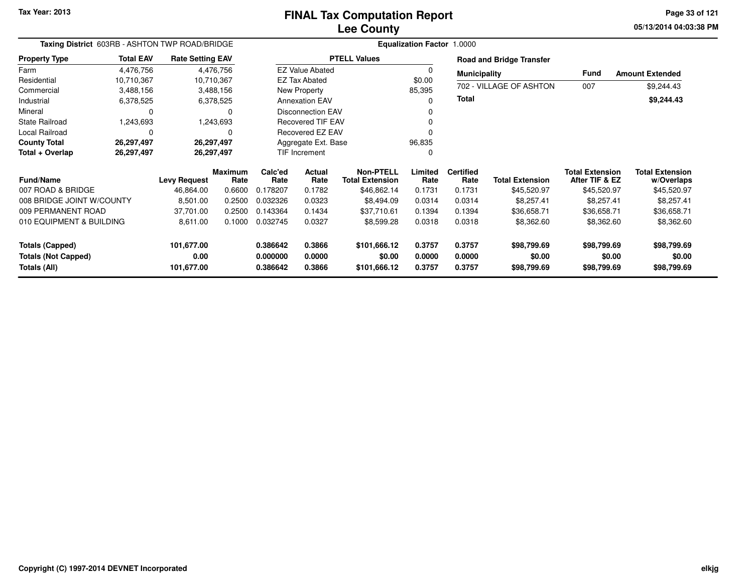# **Lee CountyFINAL Tax Computation Report**

**05/13/2014 04:03:38 PM Page 33 of 121**

|                                            | Taxing District 603RB - ASHTON TWP ROAD/BRIDGE |                         |                        |                      |                          |                                            | <b>Equalization Factor 1.0000</b> |                          |                                 |                                          |                                      |
|--------------------------------------------|------------------------------------------------|-------------------------|------------------------|----------------------|--------------------------|--------------------------------------------|-----------------------------------|--------------------------|---------------------------------|------------------------------------------|--------------------------------------|
| <b>Property Type</b>                       | <b>Total EAV</b>                               | <b>Rate Setting EAV</b> |                        |                      |                          | <b>PTELL Values</b>                        |                                   |                          | <b>Road and Bridge Transfer</b> |                                          |                                      |
| Farm                                       | 4,476,756                                      |                         | 4,476,756              |                      | <b>EZ Value Abated</b>   |                                            |                                   | <b>Municipality</b>      |                                 | <b>Fund</b>                              | <b>Amount Extended</b>               |
| Residential                                | 10,710,367                                     | 10,710,367              |                        |                      | <b>EZ Tax Abated</b>     |                                            | \$0.00                            |                          |                                 |                                          |                                      |
| Commercial                                 | 3,488,156                                      |                         | 3,488,156              |                      | New Property             |                                            | 85,395                            |                          | 702 - VILLAGE OF ASHTON         | 007                                      | \$9,244.43                           |
| Industrial                                 | 6,378,525                                      |                         | 6,378,525              |                      | <b>Annexation EAV</b>    |                                            |                                   | Total                    |                                 |                                          | \$9,244.43                           |
| Mineral                                    | 0                                              |                         | 0                      |                      | <b>Disconnection EAV</b> |                                            |                                   |                          |                                 |                                          |                                      |
| <b>State Railroad</b>                      | 1,243,693                                      |                         | 1,243,693              |                      | <b>Recovered TIF EAV</b> |                                            |                                   |                          |                                 |                                          |                                      |
| <b>Local Railroad</b>                      | 0                                              |                         | 0                      |                      | Recovered EZ EAV         |                                            |                                   |                          |                                 |                                          |                                      |
| <b>County Total</b>                        | 26,297,497                                     | 26,297,497              |                        |                      | Aggregate Ext. Base      |                                            | 96,835                            |                          |                                 |                                          |                                      |
| Total + Overlap                            | 26,297,497                                     | 26,297,497              |                        | TIF Increment        |                          |                                            | 0                                 |                          |                                 |                                          |                                      |
| <b>Fund/Name</b>                           |                                                | <b>Levy Request</b>     | <b>Maximum</b><br>Rate | Calc'ed<br>Rate      | Actual<br>Rate           | <b>Non-PTELL</b><br><b>Total Extension</b> | Limited<br>Rate                   | <b>Certified</b><br>Rate | <b>Total Extension</b>          | <b>Total Extension</b><br>After TIF & EZ | <b>Total Extension</b><br>w/Overlaps |
| 007 ROAD & BRIDGE                          |                                                | 46,864.00               | 0.6600                 | 0.178207             | 0.1782                   | \$46,862.14                                | 0.1731                            | 0.1731                   | \$45,520.97                     | \$45,520.97                              | \$45,520.97                          |
| 008 BRIDGE JOINT W/COUNTY                  |                                                | 8,501.00                | 0.2500                 | 0.032326             | 0.0323                   | \$8,494.09                                 | 0.0314                            | 0.0314                   | \$8,257.41                      | \$8,257.41                               | \$8,257.41                           |
| 009 PERMANENT ROAD                         |                                                | 37,701.00               | 0.2500                 | 0.143364             | 0.1434                   | \$37,710.61                                | 0.1394                            | 0.1394                   | \$36,658.71                     | \$36,658.71                              | \$36,658.71                          |
| 010 EQUIPMENT & BUILDING                   |                                                | 8,611.00                | 0.1000                 | 0.032745             | 0.0327                   | \$8,599.28                                 | 0.0318                            | 0.0318                   | \$8,362.60                      | \$8,362.60                               | \$8,362.60                           |
| <b>Totals (Capped)</b>                     |                                                | 101,677.00              |                        | 0.386642             | 0.3866                   | \$101,666.12                               | 0.3757                            | 0.3757                   | \$98,799.69                     | \$98,799.69                              | \$98,799.69                          |
| <b>Totals (Not Capped)</b><br>Totals (All) |                                                | 0.00<br>101,677.00      |                        | 0.000000<br>0.386642 | 0.0000<br>0.3866         | \$0.00<br>\$101,666.12                     | 0.0000<br>0.3757                  | 0.0000<br>0.3757         | \$0.00<br>\$98,799.69           | \$0.00<br>\$98,799.69                    | \$0.00<br>\$98,799.69                |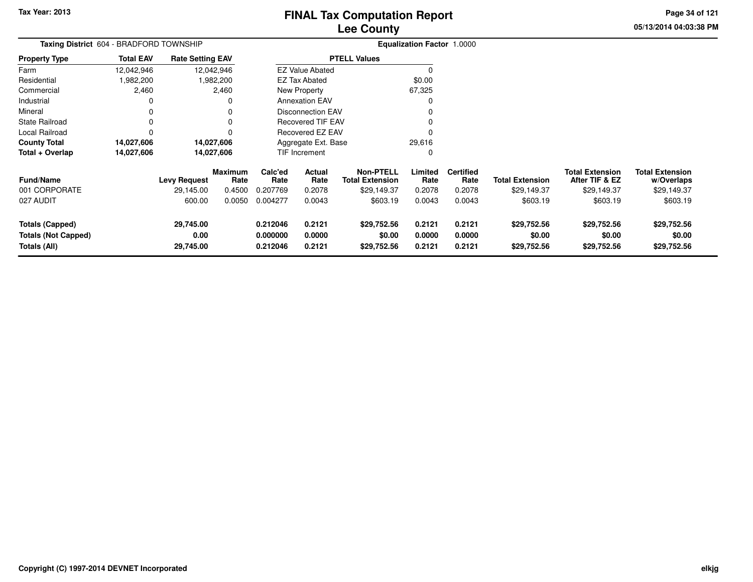**05/13/2014 04:03:38 PM Page 34 of 121**

|                                                               | Taxing District 604 - BRADFORD TOWNSHIP |                                |                        |                                                                |                          |                                            | <b>Equalization Factor 1.0000</b> |                            |                                      |                                          |                                      |
|---------------------------------------------------------------|-----------------------------------------|--------------------------------|------------------------|----------------------------------------------------------------|--------------------------|--------------------------------------------|-----------------------------------|----------------------------|--------------------------------------|------------------------------------------|--------------------------------------|
| <b>Property Type</b>                                          | <b>Total EAV</b>                        | <b>Rate Setting EAV</b>        |                        |                                                                |                          | <b>PTELL Values</b>                        |                                   |                            |                                      |                                          |                                      |
| Farm                                                          | 12,042,946                              |                                | 12,042,946             |                                                                | <b>EZ Value Abated</b>   |                                            | $\Omega$                          |                            |                                      |                                          |                                      |
| Residential                                                   | 1,982,200                               |                                | ,982,200               |                                                                | <b>EZ Tax Abated</b>     |                                            | \$0.00                            |                            |                                      |                                          |                                      |
| Commercial                                                    | 2,460                                   |                                | 2,460                  |                                                                | New Property             |                                            | 67,325                            |                            |                                      |                                          |                                      |
| Industrial                                                    | 0                                       |                                |                        |                                                                | <b>Annexation EAV</b>    |                                            | $\Omega$                          |                            |                                      |                                          |                                      |
| Mineral                                                       | 0                                       |                                |                        |                                                                | <b>Disconnection EAV</b> |                                            |                                   |                            |                                      |                                          |                                      |
| <b>State Railroad</b>                                         | $\Omega$                                |                                |                        | <b>Recovered TIF EAV</b>                                       |                          |                                            |                                   |                            |                                      |                                          |                                      |
| Local Railroad                                                | $\Omega$                                |                                |                        | Recovered EZ EAV                                               |                          |                                            | 0                                 |                            |                                      |                                          |                                      |
| <b>County Total</b>                                           | 14,027,606                              |                                | 14,027,606             |                                                                | Aggregate Ext. Base      |                                            | 29,616                            |                            |                                      |                                          |                                      |
| Total + Overlap                                               | 14,027,606                              |                                | 14,027,606             |                                                                | TIF Increment            |                                            | 0                                 |                            |                                      |                                          |                                      |
| <b>Fund/Name</b>                                              |                                         | <b>Levy Request</b>            | <b>Maximum</b><br>Rate | Calc'ed<br><b>Actual</b><br>Rate<br>Rate                       |                          | <b>Non-PTELL</b><br><b>Total Extension</b> | Limited<br>Rate                   | <b>Certified</b><br>Rate   | <b>Total Extension</b>               | <b>Total Extension</b><br>After TIF & EZ | <b>Total Extension</b><br>w/Overlaps |
| 001 CORPORATE                                                 |                                         | 29,145.00                      | 0.4500                 | 0.207769                                                       | 0.2078                   | \$29,149.37                                | 0.2078                            | 0.2078                     | \$29,149.37                          | \$29,149.37                              | \$29,149.37                          |
| 027 AUDIT                                                     |                                         | 600.00                         | 0.0050                 | 0.004277<br>0.0043                                             |                          | \$603.19                                   | 0.0043                            | 0.0043                     | \$603.19                             | \$603.19                                 | \$603.19                             |
| Totals (Capped)<br><b>Totals (Not Capped)</b><br>Totals (All) |                                         | 29,745.00<br>0.00<br>29,745.00 |                        | 0.212046<br>0.2121<br>0.000000<br>0.0000<br>0.212046<br>0.2121 |                          | \$29,752.56<br>\$0.00<br>\$29,752.56       | 0.2121<br>0.0000<br>0.2121        | 0.2121<br>0.0000<br>0.2121 | \$29,752.56<br>\$0.00<br>\$29,752.56 | \$29,752.56<br>\$0.00<br>\$29,752.56     | \$29,752.56<br>\$0.00<br>\$29,752.56 |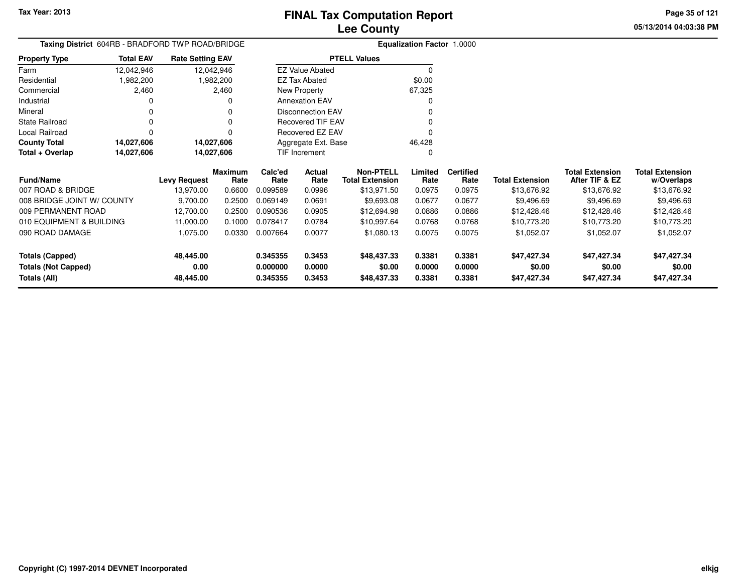**05/13/2014 04:03:38 PMPage 35 of 121**

|                            | Taxing District 604RB - BRADFORD TWP ROAD/BRIDGE |                         |                        |                     |                          |                                            | Equalization Factor 1.0000 |                          |                        |                                          |                                      |
|----------------------------|--------------------------------------------------|-------------------------|------------------------|---------------------|--------------------------|--------------------------------------------|----------------------------|--------------------------|------------------------|------------------------------------------|--------------------------------------|
| <b>Property Type</b>       | <b>Total EAV</b>                                 | <b>Rate Setting EAV</b> |                        |                     |                          | <b>PTELL Values</b>                        |                            |                          |                        |                                          |                                      |
| Farm                       | 12,042,946                                       |                         | 12,042,946             |                     | <b>EZ Value Abated</b>   |                                            | 0                          |                          |                        |                                          |                                      |
| Residential                | 1,982,200                                        |                         | 1,982,200              |                     | <b>EZ Tax Abated</b>     |                                            | \$0.00                     |                          |                        |                                          |                                      |
| Commercial                 | 2,460                                            |                         | 2,460                  |                     | New Property             |                                            | 67,325                     |                          |                        |                                          |                                      |
| Industrial                 |                                                  |                         |                        |                     | <b>Annexation EAV</b>    |                                            |                            |                          |                        |                                          |                                      |
| Mineral                    |                                                  |                         |                        |                     | <b>Disconnection EAV</b> |                                            |                            |                          |                        |                                          |                                      |
| <b>State Railroad</b>      |                                                  |                         |                        |                     | Recovered TIF EAV        |                                            |                            |                          |                        |                                          |                                      |
| Local Railroad             |                                                  |                         |                        |                     | Recovered EZ EAV         |                                            |                            |                          |                        |                                          |                                      |
| <b>County Total</b>        | 14,027,606                                       |                         | 14,027,606             | Aggregate Ext. Base |                          |                                            | 46,428                     |                          |                        |                                          |                                      |
| Total + Overlap            | 14,027,606                                       |                         | 14,027,606             |                     | <b>TIF Increment</b>     |                                            | 0                          |                          |                        |                                          |                                      |
| <b>Fund/Name</b>           |                                                  | <b>Levy Request</b>     | <b>Maximum</b><br>Rate | Calc'ed<br>Rate     | Actual<br>Rate           | <b>Non-PTELL</b><br><b>Total Extension</b> | Limited<br>Rate            | <b>Certified</b><br>Rate | <b>Total Extension</b> | <b>Total Extension</b><br>After TIF & EZ | <b>Total Extension</b><br>w/Overlaps |
| 007 ROAD & BRIDGE          |                                                  | 13,970.00               | 0.6600                 | 0.099589            | 0.0996                   | \$13,971.50                                | 0.0975                     | 0.0975                   | \$13,676.92            | \$13,676.92                              | \$13,676.92                          |
| 008 BRIDGE JOINT W/ COUNTY |                                                  | 9,700.00                | 0.2500                 | 0.069149            | 0.0691                   | \$9,693.08                                 | 0.0677                     | 0.0677                   | \$9,496.69             | \$9,496.69                               | \$9,496.69                           |
| 009 PERMANENT ROAD         |                                                  | 12,700.00               | 0.2500                 | 0.090536            | 0.0905                   | \$12,694.98                                | 0.0886                     | 0.0886                   | \$12,428.46            | \$12,428.46                              | \$12,428.46                          |
| 010 EQUIPMENT & BUILDING   |                                                  | 11,000.00               | 0.1000                 | 0.078417            | 0.0784                   | \$10,997.64                                | 0.0768                     | 0.0768                   | \$10,773.20            | \$10,773.20                              | \$10,773.20                          |
| 090 ROAD DAMAGE            |                                                  | 1,075.00                | 0.0330                 | 0.007664            | 0.0077                   | \$1,080.13                                 | 0.0075                     | 0.0075                   | \$1,052.07             | \$1,052.07                               | \$1,052.07                           |
| <b>Totals (Capped)</b>     |                                                  | 48,445.00               |                        | 0.345355            | 0.3453                   | \$48,437.33                                | 0.3381                     | 0.3381                   | \$47,427.34            | \$47,427.34                              | \$47,427.34                          |
| <b>Totals (Not Capped)</b> |                                                  | 0.00                    |                        | 0.000000            | 0.0000                   | \$0.00                                     | 0.0000                     | 0.0000                   | \$0.00                 | \$0.00                                   | \$0.00                               |
| <b>Totals (All)</b>        |                                                  | 48,445.00               |                        | 0.345355            | 0.3453                   | \$48,437.33                                | 0.3381                     | 0.3381                   | \$47,427.34            | \$47,427.34                              | \$47,427.34                          |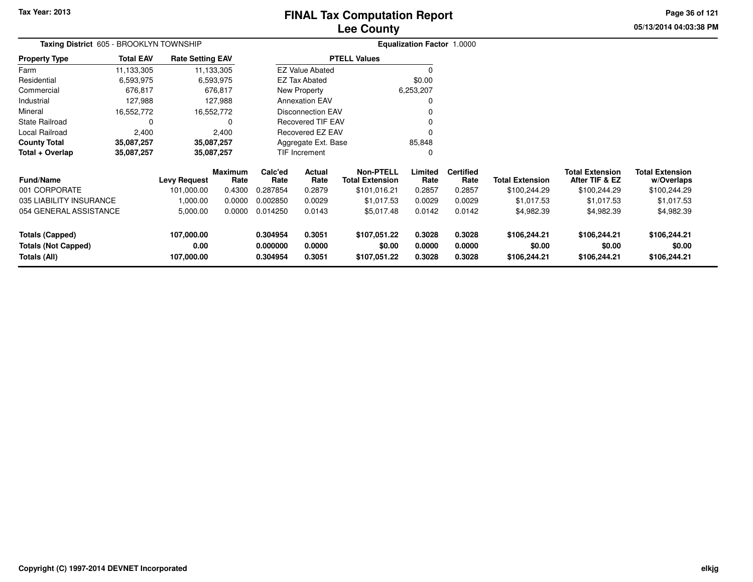# **Lee CountyFINAL Tax Computation Report**

**05/13/2014 04:03:38 PM Page 36 of 121**

|                                                                      | Taxing District 605 - BROOKLYN TOWNSHIP |                                  |                 |                                  |                                            |                                        | <b>Equalization Factor 1.0000</b> |                            |                                          |                                        |                                        |  |
|----------------------------------------------------------------------|-----------------------------------------|----------------------------------|-----------------|----------------------------------|--------------------------------------------|----------------------------------------|-----------------------------------|----------------------------|------------------------------------------|----------------------------------------|----------------------------------------|--|
| <b>Property Type</b>                                                 | <b>Total EAV</b>                        | <b>Rate Setting EAV</b>          |                 |                                  |                                            | <b>PTELL Values</b>                    |                                   |                            |                                          |                                        |                                        |  |
| Farm                                                                 | 11,133,305                              |                                  | 11,133,305      |                                  | <b>EZ Value Abated</b>                     |                                        |                                   |                            |                                          |                                        |                                        |  |
| Residential                                                          | 6,593,975                               |                                  | 6,593,975       |                                  | <b>EZ Tax Abated</b>                       |                                        | \$0.00                            |                            |                                          |                                        |                                        |  |
| Commercial                                                           | 676,817                                 |                                  | 676,817         |                                  | New Property                               |                                        | 6,253,207                         |                            |                                          |                                        |                                        |  |
| Industrial                                                           | 127,988                                 |                                  | 127,988         |                                  | <b>Annexation EAV</b>                      |                                        |                                   |                            |                                          |                                        |                                        |  |
| Mineral                                                              | 16,552,772                              |                                  | 16,552,772      | <b>Disconnection EAV</b>         |                                            |                                        |                                   |                            |                                          |                                        |                                        |  |
| <b>State Railroad</b>                                                | 0                                       |                                  | 0               |                                  | <b>Recovered TIF EAV</b>                   |                                        |                                   |                            |                                          |                                        |                                        |  |
| Local Railroad                                                       | 2,400                                   |                                  | 2,400           |                                  | Recovered EZ EAV                           |                                        |                                   |                            |                                          |                                        |                                        |  |
| <b>County Total</b>                                                  | 35,087,257                              |                                  | 35,087,257      | Aggregate Ext. Base              |                                            |                                        | 85,848                            |                            |                                          |                                        |                                        |  |
| Total + Overlap                                                      | 35,087,257                              |                                  | 35,087,257      |                                  | TIF Increment                              |                                        | 0                                 |                            |                                          |                                        |                                        |  |
| <b>Fund/Name</b><br><b>Levy Request</b>                              |                                         | <b>Maximum</b><br>Rate           | Calc'ed<br>Rate | Actual<br>Rate                   | <b>Non-PTELL</b><br><b>Total Extension</b> | Limited<br>Rate                        | <b>Certified</b><br>Rate          | <b>Total Extension</b>     | <b>Total Extension</b><br>After TIF & EZ | <b>Total Extension</b><br>w/Overlaps   |                                        |  |
| 001 CORPORATE                                                        |                                         | 101,000.00                       | 0.4300          | 0.287854                         | 0.2879                                     | \$101,016.21                           | 0.2857                            | 0.2857                     | \$100,244.29                             | \$100,244.29                           | \$100,244.29                           |  |
| 035 LIABILITY INSURANCE                                              |                                         | 1,000.00                         | 0.0000          | 0.002850                         | 0.0029                                     | \$1,017.53                             | 0.0029                            | 0.0029                     | \$1,017.53                               | \$1,017.53                             | \$1,017.53                             |  |
| 054 GENERAL ASSISTANCE                                               |                                         | 5,000.00                         | 0.0000          | 0.014250                         | 0.0143                                     | \$5,017.48                             | 0.0142                            | 0.0142                     | \$4,982.39                               | \$4,982.39                             | \$4,982.39                             |  |
| <b>Totals (Capped)</b><br><b>Totals (Not Capped)</b><br>Totals (All) |                                         | 107,000.00<br>0.00<br>107,000.00 |                 | 0.304954<br>0.000000<br>0.304954 | 0.3051<br>0.0000<br>0.3051                 | \$107,051.22<br>\$0.00<br>\$107,051.22 | 0.3028<br>0.0000<br>0.3028        | 0.3028<br>0.0000<br>0.3028 | \$106,244.21<br>\$0.00<br>\$106,244.21   | \$106,244.21<br>\$0.00<br>\$106,244.21 | \$106,244.21<br>\$0.00<br>\$106,244.21 |  |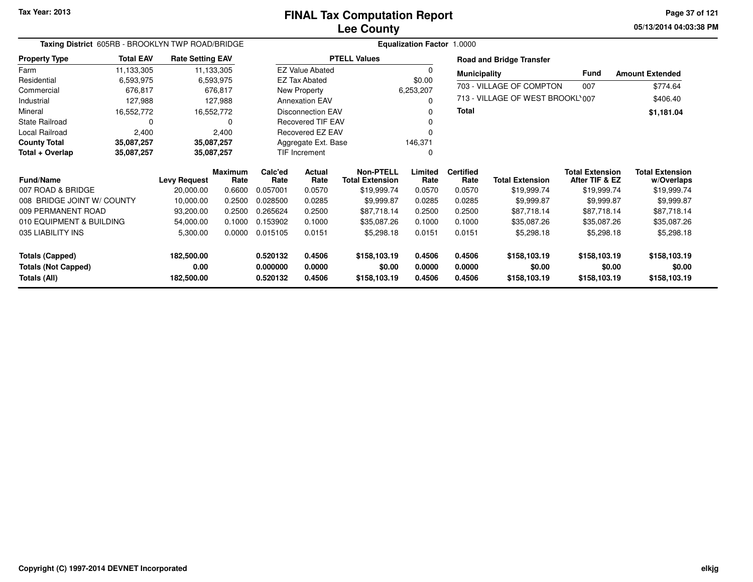**05/13/2014 04:03:38 PM Page 37 of 121**

| Taxing District 605RB - BROOKLYN TWP ROAD/BRIDGE |                  |                         |                        |                 |                               |                                            | <b>Equalization Factor 1.0000</b> |                          |                                  |                                          |                                      |
|--------------------------------------------------|------------------|-------------------------|------------------------|-----------------|-------------------------------|--------------------------------------------|-----------------------------------|--------------------------|----------------------------------|------------------------------------------|--------------------------------------|
| <b>Property Type</b>                             | <b>Total EAV</b> | <b>Rate Setting EAV</b> |                        |                 |                               | <b>PTELL Values</b>                        |                                   |                          | <b>Road and Bridge Transfer</b>  |                                          |                                      |
| Farm                                             | 11,133,305       |                         | 11,133,305             |                 | <b>EZ Value Abated</b>        |                                            | 0                                 | <b>Municipality</b>      |                                  | <b>Fund</b>                              | <b>Amount Extended</b>               |
| Residential                                      | 6,593,975        |                         | 6,593,975              |                 | <b>EZ Tax Abated</b>          |                                            | \$0.00                            |                          | 703 - VILLAGE OF COMPTON         | 007                                      | \$774.64                             |
| Commercial                                       | 676,817          |                         | 676,817                |                 | New Property                  |                                            | 6,253,207                         |                          |                                  |                                          |                                      |
| Industrial                                       | 127,988          |                         | 127,988                |                 | <b>Annexation EAV</b>         |                                            | 0                                 |                          | 713 - VILLAGE OF WEST BROOKL'007 |                                          | \$406.40                             |
| Mineral                                          | 16,552,772       |                         | 16,552,772             |                 | Disconnection EAV             |                                            | 0                                 | Total                    |                                  |                                          | \$1,181.04                           |
| <b>State Railroad</b>                            | 0                |                         | 0                      |                 | <b>Recovered TIF EAV</b><br>0 |                                            |                                   |                          |                                  |                                          |                                      |
| Local Railroad                                   | 2,400            |                         | 2,400                  |                 | Recovered EZ EAV              |                                            | 0                                 |                          |                                  |                                          |                                      |
| <b>County Total</b>                              | 35,087,257       | 35,087,257              |                        |                 | Aggregate Ext. Base           |                                            | 146,371                           |                          |                                  |                                          |                                      |
| Total + Overlap                                  | 35,087,257       | 35,087,257              |                        |                 | TIF Increment                 | 0                                          |                                   |                          |                                  |                                          |                                      |
| <b>Fund/Name</b>                                 |                  | <b>Levy Request</b>     | <b>Maximum</b><br>Rate | Calc'ed<br>Rate | <b>Actual</b><br>Rate         | <b>Non-PTELL</b><br><b>Total Extension</b> | Limited<br>Rate                   | <b>Certified</b><br>Rate | <b>Total Extension</b>           | <b>Total Extension</b><br>After TIF & EZ | <b>Total Extension</b><br>w/Overlaps |
| 007 ROAD & BRIDGE                                |                  | 20,000.00               | 0.6600                 | 0.057001        | 0.0570                        | \$19,999.74                                | 0.0570                            | 0.0570                   | \$19,999.74                      | \$19,999.74                              | \$19,999.74                          |
| 008 BRIDGE JOINT W/ COUNTY                       |                  | 10,000.00               | 0.2500                 | 0.028500        | 0.0285                        | \$9,999.87                                 | 0.0285                            | 0.0285                   | \$9,999.87                       | \$9,999.87                               | \$9,999.87                           |
| 009 PERMANENT ROAD                               |                  | 93,200.00               | 0.2500                 | 0.265624        | 0.2500                        | \$87,718.14                                | 0.2500                            | 0.2500                   | \$87,718.14                      | \$87,718.14                              | \$87,718.14                          |
| 010 EQUIPMENT & BUILDING                         |                  | 54,000.00               | 0.1000                 | 0.153902        | 0.1000                        | \$35,087.26                                | 0.1000                            | 0.1000                   | \$35,087.26                      | \$35,087.26                              | \$35,087.26                          |
| 035 LIABILITY INS                                |                  | 5,300.00                | 0.0000                 | 0.015105        | 0.0151                        | \$5,298.18                                 | 0.0151                            | 0.0151                   | \$5,298.18                       | \$5,298.18                               | \$5,298.18                           |
| <b>Totals (Capped)</b>                           |                  | 182,500.00              |                        | 0.520132        | 0.4506                        | \$158,103.19                               | 0.4506                            | 0.4506                   | \$158,103.19                     | \$158,103.19                             | \$158,103.19                         |
| <b>Totals (Not Capped)</b>                       |                  | 0.00                    |                        | 0.000000        | 0.0000                        | \$0.00                                     | 0.0000                            | 0.0000                   | \$0.00                           | \$0.00                                   | \$0.00                               |
| Totals (All)                                     |                  | 182,500.00              |                        | 0.520132        | 0.4506                        | \$158,103.19                               | 0.4506                            | 0.4506                   | \$158,103.19                     | \$158,103.19                             | \$158,103.19                         |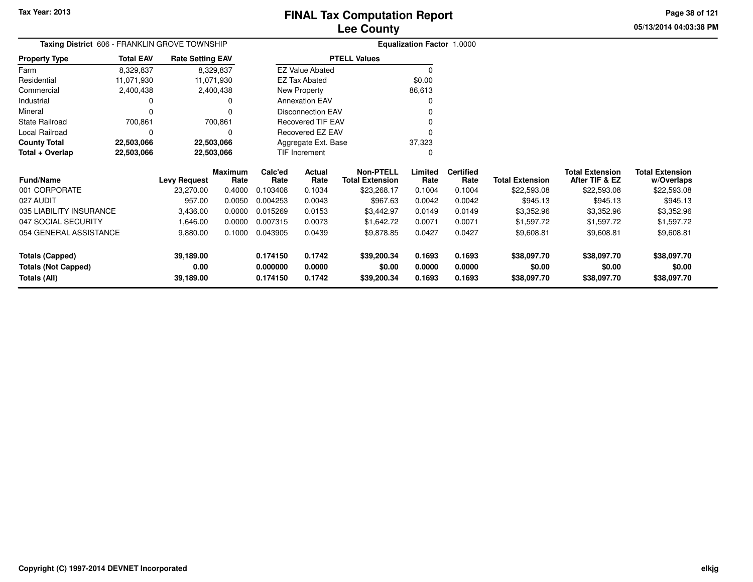**05/13/2014 04:03:38 PMPage 38 of 121**

| Taxing District 606 - FRANKLIN GROVE TOWNSHIP |                          |                         |                        |                     | <b>Equalization Factor 1.0000</b> |                                            |                 |                          |                        |                                          |                                      |
|-----------------------------------------------|--------------------------|-------------------------|------------------------|---------------------|-----------------------------------|--------------------------------------------|-----------------|--------------------------|------------------------|------------------------------------------|--------------------------------------|
| <b>Property Type</b>                          | <b>Total EAV</b>         | <b>Rate Setting EAV</b> |                        |                     |                                   | <b>PTELL Values</b>                        |                 |                          |                        |                                          |                                      |
| Farm                                          | 8,329,837                | 8,329,837               |                        |                     | <b>EZ Value Abated</b>            |                                            | $\Omega$        |                          |                        |                                          |                                      |
| Residential                                   | 11,071,930               | 11,071,930              |                        |                     | <b>EZ Tax Abated</b>              |                                            | \$0.00          |                          |                        |                                          |                                      |
| Commercial                                    | 2,400,438                | 2,400,438               |                        |                     | New Property                      |                                            | 86,613          |                          |                        |                                          |                                      |
| Industrial                                    |                          |                         |                        |                     | <b>Annexation EAV</b>             |                                            |                 |                          |                        |                                          |                                      |
| Mineral                                       |                          |                         |                        |                     | <b>Disconnection EAV</b>          |                                            |                 |                          |                        |                                          |                                      |
| <b>State Railroad</b>                         | 700,861                  |                         | 700,861                |                     | <b>Recovered TIF EAV</b>          |                                            |                 |                          |                        |                                          |                                      |
| Local Railroad                                |                          |                         | n                      |                     | Recovered EZ EAV                  |                                            |                 |                          |                        |                                          |                                      |
| <b>County Total</b>                           | 22,503,066               | 22,503,066              |                        | Aggregate Ext. Base |                                   |                                            | 37,323          |                          |                        |                                          |                                      |
| Total + Overlap                               | 22,503,066<br>22,503,066 |                         |                        |                     | TIF Increment                     |                                            |                 |                          |                        |                                          |                                      |
| Fund/Name                                     |                          | <b>Levy Request</b>     | <b>Maximum</b><br>Rate | Calc'ed<br>Rate     | Actual<br>Rate                    | <b>Non-PTELL</b><br><b>Total Extension</b> | Limited<br>Rate | <b>Certified</b><br>Rate | <b>Total Extension</b> | <b>Total Extension</b><br>After TIF & EZ | <b>Total Extension</b><br>w/Overlaps |
| 001 CORPORATE                                 |                          | 23,270.00               | 0.4000                 | 0.103408            | 0.1034                            | \$23,268.17                                | 0.1004          | 0.1004                   | \$22,593.08            | \$22,593.08                              | \$22,593.08                          |
| 027 AUDIT                                     |                          | 957.00                  | 0.0050                 | 0.004253            | 0.0043                            | \$967.63                                   | 0.0042          | 0.0042                   | \$945.13               | \$945.13                                 | \$945.13                             |
| 035 LIABILITY INSURANCE                       |                          | 3,436.00                | 0.0000                 | 0.015269            | 0.0153                            | \$3,442.97                                 | 0.0149          | 0.0149                   | \$3,352.96             | \$3,352.96                               | \$3,352.96                           |
| 047 SOCIAL SECURITY                           |                          | 1,646.00                | 0.0000                 | 0.007315            | 0.0073                            | \$1,642.72                                 | 0.0071          | 0.0071                   | \$1,597.72             | \$1,597.72                               | \$1,597.72                           |
| 054 GENERAL ASSISTANCE                        |                          | 9,880.00                | 0.1000                 | 0.043905            | 0.0439                            | \$9,878.85                                 | 0.0427          | 0.0427                   | \$9,608.81             | \$9,608.81                               | \$9,608.81                           |
| <b>Totals (Capped)</b>                        |                          | 39,189.00               |                        | 0.174150            | 0.1742                            | \$39,200.34                                | 0.1693          | 0.1693                   | \$38,097.70            | \$38,097.70                              | \$38,097.70                          |
| <b>Totals (Not Capped)</b>                    |                          | 0.00                    |                        | 0.000000            | 0.0000                            | \$0.00                                     | 0.0000          | 0.0000                   | \$0.00                 | \$0.00                                   | \$0.00                               |
| Totals (All)                                  |                          | 39,189.00               |                        | 0.174150            | 0.1742                            | \$39,200.34                                | 0.1693          | 0.1693                   | \$38,097.70            | \$38,097.70                              | \$38,097.70                          |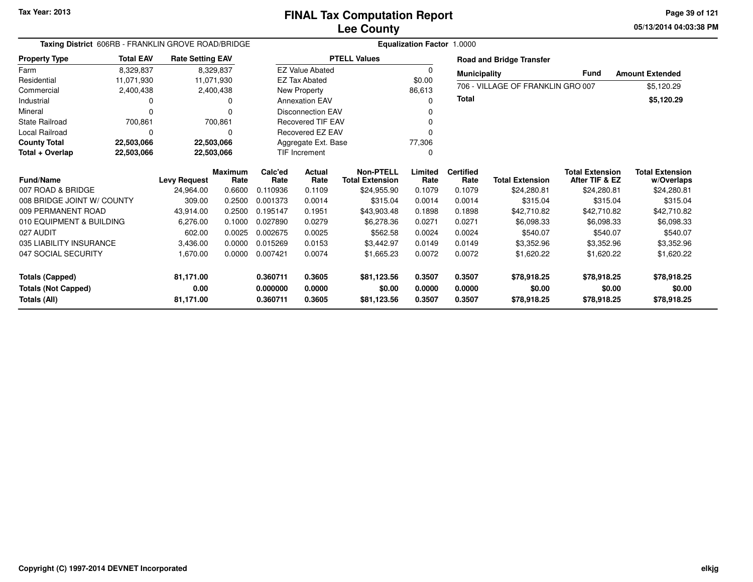|                            | Taxing District 606RB - FRANKLIN GROVE ROAD/BRIDGE |                         |                        |                 |                          |                                            | <b>Equalization Factor 1.0000</b> |                          |                                   |                                          |                                      |
|----------------------------|----------------------------------------------------|-------------------------|------------------------|-----------------|--------------------------|--------------------------------------------|-----------------------------------|--------------------------|-----------------------------------|------------------------------------------|--------------------------------------|
| <b>Property Type</b>       | <b>Total EAV</b>                                   | <b>Rate Setting EAV</b> |                        |                 |                          | <b>PTELL Values</b>                        |                                   |                          | <b>Road and Bridge Transfer</b>   |                                          |                                      |
| Farm                       | 8,329,837                                          |                         | 8,329,837              |                 | <b>EZ Value Abated</b>   |                                            | $\Omega$                          | <b>Municipality</b>      |                                   | <b>Fund</b>                              | <b>Amount Extended</b>               |
| Residential                | 11,071,930                                         |                         | 11,071,930             |                 | <b>EZ Tax Abated</b>     |                                            | \$0.00                            |                          | 706 - VILLAGE OF FRANKLIN GRO 007 |                                          |                                      |
| Commercial                 | 2,400,438                                          |                         | 2,400,438              |                 | New Property             |                                            | 86,613                            |                          |                                   |                                          | \$5,120.29                           |
| Industrial                 | 0                                                  |                         | ი                      |                 | <b>Annexation EAV</b>    |                                            | ŋ                                 | <b>Total</b>             |                                   |                                          | \$5,120.29                           |
| Mineral                    | $\Omega$                                           |                         | ŋ                      |                 | <b>Disconnection EAV</b> |                                            |                                   |                          |                                   |                                          |                                      |
| <b>State Railroad</b>      | 700,861                                            |                         | 700,861                |                 | <b>Recovered TIF EAV</b> |                                            |                                   |                          |                                   |                                          |                                      |
| Local Railroad             | $\Omega$                                           |                         | 0                      |                 | <b>Recovered EZ EAV</b>  |                                            |                                   |                          |                                   |                                          |                                      |
| <b>County Total</b>        | 22,503,066                                         |                         | 22,503,066             |                 | Aggregate Ext. Base      |                                            | 77,306                            |                          |                                   |                                          |                                      |
| Total + Overlap            | 22,503,066                                         |                         | 22,503,066             |                 | <b>TIF Increment</b>     |                                            | 0                                 |                          |                                   |                                          |                                      |
| <b>Fund/Name</b>           |                                                    | <b>Levy Request</b>     | <b>Maximum</b><br>Rate | Calc'ed<br>Rate | Actual<br>Rate           | <b>Non-PTELL</b><br><b>Total Extension</b> | Limited<br>Rate                   | <b>Certified</b><br>Rate | <b>Total Extension</b>            | <b>Total Extension</b><br>After TIF & EZ | <b>Total Extension</b><br>w/Overlaps |
| 007 ROAD & BRIDGE          |                                                    | 24,964.00               | 0.6600                 | 0.110936        | 0.1109                   | \$24,955.90                                | 0.1079                            | 0.1079                   | \$24,280.81                       | \$24,280.81                              | \$24,280.81                          |
| 008 BRIDGE JOINT W/ COUNTY |                                                    | 309.00                  | 0.2500                 | 0.001373        | 0.0014                   | \$315.04                                   | 0.0014                            | 0.0014                   | \$315.04                          | \$315.04                                 | \$315.04                             |
| 009 PERMANENT ROAD         |                                                    | 43,914.00               | 0.2500                 | 0.195147        | 0.1951                   | \$43,903.48                                | 0.1898                            | 0.1898                   | \$42,710.82                       | \$42,710.82                              | \$42,710.82                          |
| 010 EQUIPMENT & BUILDING   |                                                    | 6,276.00                | 0.1000                 | 0.027890        | 0.0279                   | \$6,278.36                                 | 0.0271                            | 0.0271                   | \$6,098.33                        | \$6,098.33                               | \$6,098.33                           |
| 027 AUDIT                  |                                                    | 602.00                  | 0.0025                 | 0.002675        | 0.0025                   | \$562.58                                   | 0.0024                            | 0.0024                   | \$540.07                          | \$540.07                                 | \$540.07                             |
| 035 LIABILITY INSURANCE    |                                                    | 3,436.00                | 0.0000                 | 0.015269        | 0.0153                   | \$3,442.97                                 | 0.0149                            | 0.0149                   | \$3,352.96                        | \$3,352.96                               | \$3,352.96                           |
| 047 SOCIAL SECURITY        |                                                    | 1,670.00                | 0.0000                 | 0.007421        | 0.0074                   | \$1,665.23                                 | 0.0072                            | 0.0072                   | \$1,620.22                        | \$1,620.22                               | \$1,620.22                           |
| <b>Totals (Capped)</b>     |                                                    | 81,171.00               |                        | 0.360711        | 0.3605                   | \$81,123.56                                | 0.3507                            | 0.3507                   | \$78,918.25                       | \$78,918.25                              | \$78,918.25                          |
| <b>Totals (Not Capped)</b> |                                                    | 0.00                    |                        | 0.000000        | 0.0000                   | \$0.00                                     | 0.0000                            | 0.0000                   | \$0.00                            | \$0.00                                   | \$0.00                               |
| <b>Totals (All)</b>        |                                                    | 81,171.00               |                        | 0.360711        | 0.3605                   | \$81,123.56                                | 0.3507                            | 0.3507                   | \$78,918.25                       | \$78,918.25                              | \$78,918.25                          |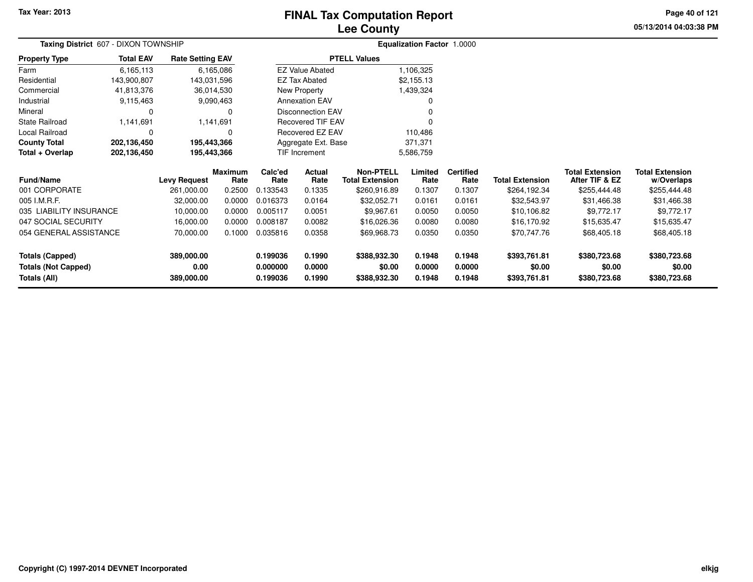# **Lee CountyFINAL Tax Computation Report**

**05/13/2014 04:03:38 PM Page 40 of 121**

| Taxing District 607 - DIXON TOWNSHIP |                  |                         |                        |                 |                          |                                            | <b>Equalization Factor 1.0000</b> |                          |                        |                                          |                                      |  |  |
|--------------------------------------|------------------|-------------------------|------------------------|-----------------|--------------------------|--------------------------------------------|-----------------------------------|--------------------------|------------------------|------------------------------------------|--------------------------------------|--|--|
| <b>Property Type</b>                 | <b>Total EAV</b> | <b>Rate Setting EAV</b> |                        |                 |                          | <b>PTELL Values</b>                        |                                   |                          |                        |                                          |                                      |  |  |
| Farm                                 | 6,165,113        |                         | 6,165,086              |                 | <b>EZ Value Abated</b>   |                                            | 1,106,325                         |                          |                        |                                          |                                      |  |  |
| Residential                          | 143,900,807      | 143,031,596             |                        |                 | <b>EZ Tax Abated</b>     |                                            | \$2,155.13                        |                          |                        |                                          |                                      |  |  |
| Commercial                           | 41,813,376       | 36,014,530              |                        |                 | New Property             |                                            | 1,439,324                         |                          |                        |                                          |                                      |  |  |
| Industrial                           | 9,115,463        |                         | 9,090,463              |                 | <b>Annexation EAV</b>    |                                            |                                   |                          |                        |                                          |                                      |  |  |
| Mineral                              | 0                |                         | 0                      |                 | <b>Disconnection EAV</b> |                                            |                                   |                          |                        |                                          |                                      |  |  |
| State Railroad                       | 1,141,691        |                         | 1,141,691              |                 | <b>Recovered TIF EAV</b> |                                            |                                   |                          |                        |                                          |                                      |  |  |
| Local Railroad                       | 0                |                         | 0                      |                 | Recovered EZ EAV         |                                            | 110,486                           |                          |                        |                                          |                                      |  |  |
| <b>County Total</b>                  | 202,136,450      | 195,443,366             |                        |                 | Aggregate Ext. Base      |                                            | 371,371                           |                          |                        |                                          |                                      |  |  |
| Total + Overlap                      | 202,136,450      | 195,443,366             |                        |                 | <b>TIF Increment</b>     |                                            | 5,586,759                         |                          |                        |                                          |                                      |  |  |
| <b>Fund/Name</b>                     |                  | <b>Levy Request</b>     | <b>Maximum</b><br>Rate | Calc'ed<br>Rate | Actual<br>Rate           | <b>Non-PTELL</b><br><b>Total Extension</b> | Limited<br>Rate                   | <b>Certified</b><br>Rate | <b>Total Extension</b> | <b>Total Extension</b><br>After TIF & EZ | <b>Total Extension</b><br>w/Overlaps |  |  |
| 001 CORPORATE                        |                  | 261,000.00              | 0.2500                 | 0.133543        | 0.1335                   | \$260,916.89                               | 0.1307                            | 0.1307                   | \$264,192.34           | \$255,444.48                             | \$255,444.48                         |  |  |
| 005 I.M.R.F.                         |                  | 32,000.00               | 0.0000                 | 0.016373        | 0.0164                   | \$32,052.71                                | 0.0161                            | 0.0161                   | \$32,543.97            | \$31,466.38                              | \$31,466.38                          |  |  |
| 035 LIABILITY INSURANCE              |                  | 10,000.00               | 0.0000                 | 0.005117        | 0.0051                   | \$9,967.61                                 | 0.0050                            | 0.0050                   | \$10,106.82            | \$9,772.17                               | \$9,772.17                           |  |  |
| 047 SOCIAL SECURITY                  |                  | 16,000.00               | 0.0000                 | 0.008187        | 0.0082                   | \$16,026.36                                | 0.0080                            | 0.0080                   | \$16,170.92            | \$15,635.47                              | \$15,635.47                          |  |  |
| 054 GENERAL ASSISTANCE               |                  | 70,000.00               | 0.1000                 | 0.035816        | 0.0358                   | \$69,968.73                                | 0.0350                            | 0.0350                   | \$70,747.76            | \$68,405.18                              | \$68,405.18                          |  |  |
| <b>Totals (Capped)</b>               |                  | 389,000.00              |                        | 0.199036        | 0.1990                   | \$388,932.30                               | 0.1948                            | 0.1948                   | \$393,761.81           | \$380,723.68                             | \$380,723.68                         |  |  |
| <b>Totals (Not Capped)</b>           |                  | 0.00                    |                        | 0.000000        | 0.0000                   | \$0.00                                     | 0.0000                            | 0.0000                   | \$0.00                 | \$0.00                                   | \$0.00                               |  |  |
| <b>Totals (All)</b>                  |                  | 389,000.00              |                        | 0.199036        | 0.1990                   | \$388,932.30                               | 0.1948                            | 0.1948                   | \$393,761.81           | \$380,723.68                             | \$380,723.68                         |  |  |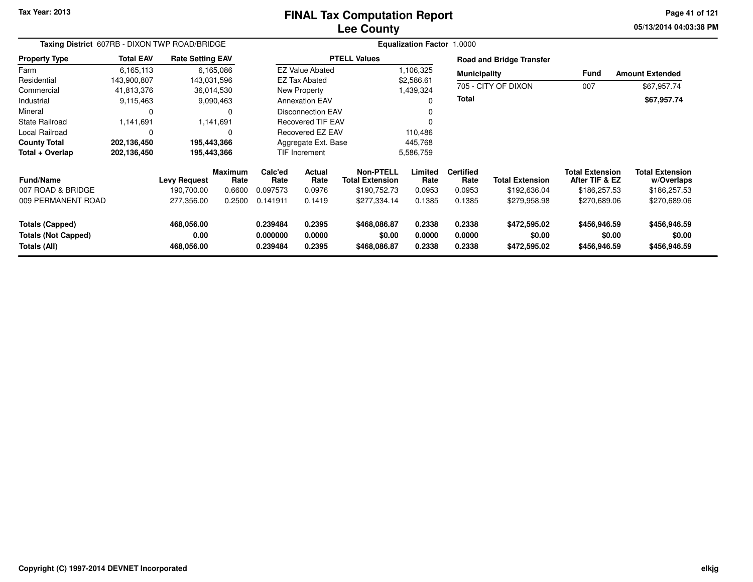#### **Lee CountyFINAL Tax Computation Report**

**05/13/2014 04:03:38 PM Page 41 of 121**

|                                                      | Taxing District 607RB - DIXON TWP ROAD/BRIDGE |                         |                 |                             | Equalization Factor 1.0000         |                                     |                  |                          |                                 |                                          |                                      |  |  |
|------------------------------------------------------|-----------------------------------------------|-------------------------|-----------------|-----------------------------|------------------------------------|-------------------------------------|------------------|--------------------------|---------------------------------|------------------------------------------|--------------------------------------|--|--|
| <b>Property Type</b>                                 | <b>Total EAV</b>                              | <b>Rate Setting EAV</b> |                 |                             |                                    | <b>PTELL Values</b>                 |                  |                          | <b>Road and Bridge Transfer</b> |                                          |                                      |  |  |
| Farm                                                 | 6,165,113                                     |                         | 6,165,086       |                             | <b>EZ Value Abated</b>             |                                     | 1,106,325        | <b>Municipality</b>      |                                 | Fund                                     | <b>Amount Extended</b>               |  |  |
| Residential                                          | 143,900,807                                   |                         | 143,031,596     |                             | <b>EZ Tax Abated</b><br>\$2,586.61 |                                     |                  |                          |                                 |                                          |                                      |  |  |
| Commercial                                           | 41,813,376                                    |                         | 36,014,530      |                             | New Property<br>1,439,324          |                                     |                  | 705 - CITY OF DIXON      | 007                             | \$67,957.74                              |                                      |  |  |
| Industrial                                           | 9,115,463                                     |                         | 9,090,463       |                             | <b>Annexation EAV</b>              |                                     | <b>Total</b>     |                          |                                 | \$67,957.74                              |                                      |  |  |
| Mineral                                              | 0                                             |                         | 0               |                             | <b>Disconnection EAV</b>           |                                     |                  |                          |                                 |                                          |                                      |  |  |
| <b>State Railroad</b>                                | 1,141,691                                     |                         | 1,141,691       |                             | <b>Recovered TIF EAV</b>           |                                     |                  |                          |                                 |                                          |                                      |  |  |
| Local Railroad                                       | 0                                             |                         | O               | Recovered EZ EAV<br>110,486 |                                    |                                     |                  |                          |                                 |                                          |                                      |  |  |
| <b>County Total</b>                                  | 202,136,450                                   |                         | 195,443,366     |                             | Aggregate Ext. Base                |                                     | 445,768          |                          |                                 |                                          |                                      |  |  |
| Total + Overlap                                      | 202,136,450                                   |                         | 195,443,366     |                             | TIF Increment                      |                                     | 5,586,759        |                          |                                 |                                          |                                      |  |  |
| <b>Fund/Name</b>                                     |                                               | <b>Levy Request</b>     | Maximum<br>Rate | Calc'ed<br>Rate             | <b>Actual</b><br>Rate              | Non-PTELL<br><b>Total Extension</b> | Limited<br>Rate  | <b>Certified</b><br>Rate | <b>Total Extension</b>          | <b>Total Extension</b><br>After TIF & EZ | <b>Total Extension</b><br>w/Overlaps |  |  |
| 007 ROAD & BRIDGE                                    |                                               | 190.700.00              | 0.6600          | 0.097573                    | 0.0976                             | \$190,752.73                        | 0.0953           | 0.0953                   | \$192,636.04                    | \$186,257.53                             | \$186,257.53                         |  |  |
| 009 PERMANENT ROAD                                   |                                               | 277,356.00              | 0.2500          | 0.141911                    | 0.1419                             | \$277,334.14                        | 0.1385           | 0.1385                   | \$279,958.98                    | \$270,689.06                             | \$270,689.06                         |  |  |
| <b>Totals (Capped)</b><br><b>Totals (Not Capped)</b> |                                               | 468,056.00<br>0.00      |                 | 0.239484<br>0.000000        | 0.2395<br>0.0000                   | \$468,086.87<br>\$0.00              | 0.2338<br>0.0000 | 0.2338<br>0.0000         | \$472,595.02<br>\$0.00          | \$456,946.59<br>\$0.00                   | \$456,946.59<br>\$0.00               |  |  |
| Totals (All)                                         |                                               | 468,056.00              |                 | 0.239484                    | 0.2395                             | \$468,086.87                        | 0.2338           | 0.2338                   | \$472,595.02                    | \$456,946.59                             | \$456,946.59                         |  |  |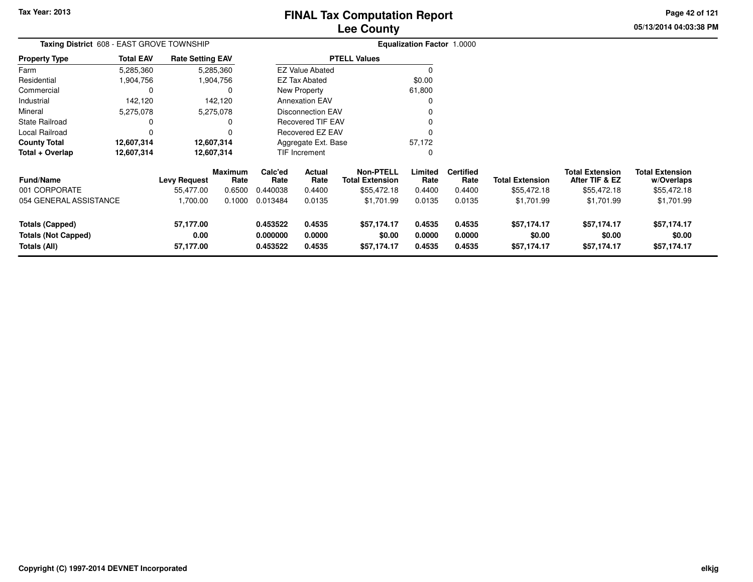**05/13/2014 04:03:38 PM Page 42 of 121**

| <b>Taxing District</b> 608 - EAST GROVE TOWNSHIP |                  |                         |                 |                                              | <b>Equalization Factor 1.0000</b> |                                            |                  |                          |                        |                                          |                                      |
|--------------------------------------------------|------------------|-------------------------|-----------------|----------------------------------------------|-----------------------------------|--------------------------------------------|------------------|--------------------------|------------------------|------------------------------------------|--------------------------------------|
| Property Type                                    | <b>Total EAV</b> | <b>Rate Setting EAV</b> |                 |                                              |                                   | <b>PTELL Values</b>                        |                  |                          |                        |                                          |                                      |
| Farm                                             | 5,285,360        |                         | 5,285,360       |                                              | <b>EZ Value Abated</b>            |                                            | 0                |                          |                        |                                          |                                      |
| Residential                                      | 1,904,756        |                         | 1,904,756       |                                              | <b>EZ Tax Abated</b>              |                                            | \$0.00           |                          |                        |                                          |                                      |
| Commercial                                       | 0                |                         |                 |                                              | New Property                      |                                            | 61,800           |                          |                        |                                          |                                      |
| Industrial                                       | 142,120          |                         | 142,120         |                                              | <b>Annexation EAV</b>             |                                            |                  |                          |                        |                                          |                                      |
| Mineral                                          | 5,275,078        |                         | 5,275,078       |                                              | <b>Disconnection EAV</b>          |                                            |                  |                          |                        |                                          |                                      |
| State Railroad                                   | 0                |                         |                 | <b>Recovered TIF EAV</b><br>Recovered EZ EAV |                                   |                                            |                  |                          |                        |                                          |                                      |
| Local Railroad                                   | 0                |                         |                 |                                              |                                   |                                            |                  |                          |                        |                                          |                                      |
| County Total                                     | 12,607,314       |                         | 12,607,314      | Aggregate Ext. Base                          |                                   |                                            | 57,172           |                          |                        |                                          |                                      |
| Total + Overlap                                  | 12,607,314       | 12,607,314              |                 |                                              | TIF Increment                     |                                            | 0                |                          |                        |                                          |                                      |
| <b>Fund/Name</b>                                 |                  | <b>Levy Request</b>     | Maximum<br>Rate | Calc'ed<br>Rate                              | Actual<br>Rate                    | <b>Non-PTELL</b><br><b>Total Extension</b> | Limited<br>Rate  | <b>Certified</b><br>Rate | <b>Total Extension</b> | <b>Total Extension</b><br>After TIF & EZ | <b>Total Extension</b><br>w/Overlaps |
| 001 CORPORATE                                    |                  | 55,477.00               | 0.6500          | 0.440038                                     | 0.4400                            | \$55,472.18                                | 0.4400           | 0.4400                   | \$55,472.18            | \$55,472.18                              | \$55,472.18                          |
| 054 GENERAL ASSISTANCE                           |                  | 1,700.00                | 0.1000          | 0.013484                                     | 0.0135                            | \$1,701.99                                 | 0.0135           | 0.0135                   | \$1,701.99             | \$1,701.99                               | \$1,701.99                           |
| <b>Totals (Capped)</b>                           |                  | 57,177.00               |                 | 0.453522                                     | 0.4535                            | \$57,174.17                                | 0.4535           | 0.4535                   | \$57,174.17            | \$57,174.17                              | \$57,174.17                          |
| <b>Totals (Not Capped)</b><br>Totals (All)       |                  | 0.00<br>57,177.00       |                 | 0.000000<br>0.453522                         | 0.0000<br>0.4535                  | \$0.00<br>\$57,174.17                      | 0.0000<br>0.4535 | 0.0000<br>0.4535         | \$0.00<br>\$57,174.17  | \$0.00<br>\$57,174.17                    | \$0.00<br>\$57,174.17                |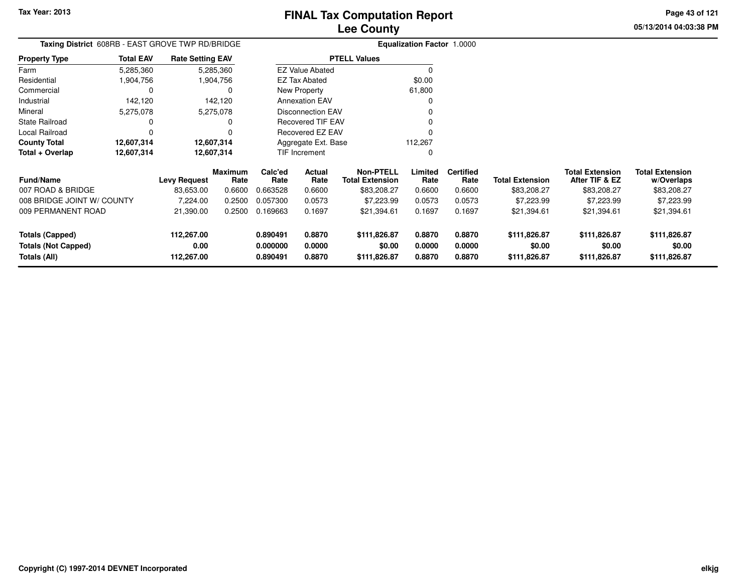**Totals (All)**

# **Lee CountyFINAL Tax Computation Report**

**0.890491 0.8870 \$111,826.87 0.8870 0.8870 \$111,826.87 \$111,826.87 \$111,826.87**

**05/13/2014 04:03:38 PMPage 43 of 121**

> **w/Overlaps** \$83,208.27

**Total Extension**

#### **Equalization Factor** 1.0000 **Taxing District** 608RB - EAST GROVE TWP RD/BRIDGE**Property Type**1,904,756 1,904,756 0 Farm ResidentialCommercial 0 142,120 Industrial 142,120 142,1205,275,078 Mineral 5,275,078 5,275,0780 State Railroad 0 0  $\mathsf 0$ Local Railroad 0 0 12,607,314 **County Total 12,607,314 12,607,314 12,607,314 12,607,314 Total + Overlap**5,285,3601,904,756 **Fund/Name Levy Request Rate Limited**Rate **After TIF & EZ** \$83,208.27 **Total ExtensionRate Total Extension Rate Total Extension**\$83,208.27 **Maximum Calc'ed Rate**0.663528 **Actual RateNon-PTELL Certified** \$83,208.27 007 ROAD & BRIDGE 83,653.00 0.6600 0.663528 0.6600 \$83,208.27 0.6600 0.6600 \$83,208.27 \$83,208.27 \$83,208.27 008 BRIDGE JOINT W/ COUNTY 7,224.00 0.2500 0.057300 0.0573 \$7,223.99 0.0573 0.0573 \$7,223.99 \$7,223.99 \$7,223.99 009 PERMANENT ROAD 21,390.00 0.2500 0.169663 0.1697 \$21,394.61 0.1697 0.1697 \$21,394.61 \$21,394.61 \$21,394.61 **Totals (Capped) 112,267.00 0.890491 0.8870 \$111,826.87 0.8870 0.8870 \$111,826.87 \$111,826.87 \$111,826.87 Totals (Not Capped) 0.00 0.000000 0.0000 \$0.00 0.0000 0.0000 \$0.00 \$0.00 \$0.00** 5,285,360**Total EAVRate Setting EAV PTELL Values**  $\overline{\overline{0}}$  \$0.00 61,800 $\mathbf 0$ Annexation EAV v o Disconnection EAV $\sim$  0 Recovered TIF EAV0 v Recovered EZ EAV <sup>0</sup> 112,267 $\mathbf{0}$ New Property EZ Tax AbatedEZ Value AbatedAggregate Ext. BaseTIF Increment0

**112,267.00**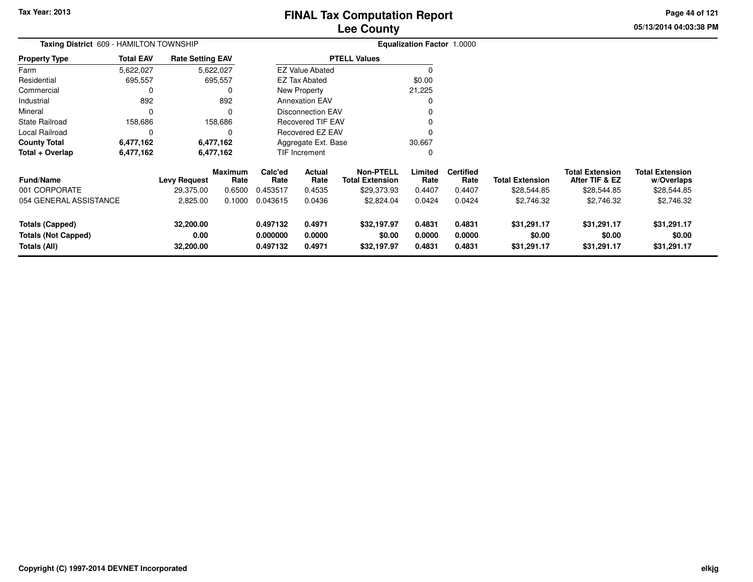**05/13/2014 04:03:38 PM Page 44 of 121**

| Taxing District 609 - HAMILTON TOWNSHIP                              |                  |                                |                        |                                  | <b>Equalization Factor 1.0000</b> |                                            |                            |                            |                                      |                                          |                                      |
|----------------------------------------------------------------------|------------------|--------------------------------|------------------------|----------------------------------|-----------------------------------|--------------------------------------------|----------------------------|----------------------------|--------------------------------------|------------------------------------------|--------------------------------------|
| <b>Property Type</b>                                                 | <b>Total EAV</b> | <b>Rate Setting EAV</b>        |                        |                                  |                                   | <b>PTELL Values</b>                        |                            |                            |                                      |                                          |                                      |
| Farm                                                                 | 5,622,027        |                                | 5,622,027              |                                  | <b>EZ Value Abated</b>            |                                            | $\Omega$                   |                            |                                      |                                          |                                      |
| Residential                                                          | 695,557          |                                | 695,557                |                                  | <b>EZ Tax Abated</b>              |                                            | \$0.00                     |                            |                                      |                                          |                                      |
| Commercial                                                           | 0                |                                |                        |                                  | New Property                      |                                            | 21,225                     |                            |                                      |                                          |                                      |
| Industrial                                                           | 892              |                                | 892                    |                                  | <b>Annexation EAV</b>             |                                            | 0                          |                            |                                      |                                          |                                      |
| Mineral                                                              | 0                |                                |                        |                                  | Disconnection EAV                 |                                            |                            |                            |                                      |                                          |                                      |
| <b>State Railroad</b>                                                | 158,686          |                                | 158,686                |                                  | <b>Recovered TIF EAV</b>          |                                            |                            |                            |                                      |                                          |                                      |
| <b>Local Railroad</b>                                                | 0                |                                |                        |                                  | Recovered EZ EAV                  |                                            |                            |                            |                                      |                                          |                                      |
| <b>County Total</b>                                                  | 6,477,162        |                                | 6,477,162              |                                  | Aggregate Ext. Base               |                                            | 30,667                     |                            |                                      |                                          |                                      |
| Total + Overlap                                                      | 6,477,162        |                                | 6,477,162              |                                  | <b>TIF Increment</b>              |                                            | 0                          |                            |                                      |                                          |                                      |
| <b>Fund/Name</b>                                                     |                  | <b>Levy Request</b>            | <b>Maximum</b><br>Rate | Calc'ed<br>Rate                  | Actual<br>Rate                    | <b>Non-PTELL</b><br><b>Total Extension</b> | Limited<br>Rate            | <b>Certified</b><br>Rate   | <b>Total Extension</b>               | <b>Total Extension</b><br>After TIF & EZ | <b>Total Extension</b><br>w/Overlaps |
| 001 CORPORATE                                                        |                  | 29,375.00                      | 0.6500                 | 0.453517                         | 0.4535                            | \$29,373.93                                | 0.4407                     | 0.4407                     | \$28,544.85                          | \$28,544.85                              | \$28,544.85                          |
| 054 GENERAL ASSISTANCE                                               |                  | 2,825.00                       | 0.1000                 | 0.043615                         | 0.0436                            | \$2,824.04                                 | 0.0424                     | 0.0424                     | \$2,746.32                           | \$2,746.32                               | \$2,746.32                           |
| <b>Totals (Capped)</b><br><b>Totals (Not Capped)</b><br>Totals (All) |                  | 32,200.00<br>0.00<br>32,200.00 |                        | 0.497132<br>0.000000<br>0.497132 | 0.4971<br>0.0000<br>0.4971        | \$32,197.97<br>\$0.00<br>\$32,197.97       | 0.4831<br>0.0000<br>0.4831 | 0.4831<br>0.0000<br>0.4831 | \$31,291.17<br>\$0.00<br>\$31,291.17 | \$31,291.17<br>\$0.00<br>\$31,291.17     | \$31,291.17<br>\$0.00<br>\$31,291.17 |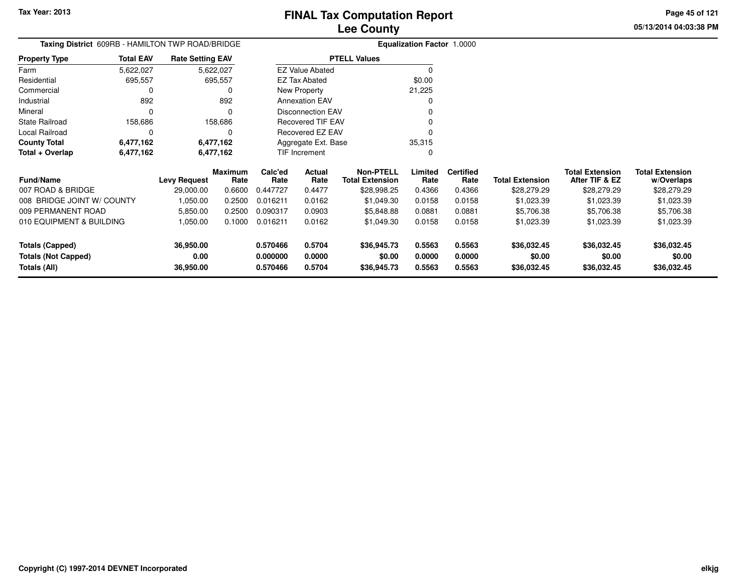**Totals (Not Capped)**

**Totals (All)**

# **Lee CountyFINAL Tax Computation Report**

**0.000000 0.0000 \$0.00 0.0000 0.0000 \$0.00 \$0.00 \$0.00**

**0.570466 0.5704 \$36,945.73 0.5563 0.5563 \$36,032.45 \$36,032.45 \$36,032.45**

**05/13/2014 04:03:38 PMPage 45 of 121**

| Taxing District 609RB - HAMILTON TWP ROAD/BRIDGE |                  |                         |                        |                 | <b>Equalization Factor</b> | 1.0000                                     |                 |                          |                        |                                          |                                      |
|--------------------------------------------------|------------------|-------------------------|------------------------|-----------------|----------------------------|--------------------------------------------|-----------------|--------------------------|------------------------|------------------------------------------|--------------------------------------|
| <b>Property Type</b>                             | <b>Total EAV</b> | <b>Rate Setting EAV</b> |                        |                 |                            | <b>PTELL Values</b>                        |                 |                          |                        |                                          |                                      |
| Farm                                             | 5,622,027        |                         | 5,622,027              |                 | <b>EZ Value Abated</b>     |                                            |                 |                          |                        |                                          |                                      |
| Residential                                      | 695,557          |                         | 695,557                |                 | <b>EZ Tax Abated</b>       |                                            | \$0.00          |                          |                        |                                          |                                      |
| Commercial                                       |                  |                         |                        |                 | New Property               |                                            | 21,225          |                          |                        |                                          |                                      |
| Industrial                                       | 892              |                         | 892                    |                 | <b>Annexation EAV</b>      |                                            |                 |                          |                        |                                          |                                      |
| Mineral                                          |                  |                         |                        |                 | Disconnection EAV          |                                            |                 |                          |                        |                                          |                                      |
| <b>State Railroad</b>                            | 158,686          |                         | 158,686                |                 | <b>Recovered TIF EAV</b>   |                                            |                 |                          |                        |                                          |                                      |
| Local Railroad                                   |                  |                         |                        |                 | Recovered EZ EAV           |                                            |                 |                          |                        |                                          |                                      |
| <b>County Total</b>                              | 6,477,162        |                         | 6,477,162              |                 | Aggregate Ext. Base        |                                            | 35,315          |                          |                        |                                          |                                      |
| Total + Overlap                                  | 6,477,162        | 6,477,162               |                        |                 | TIF Increment              |                                            | 0               |                          |                        |                                          |                                      |
| <b>Fund/Name</b>                                 |                  | <b>Levy Request</b>     | <b>Maximum</b><br>Rate | Calc'ed<br>Rate | Actual<br>Rate             | <b>Non-PTELL</b><br><b>Total Extension</b> | Limited<br>Rate | <b>Certified</b><br>Rate | <b>Total Extension</b> | <b>Total Extension</b><br>After TIF & EZ | <b>Total Extension</b><br>w/Overlaps |
| 007 ROAD & BRIDGE                                |                  | 29,000.00               | 0.6600                 | 0.447727        | 0.4477                     | \$28,998.25                                | 0.4366          | 0.4366                   | \$28,279.29            | \$28,279.29                              | \$28,279.29                          |
| 008 BRIDGE JOINT W/ COUNTY                       |                  | 1,050.00                | 0.2500                 | 0.016211        | 0.0162                     | \$1,049.30                                 | 0.0158          | 0.0158                   | \$1,023.39             | \$1,023.39                               | \$1,023.39                           |
| 009 PERMANENT ROAD                               |                  | 5,850.00                | 0.2500                 | 0.090317        | 0.0903                     | \$5,848.88                                 | 0.0881          | 0.0881                   | \$5,706.38             | \$5,706.38                               | \$5,706.38                           |
| 010 EQUIPMENT & BUILDING                         |                  | 1,050.00                | 0.1000                 | 0.016211        | 0.0162                     | \$1,049.30                                 | 0.0158          | 0.0158                   | \$1,023.39             | \$1,023.39                               | \$1,023.39                           |
| Totals (Capped)                                  |                  | 36,950.00               |                        | 0.570466        | 0.5704                     | \$36,945.73                                | 0.5563          | 0.5563                   | \$36,032.45            | \$36,032.45                              | \$36,032.45                          |

**0.00**

**36,950.00**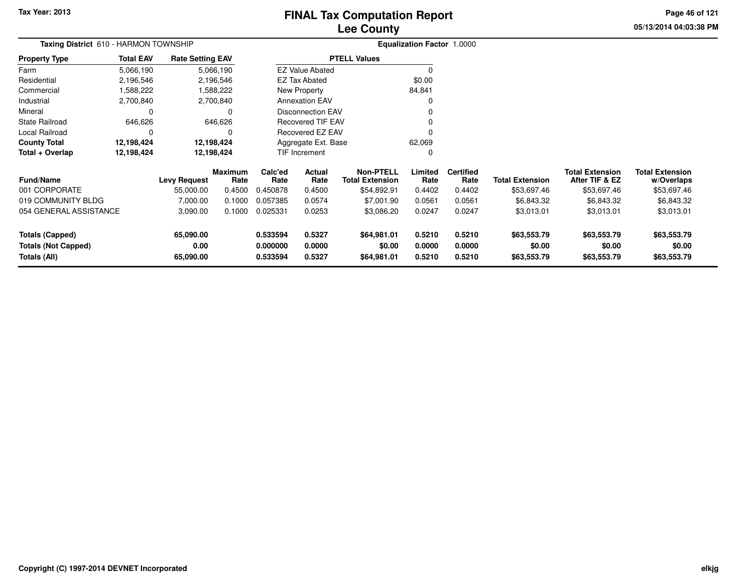# **Lee CountyFINAL Tax Computation Report**

**05/13/2014 04:03:38 PM Page 46 of 121**

|                                            | Taxing District 610 - HARMON TOWNSHIP<br><b>Total EAV</b><br><b>Rate Setting EAV</b> |                   |                        |                      |                          |                                            | <b>Equalization Factor 1.0000</b> |                          |                        |                                          |                                      |
|--------------------------------------------|--------------------------------------------------------------------------------------|-------------------|------------------------|----------------------|--------------------------|--------------------------------------------|-----------------------------------|--------------------------|------------------------|------------------------------------------|--------------------------------------|
| <b>Property Type</b>                       |                                                                                      |                   |                        |                      |                          | <b>PTELL Values</b>                        |                                   |                          |                        |                                          |                                      |
| Farm                                       | 5,066,190                                                                            |                   | 5,066,190              |                      | <b>EZ Value Abated</b>   |                                            |                                   |                          |                        |                                          |                                      |
| Residential                                | 2,196,546                                                                            |                   | 2,196,546              |                      | <b>EZ Tax Abated</b>     |                                            | \$0.00                            |                          |                        |                                          |                                      |
| Commercial                                 | 1,588,222                                                                            |                   | 1,588,222              |                      | New Property             |                                            | 84,841                            |                          |                        |                                          |                                      |
| Industrial                                 | 2,700,840                                                                            |                   | 2,700,840              |                      | <b>Annexation EAV</b>    |                                            |                                   |                          |                        |                                          |                                      |
| Mineral                                    | 0                                                                                    |                   | 0                      |                      | <b>Disconnection EAV</b> |                                            |                                   |                          |                        |                                          |                                      |
| <b>State Railroad</b>                      | 646,626                                                                              |                   | 646,626                |                      | <b>Recovered TIF EAV</b> |                                            |                                   |                          |                        |                                          |                                      |
| Local Railroad                             | $\Omega$                                                                             |                   | ∩                      |                      | Recovered EZ EAV         |                                            |                                   |                          |                        |                                          |                                      |
| <b>County Total</b>                        | 12,198,424                                                                           |                   | 12,198,424             |                      | Aggregate Ext. Base      |                                            | 62,069                            |                          |                        |                                          |                                      |
| Total + Overlap                            | 12,198,424                                                                           | 12,198,424        |                        |                      | TIF Increment            |                                            |                                   |                          |                        |                                          |                                      |
| <b>Fund/Name</b>                           |                                                                                      | Levy Request      | <b>Maximum</b><br>Rate | Calc'ed<br>Rate      | Actual<br>Rate           | <b>Non-PTELL</b><br><b>Total Extension</b> | Limited<br>Rate                   | <b>Certified</b><br>Rate | <b>Total Extension</b> | <b>Total Extension</b><br>After TIF & EZ | <b>Total Extension</b><br>w/Overlaps |
| 001 CORPORATE                              |                                                                                      | 55,000.00         | 0.4500                 | 0.450878             | 0.4500                   | \$54,892.91                                | 0.4402                            | 0.4402                   | \$53,697.46            | \$53,697.46                              | \$53,697.46                          |
| 019 COMMUNITY BLDG                         |                                                                                      | 7,000.00          | 0.1000                 | 0.057385             | 0.0574                   | \$7,001.90                                 | 0.0561                            | 0.0561                   | \$6,843.32             | \$6,843.32                               | \$6,843.32                           |
| 054 GENERAL ASSISTANCE                     |                                                                                      | 3,090.00          | 0.1000                 | 0.025331             | 0.0253                   | \$3,086.20                                 | 0.0247                            | 0.0247                   | \$3,013.01             | \$3,013.01                               | \$3,013.01                           |
| <b>Totals (Capped)</b>                     |                                                                                      | 65,090.00<br>0.00 |                        | 0.533594<br>0.000000 | 0.5327<br>0.0000         | \$64,981.01<br>\$0.00                      | 0.5210<br>0.0000                  | 0.5210<br>0.0000         | \$63,553.79<br>\$0.00  | \$63,553.79<br>\$0.00                    | \$63,553.79<br>\$0.00                |
| <b>Totals (Not Capped)</b><br>Totals (All) |                                                                                      | 65,090.00         |                        | 0.533594             | 0.5327                   | \$64,981.01                                | 0.5210                            | 0.5210                   | \$63,553.79            | \$63,553.79                              | \$63,553.79                          |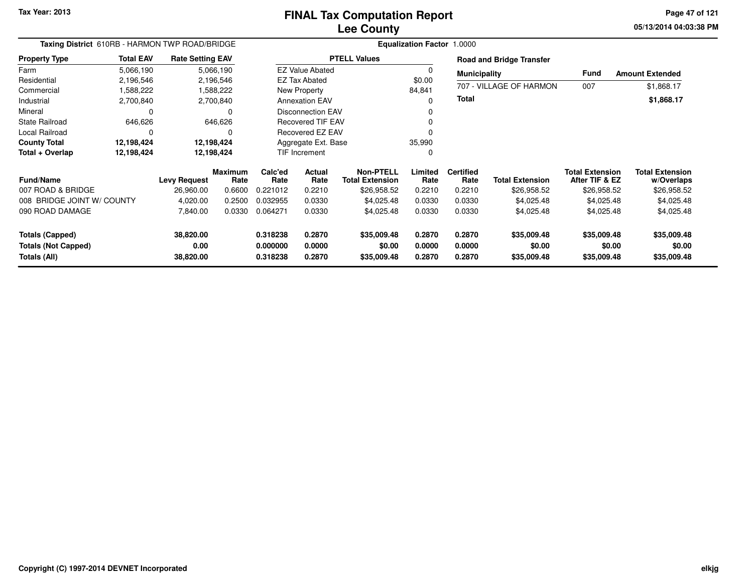**05/13/2014 04:03:38 PM Page 47 of 121**

| Taxing District 610RB - HARMON TWP ROAD/BRIDGE |                  |                         |                        | Equalization Factor 1.0000 |                          |                                            |                  |                          |                                 |                                          |                                      |  |
|------------------------------------------------|------------------|-------------------------|------------------------|----------------------------|--------------------------|--------------------------------------------|------------------|--------------------------|---------------------------------|------------------------------------------|--------------------------------------|--|
| <b>Property Type</b>                           | <b>Total EAV</b> | <b>Rate Setting EAV</b> |                        |                            |                          | <b>PTELL Values</b>                        |                  |                          | <b>Road and Bridge Transfer</b> |                                          |                                      |  |
| Farm                                           | 5,066,190        |                         | 5,066,190              |                            | <b>EZ Value Abated</b>   |                                            | $\Omega$         | <b>Municipality</b>      |                                 | <b>Fund</b>                              | <b>Amount Extended</b>               |  |
| Residential                                    | 2,196,546        |                         | 2,196,546              |                            | EZ Tax Abated            |                                            | \$0.00           |                          |                                 |                                          |                                      |  |
| Commercial                                     | 1,588,222        |                         | 1,588,222              |                            | New Property             |                                            | 84,841           |                          | 707 - VILLAGE OF HARMON         | 007                                      | \$1,868.17                           |  |
| Industrial                                     | 2,700,840        |                         | 2,700,840              |                            | <b>Annexation EAV</b>    |                                            | 0                | Total                    |                                 |                                          | \$1,868.17                           |  |
| Mineral                                        |                  |                         | 0                      |                            | <b>Disconnection EAV</b> |                                            |                  |                          |                                 |                                          |                                      |  |
| <b>State Railroad</b>                          | 646,626          |                         | 646,626                |                            | <b>Recovered TIF EAV</b> |                                            |                  |                          |                                 |                                          |                                      |  |
| Local Railroad                                 | $\Omega$         |                         |                        |                            | Recovered EZ EAV         |                                            |                  |                          |                                 |                                          |                                      |  |
| <b>County Total</b>                            | 12,198,424       |                         | 12,198,424             | Aggregate Ext. Base        |                          | 35,990                                     |                  |                          |                                 |                                          |                                      |  |
| Total + Overlap                                | 12,198,424       |                         | 12,198,424             | TIF Increment              |                          | 0                                          |                  |                          |                                 |                                          |                                      |  |
| <b>Fund/Name</b>                               |                  | <b>Levy Request</b>     | <b>Maximum</b><br>Rate | Calc'ed<br>Rate            | Actual<br>Rate           | <b>Non-PTELL</b><br><b>Total Extension</b> | Limited<br>Rate  | <b>Certified</b><br>Rate | <b>Total Extension</b>          | <b>Total Extension</b><br>After TIF & EZ | <b>Total Extension</b><br>w/Overlaps |  |
| 007 ROAD & BRIDGE                              |                  | 26,960.00               | 0.6600                 | 0.221012                   | 0.2210                   | \$26,958.52                                | 0.2210           | 0.2210                   | \$26,958.52                     | \$26,958.52                              | \$26,958.52                          |  |
| 008 BRIDGE JOINT W/ COUNTY                     |                  | 4,020.00                | 0.2500                 | 0.032955                   | 0.0330                   | \$4,025.48                                 | 0.0330           | 0.0330                   | \$4,025.48                      | \$4,025.48                               | \$4,025.48                           |  |
| 090 ROAD DAMAGE                                |                  | 7,840.00                | 0.0330                 | 0.064271                   | 0.0330                   | \$4,025.48                                 | 0.0330           | 0.0330                   | \$4,025.48                      | \$4,025.48                               | \$4,025.48                           |  |
| <b>Totals (Capped)</b>                         |                  | 38,820.00               |                        | 0.318238                   | 0.2870                   | \$35,009.48                                | 0.2870           | 0.2870                   | \$35,009.48                     | \$35,009.48                              | \$35,009.48                          |  |
| <b>Totals (Not Capped)</b><br>Totals (All)     |                  | 0.00<br>38,820.00       |                        | 0.000000<br>0.318238       | 0.0000<br>0.2870         | \$0.00<br>\$35,009.48                      | 0.0000<br>0.2870 | 0.0000<br>0.2870         | \$0.00<br>\$35,009.48           | \$0.00<br>\$35,009.48                    | \$0.00<br>\$35,009.48                |  |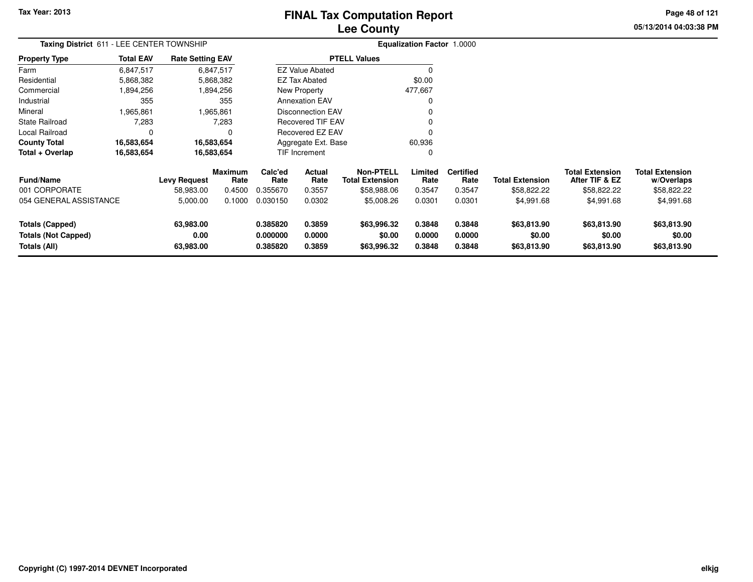# **Lee CountyFINAL Tax Computation Report**

**05/13/2014 04:03:38 PM Page 48 of 121**

| Taxing District 611 - LEE CENTER TOWNSHIP                            |                  |                                  |                           |                                  |                               |                                                           | <b>Equalization Factor 1.0000</b> |                                    |                                       |                                                         |                                                     |
|----------------------------------------------------------------------|------------------|----------------------------------|---------------------------|----------------------------------|-------------------------------|-----------------------------------------------------------|-----------------------------------|------------------------------------|---------------------------------------|---------------------------------------------------------|-----------------------------------------------------|
| <b>Property Type</b>                                                 | <b>Total EAV</b> | <b>Rate Setting EAV</b>          |                           |                                  |                               | <b>PTELL Values</b>                                       |                                   |                                    |                                       |                                                         |                                                     |
| Farm                                                                 | 6,847,517        |                                  | 6,847,517                 |                                  | <b>EZ Value Abated</b>        |                                                           | 0                                 |                                    |                                       |                                                         |                                                     |
| Residential                                                          | 5,868,382        |                                  | 5,868,382                 |                                  | <b>EZ Tax Abated</b>          |                                                           | \$0.00                            |                                    |                                       |                                                         |                                                     |
| Commercial                                                           | 1,894,256        |                                  | 1,894,256                 |                                  | New Property                  |                                                           | 477,667                           |                                    |                                       |                                                         |                                                     |
| Industrial                                                           | 355              |                                  | 355                       |                                  | <b>Annexation EAV</b>         |                                                           | 0                                 |                                    |                                       |                                                         |                                                     |
| Mineral                                                              | 1,965,861        |                                  | 1,965,861                 |                                  | <b>Disconnection EAV</b>      |                                                           |                                   |                                    |                                       |                                                         |                                                     |
| <b>State Railroad</b>                                                | 7,283            |                                  | 7,283                     |                                  | <b>Recovered TIF EAV</b>      |                                                           |                                   |                                    |                                       |                                                         |                                                     |
| Local Railroad                                                       | 0                |                                  | 0                         |                                  | Recovered EZ EAV              |                                                           | 0                                 |                                    |                                       |                                                         |                                                     |
| <b>County Total</b>                                                  | 16,583,654       |                                  | 16,583,654                |                                  | Aggregate Ext. Base<br>60,936 |                                                           |                                   |                                    |                                       |                                                         |                                                     |
| Total + Overlap                                                      | 16,583,654       |                                  | 16,583,654                |                                  | TIF Increment                 |                                                           | 0                                 |                                    |                                       |                                                         |                                                     |
| <b>Fund/Name</b><br>001 CORPORATE                                    |                  | <b>Levy Request</b><br>58,983.00 | Maximum<br>Rate<br>0.4500 | Calc'ed<br>Rate<br>0.355670      | Actual<br>Rate<br>0.3557      | <b>Non-PTELL</b><br><b>Total Extension</b><br>\$58,988.06 | Limited<br>Rate<br>0.3547         | <b>Certified</b><br>Rate<br>0.3547 | <b>Total Extension</b><br>\$58,822.22 | <b>Total Extension</b><br>After TIF & EZ<br>\$58,822.22 | <b>Total Extension</b><br>w/Overlaps<br>\$58,822.22 |
| 054 GENERAL ASSISTANCE                                               |                  | 5,000.00                         | 0.1000                    | 0.030150                         | 0.0302                        | \$5,008.26                                                | 0.0301                            | 0.0301                             | \$4,991.68                            | \$4,991.68                                              | \$4,991.68                                          |
| <b>Totals (Capped)</b><br><b>Totals (Not Capped)</b><br>Totals (All) |                  | 63,983.00<br>0.00<br>63,983.00   |                           | 0.385820<br>0.000000<br>0.385820 | 0.3859<br>0.0000<br>0.3859    | \$63,996.32<br>\$0.00<br>\$63,996.32                      | 0.3848<br>0.0000<br>0.3848        | 0.3848<br>0.0000<br>0.3848         | \$63,813.90<br>\$0.00<br>\$63,813.90  | \$63,813.90<br>\$0.00<br>\$63,813.90                    | \$63,813.90<br>\$0.00<br>\$63,813.90                |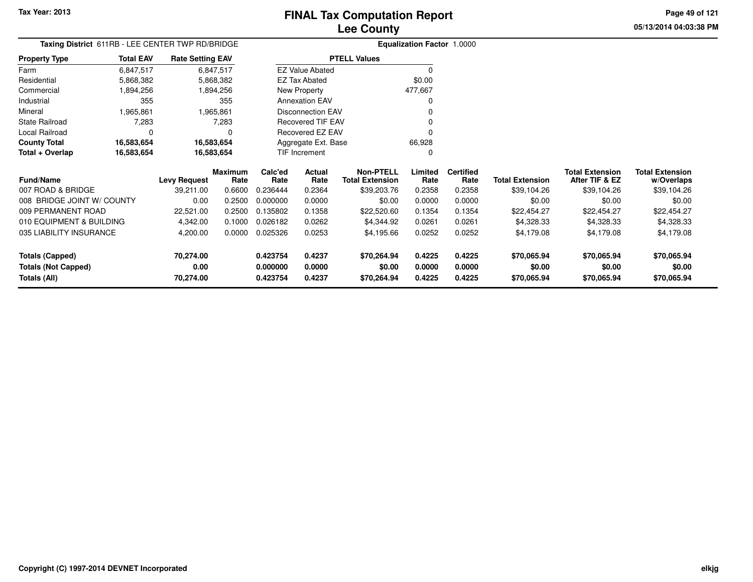**Totals (Capped)**

**Totals (All)**

**Totals (Not Capped)**

**70,274.00**

**70,274.00**

**0.00**

## **Lee CountyFINAL Tax Computation Report**

**0.423754 0.4237 \$70,264.94 0.4225 0.4225 \$70,065.94 \$70,065.94 \$70,065.94**

**0.000000 0.0000 \$0.00 0.0000 0.0000 \$0.00 \$0.00 \$0.00**

**0.423754 0.4237 \$70,264.94 0.4225 0.4225 \$70,065.94 \$70,065.94 \$70,065.94**

**05/13/2014 04:03:38 PMPage 49 of 121**

> **w/Overlaps** \$39,104.26

| Taxing District 611RB - LEE CENTER TWP RD/BRIDGE |                  | <b>Equalization Factor 1.0000</b> |                        |                     |                          |                                            |                 |                          |                        |                                          |                                      |
|--------------------------------------------------|------------------|-----------------------------------|------------------------|---------------------|--------------------------|--------------------------------------------|-----------------|--------------------------|------------------------|------------------------------------------|--------------------------------------|
| <b>Property Type</b>                             | <b>Total EAV</b> | <b>Rate Setting EAV</b>           |                        |                     |                          | <b>PTELL Values</b>                        |                 |                          |                        |                                          |                                      |
| Farm                                             | 6,847,517        |                                   | 6,847,517              |                     | <b>EZ Value Abated</b>   |                                            |                 |                          |                        |                                          |                                      |
| Residential                                      | 5,868,382        |                                   | 5,868,382              |                     | EZ Tax Abated            |                                            | \$0.00          |                          |                        |                                          |                                      |
| Commercial                                       | 1,894,256        |                                   | 1,894,256              |                     | New Property             |                                            | 477,667         |                          |                        |                                          |                                      |
| Industrial                                       | 355              |                                   | 355                    |                     | <b>Annexation EAV</b>    |                                            | 0               |                          |                        |                                          |                                      |
| Mineral                                          | 1,965,861        |                                   | 1,965,861              |                     | <b>Disconnection EAV</b> |                                            |                 |                          |                        |                                          |                                      |
| <b>State Railroad</b>                            | 7,283            |                                   | 7,283                  |                     | <b>Recovered TIF EAV</b> |                                            |                 |                          |                        |                                          |                                      |
| Local Railroad                                   |                  |                                   |                        |                     | Recovered EZ EAV         |                                            | 0               |                          |                        |                                          |                                      |
| <b>County Total</b>                              | 16,583,654       |                                   | 16,583,654             | Aggregate Ext. Base |                          |                                            | 66,928          |                          |                        |                                          |                                      |
| Total + Overlap                                  | 16,583,654       |                                   | 16,583,654             |                     | TIF Increment            |                                            | 0               |                          |                        |                                          |                                      |
| <b>Fund/Name</b>                                 |                  | <b>Levy Request</b>               | <b>Maximum</b><br>Rate | Calc'ed<br>Rate     | Actual<br>Rate           | <b>Non-PTELL</b><br><b>Total Extension</b> | Limited<br>Rate | <b>Certified</b><br>Rate | <b>Total Extension</b> | <b>Total Extension</b><br>After TIF & EZ | <b>Total Extension</b><br>w/Overlaps |
| 007 ROAD & BRIDGE                                |                  | 39,211.00                         | 0.6600                 | 0.236444            | 0.2364                   | \$39,203.76                                | 0.2358          | 0.2358                   | \$39,104.26            | \$39,104.26                              | \$39,104.26                          |
| 008 BRIDGE JOINT W/ COUNTY                       |                  | 0.00                              | 0.2500                 | 0.000000            | 0.0000                   | \$0.00                                     | 0.0000          | 0.0000                   | \$0.00                 | \$0.00                                   | \$0.00                               |
| 009 PERMANENT ROAD                               |                  | 22,521.00                         | 0.2500                 | 0.135802            | 0.1358                   | \$22,520.60                                | 0.1354          | 0.1354                   | \$22,454.27            | \$22,454.27                              | \$22,454.27                          |
| 010 EQUIPMENT & BUILDING                         |                  | 4,342.00                          | 0.1000                 | 0.026182            | 0.0262                   | \$4,344.92                                 | 0.0261          | 0.0261                   | \$4,328.33             | \$4,328.33                               | \$4,328.33                           |
| 035 LIABILITY INSURANCE                          |                  | 4,200.00                          | 0.0000                 | 0.025326            | 0.0253                   | \$4,195.66                                 | 0.0252          | 0.0252                   | \$4,179.08             | \$4,179.08                               | \$4,179.08                           |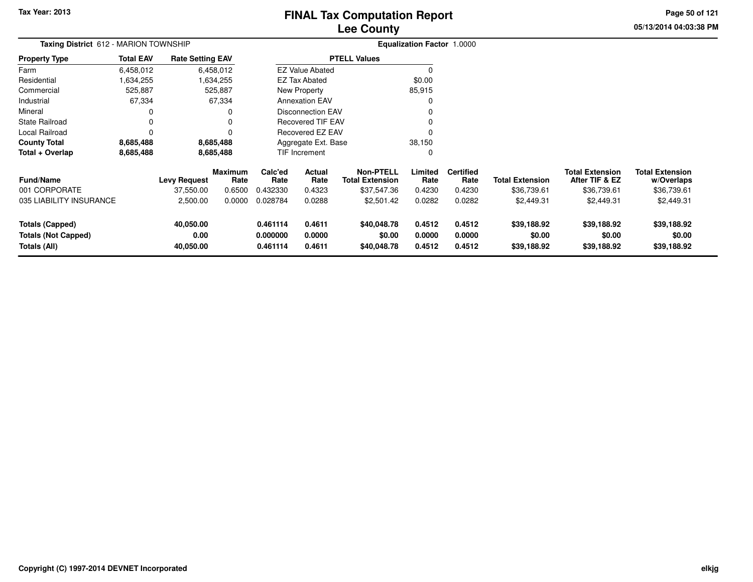# **Lee CountyFINAL Tax Computation Report**

**05/13/2014 04:03:38 PM Page 50 of 121**

| <b>Taxing District</b> 612 - MARION TOWNSHIP                         |                  |                                |                 | <b>Equalization Factor 1.0000</b> |                            |                                            |                            |                            |                                      |                                          |                                      |
|----------------------------------------------------------------------|------------------|--------------------------------|-----------------|-----------------------------------|----------------------------|--------------------------------------------|----------------------------|----------------------------|--------------------------------------|------------------------------------------|--------------------------------------|
| <b>Property Type</b>                                                 | <b>Total EAV</b> | <b>Rate Setting EAV</b>        |                 |                                   |                            | <b>PTELL Values</b>                        |                            |                            |                                      |                                          |                                      |
| Farm                                                                 | 6,458,012        |                                | 6,458,012       |                                   | <b>EZ Value Abated</b>     |                                            |                            |                            |                                      |                                          |                                      |
| Residential                                                          | 1,634,255        |                                | 1,634,255       |                                   | <b>EZ Tax Abated</b>       |                                            | \$0.00                     |                            |                                      |                                          |                                      |
| Commercial                                                           | 525,887          |                                | 525,887         |                                   | New Property               |                                            | 85,915                     |                            |                                      |                                          |                                      |
| Industrial                                                           | 67,334           |                                | 67,334          |                                   | <b>Annexation EAV</b>      |                                            |                            |                            |                                      |                                          |                                      |
| Mineral                                                              |                  |                                | 0               |                                   | <b>Disconnection EAV</b>   |                                            |                            |                            |                                      |                                          |                                      |
| <b>State Railroad</b>                                                |                  |                                | 0               |                                   | <b>Recovered TIF EAV</b>   |                                            |                            |                            |                                      |                                          |                                      |
| Local Railroad                                                       | $\Omega$         |                                | 0               |                                   | Recovered EZ EAV           |                                            |                            |                            |                                      |                                          |                                      |
| <b>County Total</b>                                                  | 8,685,488        |                                | 8,685,488       |                                   | Aggregate Ext. Base        |                                            | 38,150                     |                            |                                      |                                          |                                      |
| Total + Overlap                                                      | 8,685,488        |                                | 8,685,488       |                                   | TIF Increment              |                                            | 0                          |                            |                                      |                                          |                                      |
| <b>Fund/Name</b>                                                     |                  | <b>Levy Request</b>            | Maximum<br>Rate | Calc'ed<br>Rate                   | Actual<br>Rate             | <b>Non-PTELL</b><br><b>Total Extension</b> | Limited<br>Rate            | <b>Certified</b><br>Rate   | <b>Total Extension</b>               | <b>Total Extension</b><br>After TIF & EZ | <b>Total Extension</b><br>w/Overlaps |
| 001 CORPORATE                                                        |                  | 37,550.00                      | 0.6500          | 0.432330                          | 0.4323                     | \$37,547.36                                | 0.4230                     | 0.4230                     | \$36,739.61                          | \$36,739.61                              | \$36,739.61                          |
| 035 LIABILITY INSURANCE                                              |                  | 2,500.00                       | 0.0000          | 0.028784                          | 0.0288                     | \$2,501.42                                 | 0.0282                     | 0.0282                     | \$2,449.31                           | \$2,449.31                               | \$2,449.31                           |
| <b>Totals (Capped)</b><br><b>Totals (Not Capped)</b><br>Totals (All) |                  | 40,050.00<br>0.00<br>40,050.00 |                 | 0.461114<br>0.000000<br>0.461114  | 0.4611<br>0.0000<br>0.4611 | \$40,048.78<br>\$0.00<br>\$40,048.78       | 0.4512<br>0.0000<br>0.4512 | 0.4512<br>0.0000<br>0.4512 | \$39,188.92<br>\$0.00<br>\$39,188.92 | \$39,188.92<br>\$0.00<br>\$39,188.92     | \$39,188.92<br>\$0.00<br>\$39,188.92 |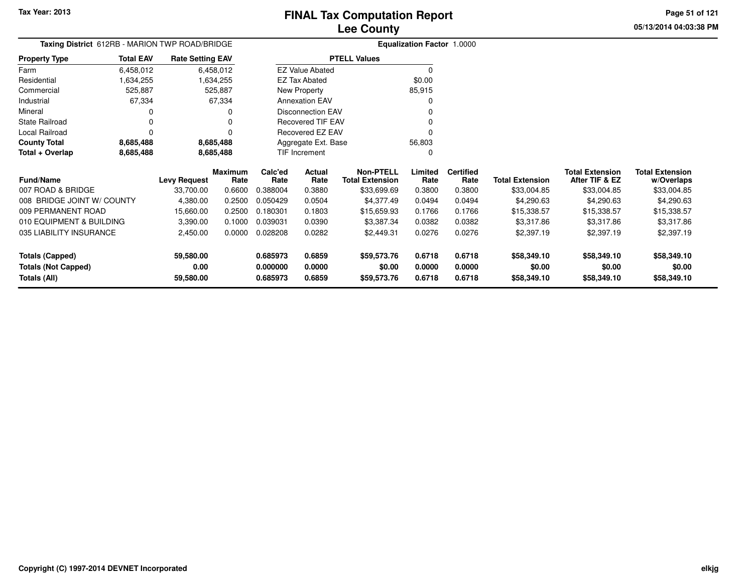**05/13/2014 04:03:38 PMPage 51 of 121**

| <b>Taxing District</b> 612RB - MARION TWP ROAD/BRIDGE |                  |                         |                 | <b>Equalization Factor 1.0000</b> |                          |                                            |                 |                          |                        |                                          |                                      |
|-------------------------------------------------------|------------------|-------------------------|-----------------|-----------------------------------|--------------------------|--------------------------------------------|-----------------|--------------------------|------------------------|------------------------------------------|--------------------------------------|
| <b>Property Type</b>                                  | <b>Total EAV</b> | <b>Rate Setting EAV</b> |                 |                                   |                          | <b>PTELL Values</b>                        |                 |                          |                        |                                          |                                      |
| Farm                                                  | 6,458,012        |                         | 6,458,012       |                                   | <b>EZ Value Abated</b>   |                                            | $\Omega$        |                          |                        |                                          |                                      |
| Residential                                           | 1,634,255        |                         | 1,634,255       |                                   | <b>EZ Tax Abated</b>     |                                            | \$0.00          |                          |                        |                                          |                                      |
| Commercial                                            | 525,887          |                         | 525,887         |                                   | New Property             |                                            | 85,915          |                          |                        |                                          |                                      |
| Industrial                                            | 67,334           |                         | 67,334          |                                   | <b>Annexation EAV</b>    |                                            |                 |                          |                        |                                          |                                      |
| Mineral                                               | 0                |                         |                 |                                   | <b>Disconnection EAV</b> |                                            |                 |                          |                        |                                          |                                      |
| State Railroad                                        |                  |                         |                 |                                   | Recovered TIF EAV        |                                            |                 |                          |                        |                                          |                                      |
| Local Railroad                                        | $\Omega$         |                         |                 |                                   | Recovered EZ EAV         |                                            |                 |                          |                        |                                          |                                      |
| <b>County Total</b>                                   | 8,685,488        |                         | 8,685,488       |                                   | Aggregate Ext. Base      |                                            | 56,803          |                          |                        |                                          |                                      |
| Total + Overlap<br>8,685,488                          |                  | 8,685,488               |                 |                                   | TIF Increment            |                                            | O               |                          |                        |                                          |                                      |
| Fund/Name                                             |                  | <b>Levy Request</b>     | Maximum<br>Rate | Calc'ed<br>Rate                   | Actual<br>Rate           | <b>Non-PTELL</b><br><b>Total Extension</b> | Limited<br>Rate | <b>Certified</b><br>Rate | <b>Total Extension</b> | <b>Total Extension</b><br>After TIF & EZ | <b>Total Extension</b><br>w/Overlaps |
| 007 ROAD & BRIDGE                                     |                  | 33,700.00               | 0.6600          | 0.388004                          | 0.3880                   | \$33,699.69                                | 0.3800          | 0.3800                   | \$33,004.85            | \$33,004.85                              | \$33,004.85                          |
| 008 BRIDGE JOINT W/ COUNTY                            |                  | 4,380.00                | 0.2500          | 0.050429                          | 0.0504                   | \$4,377.49                                 | 0.0494          | 0.0494                   | \$4,290.63             | \$4,290.63                               | \$4,290.63                           |
| 009 PERMANENT ROAD                                    |                  | 15,660.00               | 0.2500          | 0.180301                          | 0.1803                   | \$15,659.93                                | 0.1766          | 0.1766                   | \$15,338.57            | \$15,338.57                              | \$15,338.57                          |
| 010 EQUIPMENT & BUILDING                              |                  | 3,390.00                | 0.1000          | 0.039031                          | 0.0390                   | \$3,387.34                                 | 0.0382          | 0.0382                   | \$3,317.86             | \$3,317.86                               | \$3,317.86                           |
| 035 LIABILITY INSURANCE                               |                  | 2,450.00                | 0.0000          | 0.028208                          | 0.0282                   | \$2,449.31                                 | 0.0276          | 0.0276                   | \$2,397.19             | \$2,397.19                               | \$2,397.19                           |
| <b>Totals (Capped)</b>                                |                  | 59,580.00               |                 | 0.685973                          | 0.6859                   | \$59,573.76                                | 0.6718          | 0.6718                   | \$58,349.10            | \$58,349.10                              | \$58,349.10                          |
| <b>Totals (Not Capped)</b>                            |                  | 0.00                    |                 | 0.000000                          | 0.0000                   | \$0.00                                     | 0.0000          | 0.0000                   | \$0.00                 | \$0.00                                   | \$0.00                               |
| Totals (All)                                          |                  | 59,580.00               |                 | 0.685973                          | 0.6859                   | \$59,573.76                                | 0.6718          | 0.6718                   | \$58,349.10            | \$58,349.10                              | \$58,349.10                          |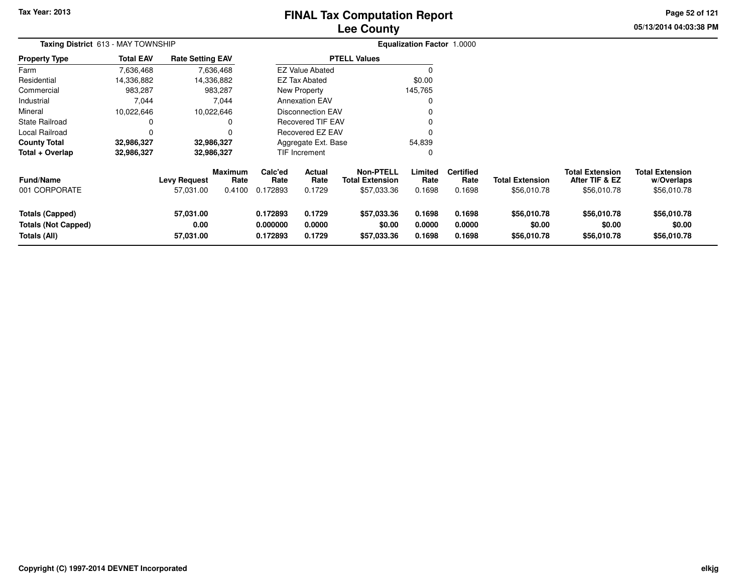# **Lee CountyFINAL Tax Computation Report**

**05/13/2014 04:03:38 PM Page 52 of 121**

| Taxing District 613 - MAY TOWNSHIP                                   |                  |                                  |                           |                                  |                                | <b>Equalization Factor 1.0000</b>                         |                            |                                    |                                       |                                                         |                                                     |  |
|----------------------------------------------------------------------|------------------|----------------------------------|---------------------------|----------------------------------|--------------------------------|-----------------------------------------------------------|----------------------------|------------------------------------|---------------------------------------|---------------------------------------------------------|-----------------------------------------------------|--|
| Property Type                                                        | <b>Total EAV</b> | <b>Rate Setting EAV</b>          |                           |                                  |                                | <b>PTELL Values</b>                                       |                            |                                    |                                       |                                                         |                                                     |  |
| Farm                                                                 | 7,636,468        |                                  | 7,636,468                 |                                  | <b>EZ Value Abated</b>         |                                                           | 0                          |                                    |                                       |                                                         |                                                     |  |
| Residential                                                          | 14,336,882       |                                  | 14,336,882                |                                  | EZ Tax Abated                  |                                                           | \$0.00                     |                                    |                                       |                                                         |                                                     |  |
| Commercial                                                           | 983,287          |                                  | 983,287                   |                                  | <b>New Property</b><br>145,765 |                                                           |                            |                                    |                                       |                                                         |                                                     |  |
| Industrial                                                           | 7,044            |                                  | 7,044                     |                                  | <b>Annexation EAV</b>          |                                                           | 0                          |                                    |                                       |                                                         |                                                     |  |
| Mineral                                                              | 10,022,646       | 10,022,646                       |                           | <b>Disconnection EAV</b><br>0    |                                |                                                           |                            |                                    |                                       |                                                         |                                                     |  |
| State Railroad                                                       | 0                |                                  | 0                         |                                  | <b>Recovered TIF EAV</b>       |                                                           | 0                          |                                    |                                       |                                                         |                                                     |  |
| Local Railroad                                                       | 0                |                                  | $\Omega$                  | Recovered EZ EAV                 |                                |                                                           |                            |                                    |                                       |                                                         |                                                     |  |
| County Total                                                         | 32,986,327       | 32,986,327                       |                           | Aggregate Ext. Base<br>54,839    |                                |                                                           |                            |                                    |                                       |                                                         |                                                     |  |
| Total + Overlap                                                      | 32,986,327       | 32,986,327                       |                           |                                  | TIF Increment                  |                                                           | 0                          |                                    |                                       |                                                         |                                                     |  |
| Fund/Name<br>001 CORPORATE                                           |                  | <b>Levy Request</b><br>57,031.00 | Maximum<br>Rate<br>0.4100 | Calc'ed<br>Rate<br>0.172893      | Actual<br>Rate<br>0.1729       | <b>Non-PTELL</b><br><b>Total Extension</b><br>\$57,033.36 | Limited<br>Rate<br>0.1698  | <b>Certified</b><br>Rate<br>0.1698 | <b>Total Extension</b><br>\$56,010.78 | <b>Total Extension</b><br>After TIF & EZ<br>\$56,010.78 | <b>Total Extension</b><br>w/Overlaps<br>\$56,010.78 |  |
| <b>Totals (Capped)</b><br><b>Totals (Not Capped)</b><br>Totals (All) |                  | 57,031.00<br>0.00<br>57,031.00   |                           | 0.172893<br>0.000000<br>0.172893 | 0.1729<br>0.0000<br>0.1729     | \$57,033.36<br>\$0.00<br>\$57,033.36                      | 0.1698<br>0.0000<br>0.1698 | 0.1698<br>0.0000<br>0.1698         | \$56,010.78<br>\$0.00<br>\$56,010.78  | \$56,010.78<br>\$0.00<br>\$56,010.78                    | \$56,010.78<br>\$0.00<br>\$56,010.78                |  |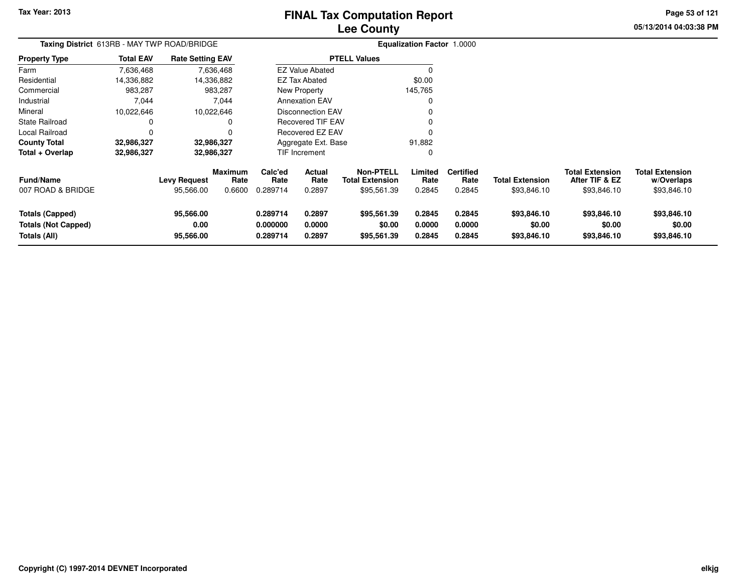# **Lee CountyFINAL Tax Computation Report**

**05/13/2014 04:03:38 PM Page 53 of 121**

| Taxing District 613RB - MAY TWP ROAD/BRIDGE                          |                  |                                |                                  |                                  |                            |                                                           | <b>Equalization Factor 1.0000</b> |                                    |                                       |                                                         |                                                     |
|----------------------------------------------------------------------|------------------|--------------------------------|----------------------------------|----------------------------------|----------------------------|-----------------------------------------------------------|-----------------------------------|------------------------------------|---------------------------------------|---------------------------------------------------------|-----------------------------------------------------|
| <b>Property Type</b>                                                 | <b>Total EAV</b> | <b>Rate Setting EAV</b>        |                                  |                                  |                            | <b>PTELL Values</b>                                       |                                   |                                    |                                       |                                                         |                                                     |
| Farm                                                                 | 7,636,468        |                                | 7,636,468                        |                                  | <b>EZ Value Abated</b>     |                                                           |                                   |                                    |                                       |                                                         |                                                     |
| Residential                                                          | 14,336,882       |                                | 14,336,882                       |                                  | <b>EZ Tax Abated</b>       |                                                           | \$0.00                            |                                    |                                       |                                                         |                                                     |
| Commercial                                                           | 983,287          |                                | 983,287                          |                                  | New Property               |                                                           | 145,765                           |                                    |                                       |                                                         |                                                     |
| Industrial                                                           | 7,044            |                                | 7,044                            | <b>Annexation EAV</b>            |                            |                                                           |                                   |                                    |                                       |                                                         |                                                     |
| Mineral                                                              | 10,022,646       |                                | 10,022,646                       |                                  | <b>Disconnection EAV</b>   |                                                           |                                   |                                    |                                       |                                                         |                                                     |
| <b>State Railroad</b>                                                |                  |                                | 0                                |                                  | Recovered TIF EAV          |                                                           |                                   |                                    |                                       |                                                         |                                                     |
| Local Railroad                                                       |                  |                                | 0                                |                                  | Recovered EZ EAV           |                                                           |                                   |                                    |                                       |                                                         |                                                     |
| <b>County Total</b>                                                  | 32,986,327       |                                | 32,986,327                       |                                  | Aggregate Ext. Base        |                                                           | 91,882                            |                                    |                                       |                                                         |                                                     |
| Total + Overlap                                                      | 32,986,327       |                                | 32,986,327                       |                                  | TIF Increment              |                                                           | 0                                 |                                    |                                       |                                                         |                                                     |
| <b>Fund/Name</b><br>007 ROAD & BRIDGE                                |                  | Levy Request<br>95,566.00      | <b>Maximum</b><br>Rate<br>0.6600 | Calc'ed<br>Rate<br>0.289714      | Actual<br>Rate<br>0.2897   | <b>Non-PTELL</b><br><b>Total Extension</b><br>\$95,561.39 | Limited<br>Rate<br>0.2845         | <b>Certified</b><br>Rate<br>0.2845 | <b>Total Extension</b><br>\$93,846.10 | <b>Total Extension</b><br>After TIF & EZ<br>\$93,846.10 | <b>Total Extension</b><br>w/Overlaps<br>\$93,846.10 |
| <b>Totals (Capped)</b><br>Totals (Not Capped)<br><b>Totals (All)</b> |                  | 95,566.00<br>0.00<br>95,566.00 |                                  | 0.289714<br>0.000000<br>0.289714 | 0.2897<br>0.0000<br>0.2897 | \$95,561.39<br>\$0.00<br>\$95,561.39                      | 0.2845<br>0.0000<br>0.2845        | 0.2845<br>0.0000<br>0.2845         | \$93,846.10<br>\$0.00<br>\$93,846.10  | \$93,846.10<br>\$0.00<br>\$93,846.10                    | \$93,846.10<br>\$0.00<br>\$93,846.10                |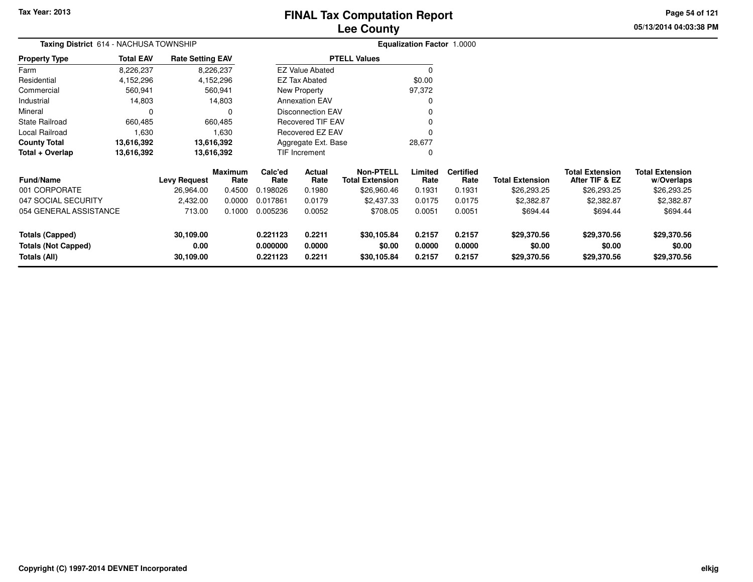**05/13/2014 04:03:38 PM Page 54 of 121**

| Taxing District 614 - NACHUSA TOWNSHIP |                  |                         |                 | <b>Equalization Factor 1.0000</b> |                          |                                            |                 |                          |                        |                                          |                                      |
|----------------------------------------|------------------|-------------------------|-----------------|-----------------------------------|--------------------------|--------------------------------------------|-----------------|--------------------------|------------------------|------------------------------------------|--------------------------------------|
| <b>Property Type</b>                   | <b>Total EAV</b> | <b>Rate Setting EAV</b> |                 |                                   |                          | <b>PTELL Values</b>                        |                 |                          |                        |                                          |                                      |
| Farm                                   | 8,226,237        |                         | 8,226,237       |                                   | <b>EZ Value Abated</b>   |                                            | $\Omega$        |                          |                        |                                          |                                      |
| Residential                            | 4,152,296        |                         | 4,152,296       |                                   | EZ Tax Abated            |                                            | \$0.00          |                          |                        |                                          |                                      |
| Commercial                             | 560,941          |                         | 560,941         |                                   | New Property             |                                            | 97,372          |                          |                        |                                          |                                      |
| Industrial                             | 14,803           |                         | 14,803          |                                   | <b>Annexation EAV</b>    |                                            | 0               |                          |                        |                                          |                                      |
| Mineral                                | $\Omega$         |                         | 0               |                                   | <b>Disconnection EAV</b> |                                            |                 |                          |                        |                                          |                                      |
| <b>State Railroad</b>                  | 660,485          |                         | 660,485         |                                   | <b>Recovered TIF EAV</b> |                                            | 0               |                          |                        |                                          |                                      |
| Local Railroad                         | 1,630            |                         | 1,630           |                                   | Recovered EZ EAV         |                                            | $\Omega$        |                          |                        |                                          |                                      |
| <b>County Total</b>                    | 13,616,392       |                         | 13,616,392      |                                   | Aggregate Ext. Base      |                                            | 28,677          |                          |                        |                                          |                                      |
| Total + Overlap                        | 13,616,392       | 13,616,392              |                 | TIF Increment                     |                          |                                            | 0               |                          |                        |                                          |                                      |
| <b>Fund/Name</b>                       |                  | <b>Levy Request</b>     | Maximum<br>Rate | Calc'ed<br>Rate                   | Actual<br>Rate           | <b>Non-PTELL</b><br><b>Total Extension</b> | Limited<br>Rate | <b>Certified</b><br>Rate | <b>Total Extension</b> | <b>Total Extension</b><br>After TIF & EZ | <b>Total Extension</b><br>w/Overlaps |
| 001 CORPORATE                          |                  | 26,964.00               | 0.4500          | 0.198026                          | 0.1980                   | \$26,960.46                                | 0.1931          | 0.1931                   | \$26,293.25            | \$26,293.25                              | \$26,293.25                          |
| 047 SOCIAL SECURITY                    |                  | 2,432.00                | 0.0000          | 0.017861                          | 0.0179                   | \$2,437.33                                 | 0.0175          | 0.0175                   | \$2,382.87             | \$2,382.87                               | \$2,382.87                           |
| 054 GENERAL ASSISTANCE                 |                  | 713.00                  | 0.1000          | 0.005236                          | 0.0052                   | \$708.05                                   | 0.0051          | 0.0051                   | \$694.44               | \$694.44                                 | \$694.44                             |
| <b>Totals (Capped)</b>                 |                  | 30,109.00               |                 | 0.221123                          | 0.2211                   | \$30,105.84                                | 0.2157          | 0.2157                   | \$29,370.56            | \$29,370.56                              | \$29,370.56                          |
| <b>Totals (Not Capped)</b>             |                  | 0.00                    |                 | 0.000000                          | 0.0000                   | \$0.00                                     | 0.0000          | 0.0000                   | \$0.00                 | \$0.00                                   | \$0.00                               |
| 30,109.00<br>Totals (All)              |                  |                         | 0.221123        | 0.2211                            | \$30,105.84              | 0.2157                                     | 0.2157          | \$29,370.56              | \$29,370.56            | \$29,370.56                              |                                      |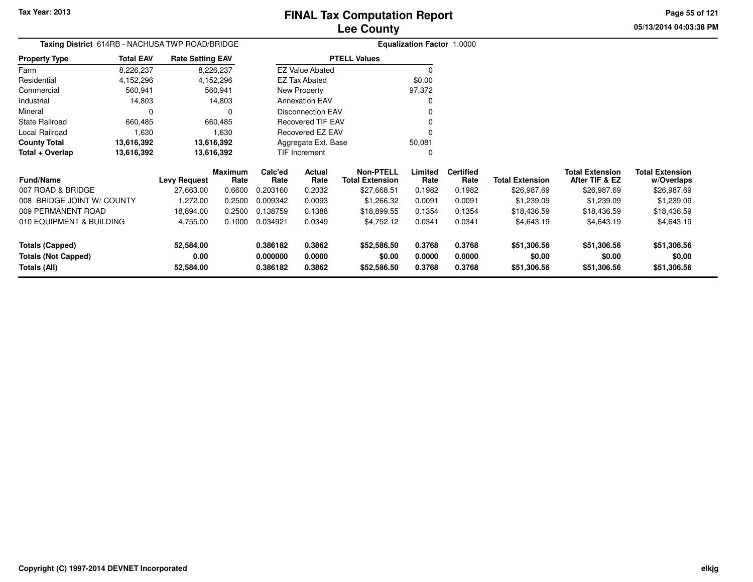**Totals (All)**

# **Lee CountyFINAL Tax Computation Report**

**0.386182 0.3862 \$52,586.50 0.3768 0.3768 \$51,306.56 \$51,306.56 \$51,306.56**

**05/13/2014 04:03:38 PMPage 55 of 121**

| Taxing District 614RB - NACHUSA TWP ROAD/BRIDGE |                  |                         |                        |                 |                          |                                            | <b>Equalization Factor 1.0000</b> |                          |                        |                                          |                                      |
|-------------------------------------------------|------------------|-------------------------|------------------------|-----------------|--------------------------|--------------------------------------------|-----------------------------------|--------------------------|------------------------|------------------------------------------|--------------------------------------|
| <b>Property Type</b>                            | <b>Total EAV</b> | <b>Rate Setting EAV</b> |                        |                 |                          | <b>PTELL Values</b>                        |                                   |                          |                        |                                          |                                      |
| Farm                                            | 8,226,237        |                         | 8,226,237              |                 | <b>EZ Value Abated</b>   |                                            |                                   |                          |                        |                                          |                                      |
| Residential                                     | 4,152,296        |                         | 4,152,296              |                 | <b>EZ Tax Abated</b>     |                                            | \$0.00                            |                          |                        |                                          |                                      |
| Commercial                                      | 560,941          |                         | 560,941                |                 | New Property             |                                            | 97,372                            |                          |                        |                                          |                                      |
| Industrial                                      | 14,803           |                         | 14,803                 |                 | <b>Annexation EAV</b>    |                                            | O                                 |                          |                        |                                          |                                      |
| Mineral                                         |                  |                         | $\Omega$               |                 | <b>Disconnection EAV</b> |                                            | $\Omega$                          |                          |                        |                                          |                                      |
| <b>State Railroad</b>                           | 660,485          |                         | 660,485                |                 | <b>Recovered TIF EAV</b> |                                            |                                   |                          |                        |                                          |                                      |
| Local Railroad                                  | 1,630            |                         | 1,630                  |                 | Recovered EZ EAV         |                                            | $\Omega$                          |                          |                        |                                          |                                      |
| <b>County Total</b>                             | 13,616,392       |                         | 13,616,392             |                 | Aggregate Ext. Base      |                                            | 50,081                            |                          |                        |                                          |                                      |
| Total + Overlap                                 | 13,616,392       |                         | 13,616,392             |                 | TIF Increment            |                                            | $\Omega$                          |                          |                        |                                          |                                      |
| <b>Fund/Name</b>                                |                  | <b>Levy Request</b>     | <b>Maximum</b><br>Rate | Calc'ed<br>Rate | Actual<br>Rate           | <b>Non-PTELL</b><br><b>Total Extension</b> | Limited<br>Rate                   | <b>Certified</b><br>Rate | <b>Total Extension</b> | <b>Total Extension</b><br>After TIF & EZ | <b>Total Extension</b><br>w/Overlaps |
| 007 ROAD & BRIDGE                               |                  | 27,663.00               | 0.6600                 | 0.203160        | 0.2032                   | \$27,668.51                                | 0.1982                            | 0.1982                   | \$26,987.69            | \$26,987.69                              | \$26,987.69                          |
| 008 BRIDGE JOINT W/ COUNTY                      |                  | 1,272.00                | 0.2500                 | 0.009342        | 0.0093                   | \$1,266.32                                 | 0.0091                            | 0.0091                   | \$1,239.09             | \$1,239.09                               | \$1,239.09                           |
| 009 PERMANENT ROAD                              |                  | 18,894.00               | 0.2500                 | 0.138759        | 0.1388                   | \$18,899.55                                | 0.1354                            | 0.1354                   | \$18,436.59            | \$18,436.59                              | \$18,436.59                          |
| 010 EQUIPMENT & BUILDING                        |                  | 4,755.00                | 0.1000                 | 0.034921        | 0.0349                   | \$4,752.12                                 | 0.0341                            | 0.0341                   | \$4,643.19             | \$4,643.19                               | \$4,643.19                           |
| <b>Totals (Capped)</b>                          |                  | 52,584.00               |                        | 0.386182        | 0.3862                   | \$52,586.50                                | 0.3768                            | 0.3768                   | \$51,306.56            | \$51,306.56                              | \$51,306.56                          |
| <b>Totals (Not Capped)</b>                      |                  | 0.00                    |                        | 0.000000        | 0.0000                   | \$0.00                                     | 0.0000                            | 0.0000                   | \$0.00                 | \$0.00                                   | \$0.00                               |

**52,584.00**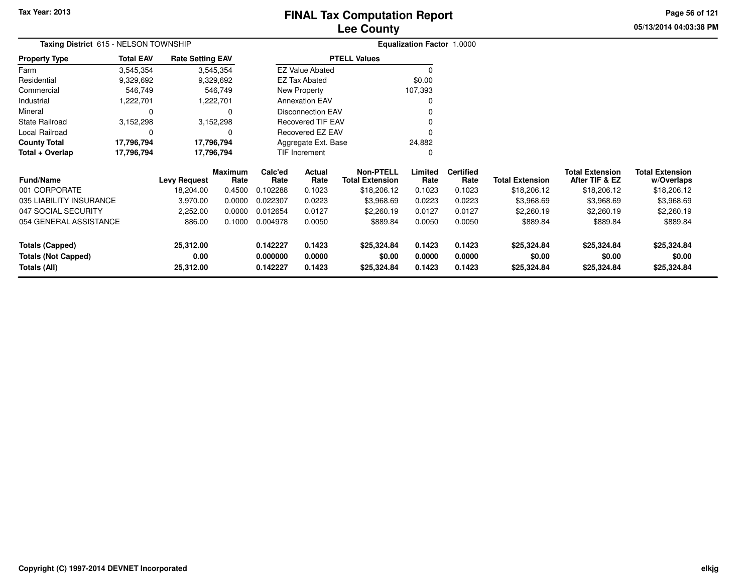# **Lee CountyFINAL Tax Computation Report**

**05/13/2014 04:03:38 PM Page 56 of 121**

|                                                                      | Taxing District 615 - NELSON TOWNSHIP |                                |                        |                                  |                            |                                            | <b>Equalization Factor 1.0000</b> |                            |                                      |                                          |                                      |
|----------------------------------------------------------------------|---------------------------------------|--------------------------------|------------------------|----------------------------------|----------------------------|--------------------------------------------|-----------------------------------|----------------------------|--------------------------------------|------------------------------------------|--------------------------------------|
| Property Type                                                        | <b>Total EAV</b>                      | <b>Rate Setting EAV</b>        |                        |                                  |                            | <b>PTELL Values</b>                        |                                   |                            |                                      |                                          |                                      |
| Farm                                                                 | 3,545,354                             |                                | 3,545,354              |                                  | <b>EZ Value Abated</b>     |                                            | <sup>0</sup>                      |                            |                                      |                                          |                                      |
| Residential                                                          | 9,329,692                             |                                | 9,329,692              |                                  | <b>EZ Tax Abated</b>       |                                            | \$0.00                            |                            |                                      |                                          |                                      |
| Commercial                                                           | 546,749                               |                                | 546,749                |                                  | New Property               |                                            | 107,393                           |                            |                                      |                                          |                                      |
| Industrial                                                           | 1,222,701                             |                                | 1,222,701              |                                  | <b>Annexation EAV</b>      |                                            | O                                 |                            |                                      |                                          |                                      |
| Mineral                                                              | 0                                     |                                | 0                      |                                  | <b>Disconnection EAV</b>   |                                            |                                   |                            |                                      |                                          |                                      |
| State Railroad                                                       | 3,152,298                             |                                | 3,152,298              | Recovered TIF EAV                |                            |                                            |                                   |                            |                                      |                                          |                                      |
| Local Railroad                                                       | 0                                     |                                | 0                      |                                  | Recovered EZ EAV           |                                            | $\Omega$                          |                            |                                      |                                          |                                      |
| County Total                                                         | 17,796,794                            | 17,796,794                     |                        | Aggregate Ext. Base<br>24,882    |                            |                                            |                                   |                            |                                      |                                          |                                      |
| Total + Overlap                                                      | 17,796,794<br>17,796,794              |                                |                        |                                  | TIF Increment              |                                            | 0                                 |                            |                                      |                                          |                                      |
| Fund/Name                                                            |                                       | <b>Levy Request</b>            | <b>Maximum</b><br>Rate | Calc'ed<br>Rate                  | Actual<br>Rate             | <b>Non-PTELL</b><br><b>Total Extension</b> | Limited<br>Rate                   | <b>Certified</b><br>Rate   | <b>Total Extension</b>               | <b>Total Extension</b><br>After TIF & EZ | <b>Total Extension</b><br>w/Overlaps |
| 001 CORPORATE                                                        |                                       | 18,204.00                      | 0.4500                 | 0.102288                         | 0.1023                     | \$18,206.12                                | 0.1023                            | 0.1023                     | \$18,206.12                          | \$18,206.12                              | \$18,206.12                          |
| 035 LIABILITY INSURANCE                                              |                                       | 3,970.00                       | 0.0000                 | 0.022307                         | 0.0223                     | \$3,968.69                                 | 0.0223                            | 0.0223                     | \$3,968.69                           | \$3,968.69                               | \$3,968.69                           |
| 047 SOCIAL SECURITY                                                  |                                       | 2,252.00                       | 0.0000                 | 0.012654                         | 0.0127                     | \$2,260.19                                 | 0.0127                            | 0.0127                     | \$2,260.19                           | \$2,260.19                               | \$2,260.19                           |
| 054 GENERAL ASSISTANCE                                               |                                       | 886.00                         | 0.1000                 | 0.004978                         | 0.0050                     | \$889.84                                   | 0.0050                            | 0.0050                     | \$889.84                             | \$889.84                                 | \$889.84                             |
| <b>Totals (Capped)</b><br><b>Totals (Not Capped)</b><br>Totals (All) |                                       | 25,312.00<br>0.00<br>25,312.00 |                        | 0.142227<br>0.000000<br>0.142227 | 0.1423<br>0.0000<br>0.1423 | \$25,324.84<br>\$0.00<br>\$25,324.84       | 0.1423<br>0.0000<br>0.1423        | 0.1423<br>0.0000<br>0.1423 | \$25,324.84<br>\$0.00<br>\$25,324.84 | \$25,324.84<br>\$0.00<br>\$25,324.84     | \$25,324.84<br>\$0.00<br>\$25,324.84 |
|                                                                      |                                       |                                |                        |                                  |                            |                                            |                                   |                            |                                      |                                          |                                      |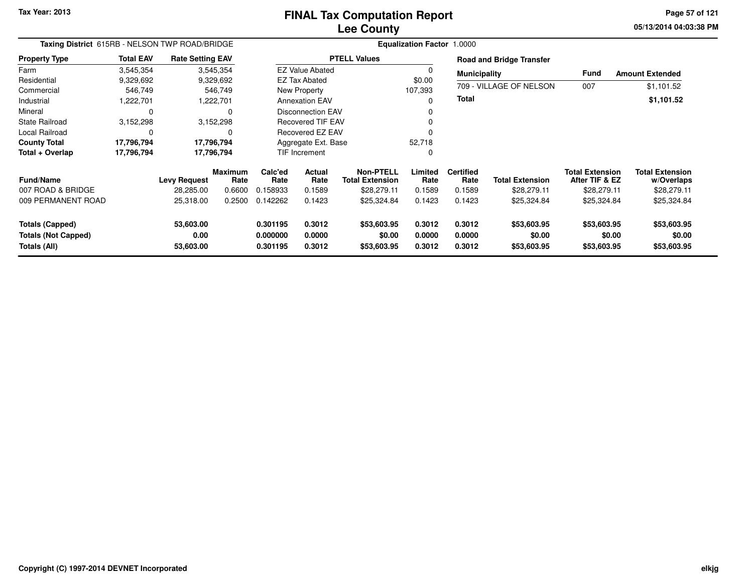**05/13/2014 04:03:38 PM Page 57 of 121**

| Taxing District 615RB - NELSON TWP ROAD/BRIDGE                       |                  |                                |                 | <b>Equalization Factor 1.0000</b> |                                                                     |                                      |                            |                            |                                      |                                          |                                      |  |  |
|----------------------------------------------------------------------|------------------|--------------------------------|-----------------|-----------------------------------|---------------------------------------------------------------------|--------------------------------------|----------------------------|----------------------------|--------------------------------------|------------------------------------------|--------------------------------------|--|--|
| <b>Property Type</b>                                                 | <b>Total EAV</b> | <b>Rate Setting EAV</b>        |                 |                                   |                                                                     | <b>PTELL Values</b>                  |                            |                            | <b>Road and Bridge Transfer</b>      |                                          |                                      |  |  |
| Farm                                                                 | 3,545,354        |                                | 3,545,354       |                                   | <b>EZ Value Abated</b>                                              |                                      | 0                          | <b>Municipality</b>        |                                      | <b>Fund</b>                              | <b>Amount Extended</b>               |  |  |
| Residential                                                          | 9,329,692        |                                | 9,329,692       |                                   | <b>EZ Tax Abated</b>                                                |                                      | \$0.00                     |                            |                                      |                                          |                                      |  |  |
| Commercial                                                           | 546,749          |                                | 546,749         |                                   | New Property                                                        |                                      |                            |                            | 709 - VILLAGE OF NELSON              | 007                                      | \$1,101.52                           |  |  |
| Industrial                                                           | ,222,701         |                                | 1,222,701       |                                   | <b>Annexation EAV</b>                                               |                                      | O                          | Total                      |                                      |                                          | \$1,101.52                           |  |  |
| Mineral                                                              | 0                |                                | 0               |                                   | <b>Disconnection EAV</b>                                            |                                      |                            |                            |                                      |                                          |                                      |  |  |
| <b>State Railroad</b>                                                | 3,152,298        |                                | 3,152,298       |                                   | <b>Recovered TIF EAV</b>                                            |                                      |                            |                            |                                      |                                          |                                      |  |  |
| Local Railroad                                                       | 0                |                                | 0               |                                   | Recovered EZ EAV                                                    |                                      | 0                          |                            |                                      |                                          |                                      |  |  |
| <b>County Total</b>                                                  | 17,796,794       |                                | 17,796,794      |                                   | Aggregate Ext. Base                                                 |                                      | 52,718                     |                            |                                      |                                          |                                      |  |  |
| Total + Overlap                                                      | 17,796,794       |                                | 17,796,794      |                                   | TIF Increment                                                       |                                      | 0                          |                            |                                      |                                          |                                      |  |  |
| <b>Fund/Name</b>                                                     |                  | <b>Levy Request</b>            | Maximum<br>Rate | Calc'ed<br>Rate                   | <b>Non-PTELL</b><br><b>Actual</b><br>Rate<br><b>Total Extension</b> |                                      | Limited<br>Rate            | <b>Certified</b><br>Rate   | <b>Total Extension</b>               | <b>Total Extension</b><br>After TIF & EZ | <b>Total Extension</b><br>w/Overlaps |  |  |
| 007 ROAD & BRIDGE                                                    |                  | 28,285.00                      | 0.6600          | 0.158933                          | 0.1589                                                              | \$28,279.11                          | 0.1589                     | 0.1589                     | \$28,279.11                          | \$28,279.11                              | \$28,279.11                          |  |  |
| 009 PERMANENT ROAD                                                   |                  | 25,318.00                      | 0.2500          | 0.142262                          | 0.1423                                                              | \$25,324.84                          | 0.1423                     | 0.1423                     | \$25,324.84                          | \$25,324.84                              | \$25,324.84                          |  |  |
| <b>Totals (Capped)</b><br><b>Totals (Not Capped)</b><br>Totals (All) |                  | 53,603.00<br>0.00<br>53,603.00 |                 | 0.301195<br>0.000000<br>0.301195  | 0.3012<br>0.0000<br>0.3012                                          | \$53,603.95<br>\$0.00<br>\$53,603.95 | 0.3012<br>0.0000<br>0.3012 | 0.3012<br>0.0000<br>0.3012 | \$53,603.95<br>\$0.00<br>\$53,603.95 | \$53,603.95<br>\$0.00<br>\$53,603.95     | \$53,603.95<br>\$0.00<br>\$53,603.95 |  |  |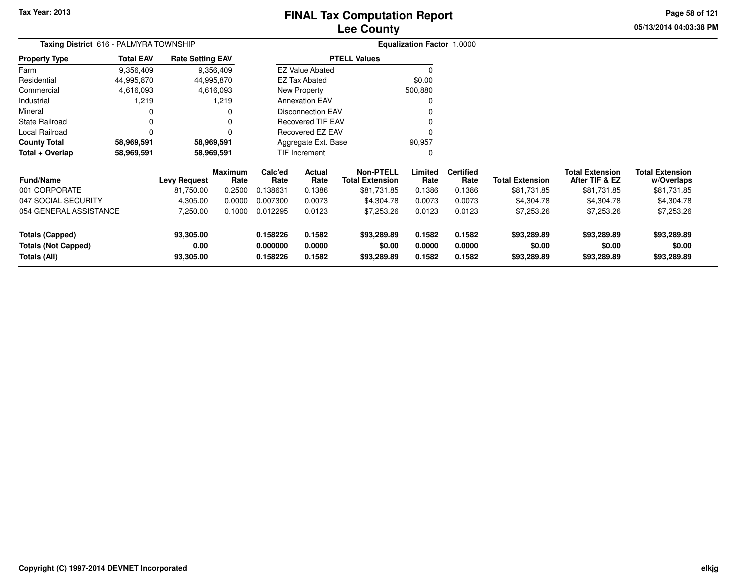# **Lee CountyFINAL Tax Computation Report**

**05/13/2014 04:03:38 PM Page 58 of 121**

| <b>Taxing District</b> 616 - PALMYRA TOWNSHIP        |                  |                         |                 |                      |                          |                                            | <b>Equalization Factor 1.0000</b> |                          |                        |                                          |                                      |
|------------------------------------------------------|------------------|-------------------------|-----------------|----------------------|--------------------------|--------------------------------------------|-----------------------------------|--------------------------|------------------------|------------------------------------------|--------------------------------------|
| Property Type                                        | <b>Total EAV</b> | <b>Rate Setting EAV</b> |                 |                      |                          | <b>PTELL Values</b>                        |                                   |                          |                        |                                          |                                      |
| Farm                                                 | 9,356,409        |                         | 9,356,409       |                      | <b>EZ Value Abated</b>   |                                            | 0                                 |                          |                        |                                          |                                      |
| Residential                                          | 44,995,870       | 44,995,870              |                 |                      | EZ Tax Abated            |                                            | \$0.00                            |                          |                        |                                          |                                      |
| Commercial                                           | 4,616,093        |                         | 4,616,093       |                      | <b>New Property</b>      |                                            | 500,880                           |                          |                        |                                          |                                      |
| Industrial                                           | 1,219            |                         | 1,219           |                      | <b>Annexation EAV</b>    |                                            | 0                                 |                          |                        |                                          |                                      |
| Mineral                                              |                  |                         | 0               |                      | <b>Disconnection EAV</b> |                                            |                                   |                          |                        |                                          |                                      |
| State Railroad                                       |                  |                         |                 |                      | <b>Recovered TIF EAV</b> |                                            |                                   |                          |                        |                                          |                                      |
| Local Railroad                                       |                  |                         | O               |                      | Recovered EZ EAV         |                                            |                                   |                          |                        |                                          |                                      |
| <b>County Total</b>                                  | 58,969,591       | 58,969,591              |                 |                      | Aggregate Ext. Base      |                                            | 90,957                            |                          |                        |                                          |                                      |
| Total + Overlap                                      | 58,969,591       | 58,969,591              |                 |                      | TIF Increment            |                                            | 0                                 |                          |                        |                                          |                                      |
| <b>Fund/Name</b>                                     |                  | <b>Levy Request</b>     | Maximum<br>Rate | Calc'ed<br>Rate      | Actual<br>Rate           | <b>Non-PTELL</b><br><b>Total Extension</b> | Limited<br>Rate                   | <b>Certified</b><br>Rate | <b>Total Extension</b> | <b>Total Extension</b><br>After TIF & EZ | <b>Total Extension</b><br>w/Overlaps |
| 001 CORPORATE                                        |                  | 81,750.00               | 0.2500          | 0.138631             | 0.1386                   | \$81,731.85                                | 0.1386                            | 0.1386                   | \$81,731.85            | \$81,731.85                              | \$81,731.85                          |
| 047 SOCIAL SECURITY                                  |                  | 4,305.00                | 0.0000          | 0.007300             | 0.0073                   | \$4,304.78                                 | 0.0073                            | 0.0073                   | \$4,304.78             | \$4,304.78                               | \$4,304.78                           |
| 054 GENERAL ASSISTANCE                               |                  | 7,250.00                | 0.1000          | 0.012295             | 0.0123                   | \$7,253.26                                 | 0.0123                            | 0.0123                   | \$7,253.26             | \$7,253.26                               | \$7,253.26                           |
| <b>Totals (Capped)</b><br><b>Totals (Not Capped)</b> |                  | 93,305.00<br>0.00       |                 | 0.158226<br>0.000000 | 0.1582<br>0.0000         | \$93,289.89<br>\$0.00                      | 0.1582<br>0.0000                  | 0.1582<br>0.0000         | \$93,289.89<br>\$0.00  | \$93,289.89<br>\$0.00                    | \$93,289.89<br>\$0.00                |
| Totals (All)                                         |                  | 93,305.00               |                 | 0.158226             | 0.1582                   | \$93,289.89                                | 0.1582                            | 0.1582                   | \$93,289.89            | \$93,289.89                              | \$93,289.89                          |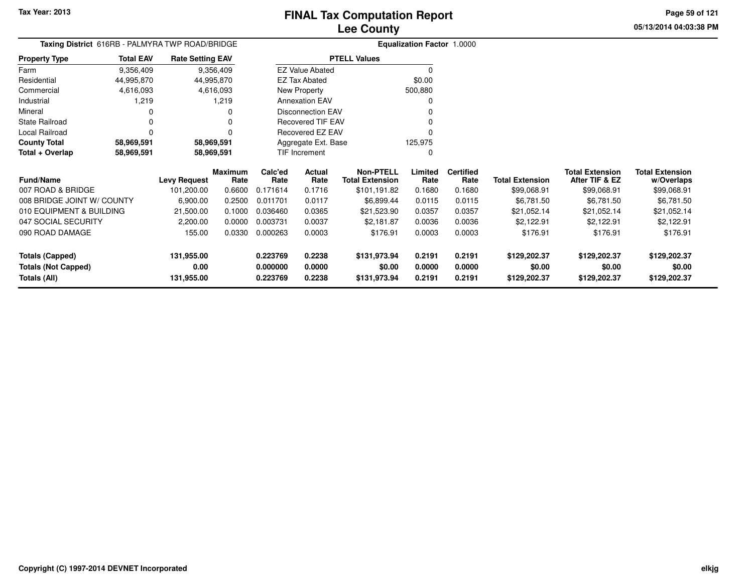**05/13/2014 04:03:38 PMPage 59 of 121**

| <b>Taxing District</b> 616RB - PALMYRA TWP ROAD/BRIDGE |                  |                         |                 |                 |                          |                                            | <b>Equalization Factor 1.0000</b> |                          |                        |                                          |                                      |
|--------------------------------------------------------|------------------|-------------------------|-----------------|-----------------|--------------------------|--------------------------------------------|-----------------------------------|--------------------------|------------------------|------------------------------------------|--------------------------------------|
| <b>Property Type</b>                                   | <b>Total EAV</b> | <b>Rate Setting EAV</b> |                 |                 |                          | <b>PTELL Values</b>                        |                                   |                          |                        |                                          |                                      |
| Farm                                                   | 9,356,409        |                         | 9,356,409       |                 | <b>EZ Value Abated</b>   |                                            | $\mathbf 0$                       |                          |                        |                                          |                                      |
| Residential                                            | 44,995,870       | 44,995,870              |                 |                 | <b>EZ Tax Abated</b>     |                                            | \$0.00                            |                          |                        |                                          |                                      |
| Commercial                                             | 4,616,093        |                         | 4,616,093       |                 | New Property             |                                            | 500,880                           |                          |                        |                                          |                                      |
| Industrial                                             | 1,219            |                         | 1,219           |                 | <b>Annexation EAV</b>    |                                            | O                                 |                          |                        |                                          |                                      |
| Mineral                                                |                  |                         | 0               |                 | <b>Disconnection EAV</b> |                                            |                                   |                          |                        |                                          |                                      |
| <b>State Railroad</b>                                  |                  |                         | $\Omega$        |                 | <b>Recovered TIF EAV</b> |                                            |                                   |                          |                        |                                          |                                      |
| Local Railroad                                         | $\Omega$         |                         | $\Omega$        |                 | Recovered EZ EAV         |                                            | $\Omega$                          |                          |                        |                                          |                                      |
| <b>County Total</b>                                    | 58,969,591       | 58,969,591              |                 |                 | Aggregate Ext. Base      |                                            | 125,975                           |                          |                        |                                          |                                      |
| Total + Overlap                                        | 58,969,591       | 58,969,591              |                 |                 | TIF Increment            |                                            | O                                 |                          |                        |                                          |                                      |
| <b>Fund/Name</b>                                       |                  | <b>Levy Request</b>     | Maximum<br>Rate | Calc'ed<br>Rate | Actual<br>Rate           | <b>Non-PTELL</b><br><b>Total Extension</b> | Limited<br>Rate                   | <b>Certified</b><br>Rate | <b>Total Extension</b> | <b>Total Extension</b><br>After TIF & EZ | <b>Total Extension</b><br>w/Overlaps |
| 007 ROAD & BRIDGE                                      |                  | 101,200.00              | 0.6600          | 0.171614        | 0.1716                   | \$101,191.82                               | 0.1680                            | 0.1680                   | \$99,068.91            | \$99,068.91                              | \$99,068.91                          |
| 008 BRIDGE JOINT W/ COUNTY                             |                  | 6,900.00                | 0.2500          | 0.011701        | 0.0117                   | \$6,899.44                                 | 0.0115                            | 0.0115                   | \$6,781.50             | \$6,781.50                               | \$6,781.50                           |
| 010 EQUIPMENT & BUILDING                               |                  | 21,500.00               | 0.1000          | 0.036460        | 0.0365                   | \$21,523.90                                | 0.0357                            | 0.0357                   | \$21,052.14            | \$21,052.14                              | \$21,052.14                          |
| 047 SOCIAL SECURITY                                    |                  | 2,200.00                | 0.0000          | 0.003731        | 0.0037                   | \$2,181.87                                 | 0.0036                            | 0.0036                   | \$2,122.91             | \$2,122.91                               | \$2,122.91                           |
| 090 ROAD DAMAGE                                        |                  | 155.00                  | 0.0330          | 0.000263        | 0.0003                   | \$176.91                                   | 0.0003                            | 0.0003                   | \$176.91               | \$176.91                                 | \$176.91                             |
| <b>Totals (Capped)</b>                                 |                  | 131,955.00              |                 | 0.223769        | 0.2238                   | \$131,973.94                               | 0.2191                            | 0.2191                   | \$129,202.37           | \$129,202.37                             | \$129,202.37                         |
| <b>Totals (Not Capped)</b>                             |                  | 0.00                    |                 | 0.000000        | 0.0000                   | \$0.00                                     | 0.0000                            | 0.0000                   | \$0.00                 | \$0.00                                   | \$0.00                               |
| Totals (All)                                           |                  | 131,955.00              |                 | 0.223769        | 0.2238                   | \$131,973.94                               | 0.2191                            | 0.2191                   | \$129,202.37           | \$129,202.37                             | \$129,202.37                         |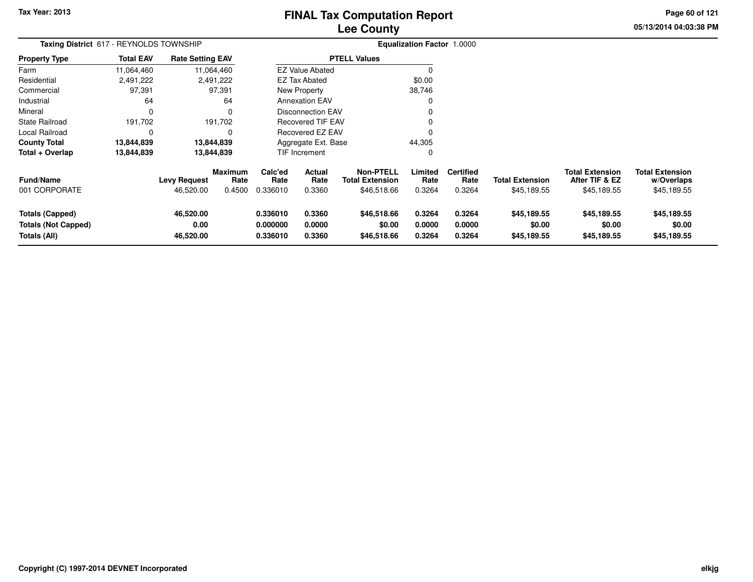# **Lee CountyFINAL Tax Computation Report**

**05/13/2014 04:03:38 PM Page 60 of 121**

| Taxing District 617 - REYNOLDS TOWNSHIP                              |                  |                                  |                                  |                                  |                            |                                                           | Equalization Factor 1.0000 |                                    |                                       |                                                         |                                                     |
|----------------------------------------------------------------------|------------------|----------------------------------|----------------------------------|----------------------------------|----------------------------|-----------------------------------------------------------|----------------------------|------------------------------------|---------------------------------------|---------------------------------------------------------|-----------------------------------------------------|
| Property Type                                                        | <b>Total EAV</b> | <b>Rate Setting EAV</b>          |                                  |                                  |                            | <b>PTELL Values</b>                                       |                            |                                    |                                       |                                                         |                                                     |
| Farm                                                                 | 11,064,460       |                                  | 11,064,460                       |                                  | <b>EZ Value Abated</b>     |                                                           |                            |                                    |                                       |                                                         |                                                     |
| Residential                                                          | 2,491,222        |                                  | 2,491,222                        |                                  | <b>EZ Tax Abated</b>       |                                                           | \$0.00                     |                                    |                                       |                                                         |                                                     |
| Commercial                                                           | 97,391           |                                  | 97,391                           |                                  | New Property               |                                                           | 38,746                     |                                    |                                       |                                                         |                                                     |
| Industrial                                                           | 64               |                                  | 64                               |                                  | <b>Annexation EAV</b>      |                                                           |                            |                                    |                                       |                                                         |                                                     |
| Mineral                                                              | 0                |                                  |                                  | <b>Disconnection EAV</b>         |                            |                                                           |                            |                                    |                                       |                                                         |                                                     |
| State Railroad                                                       | 191,702          |                                  | 191,702                          |                                  | <b>Recovered TIF EAV</b>   |                                                           |                            |                                    |                                       |                                                         |                                                     |
| Local Railroad                                                       | 0                |                                  |                                  |                                  | Recovered EZ EAV           |                                                           |                            |                                    |                                       |                                                         |                                                     |
| County Total                                                         | 13,844,839       |                                  | 13,844,839                       |                                  | Aggregate Ext. Base        |                                                           |                            |                                    |                                       |                                                         |                                                     |
| Total + Overlap                                                      | 13,844,839       |                                  | 13,844,839                       |                                  | TIF Increment              |                                                           | 0                          |                                    |                                       |                                                         |                                                     |
| Fund/Name<br>001 CORPORATE                                           |                  | <b>Levy Request</b><br>46,520.00 | <b>Maximum</b><br>Rate<br>0.4500 | Calc'ed<br>Rate<br>0.336010      | Actual<br>Rate<br>0.3360   | <b>Non-PTELL</b><br><b>Total Extension</b><br>\$46,518.66 | Limited<br>Rate<br>0.3264  | <b>Certified</b><br>Rate<br>0.3264 | <b>Total Extension</b><br>\$45,189.55 | <b>Total Extension</b><br>After TIF & EZ<br>\$45,189.55 | <b>Total Extension</b><br>w/Overlaps<br>\$45,189.55 |
| <b>Totals (Capped)</b><br><b>Totals (Not Capped)</b><br>Totals (All) |                  | 46,520.00<br>0.00<br>46,520.00   |                                  | 0.336010<br>0.000000<br>0.336010 | 0.3360<br>0.0000<br>0.3360 | \$46,518.66<br>\$0.00<br>\$46,518.66                      | 0.3264<br>0.0000<br>0.3264 | 0.3264<br>0.0000<br>0.3264         | \$45,189.55<br>\$0.00<br>\$45,189.55  | \$45,189.55<br>\$0.00<br>\$45,189.55                    | \$45,189.55<br>\$0.00<br>\$45,189.55                |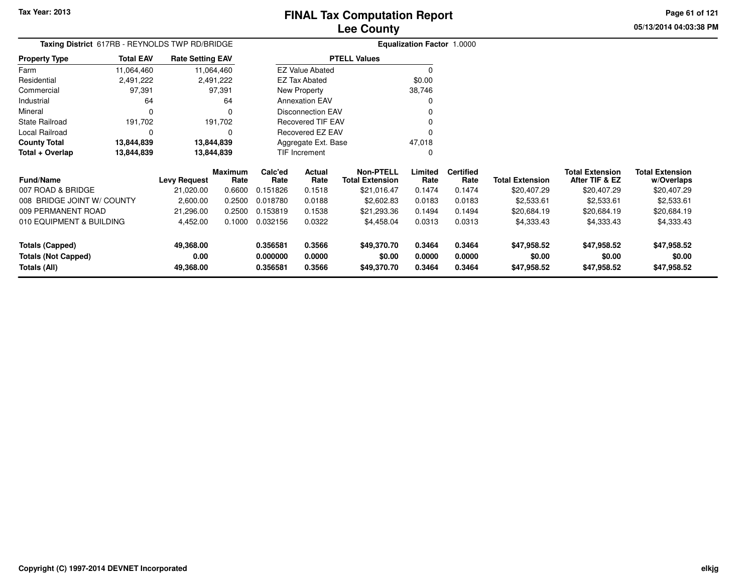**Totals (All)**

# **Lee CountyFINAL Tax Computation Report**

**0.356581 0.3566 \$49,370.70 0.3464 0.3464 \$47,958.52 \$47,958.52 \$47,958.52**

**05/13/2014 04:03:38 PMPage 61 of 121**

> **w/Overlaps**\$20,407.29

| Taxing District 617RB - REYNOLDS TWP RD/BRIDGE |                  |                         |                        |                 |                          |                                            | <b>Equalization Factor 1.0000</b> |                          |                        |                                          |                                      |
|------------------------------------------------|------------------|-------------------------|------------------------|-----------------|--------------------------|--------------------------------------------|-----------------------------------|--------------------------|------------------------|------------------------------------------|--------------------------------------|
| <b>Property Type</b>                           | <b>Total EAV</b> | <b>Rate Setting EAV</b> |                        |                 |                          | <b>PTELL Values</b>                        |                                   |                          |                        |                                          |                                      |
| Farm                                           | 11,064,460       |                         | 11,064,460             |                 | <b>EZ Value Abated</b>   |                                            | 0                                 |                          |                        |                                          |                                      |
| Residential                                    | 2,491,222        |                         | 2,491,222              |                 | EZ Tax Abated            |                                            | \$0.00                            |                          |                        |                                          |                                      |
| Commercial                                     | 97,391           |                         | 97,391                 |                 | New Property             |                                            | 38,746                            |                          |                        |                                          |                                      |
| Industrial                                     | 64               |                         | 64                     |                 | <b>Annexation EAV</b>    |                                            | ი                                 |                          |                        |                                          |                                      |
| Mineral                                        | 0                |                         | $\Omega$               |                 | <b>Disconnection EAV</b> |                                            | 0                                 |                          |                        |                                          |                                      |
| <b>State Railroad</b>                          | 191,702          |                         | 191,702                |                 | Recovered TIF EAV        |                                            | 0                                 |                          |                        |                                          |                                      |
| Local Railroad                                 | 0                |                         | $\Omega$               |                 | Recovered EZ EAV         |                                            | 0                                 |                          |                        |                                          |                                      |
| <b>County Total</b>                            | 13,844,839       |                         | 13,844,839             |                 | Aggregate Ext. Base      |                                            | 47,018                            |                          |                        |                                          |                                      |
| Total + Overlap<br>13,844,839                  |                  |                         | 13,844,839             |                 | TIF Increment            |                                            | 0                                 |                          |                        |                                          |                                      |
| <b>Fund/Name</b>                               |                  | <b>Levy Request</b>     | <b>Maximum</b><br>Rate | Calc'ed<br>Rate | Actual<br>Rate           | <b>Non-PTELL</b><br><b>Total Extension</b> | Limited<br>Rate                   | <b>Certified</b><br>Rate | <b>Total Extension</b> | <b>Total Extension</b><br>After TIF & EZ | <b>Total Extension</b><br>w/Overlaps |
| 007 ROAD & BRIDGE                              |                  | 21,020.00               | 0.6600                 | 0.151826        | 0.1518                   | \$21,016.47                                | 0.1474                            | 0.1474                   | \$20,407.29            | \$20,407.29                              | \$20,407.29                          |
| 008 BRIDGE JOINT W/ COUNTY                     |                  | 2,600.00                | 0.2500                 | 0.018780        | 0.0188                   | \$2,602.83                                 | 0.0183                            | 0.0183                   | \$2,533.61             | \$2,533.61                               | \$2,533.61                           |
| 009 PERMANENT ROAD                             |                  | 21,296.00               | 0.2500                 | 0.153819        | 0.1538                   | \$21,293.36                                | 0.1494                            | 0.1494                   | \$20,684.19            | \$20,684.19                              | \$20,684.19                          |
| 010 EQUIPMENT & BUILDING                       |                  | 4,452.00                | 0.1000                 | 0.032156        | 0.0322                   | \$4,458.04                                 | 0.0313                            | 0.0313                   | \$4,333.43             | \$4,333.43                               | \$4,333.43                           |
| <b>Totals (Capped)</b>                         |                  | 49,368.00               |                        | 0.356581        | 0.3566                   | \$49,370.70                                | 0.3464                            | 0.3464                   | \$47,958.52            | \$47,958.52                              | \$47,958.52                          |
| <b>Totals (Not Capped)</b>                     |                  | 0.00                    |                        | 0.000000        | 0.0000                   | \$0.00                                     | 0.0000                            | 0.0000                   | \$0.00                 | \$0.00                                   | \$0.00                               |

**49,368.00**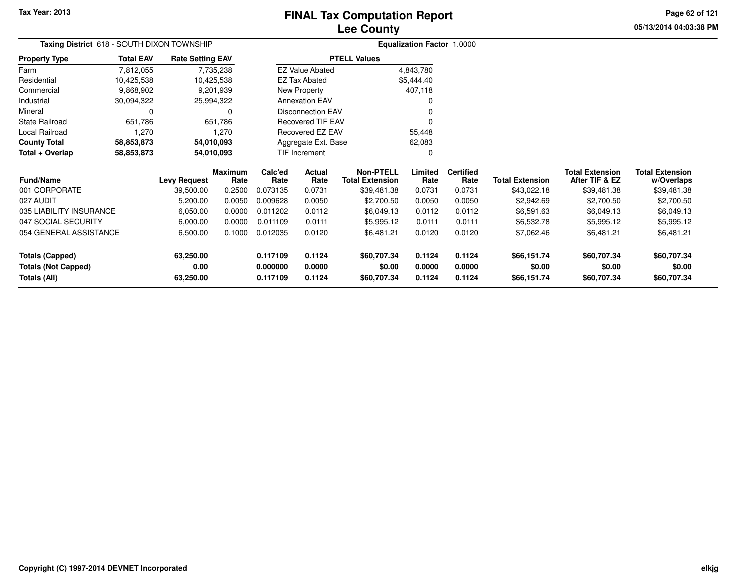# **Lee CountyFINAL Tax Computation Report**

**05/13/2014 04:03:38 PM Page 62 of 121**

| <b>Taxing District</b> 618 - SOUTH DIXON TOWNSHIP |                                      |                         |                        | <b>Equalization Factor 1.0000</b> |                          |                                            |                 |                          |                        |                                          |                                      |  |
|---------------------------------------------------|--------------------------------------|-------------------------|------------------------|-----------------------------------|--------------------------|--------------------------------------------|-----------------|--------------------------|------------------------|------------------------------------------|--------------------------------------|--|
| <b>Property Type</b>                              | <b>Total EAV</b>                     | <b>Rate Setting EAV</b> |                        |                                   |                          | <b>PTELL Values</b>                        |                 |                          |                        |                                          |                                      |  |
| Farm                                              | 7,812,055                            |                         | 7,735,238              |                                   | <b>EZ Value Abated</b>   |                                            | 4,843,780       |                          |                        |                                          |                                      |  |
| Residential                                       | 10,425,538                           |                         | 10,425,538             |                                   | <b>EZ Tax Abated</b>     |                                            | \$5,444.40      |                          |                        |                                          |                                      |  |
| Commercial                                        | 9,868,902                            |                         | 9,201,939              |                                   | New Property             |                                            | 407,118         |                          |                        |                                          |                                      |  |
| Industrial                                        | 30,094,322                           |                         | 25,994,322             |                                   | <b>Annexation EAV</b>    |                                            |                 |                          |                        |                                          |                                      |  |
| Mineral                                           |                                      |                         | 0                      |                                   | Disconnection EAV        |                                            |                 |                          |                        |                                          |                                      |  |
| State Railroad                                    | 651,786<br>651,786<br>1,270<br>1,270 |                         |                        |                                   | <b>Recovered TIF EAV</b> |                                            |                 |                          |                        |                                          |                                      |  |
| Local Railroad                                    |                                      |                         |                        |                                   | Recovered EZ EAV         |                                            | 55,448          |                          |                        |                                          |                                      |  |
| <b>County Total</b>                               | 58,853,873                           |                         | 54,010,093             |                                   | Aggregate Ext. Base      |                                            | 62,083          |                          |                        |                                          |                                      |  |
| Total + Overlap                                   | 58,853,873                           | 54,010,093              |                        |                                   | TIF Increment            |                                            |                 |                          |                        |                                          |                                      |  |
| Fund/Name                                         |                                      | <b>Levy Request</b>     | <b>Maximum</b><br>Rate | Calc'ed<br>Rate                   | Actual<br>Rate           | <b>Non-PTELL</b><br><b>Total Extension</b> | Limited<br>Rate | <b>Certified</b><br>Rate | <b>Total Extension</b> | <b>Total Extension</b><br>After TIF & EZ | <b>Total Extension</b><br>w/Overlaps |  |
| 001 CORPORATE                                     |                                      | 39,500.00               | 0.2500                 | 0.073135                          | 0.0731                   | \$39,481.38                                | 0.0731          | 0.0731                   | \$43,022.18            | \$39,481.38                              | \$39,481.38                          |  |
| 027 AUDIT                                         |                                      | 5,200.00                | 0.0050                 | 0.009628                          | 0.0050                   | \$2,700.50                                 | 0.0050          | 0.0050                   | \$2,942.69             | \$2,700.50                               | \$2,700.50                           |  |
| 035 LIABILITY INSURANCE                           |                                      | 6,050.00                | 0.0000                 | 0.011202                          | 0.0112                   | \$6,049.13                                 | 0.0112          | 0.0112                   | \$6,591.63             | \$6,049.13                               | \$6,049.13                           |  |
| 047 SOCIAL SECURITY                               |                                      | 6,000.00                | 0.0000                 | 0.011109                          | 0.0111                   | \$5,995.12                                 | 0.0111          | 0.0111                   | \$6,532.78             | \$5,995.12                               | \$5,995.12                           |  |
| 054 GENERAL ASSISTANCE                            |                                      | 6,500.00                | 0.1000                 | 0.012035                          | 0.0120                   | \$6,481.21                                 | 0.0120          | 0.0120                   | \$7,062.46             | \$6,481.21                               | \$6,481.21                           |  |
| <b>Totals (Capped)</b>                            |                                      | 63,250.00               |                        | 0.117109                          | 0.1124                   | \$60,707.34                                | 0.1124          | 0.1124                   | \$66,151.74            | \$60,707.34                              | \$60,707.34                          |  |
| <b>Totals (Not Capped)</b>                        |                                      | 0.00                    |                        | 0.000000                          | 0.0000                   | \$0.00                                     | 0.0000          | 0.0000                   | \$0.00                 | \$0.00                                   | \$0.00                               |  |
| Totals (All)                                      |                                      | 63,250.00               |                        | 0.117109                          | 0.1124                   | \$60,707.34                                | 0.1124          | 0.1124                   | \$66,151.74            | \$60,707.34                              | \$60,707.34                          |  |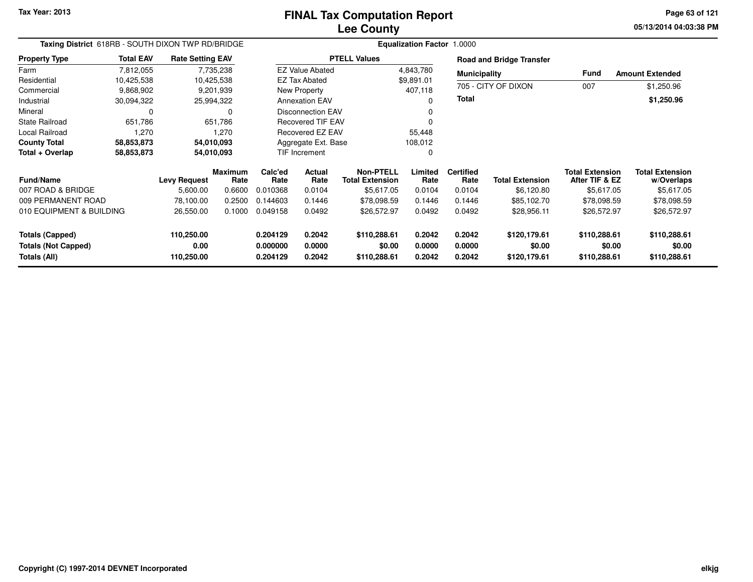**05/13/2014 04:03:38 PM Page 63 of 121**

| Taxing District 618RB - SOUTH DIXON TWP RD/BRIDGE    |                    |                         |                        | <b>Equalization Factor 1.0000</b> |                                   |                                            |                  |                          |                                 |                                          |                                      |
|------------------------------------------------------|--------------------|-------------------------|------------------------|-----------------------------------|-----------------------------------|--------------------------------------------|------------------|--------------------------|---------------------------------|------------------------------------------|--------------------------------------|
| <b>Property Type</b>                                 | <b>Total EAV</b>   | <b>Rate Setting EAV</b> |                        |                                   |                                   | <b>PTELL Values</b>                        |                  |                          | <b>Road and Bridge Transfer</b> |                                          |                                      |
| Farm                                                 | 7,812,055          |                         | 7,735,238              |                                   | <b>EZ Value Abated</b>            |                                            | 4,843,780        | <b>Municipality</b>      |                                 | Fund                                     | <b>Amount Extended</b>               |
| Residential                                          | 10,425,538         | 10,425,538              |                        |                                   | <b>EZ Tax Abated</b>              |                                            | \$9,891.01       |                          |                                 |                                          |                                      |
| Commercial                                           | 9,868,902          |                         | 9,201,939              |                                   | New Property                      |                                            | 407,118          |                          | 705 - CITY OF DIXON             | 007                                      | \$1,250.96                           |
| Industrial                                           | 30,094,322         | 25,994,322              |                        |                                   | <b>Annexation EAV</b><br>$\Omega$ |                                            | <b>Total</b>     |                          |                                 | \$1,250.96                               |                                      |
| Mineral                                              | 0                  |                         | 0                      |                                   | <b>Disconnection EAV</b><br>0     |                                            |                  |                          |                                 |                                          |                                      |
| <b>State Railroad</b>                                | 651,786<br>651,786 |                         | Recovered TIF EAV      |                                   |                                   |                                            |                  |                          |                                 |                                          |                                      |
| Local Railroad<br>1,270                              |                    | 1,270                   | Recovered EZ EAV       |                                   |                                   | 55,448                                     |                  |                          |                                 |                                          |                                      |
| <b>County Total</b>                                  | 58,853,873         | 54,010,093              |                        |                                   | Aggregate Ext. Base               |                                            | 108,012          |                          |                                 |                                          |                                      |
| Total + Overlap                                      | 58,853,873         | 54,010,093              |                        |                                   | <b>TIF Increment</b>              |                                            | 0                |                          |                                 |                                          |                                      |
| <b>Fund/Name</b>                                     |                    | <b>Levy Request</b>     | <b>Maximum</b><br>Rate | Calc'ed<br>Rate                   | Actual<br>Rate                    | <b>Non-PTELL</b><br><b>Total Extension</b> | Limited<br>Rate  | <b>Certified</b><br>Rate | <b>Total Extension</b>          | <b>Total Extension</b><br>After TIF & EZ | <b>Total Extension</b><br>w/Overlaps |
| 007 ROAD & BRIDGE                                    |                    | 5,600.00                | 0.6600                 | 0.010368                          | 0.0104                            | \$5,617.05                                 | 0.0104           | 0.0104                   | \$6,120.80                      | \$5,617.05                               | \$5,617.05                           |
| 009 PERMANENT ROAD                                   |                    | 78,100.00               | 0.2500                 | 0.144603                          | 0.1446                            | \$78,098.59                                | 0.1446           | 0.1446                   | \$85,102.70                     | \$78,098.59                              | \$78,098.59                          |
| 010 EQUIPMENT & BUILDING                             |                    | 26,550.00               | 0.1000                 | 0.049158                          | 0.0492                            | \$26,572.97                                | 0.0492           | 0.0492                   | \$28,956.11                     | \$26,572.97                              | \$26,572.97                          |
| <b>Totals (Capped)</b><br><b>Totals (Not Capped)</b> |                    | 110,250.00<br>0.00      |                        | 0.204129<br>0.000000              | 0.2042<br>0.0000                  | \$110,288.61<br>\$0.00                     | 0.2042<br>0.0000 | 0.2042<br>0.0000         | \$120,179.61<br>\$0.00          | \$110,288.61<br>\$0.00                   | \$110,288.61<br>\$0.00               |
| Totals (All)                                         |                    | 110,250.00              |                        | 0.204129                          | 0.2042                            | \$110,288.61                               | 0.2042           | 0.2042                   | \$120,179.61                    | \$110,288.61                             | \$110,288.61                         |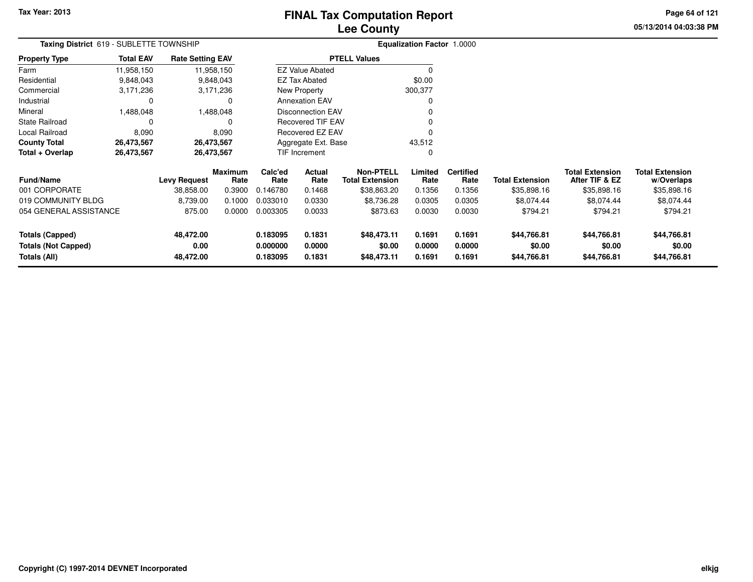# **Lee CountyFINAL Tax Computation Report**

**05/13/2014 04:03:38 PM Page 64 of 121**

| Taxing District 619 - SUBLETTE TOWNSHIP    |                  |                         |                        | <b>Equalization Factor 1.0000</b> |                          |                                            |                  |                          |                        |                                          |                                      |
|--------------------------------------------|------------------|-------------------------|------------------------|-----------------------------------|--------------------------|--------------------------------------------|------------------|--------------------------|------------------------|------------------------------------------|--------------------------------------|
| <b>Property Type</b>                       | <b>Total EAV</b> | <b>Rate Setting EAV</b> |                        |                                   |                          | <b>PTELL Values</b>                        |                  |                          |                        |                                          |                                      |
| Farm                                       | 11,958,150       |                         | 11,958,150             |                                   | <b>EZ Value Abated</b>   |                                            |                  |                          |                        |                                          |                                      |
| Residential                                | 9,848,043        |                         | 9,848,043              |                                   | <b>EZ Tax Abated</b>     |                                            | \$0.00           |                          |                        |                                          |                                      |
| Commercial                                 | 3,171,236        |                         | 3,171,236              |                                   | New Property             |                                            | 300,377          |                          |                        |                                          |                                      |
| Industrial                                 | 0                |                         |                        |                                   | <b>Annexation EAV</b>    |                                            |                  |                          |                        |                                          |                                      |
| Mineral                                    | 1,488,048        |                         | 1,488,048              |                                   | <b>Disconnection EAV</b> |                                            |                  |                          |                        |                                          |                                      |
| State Railroad                             | 0                |                         |                        |                                   | <b>Recovered TIF EAV</b> |                                            |                  |                          |                        |                                          |                                      |
| Local Railroad                             | 8,090<br>8,090   |                         |                        |                                   | Recovered EZ EAV         |                                            |                  |                          |                        |                                          |                                      |
| <b>County Total</b>                        | 26,473,567       |                         | 26,473,567             |                                   | Aggregate Ext. Base      |                                            | 43,512           |                          |                        |                                          |                                      |
| Total + Overlap                            | 26,473,567       | 26,473,567              |                        |                                   | TIF Increment            |                                            |                  |                          |                        |                                          |                                      |
| <b>Fund/Name</b>                           |                  | <b>Levy Request</b>     | <b>Maximum</b><br>Rate | Calc'ed<br>Rate                   | Actual<br>Rate           | <b>Non-PTELL</b><br><b>Total Extension</b> | Limited<br>Rate  | <b>Certified</b><br>Rate | <b>Total Extension</b> | <b>Total Extension</b><br>After TIF & EZ | <b>Total Extension</b><br>w/Overlaps |
| 001 CORPORATE                              |                  | 38,858.00               | 0.3900                 | 0.146780                          | 0.1468                   | \$38,863.20                                | 0.1356           | 0.1356                   | \$35,898.16            | \$35,898.16                              | \$35,898.16                          |
| 019 COMMUNITY BLDG                         |                  | 8,739.00                | 0.1000                 | 0.033010                          | 0.0330                   | \$8,736.28                                 | 0.0305           | 0.0305                   | \$8,074.44             | \$8,074.44                               | \$8,074.44                           |
| 054 GENERAL ASSISTANCE                     |                  | 875.00                  | 0.0000                 | 0.003305                          | 0.0033                   | \$873.63                                   | 0.0030           | 0.0030                   | \$794.21               | \$794.21                                 | \$794.21                             |
| <b>Totals (Capped)</b>                     |                  | 48,472.00               |                        | 0.183095                          | 0.1831                   | \$48,473.11                                | 0.1691           | 0.1691                   | \$44,766.81            | \$44,766.81                              | \$44,766.81                          |
| <b>Totals (Not Capped)</b><br>Totals (All) |                  | 0.00<br>48,472.00       |                        | 0.000000<br>0.183095              | 0.0000<br>0.1831         | \$0.00<br>\$48,473.11                      | 0.0000<br>0.1691 | 0.0000<br>0.1691         | \$0.00<br>\$44,766.81  | \$0.00<br>\$44,766.81                    | \$0.00<br>\$44,766.81                |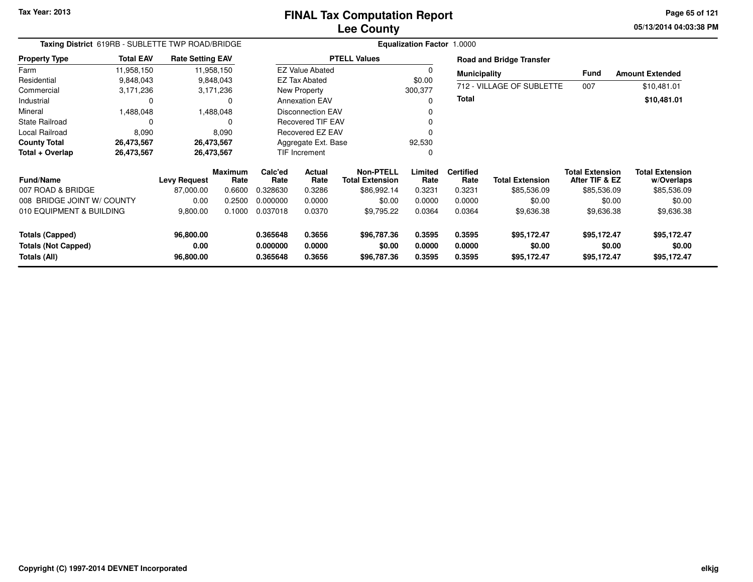**05/13/2014 04:03:38 PM Page 65 of 121**

| Taxing District 619RB - SUBLETTE TWP ROAD/BRIDGE                     |                     |                                |                        | Equalization Factor 1.0000       |                            |                                      |                            |                            |                                      |                                          |                                      |
|----------------------------------------------------------------------|---------------------|--------------------------------|------------------------|----------------------------------|----------------------------|--------------------------------------|----------------------------|----------------------------|--------------------------------------|------------------------------------------|--------------------------------------|
| <b>Property Type</b>                                                 | <b>Total EAV</b>    | <b>Rate Setting EAV</b>        |                        |                                  |                            | <b>PTELL Values</b>                  |                            |                            | <b>Road and Bridge Transfer</b>      |                                          |                                      |
| Farm                                                                 | 11,958,150          |                                | 11,958,150             |                                  | <b>EZ Value Abated</b>     |                                      |                            | <b>Municipality</b>        |                                      | Fund                                     | <b>Amount Extended</b>               |
| Residential                                                          | 9,848,043           |                                | 9,848,043              |                                  | <b>EZ Tax Abated</b>       |                                      | \$0.00                     |                            |                                      |                                          |                                      |
| Commercial                                                           | 3,171,236           |                                | 3,171,236              |                                  | New Property<br>300,377    |                                      |                            |                            | 712 - VILLAGE OF SUBLETTE            | 007                                      | \$10,481.01                          |
| Industrial                                                           | 0                   |                                | $\Omega$               |                                  | <b>Annexation EAV</b>      |                                      | 0                          | Total                      |                                      |                                          | \$10,481.01                          |
| Mineral                                                              | 1,488,048           |                                | 1,488,048              |                                  | <b>Disconnection EAV</b>   |                                      |                            |                            |                                      |                                          |                                      |
| <b>State Railroad</b>                                                | 0<br>0              |                                |                        | <b>Recovered TIF EAV</b>         |                            |                                      |                            |                            |                                      |                                          |                                      |
| Local Railroad<br>8,090<br>8,090                                     |                     |                                |                        | Recovered EZ EAV                 |                            |                                      |                            |                            |                                      |                                          |                                      |
| <b>County Total</b>                                                  | 26,473,567          |                                | 26,473,567             |                                  | Aggregate Ext. Base        |                                      | 92,530                     |                            |                                      |                                          |                                      |
| Total + Overlap                                                      | 26,473,567          |                                | 26,473,567             |                                  | TIF Increment              |                                      | 0                          |                            |                                      |                                          |                                      |
| <b>Fund/Name</b>                                                     | <b>Levy Request</b> |                                | <b>Maximum</b><br>Rate | Calc'ed<br>Rate                  | <b>Actual</b><br>Rate      | Non-PTELL<br><b>Total Extension</b>  | Limited<br>Rate            | <b>Certified</b><br>Rate   | <b>Total Extension</b>               | <b>Total Extension</b><br>After TIF & EZ | <b>Total Extension</b><br>w/Overlaps |
| 007 ROAD & BRIDGE                                                    |                     | 87,000.00                      | 0.6600                 | 0.328630                         | 0.3286                     | \$86,992.14                          | 0.3231                     | 0.3231                     | \$85,536.09                          | \$85,536.09                              | \$85,536.09                          |
| 008 BRIDGE JOINT W/ COUNTY                                           |                     | 0.00                           | 0.2500                 | 0.000000                         | 0.0000                     | \$0.00                               | 0.0000                     | 0.0000                     | \$0.00                               | \$0.00                                   | \$0.00                               |
| 010 EQUIPMENT & BUILDING                                             |                     | 9,800.00                       | 0.1000                 | 0.037018                         | 0.0370                     | \$9,795.22                           | 0.0364                     | 0.0364                     | \$9,636.38                           | \$9,636.38                               | \$9,636.38                           |
| <b>Totals (Capped)</b><br><b>Totals (Not Capped)</b><br>Totals (All) |                     | 96,800.00<br>0.00<br>96,800.00 |                        | 0.365648<br>0.000000<br>0.365648 | 0.3656<br>0.0000<br>0.3656 | \$96,787.36<br>\$0.00<br>\$96,787.36 | 0.3595<br>0.0000<br>0.3595 | 0.3595<br>0.0000<br>0.3595 | \$95,172.47<br>\$0.00<br>\$95,172.47 | \$95,172.47<br>\$0.00<br>\$95,172.47     | \$95,172.47<br>\$0.00<br>\$95,172.47 |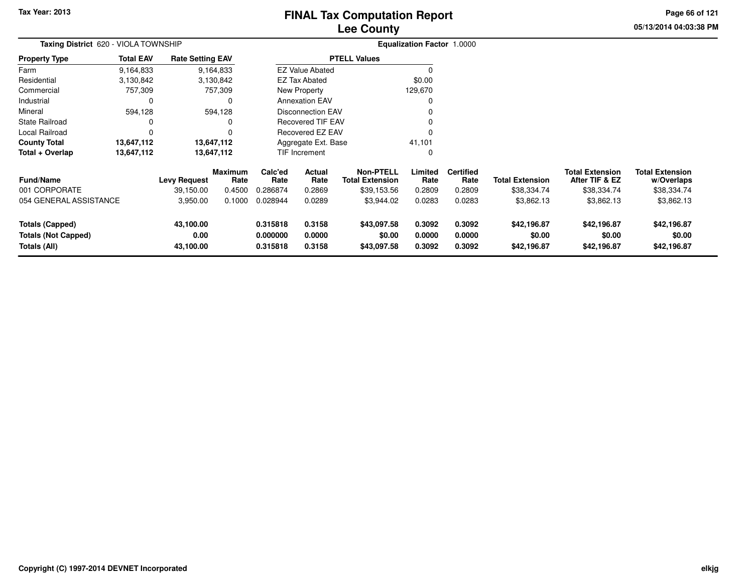# **Lee CountyFINAL Tax Computation Report**

**05/13/2014 04:03:38 PM Page 66 of 121**

| Taxing District 620 - VIOLA TOWNSHIP |                  |                         |                 | <b>Equalization Factor 1.0000</b> |                                                      |                                            |                 |                          |                        |                                          |                                      |
|--------------------------------------|------------------|-------------------------|-----------------|-----------------------------------|------------------------------------------------------|--------------------------------------------|-----------------|--------------------------|------------------------|------------------------------------------|--------------------------------------|
| <b>Property Type</b>                 | <b>Total EAV</b> | <b>Rate Setting EAV</b> |                 |                                   |                                                      | <b>PTELL Values</b>                        |                 |                          |                        |                                          |                                      |
| Farm                                 | 9,164,833        |                         | 9,164,833       |                                   | <b>EZ Value Abated</b>                               |                                            |                 |                          |                        |                                          |                                      |
| Residential                          | 3,130,842        |                         | 3,130,842       |                                   | EZ Tax Abated                                        |                                            | \$0.00          |                          |                        |                                          |                                      |
| Commercial                           | 757,309          |                         | 757,309         |                                   | New Property                                         |                                            | 129,670         |                          |                        |                                          |                                      |
| Industrial                           | 0                |                         |                 |                                   | <b>Annexation EAV</b>                                |                                            |                 |                          |                        |                                          |                                      |
| Mineral                              | 594,128          |                         | 594,128         |                                   | <b>Disconnection EAV</b><br><b>Recovered TIF EAV</b> |                                            |                 |                          |                        |                                          |                                      |
| <b>State Railroad</b><br>0           |                  |                         |                 |                                   |                                                      |                                            |                 |                          |                        |                                          |                                      |
| Local Railroad                       | 0                |                         |                 |                                   | Recovered EZ EAV                                     |                                            |                 |                          |                        |                                          |                                      |
| <b>County Total</b>                  | 13,647,112       |                         | 13,647,112      | Aggregate Ext. Base               |                                                      |                                            | 41,101          |                          |                        |                                          |                                      |
| Total + Overlap                      | 13,647,112       |                         | 13,647,112      |                                   | TIF Increment                                        |                                            | $\Omega$        |                          |                        |                                          |                                      |
| <b>Fund/Name</b>                     |                  | <b>Levy Request</b>     | Maximum<br>Rate | Calc'ed<br>Rate                   | <b>Actual</b><br>Rate                                | <b>Non-PTELL</b><br><b>Total Extension</b> | Limited<br>Rate | <b>Certified</b><br>Rate | <b>Total Extension</b> | <b>Total Extension</b><br>After TIF & EZ | <b>Total Extension</b><br>w/Overlaps |
| 001 CORPORATE                        |                  | 39,150.00               | 0.4500          | 0.286874                          | 0.2869                                               | \$39,153.56                                | 0.2809          | 0.2809                   | \$38,334.74            | \$38,334.74                              | \$38,334.74                          |
| 054 GENERAL ASSISTANCE               |                  | 3,950.00                | 0.1000          | 0.028944                          | 0.0289                                               | \$3,944.02                                 | 0.0283          | 0.0283                   | \$3,862.13             | \$3,862.13                               | \$3,862.13                           |
| <b>Totals (Capped)</b>               |                  | 43,100.00               |                 | 0.315818                          | 0.3158                                               | \$43,097.58                                | 0.3092          | 0.3092                   | \$42,196.87            | \$42,196.87                              | \$42,196.87                          |
| <b>Totals (Not Capped)</b>           |                  | 0.00                    |                 | 0.000000                          | 0.0000                                               | \$0.00                                     | 0.0000          | 0.0000                   | \$0.00                 | \$0.00                                   | \$0.00                               |
| Totals (All)                         |                  | 43,100.00               |                 | 0.315818                          | 0.3158                                               | \$43,097.58                                | 0.3092          | 0.3092                   | \$42,196.87            | \$42,196.87                              | \$42,196.87                          |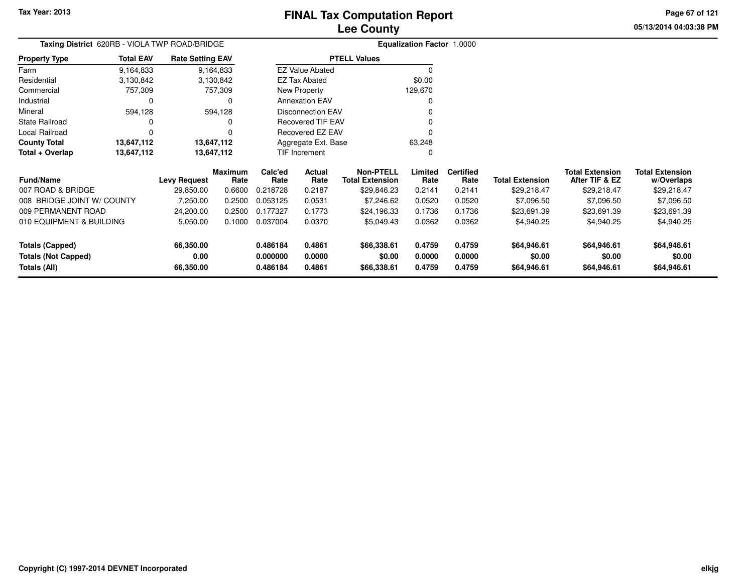**05/13/2014 04:03:38 PMPage 67 of 121**

|                            | Taxing District 620RB - VIOLA TWP ROAD/BRIDGE |                         |                        |                 |                          | Equalization Factor 1.0000                 |                 |                          |                        |                          |
|----------------------------|-----------------------------------------------|-------------------------|------------------------|-----------------|--------------------------|--------------------------------------------|-----------------|--------------------------|------------------------|--------------------------|
| <b>Property Type</b>       | <b>Total EAV</b>                              | <b>Rate Setting EAV</b> |                        |                 |                          | <b>PTELL Values</b>                        |                 |                          |                        |                          |
| Farm                       | 9,164,833                                     |                         | 9,164,833              |                 | <b>EZ Value Abated</b>   |                                            |                 |                          |                        |                          |
| Residential                | 3,130,842                                     |                         | 3,130,842              |                 | <b>EZ Tax Abated</b>     |                                            | \$0.00          |                          |                        |                          |
| Commercial                 | 757,309                                       |                         | 757,309                |                 | New Property             |                                            | 129,670         |                          |                        |                          |
| Industrial                 |                                               |                         | 0                      |                 | <b>Annexation EAV</b>    |                                            | 0               |                          |                        |                          |
| Mineral                    | 594,128                                       |                         | 594,128                |                 | <b>Disconnection EAV</b> |                                            |                 |                          |                        |                          |
| <b>State Railroad</b>      |                                               |                         | 0                      |                 | Recovered TIF EAV        |                                            |                 |                          |                        |                          |
| <b>Local Railroad</b>      |                                               |                         | 0                      |                 | Recovered EZ EAV         |                                            |                 |                          |                        |                          |
| <b>County Total</b>        | 13,647,112                                    |                         | 13,647,112             |                 | Aggregate Ext. Base      |                                            | 63,248          |                          |                        |                          |
| Total + Overlap            | 13,647,112                                    |                         | 13,647,112             |                 | TIF Increment            |                                            | 0               |                          |                        |                          |
| <b>Fund/Name</b>           |                                               | <b>Levy Request</b>     | <b>Maximum</b><br>Rate | Calc'ed<br>Rate | Actual<br>Rate           | <b>Non-PTELL</b><br><b>Total Extension</b> | Limited<br>Rate | <b>Certified</b><br>Rate | <b>Total Extension</b> | Total Ex<br><b>After</b> |
| 007 ROAD & BRIDGE          |                                               | 29,850.00               | 0.6600                 | 0.218728        | 0.2187                   | \$29,846.23                                | 0.2141          | 0.2141                   | \$29,218.47            | \$2                      |
| 008 BRIDGE JOINT W/ COUNTY |                                               | 7,250.00                | 0.2500                 | 0.053125        | 0.0531                   | \$7,246.62                                 | 0.0520          | 0.0520                   | \$7,096.50             | \$                       |
| 009 PERMANENT ROAD         |                                               | 24,200.00               | 0.2500                 | 0.177327        | 0.1773                   | \$24,196.33                                | 0.1736          | 0.1736                   | \$23,691.39            | \$2                      |
| 010 EQUIPMENT & BUILDING   |                                               | 5,050.00                | 0.1000                 | 0.037004        | 0.0370                   | \$5,049.43                                 | 0.0362          | 0.0362                   | \$4,940.25             | \$                       |

| <b>Fund/Name</b>           | <b>Levy Request</b> | Maximum<br>Rate | Calc'ed<br>Rate | Actual<br>Rate | <b>Non-PTELL</b><br><b>Total Extension</b> | Limited<br>Rate | <b>Certified</b><br>Rate | <b>Total Extension</b> | <b>Total Extension</b><br>After TIF & EZ | <b>Total Extension</b><br>w/Overlaps |
|----------------------------|---------------------|-----------------|-----------------|----------------|--------------------------------------------|-----------------|--------------------------|------------------------|------------------------------------------|--------------------------------------|
| 007 ROAD & BRIDGE          | 29.850.00           | 0.6600          | 0.218728        | 0.2187         | \$29.846.23                                | 0.2141          | 0.2141                   | \$29.218.47            | \$29,218.47                              | \$29,218.47                          |
| 008 BRIDGE JOINT W/ COUNTY | 7.250.00            | 0.2500          | 0.053125        | 0.0531         | \$7,246.62                                 | 0.0520          | 0.0520                   | \$7.096.50             | \$7,096.50                               | \$7,096.50                           |
| 009 PERMANENT ROAD         | 24.200.00           | 0.2500          | 0.177327        | 0.1773         | \$24.196.33                                | 0.1736          | 0.1736                   | \$23,691.39            | \$23,691.39                              | \$23,691.39                          |
| 010 EQUIPMENT & BUILDING   | 5,050.00            | 0.1000          | 0.037004        | 0.0370         | \$5.049.43                                 | 0.0362          | 0.0362                   | \$4,940.25             | \$4,940.25                               | \$4,940.25                           |
| Totals (Capped)            | 66.350.00           |                 | 0.486184        | 0.4861         | \$66,338.61                                | 0.4759          | 0.4759                   | \$64,946.61            | \$64,946.61                              | \$64,946.61                          |
| <b>Totals (Not Capped)</b> | 0.00                |                 | 0.000000        | 0.0000         | \$0.00                                     | 0.0000          | 0.0000                   | \$0.00                 | \$0.00                                   | \$0.00                               |
| Totals (All)               | 66.350.00           |                 | 0.486184        | 0.4861         | \$66,338.61                                | 0.4759          | 0.4759                   | \$64,946.61            | \$64,946.61                              | \$64,946.61                          |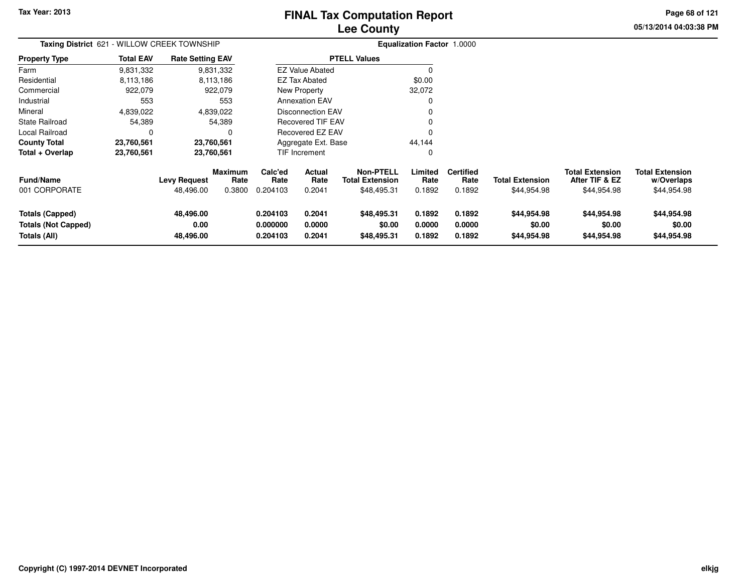# **Lee CountyFINAL Tax Computation Report**

**05/13/2014 04:03:38 PM Page 68 of 121**

| Taxing District 621 - WILLOW CREEK TOWNSHIP                   |                  |                                  |                                  | <b>Equalization Factor 1.0000</b>    |                            |                                                           |                            |                                    |                                       |                                                         |                                                     |
|---------------------------------------------------------------|------------------|----------------------------------|----------------------------------|--------------------------------------|----------------------------|-----------------------------------------------------------|----------------------------|------------------------------------|---------------------------------------|---------------------------------------------------------|-----------------------------------------------------|
| <b>Property Type</b>                                          | <b>Total EAV</b> | <b>Rate Setting EAV</b>          |                                  |                                      |                            | <b>PTELL Values</b>                                       |                            |                                    |                                       |                                                         |                                                     |
| Farm                                                          | 9,831,332        |                                  | 9,831,332                        |                                      | <b>EZ Value Abated</b>     |                                                           | $\Omega$                   |                                    |                                       |                                                         |                                                     |
| Residential                                                   | 8,113,186        |                                  | 8,113,186                        |                                      | EZ Tax Abated              |                                                           | \$0.00                     |                                    |                                       |                                                         |                                                     |
| Commercial                                                    | 922,079          |                                  | 922,079                          |                                      | New Property               |                                                           | 32,072                     |                                    |                                       |                                                         |                                                     |
| Industrial                                                    | 553              |                                  | 553                              | <b>Annexation EAV</b><br>$\Omega$    |                            |                                                           |                            |                                    |                                       |                                                         |                                                     |
| Mineral                                                       | 4,839,022        |                                  | 4,839,022                        | <b>Disconnection EAV</b><br>$\Omega$ |                            |                                                           |                            |                                    |                                       |                                                         |                                                     |
| <b>State Railroad</b>                                         | 54,389           |                                  | 54,389                           |                                      | Recovered TIF EAV          |                                                           |                            |                                    |                                       |                                                         |                                                     |
| Local Railroad                                                |                  |                                  |                                  | Recovered EZ EAV<br>$\Omega$         |                            |                                                           |                            |                                    |                                       |                                                         |                                                     |
| <b>County Total</b>                                           | 23,760,561       |                                  | 23,760,561                       |                                      | Aggregate Ext. Base        |                                                           | 44,144                     |                                    |                                       |                                                         |                                                     |
| Total + Overlap                                               | 23,760,561       |                                  | 23,760,561                       |                                      | TIF Increment              |                                                           | 0                          |                                    |                                       |                                                         |                                                     |
| <b>Fund/Name</b><br>001 CORPORATE                             |                  | <b>Levy Request</b><br>48,496.00 | <b>Maximum</b><br>Rate<br>0.3800 | Calc'ed<br>Rate<br>0.204103          | Actual<br>Rate<br>0.2041   | <b>Non-PTELL</b><br><b>Total Extension</b><br>\$48,495.31 | Limited<br>Rate<br>0.1892  | <b>Certified</b><br>Rate<br>0.1892 | <b>Total Extension</b><br>\$44,954.98 | <b>Total Extension</b><br>After TIF & EZ<br>\$44,954.98 | <b>Total Extension</b><br>w/Overlaps<br>\$44,954.98 |
| Totals (Capped)<br><b>Totals (Not Capped)</b><br>Totals (All) |                  | 48,496.00<br>0.00<br>48,496.00   |                                  | 0.204103<br>0.000000<br>0.204103     | 0.2041<br>0.0000<br>0.2041 | \$48,495.31<br>\$0.00<br>\$48,495.31                      | 0.1892<br>0.0000<br>0.1892 | 0.1892<br>0.0000<br>0.1892         | \$44,954.98<br>\$0.00<br>\$44,954.98  | \$44,954.98<br>\$0.00<br>\$44,954.98                    | \$44,954.98<br>\$0.00<br>\$44,954.98                |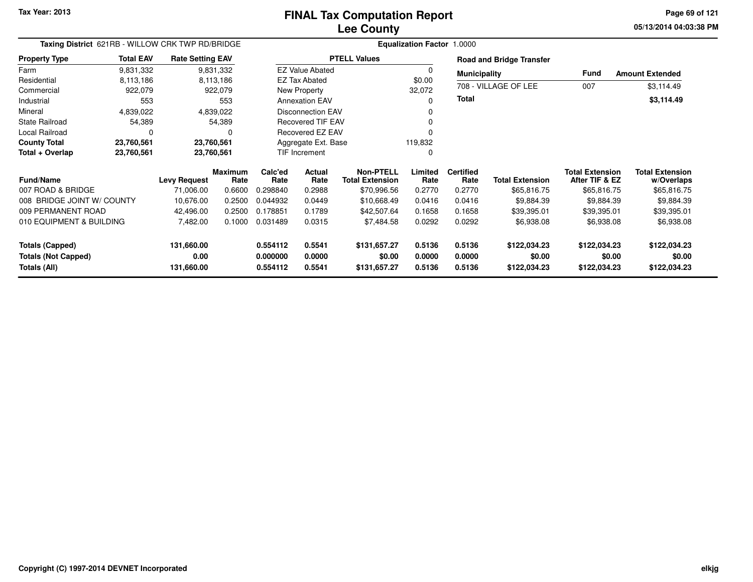**05/13/2014 04:03:38 PM Page 69 of 121**

| Taxing District 621RB - WILLOW CRK TWP RD/BRIDGE                     |                  |                                  |                 | <b>Equalization Factor 1.0000</b> |                            |                                            |                            |                            |                                        |                                          |                                        |
|----------------------------------------------------------------------|------------------|----------------------------------|-----------------|-----------------------------------|----------------------------|--------------------------------------------|----------------------------|----------------------------|----------------------------------------|------------------------------------------|----------------------------------------|
| <b>Property Type</b>                                                 | <b>Total EAV</b> | <b>Rate Setting EAV</b>          |                 |                                   |                            | <b>PTELL Values</b>                        |                            |                            | <b>Road and Bridge Transfer</b>        |                                          |                                        |
| Farm                                                                 | 9,831,332        |                                  | 9,831,332       |                                   | <b>EZ Value Abated</b>     |                                            | $\Omega$                   | <b>Municipality</b>        |                                        | Fund                                     | <b>Amount Extended</b>                 |
| Residential                                                          | 8,113,186        |                                  | 8,113,186       |                                   | <b>EZ Tax Abated</b>       |                                            | \$0.00                     |                            | 708 - VILLAGE OF LEE                   | 007                                      |                                        |
| Commercial                                                           | 922,079          |                                  | 922,079         |                                   | New Property               |                                            | 32,072                     |                            |                                        |                                          | \$3,114.49                             |
| Industrial                                                           | 553              |                                  | 553             |                                   | <b>Annexation EAV</b>      |                                            | 0                          | Total                      |                                        |                                          | \$3,114.49                             |
| Mineral                                                              | 4,839,022        |                                  | 4,839,022       |                                   | <b>Disconnection EAV</b>   |                                            |                            |                            |                                        |                                          |                                        |
| <b>State Railroad</b>                                                | 54,389<br>54,389 |                                  |                 | <b>Recovered TIF EAV</b>          |                            | $\Omega$                                   |                            |                            |                                        |                                          |                                        |
| Local Railroad<br>0                                                  |                  |                                  |                 |                                   | Recovered EZ EAV           |                                            |                            |                            |                                        |                                          |                                        |
| <b>County Total</b>                                                  | 23,760,561       | 23,760,561                       |                 |                                   | Aggregate Ext. Base        |                                            | 119,832                    |                            |                                        |                                          |                                        |
| Total + Overlap                                                      | 23,760,561       | 23,760,561                       |                 |                                   | TIF Increment              |                                            | 0                          |                            |                                        |                                          |                                        |
| <b>Fund/Name</b>                                                     |                  | <b>Levy Request</b>              | Maximum<br>Rate | Calc'ed<br>Rate                   | Actual<br>Rate             | <b>Non-PTELL</b><br><b>Total Extension</b> | Limited<br>Rate            | <b>Certified</b><br>Rate   | <b>Total Extension</b>                 | <b>Total Extension</b><br>After TIF & EZ | <b>Total Extension</b><br>w/Overlaps   |
| 007 ROAD & BRIDGE                                                    |                  | 71,006.00                        | 0.6600          | 0.298840                          | 0.2988                     | \$70,996.56                                | 0.2770                     | 0.2770                     | \$65,816.75                            | \$65,816.75                              | \$65,816.75                            |
| 008 BRIDGE JOINT W/ COUNTY                                           |                  | 10,676.00                        | 0.2500          | 0.044932                          | 0.0449                     | \$10,668.49                                | 0.0416                     | 0.0416                     | \$9,884.39                             | \$9,884.39                               | \$9,884.39                             |
| 009 PERMANENT ROAD                                                   |                  | 42,496.00                        | 0.2500          | 0.178851                          | 0.1789                     | \$42,507.64                                | 0.1658                     | 0.1658                     | \$39,395.01                            | \$39,395.01                              | \$39,395.01                            |
| 010 EQUIPMENT & BUILDING                                             |                  | 7,482.00                         | 0.1000          | 0.031489                          | 0.0315                     | \$7,484.58                                 | 0.0292                     | 0.0292                     | \$6,938.08                             | \$6,938.08                               | \$6,938.08                             |
| <b>Totals (Capped)</b><br><b>Totals (Not Capped)</b><br>Totals (All) |                  | 131,660.00<br>0.00<br>131,660.00 |                 | 0.554112<br>0.000000<br>0.554112  | 0.5541<br>0.0000<br>0.5541 | \$131,657.27<br>\$0.00<br>\$131,657.27     | 0.5136<br>0.0000<br>0.5136 | 0.5136<br>0.0000<br>0.5136 | \$122,034.23<br>\$0.00<br>\$122,034.23 | \$122,034.23<br>\$0.00<br>\$122,034.23   | \$122,034.23<br>\$0.00<br>\$122,034.23 |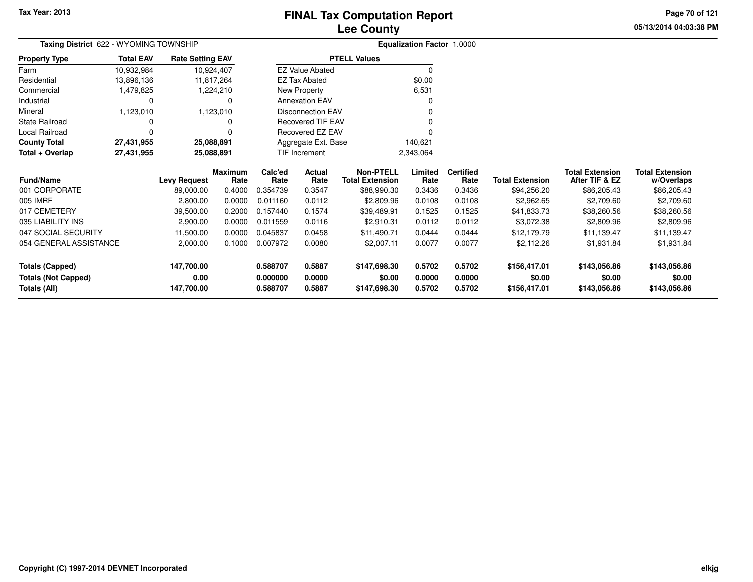# **Lee CountyFINAL Tax Computation Report**

**05/13/2014 04:03:38 PM Page 70 of 121**

| Taxing District 622 - WYOMING TOWNSHIP |                  |                         |                 | <b>Equalization Factor 1.0000</b> |                                |                                            |                 |                          |                        |                                          |                                      |
|----------------------------------------|------------------|-------------------------|-----------------|-----------------------------------|--------------------------------|--------------------------------------------|-----------------|--------------------------|------------------------|------------------------------------------|--------------------------------------|
| <b>Property Type</b>                   | <b>Total EAV</b> | <b>Rate Setting EAV</b> |                 |                                   |                                | <b>PTELL Values</b>                        |                 |                          |                        |                                          |                                      |
| Farm                                   | 10,932,984       |                         | 10,924,407      |                                   | <b>EZ Value Abated</b>         |                                            | $\mathbf 0$     |                          |                        |                                          |                                      |
| Residential                            | 13,896,136       |                         | 11,817,264      |                                   | <b>EZ Tax Abated</b>           |                                            | \$0.00          |                          |                        |                                          |                                      |
| Commercial                             | 1,479,825        |                         | 1,224,210       |                                   | New Property                   |                                            | 6,531           |                          |                        |                                          |                                      |
| Industrial                             | 0                |                         | 0               |                                   | <b>Annexation EAV</b>          |                                            | 0               |                          |                        |                                          |                                      |
| Mineral                                | 1,123,010        |                         | 1,123,010       |                                   | <b>Disconnection EAV</b>       |                                            |                 |                          |                        |                                          |                                      |
| State Railroad                         |                  |                         |                 |                                   | Recovered TIF EAV              |                                            |                 |                          |                        |                                          |                                      |
| Local Railroad                         |                  |                         |                 |                                   | Recovered EZ EAV               |                                            |                 |                          |                        |                                          |                                      |
| <b>County Total</b>                    | 27,431,955       | 25,088,891              |                 |                                   | Aggregate Ext. Base<br>140,621 |                                            |                 |                          |                        |                                          |                                      |
| Total + Overlap                        | 27,431,955       | 25,088,891              |                 |                                   | <b>TIF Increment</b>           |                                            | 2,343,064       |                          |                        |                                          |                                      |
| Fund/Name                              |                  | <b>Levy Request</b>     | Maximum<br>Rate | Calc'ed<br>Rate                   | Actual<br>Rate                 | <b>Non-PTELL</b><br><b>Total Extension</b> | Limited<br>Rate | <b>Certified</b><br>Rate | <b>Total Extension</b> | <b>Total Extension</b><br>After TIF & EZ | <b>Total Extension</b><br>w/Overlaps |
| 001 CORPORATE                          |                  | 89,000.00               | 0.4000          | 0.354739                          | 0.3547                         | \$88,990.30                                | 0.3436          | 0.3436                   | \$94,256.20            | \$86,205.43                              | \$86,205.43                          |
| 005 IMRF                               |                  | 2,800.00                | 0.0000          | 0.011160                          | 0.0112                         | \$2,809.96                                 | 0.0108          | 0.0108                   | \$2,962.65             | \$2,709.60                               | \$2,709.60                           |
| 017 CEMETERY                           |                  | 39,500.00               | 0.2000          | 0.157440                          | 0.1574                         | \$39,489.91                                | 0.1525          | 0.1525                   | \$41,833.73            | \$38,260.56                              | \$38,260.56                          |
| 035 LIABILITY INS                      |                  | 2,900.00                | 0.0000          | 0.011559                          | 0.0116                         | \$2,910.31                                 | 0.0112          | 0.0112                   | \$3,072.38             | \$2,809.96                               | \$2,809.96                           |
| 047 SOCIAL SECURITY                    |                  | 11,500.00               | 0.0000          | 0.045837                          | 0.0458                         | \$11,490.71                                | 0.0444          | 0.0444                   | \$12,179.79            | \$11,139.47                              | \$11,139.47                          |
| 054 GENERAL ASSISTANCE                 |                  | 2,000.00                | 0.1000          | 0.007972                          | 0.0080                         | \$2,007.11                                 | 0.0077          |                          | \$2,112.26             | \$1,931.84                               | \$1,931.84                           |
| <b>Totals (Capped)</b>                 |                  | 147,700.00              |                 | 0.588707                          | 0.5887                         | \$147,698.30                               | 0.5702          | 0.5702                   | \$156,417.01           | \$143,056.86                             | \$143,056.86                         |
| <b>Totals (Not Capped)</b>             |                  | 0.00                    |                 | 0.000000                          | 0.0000                         | \$0.00                                     | 0.0000          | 0.0000                   | \$0.00                 | \$0.00                                   | \$0.00                               |
| Totals (All)                           |                  | 147,700.00              |                 | 0.588707                          | 0.5887                         | \$147,698.30                               | 0.5702          | 0.5702                   | \$156,417.01           | \$143,056.86                             | \$143,056.86                         |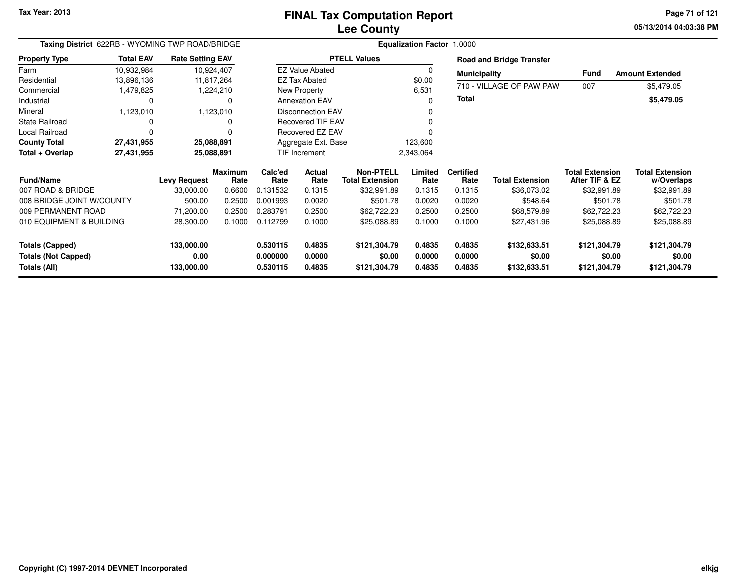**05/13/2014 04:03:38 PMPage 71 of 121**

| Taxing District 622RB - WYOMING TWP ROAD/BRIDGE                      |                  |                                  |                        | <b>Equalization Factor 1.0000</b> |                                      |                                            |                            |                            |                                        |                                          |                                        |
|----------------------------------------------------------------------|------------------|----------------------------------|------------------------|-----------------------------------|--------------------------------------|--------------------------------------------|----------------------------|----------------------------|----------------------------------------|------------------------------------------|----------------------------------------|
| <b>Property Type</b>                                                 | <b>Total EAV</b> | <b>Rate Setting EAV</b>          |                        |                                   |                                      | <b>PTELL Values</b>                        |                            |                            | <b>Road and Bridge Transfer</b>        |                                          |                                        |
| Farm                                                                 | 10,932,984       | 10,924,407                       |                        |                                   | <b>EZ Value Abated</b>               |                                            | $\Omega$                   | <b>Municipality</b>        |                                        | <b>Fund</b>                              | <b>Amount Extended</b>                 |
| Residential                                                          | 13,896,136       | 11,817,264                       |                        |                                   | <b>EZ Tax Abated</b>                 |                                            | \$0.00                     |                            | 710 - VILLAGE OF PAW PAW               |                                          |                                        |
| Commercial                                                           | 1,479,825        |                                  | 1,224,210              |                                   | New Property                         |                                            | 6,531                      |                            |                                        | 007                                      | \$5,479.05                             |
| Industrial                                                           | 0                |                                  |                        |                                   | <b>Annexation EAV</b><br>$\Omega$    |                                            | Total                      |                            |                                        | \$5,479.05                               |                                        |
| Mineral                                                              | 1,123,010        |                                  | 1,123,010              |                                   | <b>Disconnection EAV</b><br>$\Omega$ |                                            |                            |                            |                                        |                                          |                                        |
| <b>State Railroad</b>                                                | 0                |                                  |                        |                                   | Recovered TIF EAV<br>$\Omega$        |                                            |                            |                            |                                        |                                          |                                        |
| Local Railroad<br>0                                                  |                  |                                  | Recovered EZ EAV       |                                   |                                      |                                            |                            |                            |                                        |                                          |                                        |
| <b>County Total</b>                                                  | 27,431,955       | 25,088,891                       |                        | Aggregate Ext. Base<br>123,600    |                                      |                                            |                            |                            |                                        |                                          |                                        |
| Total + Overlap                                                      | 27,431,955       | 25,088,891                       |                        | TIF Increment<br>2,343,064        |                                      |                                            |                            |                            |                                        |                                          |                                        |
| <b>Fund/Name</b>                                                     |                  | <b>Levy Request</b>              | <b>Maximum</b><br>Rate | Calc'ed<br>Rate                   | Actual<br>Rate                       | <b>Non-PTELL</b><br><b>Total Extension</b> | Limited<br>Rate            | <b>Certified</b><br>Rate   | <b>Total Extension</b>                 | <b>Total Extension</b><br>After TIF & EZ | <b>Total Extension</b><br>w/Overlaps   |
| 007 ROAD & BRIDGE                                                    |                  | 33,000.00                        | 0.6600                 | 0.131532                          | 0.1315                               | \$32,991.89                                | 0.1315                     | 0.1315                     | \$36,073.02                            | \$32,991.89                              | \$32,991.89                            |
| 008 BRIDGE JOINT W/COUNTY                                            |                  | 500.00                           | 0.2500                 | 0.001993                          | 0.0020                               | \$501.78                                   | 0.0020                     | 0.0020                     | \$548.64                               | \$501.78                                 | \$501.78                               |
| 009 PERMANENT ROAD                                                   |                  | 71,200.00                        | 0.2500                 | 0.283791                          | 0.2500                               | \$62,722.23                                | 0.2500                     | 0.2500                     | \$68,579.89                            | \$62,722.23                              | \$62,722.23                            |
| 010 EQUIPMENT & BUILDING                                             |                  | 28,300.00                        | 0.1000                 | 0.112799                          | 0.1000                               | \$25,088.89                                | 0.1000                     | 0.1000                     | \$27,431.96                            | \$25,088.89                              | \$25,088.89                            |
| <b>Totals (Capped)</b><br><b>Totals (Not Capped)</b><br>Totals (All) |                  | 133,000.00<br>0.00<br>133,000.00 |                        | 0.530115<br>0.000000<br>0.530115  | 0.4835<br>0.0000<br>0.4835           | \$121,304.79<br>\$0.00<br>\$121,304.79     | 0.4835<br>0.0000<br>0.4835 | 0.4835<br>0.0000<br>0.4835 | \$132,633.51<br>\$0.00<br>\$132,633.51 | \$121,304.79<br>\$0.00<br>\$121,304.79   | \$121,304.79<br>\$0.00<br>\$121,304.79 |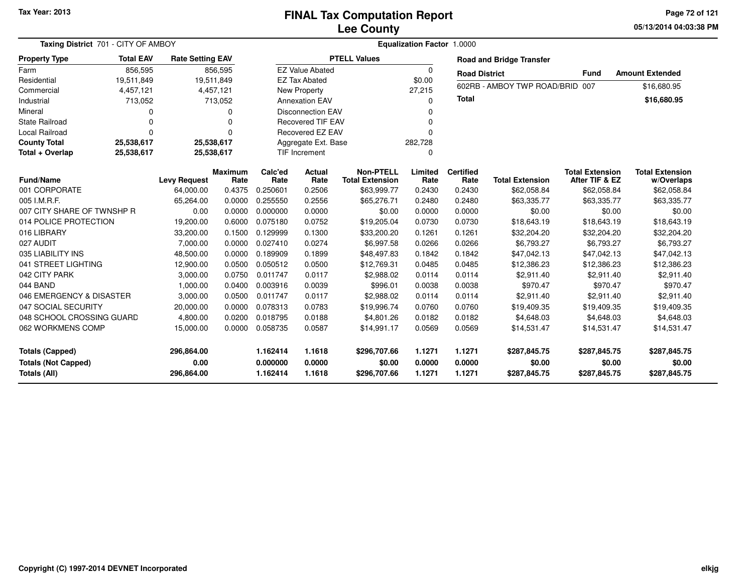#### **Lee CountyFINAL Tax Computation Report**

**05/13/2014 04:03:38 PM Page 72 of 121**

| Taxing District 701 - CITY OF AMBOY                                  |                                                                   |                                  |                 |                                  |                                            |                                        | Equalization Factor 1.0000 |                            |                                          |                                        |                                        |
|----------------------------------------------------------------------|-------------------------------------------------------------------|----------------------------------|-----------------|----------------------------------|--------------------------------------------|----------------------------------------|----------------------------|----------------------------|------------------------------------------|----------------------------------------|----------------------------------------|
| <b>Property Type</b>                                                 | <b>Total EAV</b><br><b>Rate Setting EAV</b><br>856,595<br>856,595 |                                  |                 |                                  |                                            | <b>PTELL Values</b>                    |                            |                            | <b>Road and Bridge Transfer</b>          |                                        |                                        |
| Farm                                                                 |                                                                   |                                  |                 |                                  | <b>EZ Value Abated</b>                     |                                        | $\Omega$                   | <b>Road District</b>       |                                          | <b>Fund</b>                            | <b>Amount Extended</b>                 |
| Residential                                                          | 19,511,849                                                        |                                  | 19,511,849      |                                  | <b>EZ Tax Abated</b>                       |                                        | \$0.00                     |                            |                                          |                                        |                                        |
| Commercial                                                           | 4,457,121                                                         |                                  | 4,457,121       |                                  | New Property                               |                                        | 27,215                     |                            | 602RB - AMBOY TWP ROAD/BRID              | 007                                    | \$16,680.95                            |
| Industrial                                                           | 713,052                                                           |                                  | 713,052         |                                  | <b>Annexation EAV</b>                      |                                        | $\Omega$                   | <b>Total</b>               |                                          |                                        | \$16,680.95                            |
| Mineral                                                              | <sup>0</sup>                                                      |                                  | 0               |                                  | <b>Disconnection EAV</b>                   |                                        | $\Omega$                   |                            |                                          |                                        |                                        |
| <b>State Railroad</b>                                                | 0                                                                 |                                  | $\Omega$        |                                  | <b>Recovered TIF EAV</b>                   |                                        | $\Omega$                   |                            |                                          |                                        |                                        |
| <b>Local Railroad</b>                                                | $\Omega$                                                          |                                  | 0               |                                  | Recovered EZ EAV                           |                                        | $\Omega$                   |                            |                                          |                                        |                                        |
| <b>County Total</b>                                                  | 25,538,617                                                        |                                  | 25,538,617      | Aggregate Ext. Base              |                                            |                                        | 282,728                    |                            |                                          |                                        |                                        |
| Total + Overlap                                                      | 25,538,617                                                        |                                  | 25,538,617      |                                  | <b>TIF Increment</b>                       |                                        | $\Omega$                   |                            |                                          |                                        |                                        |
| <b>Fund/Name</b><br><b>Levy Request</b>                              |                                                                   | <b>Maximum</b><br>Rate           | Calc'ed<br>Rate | Actual<br>Rate                   | <b>Non-PTELL</b><br><b>Total Extension</b> | Limited<br>Rate                        | <b>Certified</b><br>Rate   | <b>Total Extension</b>     | <b>Total Extension</b><br>After TIF & EZ | <b>Total Extension</b><br>w/Overlaps   |                                        |
| 001 CORPORATE                                                        |                                                                   | 64,000.00                        | 0.4375          | 0.250601                         | 0.2506                                     | \$63,999.77                            | 0.2430                     | 0.2430                     | \$62,058.84                              | \$62,058.84                            | \$62,058.84                            |
| 005 I.M.R.F.                                                         |                                                                   | 65,264.00                        | 0.0000          | 0.255550                         | 0.2556                                     | \$65,276.71                            | 0.2480                     | 0.2480                     | \$63,335.77                              | \$63,335.77                            | \$63,335.77                            |
| 007 CITY SHARE OF TWNSHP R                                           |                                                                   | 0.00                             | 0.0000          | 0.000000                         | 0.0000                                     | \$0.00                                 | 0.0000                     | 0.0000                     | \$0.00                                   | \$0.00                                 | \$0.00                                 |
| 014 POLICE PROTECTION                                                |                                                                   | 19,200.00                        | 0.6000          | 0.075180                         | 0.0752                                     | \$19,205.04                            | 0.0730                     | 0.0730                     | \$18,643.19                              | \$18,643.19                            | \$18,643.19                            |
| 016 LIBRARY                                                          |                                                                   | 33,200.00                        | 0.1500          | 0.129999                         | 0.1300                                     | \$33,200.20                            | 0.1261                     | 0.1261                     | \$32,204.20                              | \$32,204.20                            | \$32,204.20                            |
| 027 AUDIT                                                            |                                                                   | 7,000.00                         | 0.0000          | 0.027410                         | 0.0274                                     | \$6,997.58                             | 0.0266                     | 0.0266                     | \$6,793.27                               | \$6,793.27                             | \$6,793.27                             |
| 035 LIABILITY INS                                                    |                                                                   | 48,500.00                        | 0.0000          | 0.189909                         | 0.1899                                     | \$48,497.83                            | 0.1842                     | 0.1842                     | \$47,042.13                              | \$47,042.13                            | \$47,042.13                            |
| 041 STREET LIGHTING                                                  |                                                                   | 12,900.00                        | 0.0500          | 0.050512                         | 0.0500                                     | \$12,769.31                            | 0.0485                     | 0.0485                     | \$12,386.23                              | \$12,386.23                            | \$12,386.23                            |
| 042 CITY PARK                                                        |                                                                   | 3,000.00                         | 0.0750          | 0.011747                         | 0.0117                                     | \$2,988.02                             | 0.0114                     | 0.0114                     | \$2.911.40                               | \$2.911.40                             | \$2,911.40                             |
| 044 BAND                                                             |                                                                   | 1,000.00                         | 0.0400          | 0.003916                         | 0.0039                                     | \$996.01                               | 0.0038                     | 0.0038                     | \$970.47                                 | \$970.47                               | \$970.47                               |
| 046 EMERGENCY & DISASTER                                             |                                                                   | 3,000.00                         | 0.0500          | 0.011747                         | 0.0117                                     | \$2,988.02                             | 0.0114                     | 0.0114                     | \$2,911.40                               | \$2,911.40                             | \$2,911.40                             |
| 047 SOCIAL SECURITY                                                  |                                                                   | 20,000.00                        | 0.0000          | 0.078313                         | 0.0783                                     | \$19,996.74                            | 0.0760                     | 0.0760                     | \$19,409.35                              | \$19,409.35                            | \$19,409.35                            |
| 048 SCHOOL CROSSING GUARD                                            |                                                                   | 4,800.00                         | 0.0200          | 0.018795                         | 0.0188                                     | \$4,801.26                             | 0.0182                     | 0.0182                     | \$4,648.03                               | \$4,648.03                             | \$4,648.03                             |
| 062 WORKMENS COMP                                                    |                                                                   | 15,000.00                        | 0.0000          | 0.058735                         | 0.0587                                     | \$14,991.17                            | 0.0569                     | 0.0569                     | \$14,531.47                              | \$14,531.47                            | \$14,531.47                            |
| <b>Totals (Capped)</b><br><b>Totals (Not Capped)</b><br>Totals (All) |                                                                   | 296,864.00<br>0.00<br>296,864.00 |                 | 1.162414<br>0.000000<br>1.162414 | 1.1618<br>0.0000<br>1.1618                 | \$296,707.66<br>\$0.00<br>\$296,707.66 | 1.1271<br>0.0000<br>1.1271 | 1.1271<br>0.0000<br>1.1271 | \$287,845.75<br>\$0.00<br>\$287,845.75   | \$287,845.75<br>\$0.00<br>\$287,845.75 | \$287,845.75<br>\$0.00<br>\$287,845.75 |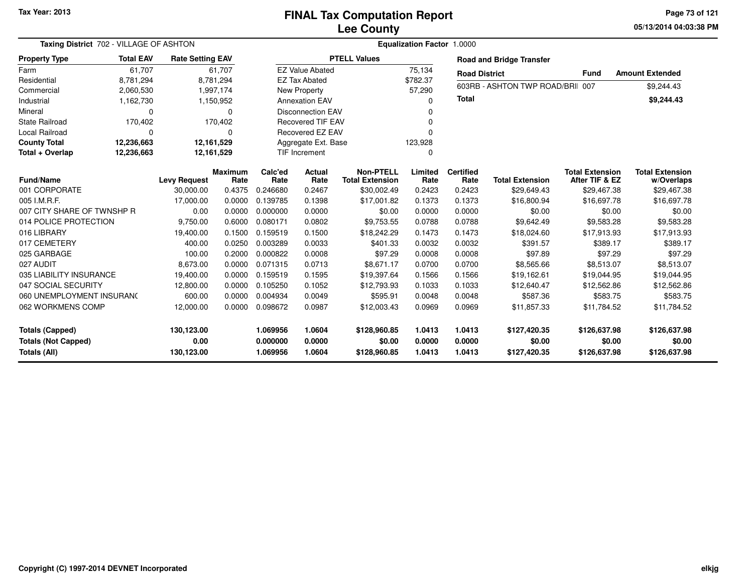**05/13/2014 04:03:38 PMPage 73 of 121**

| Taxing District 702 - VILLAGE OF ASHTON    | Equalization Factor 1.0000 |                         |                        |                      |                          |                                            |                  |                          |                                  |                                          |                                      |
|--------------------------------------------|----------------------------|-------------------------|------------------------|----------------------|--------------------------|--------------------------------------------|------------------|--------------------------|----------------------------------|------------------------------------------|--------------------------------------|
| <b>Property Type</b>                       | <b>Total EAV</b>           | <b>Rate Setting EAV</b> |                        |                      |                          | <b>PTELL Values</b>                        |                  |                          | <b>Road and Bridge Transfer</b>  |                                          |                                      |
| Farm                                       | 61.707                     |                         | 61.707                 |                      | <b>EZ Value Abated</b>   |                                            | 75,134           | <b>Road District</b>     |                                  | <b>Fund</b>                              | <b>Amount Extended</b>               |
| Residential                                | 8,781,294                  |                         | 8,781,294              |                      | <b>EZ Tax Abated</b>     |                                            | \$782.37         |                          | 603RB - ASHTON TWP ROAD/BRII 007 |                                          |                                      |
| Commercial                                 | 2,060,530                  |                         | 1,997,174              |                      | New Property             |                                            | 57,290           |                          |                                  |                                          | \$9,244.43                           |
| Industrial                                 | 1,162,730                  |                         | 1,150,952              |                      | <b>Annexation EAV</b>    |                                            | $\Omega$         | <b>Total</b>             |                                  |                                          | \$9,244.43                           |
| Mineral                                    | $\Omega$                   |                         | 0                      |                      | <b>Disconnection EAV</b> |                                            | $\Omega$         |                          |                                  |                                          |                                      |
| <b>State Railroad</b>                      | 170,402                    |                         | 170,402                |                      | <b>Recovered TIF EAV</b> |                                            | $\Omega$         |                          |                                  |                                          |                                      |
| <b>Local Railroad</b>                      | $\Omega$                   |                         | $\Omega$               |                      | Recovered EZ EAV         |                                            | $\Omega$         |                          |                                  |                                          |                                      |
| <b>County Total</b>                        | 12,236,663                 |                         | 12,161,529             |                      | Aggregate Ext. Base      |                                            | 123,928          |                          |                                  |                                          |                                      |
| Total + Overlap                            | 12,236,663                 |                         | 12,161,529             |                      | <b>TIF Increment</b>     |                                            | $\Omega$         |                          |                                  |                                          |                                      |
| <b>Fund/Name</b>                           |                            | <b>Levy Request</b>     | <b>Maximum</b><br>Rate | Calc'ed<br>Rate      | Actual<br>Rate           | <b>Non-PTELL</b><br><b>Total Extension</b> | Limited<br>Rate  | <b>Certified</b><br>Rate | <b>Total Extension</b>           | <b>Total Extension</b><br>After TIF & EZ | <b>Total Extension</b><br>w/Overlaps |
| 001 CORPORATE                              |                            | 30,000.00               | 0.4375                 | 0.246680             | 0.2467                   | \$30,002.49                                | 0.2423           | 0.2423                   | \$29,649.43                      | \$29,467.38                              | \$29,467.38                          |
| 005 I.M.R.F.                               |                            | 17,000.00               | 0.0000                 | 0.139785             | 0.1398                   | \$17,001.82                                | 0.1373           | 0.1373                   | \$16,800.94                      | \$16,697.78                              | \$16,697.78                          |
| 007 CITY SHARE OF TWNSHP R                 |                            | 0.00                    | 0.0000                 | 0.000000             | 0.0000                   | \$0.00                                     | 0.0000           | 0.0000                   | \$0.00                           | \$0.00                                   | \$0.00                               |
| 014 POLICE PROTECTION                      |                            | 9,750.00                | 0.6000                 | 0.080171             | 0.0802                   | \$9,753.55                                 | 0.0788           | 0.0788                   | \$9,642.49                       | \$9,583.28                               | \$9,583.28                           |
| 016 LIBRARY                                |                            | 19,400.00               | 0.1500                 | 0.159519             | 0.1500                   | \$18,242.29                                | 0.1473           | 0.1473                   | \$18,024.60                      | \$17,913.93                              | \$17,913.93                          |
| 017 CEMETERY                               |                            | 400.00                  | 0.0250                 | 0.003289             | 0.0033                   | \$401.33                                   | 0.0032           | 0.0032                   | \$391.57                         | \$389.17                                 | \$389.17                             |
| 025 GARBAGE                                |                            | 100.00                  | 0.2000                 | 0.000822             | 0.0008                   | \$97.29                                    | 0.0008           | 0.0008                   | \$97.89                          | \$97.29                                  | \$97.29                              |
| 027 AUDIT                                  |                            | 8,673.00                | 0.0000                 | 0.071315             | 0.0713                   | \$8,671.17                                 | 0.0700           | 0.0700                   | \$8,565.66                       | \$8,513.07                               | \$8,513.07                           |
| 035 LIABILITY INSURANCE                    |                            | 19,400.00               | 0.0000                 | 0.159519             | 0.1595                   | \$19,397.64                                | 0.1566           | 0.1566                   | \$19,162.61                      | \$19,044.95                              | \$19,044.95                          |
| 047 SOCIAL SECURITY                        |                            | 12,800.00               | 0.0000                 | 0.105250             | 0.1052                   | \$12,793.93                                | 0.1033           | 0.1033                   | \$12,640.47                      | \$12,562.86                              | \$12,562.86                          |
| 060 UNEMPLOYMENT INSURANC                  |                            | 600.00                  | 0.0000                 | 0.004934             | 0.0049                   | \$595.91                                   | 0.0048           | 0.0048                   | \$587.36                         | \$583.75                                 | \$583.75                             |
| 062 WORKMENS COMP                          |                            | 12,000.00               | 0.0000                 | 0.098672             | 0.0987                   | \$12,003.43                                | 0.0969           | 0.0969                   | \$11,857.33                      | \$11,784.52                              | \$11,784.52                          |
| <b>Totals (Capped)</b>                     |                            | 130,123.00              |                        | 1.069956             | 1.0604                   | \$128,960.85                               | 1.0413           | 1.0413                   | \$127,420.35                     | \$126,637.98                             | \$126,637.98                         |
| <b>Totals (Not Capped)</b><br>Totals (All) |                            | 0.00<br>130,123.00      |                        | 0.000000<br>1.069956 | 0.0000<br>1.0604         | \$0.00<br>\$128,960.85                     | 0.0000<br>1.0413 | 0.0000<br>1.0413         | \$0.00<br>\$127,420.35           | \$0.00<br>\$126,637.98                   | \$0.00<br>\$126,637.98               |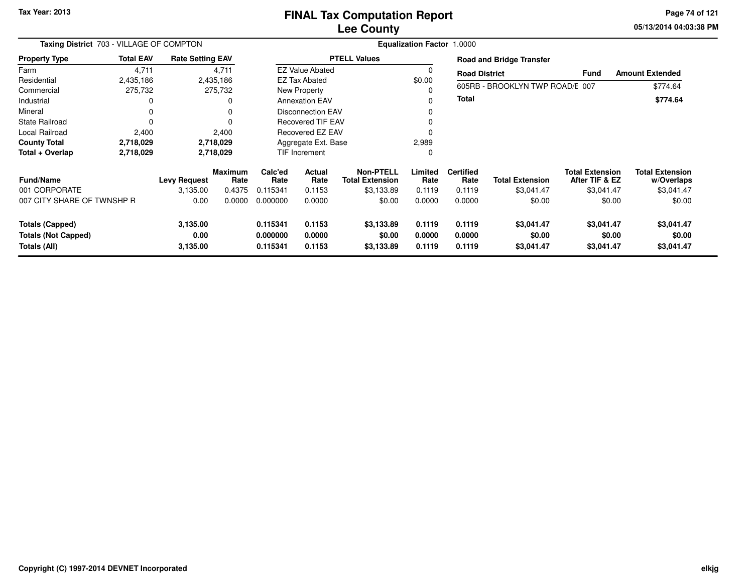#### **Lee CountyFINAL Tax Computation Report**

**05/13/2014 04:03:38 PM Page 74 of 121**

|                            | Taxing District 703 - VILLAGE OF COMPTON |                         |                 |                 | <b>Equalization Factor 1.0000</b> |                                            |                 |                          |                                 |                                          |                                      |  |  |
|----------------------------|------------------------------------------|-------------------------|-----------------|-----------------|-----------------------------------|--------------------------------------------|-----------------|--------------------------|---------------------------------|------------------------------------------|--------------------------------------|--|--|
| <b>Property Type</b>       | <b>Total EAV</b>                         | <b>Rate Setting EAV</b> |                 |                 |                                   | <b>PTELL Values</b>                        |                 |                          | <b>Road and Bridge Transfer</b> |                                          |                                      |  |  |
| Farm                       | 4,711                                    |                         | 4,711           |                 | <b>EZ Value Abated</b>            |                                            | 0               | <b>Road District</b>     |                                 | <b>Fund</b>                              | <b>Amount Extended</b>               |  |  |
| Residential                | 2,435,186                                |                         | 2,435,186       |                 | <b>EZ Tax Abated</b>              |                                            | \$0.00          |                          |                                 |                                          |                                      |  |  |
| Commercial                 | 275,732                                  |                         | 275,732         |                 | New Property                      |                                            | $\Omega$        |                          | 605RB - BROOKLYN TWP ROAD/E 007 |                                          | \$774.64                             |  |  |
| Industrial                 |                                          |                         |                 |                 | <b>Annexation EAV</b>             |                                            | $\Omega$        | <b>Total</b>             |                                 |                                          | \$774.64                             |  |  |
| Mineral                    |                                          |                         |                 |                 | <b>Disconnection EAV</b>          |                                            |                 |                          |                                 |                                          |                                      |  |  |
| <b>State Railroad</b>      | $\Omega$                                 |                         |                 |                 | <b>Recovered TIF EAV</b>          |                                            |                 |                          |                                 |                                          |                                      |  |  |
| Local Railroad             | 2,400                                    |                         | 2,400           |                 | Recovered EZ EAV                  |                                            | $\Omega$        |                          |                                 |                                          |                                      |  |  |
| <b>County Total</b>        | 2,718,029                                |                         | 2,718,029       |                 | Aggregate Ext. Base               |                                            |                 |                          |                                 |                                          |                                      |  |  |
| Total + Overlap            | 2,718,029                                |                         | 2,718,029       |                 | TIF Increment                     |                                            |                 |                          |                                 |                                          |                                      |  |  |
| <b>Fund/Name</b>           |                                          | <b>Levy Request</b>     | Maximum<br>Rate | Calc'ed<br>Rate | Actual<br>Rate                    | <b>Non-PTELL</b><br><b>Total Extension</b> | Limited<br>Rate | <b>Certified</b><br>Rate | <b>Total Extension</b>          | <b>Total Extension</b><br>After TIF & EZ | <b>Total Extension</b><br>w/Overlaps |  |  |
| 001 CORPORATE              |                                          | 3,135.00                | 0.4375          | 0.115341        | 0.1153                            | \$3,133.89                                 | 0.1119          | 0.1119                   | \$3,041.47                      | \$3,041.47                               | \$3,041.47                           |  |  |
| 007 CITY SHARE OF TWNSHP R |                                          | 0.00                    | 0.0000          | 0.000000        | 0.0000                            | \$0.00                                     | 0.0000          | 0.0000                   | \$0.00                          | \$0.00                                   | \$0.00                               |  |  |
| <b>Totals (Capped)</b>     |                                          | 3,135.00                |                 | 0.115341        | 0.1153                            | \$3,133.89                                 | 0.1119          | 0.1119                   | \$3,041.47                      | \$3,041.47                               | \$3,041.47                           |  |  |
| <b>Totals (Not Capped)</b> |                                          | 0.00                    |                 | 0.000000        | 0.0000                            | \$0.00                                     | 0.0000          | 0.0000                   | \$0.00                          | \$0.00                                   | \$0.00                               |  |  |
| Totals (All)               |                                          | 3,135.00                |                 | 0.115341        | 0.1153                            | \$3,133.89                                 | 0.1119          | 0.1119                   | \$3,041.47                      | \$3,041.47                               | \$3,041.47                           |  |  |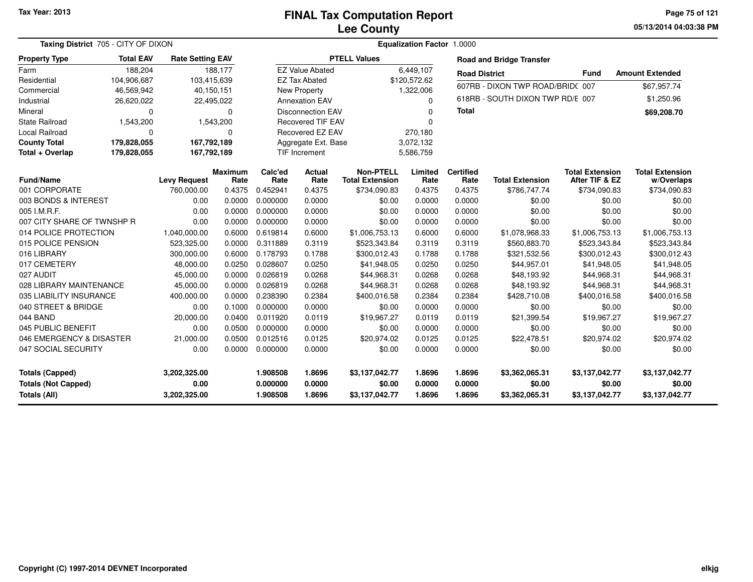**05/13/2014 04:03:38 PM Page 75 of 121**

| Taxing District 705 - CITY OF DIXON |                  |                         |                        | <b>Equalization Factor 1.0000</b> |                          |                                            |                 |                          |                                  |                                          |                                      |  |  |
|-------------------------------------|------------------|-------------------------|------------------------|-----------------------------------|--------------------------|--------------------------------------------|-----------------|--------------------------|----------------------------------|------------------------------------------|--------------------------------------|--|--|
| <b>Property Type</b>                | <b>Total EAV</b> | <b>Rate Setting EAV</b> |                        |                                   |                          | <b>PTELL Values</b>                        |                 |                          | <b>Road and Bridge Transfer</b>  |                                          |                                      |  |  |
| Farm                                | 188,204          |                         | 188.177                |                                   | <b>EZ Value Abated</b>   |                                            | 6.449.107       | <b>Road District</b>     |                                  | <b>Fund</b>                              | <b>Amount Extended</b>               |  |  |
| Residential                         | 104,906,687      | 103,415,639             |                        |                                   | <b>EZ Tax Abated</b>     |                                            | \$120,572.62    |                          | 607RB - DIXON TWP ROAD/BRID(007  |                                          | \$67,957.74                          |  |  |
| Commercial                          | 46,569,942       | 40,150,151              |                        |                                   | <b>New Property</b>      |                                            | 1,322,006       |                          |                                  |                                          |                                      |  |  |
| Industrial                          | 26,620,022       | 22,495,022              |                        |                                   | <b>Annexation EAV</b>    |                                            | $\Omega$        |                          | 618RB - SOUTH DIXON TWP RD/E 007 |                                          | \$1,250.96                           |  |  |
| Mineral                             | 0                |                         | $\mathbf 0$            |                                   | <b>Disconnection EAV</b> |                                            | $\Omega$        | <b>Total</b>             |                                  |                                          | \$69,208.70                          |  |  |
| <b>State Railroad</b>               | 1,543,200        |                         | 1,543,200              |                                   | <b>Recovered TIF EAV</b> |                                            | $\Omega$        |                          |                                  |                                          |                                      |  |  |
| Local Railroad                      | $\Omega$         |                         | $\Omega$               |                                   | Recovered EZ EAV         |                                            | 270,180         |                          |                                  |                                          |                                      |  |  |
| <b>County Total</b>                 | 179,828,055      | 167,792,189             |                        |                                   | Aggregate Ext. Base      |                                            | 3,072,132       |                          |                                  |                                          |                                      |  |  |
| Total + Overlap                     | 179,828,055      | 167,792,189             |                        |                                   | TIF Increment            |                                            | 5,586,759       |                          |                                  |                                          |                                      |  |  |
| Fund/Name                           |                  | <b>Levy Request</b>     | <b>Maximum</b><br>Rate | Calc'ed<br>Rate                   | Actual<br>Rate           | <b>Non-PTELL</b><br><b>Total Extension</b> | Limited<br>Rate | <b>Certified</b><br>Rate | <b>Total Extension</b>           | <b>Total Extension</b><br>After TIF & EZ | <b>Total Extension</b><br>w/Overlaps |  |  |
| 001 CORPORATE                       |                  | 760,000.00              | 0.4375                 | 0.452941                          | 0.4375                   | \$734,090.83                               | 0.4375          | 0.4375                   | \$786,747.74                     | \$734,090.83                             | \$734,090.83                         |  |  |
| 003 BONDS & INTEREST                |                  | 0.00                    | 0.0000                 | 0.000000                          | 0.0000                   | \$0.00                                     | 0.0000          | 0.0000                   | \$0.00                           | \$0.00                                   | \$0.00                               |  |  |
| 005 I.M.R.F.                        |                  | 0.00                    | 0.0000                 | 0.000000                          | 0.0000                   | \$0.00                                     | 0.0000          | 0.0000                   | \$0.00                           | \$0.00                                   | \$0.00                               |  |  |
| 007 CITY SHARE OF TWNSHP R          |                  | 0.00                    | 0.0000                 | 0.000000                          | 0.0000                   | \$0.00                                     | 0.0000          | 0.0000                   | \$0.00                           | \$0.00                                   | \$0.00                               |  |  |
| 014 POLICE PROTECTION               |                  | 1,040,000.00            | 0.6000                 | 0.619814                          | 0.6000                   | \$1,006,753.13                             | 0.6000          | 0.6000                   | \$1,078,968.33                   | \$1,006,753.13                           | \$1,006,753.13                       |  |  |
| 015 POLICE PENSION                  |                  | 523,325.00              | 0.0000                 | 0.311889                          | 0.3119                   | \$523,343.84                               | 0.3119          | 0.3119                   | \$560,883.70                     | \$523,343.84                             | \$523,343.84                         |  |  |
| 016 LIBRARY                         |                  | 300,000.00              | 0.6000                 | 0.178793                          | 0.1788                   | \$300,012.43                               | 0.1788          | 0.1788                   | \$321,532.56                     | \$300,012.43                             | \$300,012.43                         |  |  |
| 017 CEMETERY                        |                  | 48,000.00               | 0.0250                 | 0.028607                          | 0.0250                   | \$41,948.05                                | 0.0250          | 0.0250                   | \$44,957.01                      | \$41,948.05                              | \$41,948.05                          |  |  |
| 027 AUDIT                           |                  | 45,000.00               | 0.0000                 | 0.026819                          | 0.0268                   | \$44,968.31                                | 0.0268          | 0.0268                   | \$48,193.92                      | \$44,968.31                              | \$44,968.31                          |  |  |
| 028 LIBRARY MAINTENANCE             |                  | 45,000.00               | 0.0000                 | 0.026819                          | 0.0268                   | \$44,968.31                                | 0.0268          | 0.0268                   | \$48,193.92                      | \$44,968.31                              | \$44,968.31                          |  |  |
| 035 LIABILITY INSURANCE             |                  | 400,000.00              | 0.0000                 | 0.238390                          | 0.2384                   | \$400,016.58                               | 0.2384          | 0.2384                   | \$428,710.08                     | \$400,016.58                             | \$400,016.58                         |  |  |
| 040 STREET & BRIDGE                 |                  | 0.00                    | 0.1000                 | 0.000000                          | 0.0000                   | \$0.00                                     | 0.0000          | 0.0000                   | \$0.00                           | \$0.00                                   | \$0.00                               |  |  |
| 044 BAND                            |                  | 20,000.00               | 0.0400                 | 0.011920                          | 0.0119                   | \$19,967.27                                | 0.0119          | 0.0119                   | \$21,399.54                      | \$19,967.27                              | \$19,967.27                          |  |  |
| 045 PUBLIC BENEFIT                  |                  | 0.00                    | 0.0500                 | 0.000000                          | 0.0000                   | \$0.00                                     | 0.0000          | 0.0000                   | \$0.00                           | \$0.00                                   | \$0.00                               |  |  |
| 046 EMERGENCY & DISASTER            |                  | 21,000.00               | 0.0500                 | 0.012516                          | 0.0125                   | \$20,974.02                                | 0.0125          | 0.0125                   | \$22,478.51                      | \$20,974.02                              | \$20,974.02                          |  |  |
| 047 SOCIAL SECURITY                 |                  | 0.00                    | 0.0000                 | 0.000000                          | 0.0000                   | \$0.00                                     | 0.0000          | 0.0000                   | \$0.00                           | \$0.00                                   | \$0.00                               |  |  |
| <b>Totals (Capped)</b>              |                  | 3,202,325.00            |                        | 1.908508                          | 1.8696                   | \$3,137,042.77                             | 1.8696          | 1.8696                   | \$3,362,065.31                   | \$3,137,042.77                           | \$3,137,042.77                       |  |  |
| <b>Totals (Not Capped)</b>          |                  | 0.00                    |                        | 0.000000                          | 0.0000                   | \$0.00                                     | 0.0000          | 0.0000                   | \$0.00                           | \$0.00                                   | \$0.00                               |  |  |
| Totals (All)                        |                  | 3,202,325.00            |                        | 1.908508                          | 1.8696                   | \$3,137,042.77                             | 1.8696          | 1.8696                   | \$3,362,065.31                   | \$3,137,042.77                           | \$3,137,042.77                       |  |  |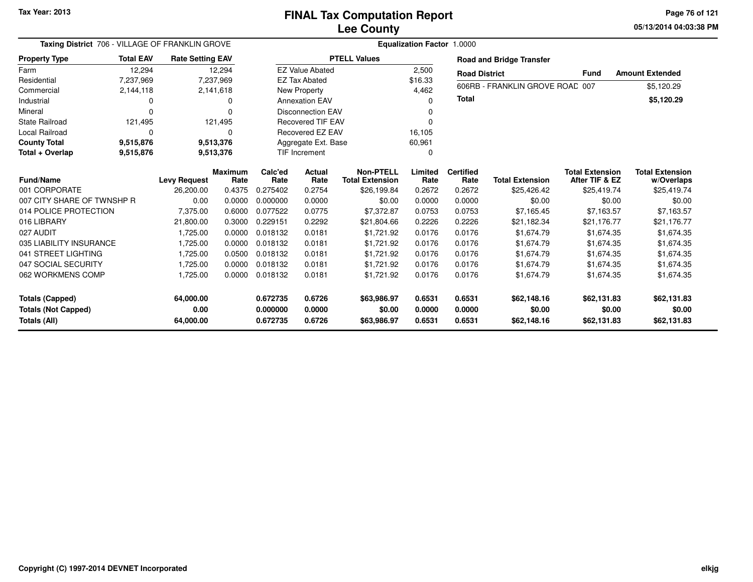**05/13/2014 04:03:38 PMPage 76 of 121**

| Taxing District 706 - VILLAGE OF FRANKLIN GROVE |                        |                         |                | Equalization Factor 1.0000 |                          |                        |          |                      |                                 |                        |                        |  |  |
|-------------------------------------------------|------------------------|-------------------------|----------------|----------------------------|--------------------------|------------------------|----------|----------------------|---------------------------------|------------------------|------------------------|--|--|
| <b>Property Type</b>                            | <b>Total EAV</b>       | <b>Rate Setting EAV</b> |                |                            |                          | <b>PTELL Values</b>    |          |                      | <b>Road and Bridge Transfer</b> |                        |                        |  |  |
| Farm                                            | 12,294                 |                         | 12,294         |                            | <b>EZ Value Abated</b>   |                        | 2,500    | <b>Road District</b> |                                 | <b>Fund</b>            | <b>Amount Extended</b> |  |  |
| Residential                                     | 7,237,969              |                         | 7,237,969      |                            | <b>EZ Tax Abated</b>     |                        | \$16.33  |                      |                                 |                        |                        |  |  |
| Commercial                                      | 2,144,118              |                         | 2,141,618      |                            | New Property             |                        | 4,462    |                      | 606RB - FRANKLIN GROVE ROAD 007 |                        | \$5,120.29             |  |  |
| Industrial                                      |                        |                         | 0              |                            | <b>Annexation EAV</b>    |                        | $\Omega$ | <b>Total</b>         |                                 |                        | \$5,120.29             |  |  |
| Mineral                                         |                        |                         |                |                            | <b>Disconnection EAV</b> |                        |          |                      |                                 |                        |                        |  |  |
| <b>State Railroad</b>                           | 121,495                |                         | 121,495        |                            | <b>Recovered TIF EAV</b> |                        |          |                      |                                 |                        |                        |  |  |
| Local Railroad                                  | 0                      |                         | 0              |                            | Recovered EZ EAV         |                        | 16,105   |                      |                                 |                        |                        |  |  |
| <b>County Total</b>                             | 9,515,876              |                         | 9,513,376      |                            | Aggregate Ext. Base      |                        | 60,961   |                      |                                 |                        |                        |  |  |
| Total + Overlap                                 | 9,515,876<br>9,513,376 |                         |                |                            | <b>TIF Increment</b>     |                        |          |                      |                                 |                        |                        |  |  |
|                                                 |                        |                         | <b>Maximum</b> | Calc'ed                    | Actual                   | <b>Non-PTELL</b>       | Limited  | <b>Certified</b>     |                                 | <b>Total Extension</b> | <b>Total Extension</b> |  |  |
| <b>Fund/Name</b>                                |                        | <b>Levy Request</b>     | Rate           | Rate                       | Rate                     | <b>Total Extension</b> | Rate     | Rate                 | <b>Total Extension</b>          | After TIF & EZ         | w/Overlaps             |  |  |
| 001 CORPORATE                                   |                        | 26,200.00               | 0.4375         | 0.275402                   | 0.2754                   | \$26,199.84            | 0.2672   | 0.2672               | \$25,426.42                     | \$25,419.74            | \$25,419.74            |  |  |
| 007 CITY SHARE OF TWNSHP R                      |                        | 0.00                    | 0.0000         | 0.000000                   | 0.0000                   | \$0.00                 | 0.0000   | 0.0000               | \$0.00                          | \$0.00                 | \$0.00                 |  |  |
| 014 POLICE PROTECTION                           |                        | 7,375.00                | 0.6000         | 0.077522                   | 0.0775                   | \$7,372.87             | 0.0753   | 0.0753               | \$7,165.45                      | \$7,163.57             | \$7,163.57             |  |  |
| 016 LIBRARY                                     |                        | 21,800.00               | 0.3000         | 0.229151                   | 0.2292                   | \$21,804.66            | 0.2226   | 0.2226               | \$21,182.34                     | \$21,176.77            | \$21,176.77            |  |  |
| 027 AUDIT                                       |                        | 1,725.00                | 0.0000         | 0.018132                   | 0.0181                   | \$1,721.92             | 0.0176   | 0.0176               | \$1,674.79                      | \$1,674.35             | \$1,674.35             |  |  |
| 035 LIABILITY INSURANCE                         |                        | 1,725.00                | 0.0000         | 0.018132                   | 0.0181                   | \$1,721.92             | 0.0176   | 0.0176               | \$1,674.79                      | \$1,674.35             | \$1,674.35             |  |  |
| 041 STREET LIGHTING                             |                        | 1,725.00                | 0.0500         | 0.018132                   | 0.0181                   | \$1,721.92             | 0.0176   | 0.0176               | \$1,674.79                      | \$1,674.35             | \$1,674.35             |  |  |
| 047 SOCIAL SECURITY                             |                        | 1,725.00                | 0.0000         | 0.018132                   | 0.0181                   | \$1,721.92             | 0.0176   | 0.0176               | \$1,674.79                      | \$1,674.35             | \$1,674.35             |  |  |
| 062 WORKMENS COMP                               |                        | 1,725.00                | 0.0000         | 0.018132                   | 0.0181                   | \$1,721.92             | 0.0176   | 0.0176               | \$1,674.79                      | \$1,674.35             | \$1,674.35             |  |  |
| <b>Totals (Capped)</b>                          |                        | 64,000.00               |                | 0.672735                   | 0.6726                   | \$63,986.97            | 0.6531   | 0.6531               | \$62,148.16                     | \$62,131.83            | \$62,131.83            |  |  |
| <b>Totals (Not Capped)</b>                      |                        | 0.00                    |                | 0.000000                   | 0.0000                   | \$0.00                 | 0.0000   | 0.0000               | \$0.00                          | \$0.00                 | \$0.00                 |  |  |
| Totals (All)                                    |                        | 64,000.00               |                | 0.672735                   | 0.6726                   | \$63,986.97            | 0.6531   | 0.6531               | \$62,148.16                     | \$62,131.83            | \$62,131.83            |  |  |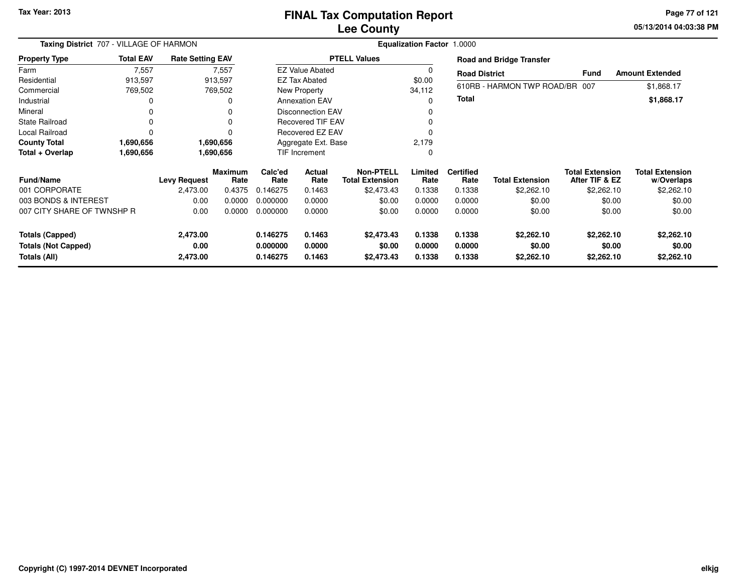#### **Lee CountyFINAL Tax Computation Report**

**05/13/2014 04:03:38 PM Page 77 of 121**

| Taxing District 707 - VILLAGE OF HARMON<br><b>Property Type</b> |          |                                 |                                                                                                     |                          | Equalization Factor 1.0000                                                      |                                                                                                                                          |                     |                                |                                                                                                 |                                                                        |  |  |  |  |
|-----------------------------------------------------------------|----------|---------------------------------|-----------------------------------------------------------------------------------------------------|--------------------------|---------------------------------------------------------------------------------|------------------------------------------------------------------------------------------------------------------------------------------|---------------------|--------------------------------|-------------------------------------------------------------------------------------------------|------------------------------------------------------------------------|--|--|--|--|
| <b>Total EAV</b>                                                |          |                                 |                                                                                                     |                          |                                                                                 |                                                                                                                                          |                     |                                |                                                                                                 |                                                                        |  |  |  |  |
| 7,557                                                           |          |                                 |                                                                                                     |                          |                                                                                 | 0                                                                                                                                        |                     |                                |                                                                                                 | <b>Amount Extended</b>                                                 |  |  |  |  |
| 913,597                                                         |          |                                 |                                                                                                     |                          |                                                                                 | \$0.00                                                                                                                                   |                     |                                |                                                                                                 |                                                                        |  |  |  |  |
| 769,502                                                         |          |                                 |                                                                                                     |                          |                                                                                 | 34,112                                                                                                                                   |                     |                                |                                                                                                 | \$1,868.17                                                             |  |  |  |  |
| 0                                                               |          | 0                               |                                                                                                     |                          |                                                                                 | ი                                                                                                                                        |                     |                                |                                                                                                 | \$1,868.17                                                             |  |  |  |  |
| 0                                                               |          |                                 |                                                                                                     |                          |                                                                                 |                                                                                                                                          |                     |                                |                                                                                                 |                                                                        |  |  |  |  |
| $\mathbf 0$                                                     |          | $\Omega$                        |                                                                                                     | <b>Recovered TIF EAV</b> |                                                                                 |                                                                                                                                          |                     |                                |                                                                                                 |                                                                        |  |  |  |  |
| $\Omega$                                                        |          | 0                               | Recovered EZ EAV                                                                                    |                          |                                                                                 |                                                                                                                                          |                     |                                |                                                                                                 |                                                                        |  |  |  |  |
| 1,690,656                                                       |          |                                 |                                                                                                     |                          |                                                                                 | 2,179                                                                                                                                    |                     |                                |                                                                                                 |                                                                        |  |  |  |  |
| 1,690,656                                                       |          |                                 | TIF Increment                                                                                       |                          |                                                                                 | 0                                                                                                                                        |                     |                                |                                                                                                 |                                                                        |  |  |  |  |
|                                                                 |          |                                 | Calc'ed                                                                                             | Actual                   | Non-PTELL                                                                       | Limited                                                                                                                                  | <b>Certified</b>    |                                | <b>Total Extension</b>                                                                          | <b>Total Extension</b><br>w/Overlaps                                   |  |  |  |  |
|                                                                 | 2,473.00 | 0.4375                          | 0.146275                                                                                            | 0.1463                   | \$2,473.43                                                                      | 0.1338                                                                                                                                   | 0.1338              | \$2,262.10                     | \$2,262.10                                                                                      | \$2,262.10                                                             |  |  |  |  |
| 003 BONDS & INTEREST                                            | 0.00     | 0.0000                          | 0.000000                                                                                            | 0.0000                   | \$0.00                                                                          | 0.0000                                                                                                                                   | 0.0000              | \$0.00                         | \$0.00                                                                                          | \$0.00                                                                 |  |  |  |  |
| 007 CITY SHARE OF TWNSHP R                                      | 0.00     | 0.0000                          | 0.000000                                                                                            | 0.0000                   | \$0.00                                                                          | 0.0000                                                                                                                                   | 0.0000              | \$0.00                         | \$0.00                                                                                          | \$0.00                                                                 |  |  |  |  |
|                                                                 | 2,473.00 |                                 | 0.146275                                                                                            | 0.1463                   | \$2,473.43                                                                      | 0.1338                                                                                                                                   | 0.1338              | \$2,262.10                     | \$2,262.10                                                                                      | \$2,262.10                                                             |  |  |  |  |
|                                                                 | 0.00     |                                 | 0.000000                                                                                            | 0.0000                   | \$0.00                                                                          | 0.0000                                                                                                                                   | 0.0000              | \$0.00                         | \$0.00                                                                                          | \$0.00<br>\$2,262.10                                                   |  |  |  |  |
|                                                                 |          | <b>Levy Request</b><br>2,473.00 | <b>Rate Setting EAV</b><br>7,557<br>913,597<br>769,502<br>1,690,656<br>1,690,656<br>Maximum<br>Rate | Rate<br>0.146275         | <b>EZ Tax Abated</b><br>New Property<br><b>Annexation EAV</b><br>Rate<br>0.1463 | <b>PTELL Values</b><br><b>EZ Value Abated</b><br><b>Disconnection EAV</b><br>Aggregate Ext. Base<br><b>Total Extension</b><br>\$2,473.43 | 0<br>Rate<br>0.1338 | <b>Total</b><br>Rate<br>0.1338 | <b>Road and Bridge Transfer</b><br><b>Road District</b><br><b>Total Extension</b><br>\$2,262.10 | Fund<br>610RB - HARMON TWP ROAD/BR 007<br>After TIF & EZ<br>\$2,262.10 |  |  |  |  |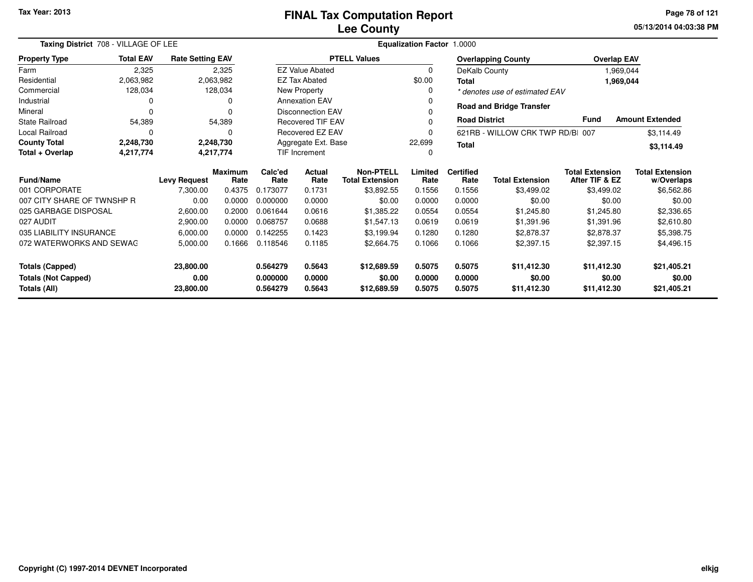**05/13/2014 04:03:38 PM Page 78 of 121**

| Taxing District 708 - VILLAGE OF LEE | Equalization Factor 1.0000                                                                       |                         |                        |                      |                          |                                            |                 |                          |                                  |                                          |                                      |
|--------------------------------------|--------------------------------------------------------------------------------------------------|-------------------------|------------------------|----------------------|--------------------------|--------------------------------------------|-----------------|--------------------------|----------------------------------|------------------------------------------|--------------------------------------|
| <b>Property Type</b>                 | <b>Total EAV</b>                                                                                 | <b>Rate Setting EAV</b> |                        |                      |                          | <b>PTELL Values</b>                        |                 |                          | <b>Overlapping County</b>        |                                          | <b>Overlap EAV</b>                   |
| Farm                                 | 2,325                                                                                            |                         | 2,325                  |                      | <b>EZ Value Abated</b>   |                                            | 0               | DeKalb County            |                                  |                                          | 1,969,044                            |
| Residential                          | 2,063,982                                                                                        |                         | 2,063,982              |                      | <b>EZ Tax Abated</b>     |                                            | \$0.00          | <b>Total</b>             |                                  |                                          | 1,969,044                            |
| Commercial                           | 128,034                                                                                          |                         | 128,034                |                      | New Property             |                                            | <sup>0</sup>    |                          | * denotes use of estimated EAV   |                                          |                                      |
| Industrial                           | 0                                                                                                |                         | 0                      |                      | <b>Annexation EAV</b>    |                                            |                 |                          | <b>Road and Bridge Transfer</b>  |                                          |                                      |
| Mineral                              | O                                                                                                |                         | O                      |                      | <b>Disconnection EAV</b> |                                            |                 |                          |                                  |                                          |                                      |
| <b>State Railroad</b>                | 54,389                                                                                           |                         | 54,389                 |                      | Recovered TIF EAV        |                                            |                 | <b>Road District</b>     |                                  | <b>Fund</b>                              | <b>Amount Extended</b>               |
| Local Railroad                       | O                                                                                                |                         | 0                      |                      | Recovered EZ EAV         |                                            |                 |                          | 621RB - WILLOW CRK TWP RD/BI 007 |                                          | \$3,114.49                           |
| <b>County Total</b>                  | 2,248,730                                                                                        |                         | 2,248,730              |                      | Aggregate Ext. Base      |                                            | 22,699          | <b>Total</b>             |                                  |                                          | \$3,114.49                           |
| Total + Overlap                      | 4,217,774                                                                                        |                         | 4,217,774              | <b>TIF Increment</b> |                          |                                            |                 |                          |                                  |                                          |                                      |
| <b>Fund/Name</b>                     |                                                                                                  | <b>Levy Request</b>     | <b>Maximum</b><br>Rate | Calc'ed<br>Rate      | <b>Actual</b><br>Rate    | <b>Non-PTELL</b><br><b>Total Extension</b> | Limited<br>Rate | <b>Certified</b><br>Rate | <b>Total Extension</b>           | <b>Total Extension</b><br>After TIF & EZ | <b>Total Extension</b><br>w/Overlaps |
| 001 CORPORATE                        |                                                                                                  | 7,300.00                | 0.4375                 | 0.173077             | 0.1731                   | \$3,892.55                                 | 0.1556          | 0.1556                   | \$3,499.02                       | \$3,499.02                               | \$6,562.86                           |
| 007 CITY SHARE OF TWNSHP R           |                                                                                                  | 0.00                    | 0.0000                 | 0.000000             | 0.0000                   | \$0.00                                     | 0.0000          | 0.0000                   | \$0.00                           | \$0.00                                   | \$0.00                               |
| 025 GARBAGE DISPOSAL                 |                                                                                                  | 2,600.00                | 0.2000                 | 0.061644             | 0.0616                   | \$1,385.22                                 | 0.0554          | 0.0554                   | \$1,245.80                       | \$1,245.80                               | \$2,336.65                           |
| 027 AUDIT                            |                                                                                                  | 2,900.00                | 0.0000                 | 0.068757             | 0.0688                   | \$1,547.13                                 | 0.0619          | 0.0619                   | \$1,391.96                       | \$1,391.96                               | \$2,610.80                           |
| 035 LIABILITY INSURANCE              |                                                                                                  | 6,000.00                | 0.0000                 | 0.142255             | 0.1423                   | \$3,199.94                                 | 0.1280          | 0.1280                   | \$2,878.37                       | \$2,878.37                               | \$5,398.75                           |
| 072 WATERWORKS AND SEWAG             |                                                                                                  | 5,000.00                | 0.1666                 | 0.118546             | 0.1185                   | \$2,664.75                                 | 0.1066          | 0.1066                   | \$2,397.15                       | \$2,397.15                               | \$4,496.15                           |
| <b>Totals (Capped)</b>               |                                                                                                  | 23,800.00               |                        | 0.564279             | 0.5643                   | \$12,689.59                                | 0.5075          | 0.5075                   | \$11,412.30                      | \$11,412.30                              | \$21,405.21                          |
| 0.00<br><b>Totals (Not Capped)</b>   |                                                                                                  |                         | 0.000000               | 0.0000               | \$0.00                   | 0.0000                                     | 0.0000          | \$0.00                   | \$0.00                           | \$0.00                                   |                                      |
| Totals (All)                         | 0.564279<br>0.5075<br>23,800.00<br>0.5643<br>\$12,689.59<br>0.5075<br>\$11,412.30<br>\$11,412.30 |                         |                        |                      |                          | \$21,405.21                                |                 |                          |                                  |                                          |                                      |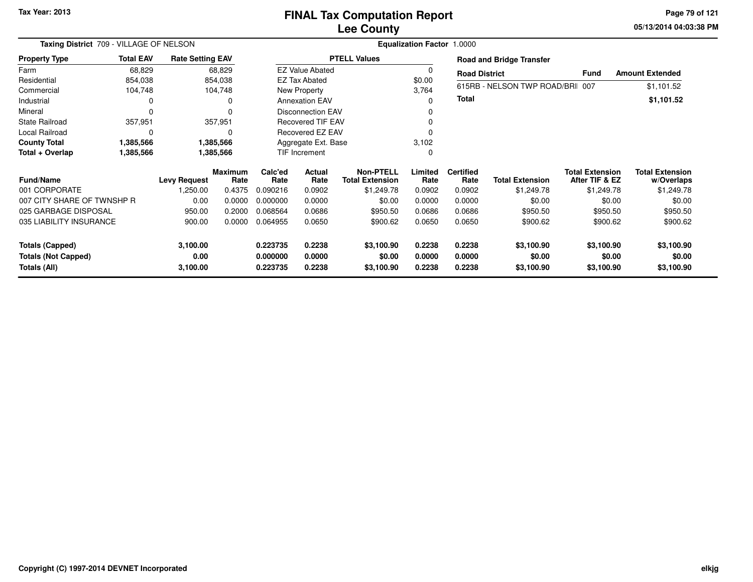**05/13/2014 04:03:38 PM Page 79 of 121**

| Taxing District 709 - VILLAGE OF NELSON    | <b>Equalization Factor</b><br>1.0000 |                         |                        |                      |                          |                                            |                  |                          |                                 |                                          |                                      |
|--------------------------------------------|--------------------------------------|-------------------------|------------------------|----------------------|--------------------------|--------------------------------------------|------------------|--------------------------|---------------------------------|------------------------------------------|--------------------------------------|
| <b>Property Type</b>                       | <b>Total EAV</b>                     | <b>Rate Setting EAV</b> |                        |                      |                          | <b>PTELL Values</b>                        |                  |                          | <b>Road and Bridge Transfer</b> |                                          |                                      |
| Farm                                       | 68,829                               |                         | 68,829                 |                      | <b>EZ Value Abated</b>   |                                            | 0                | <b>Road District</b>     |                                 | <b>Fund</b>                              | <b>Amount Extended</b>               |
| Residential                                | 854,038                              |                         | 854,038                |                      | <b>EZ Tax Abated</b>     |                                            | \$0.00           |                          |                                 |                                          |                                      |
| Commercial                                 | 104,748                              |                         | 104,748                |                      | New Property             |                                            | 3,764            |                          | 615RB - NELSON TWP ROAD/BRI 007 |                                          | \$1,101.52                           |
| Industrial                                 |                                      |                         | 0                      |                      | <b>Annexation EAV</b>    |                                            | o                | Total                    |                                 |                                          | \$1,101.52                           |
| Mineral                                    |                                      |                         | 0                      |                      | <b>Disconnection EAV</b> |                                            |                  |                          |                                 |                                          |                                      |
| <b>State Railroad</b>                      | 357,951                              |                         | 357,951                |                      | <b>Recovered TIF EAV</b> |                                            |                  |                          |                                 |                                          |                                      |
| Local Railroad                             | $\Omega$                             |                         | 0                      |                      | Recovered EZ EAV         |                                            |                  |                          |                                 |                                          |                                      |
| <b>County Total</b>                        | 1,385,566                            |                         | 1,385,566              |                      | Aggregate Ext. Base      |                                            | 3,102            |                          |                                 |                                          |                                      |
| Total + Overlap                            | 1,385,566                            |                         | 1,385,566              | <b>TIF Increment</b> |                          |                                            | 0                |                          |                                 |                                          |                                      |
| <b>Fund/Name</b>                           |                                      | <b>Levy Request</b>     | <b>Maximum</b><br>Rate | Calc'ed<br>Rate      | Actual<br>Rate           | <b>Non-PTELL</b><br><b>Total Extension</b> | Limited<br>Rate  | <b>Certified</b><br>Rate | <b>Total Extension</b>          | <b>Total Extension</b><br>After TIF & EZ | <b>Total Extension</b><br>w/Overlaps |
| 001 CORPORATE                              |                                      | 1,250.00                | 0.4375                 | 0.090216             | 0.0902                   | \$1,249.78                                 | 0.0902           | 0.0902                   | \$1,249.78                      | \$1,249.78                               | \$1,249.78                           |
| 007 CITY SHARE OF TWNSHP R                 |                                      | 0.00                    | 0.0000                 | 0.000000             | 0.0000                   | \$0.00                                     | 0.0000           | 0.0000                   | \$0.00                          | \$0.00                                   | \$0.00                               |
| 025 GARBAGE DISPOSAL                       |                                      | 950.00                  | 0.2000                 | 0.068564             | 0.0686                   | \$950.50                                   | 0.0686           | 0.0686                   | \$950.50                        | \$950.50                                 | \$950.50                             |
| 035 LIABILITY INSURANCE                    |                                      | 900.00                  | 0.0000                 | 0.064955             | 0.0650                   | \$900.62                                   | 0.0650           | 0.0650                   | \$900.62                        | \$900.62                                 | \$900.62                             |
| <b>Totals (Capped)</b>                     |                                      | 3,100.00                |                        | 0.223735             | 0.2238                   | \$3,100.90                                 | 0.2238           | 0.2238                   | \$3,100.90                      | \$3,100.90                               | \$3,100.90                           |
| <b>Totals (Not Capped)</b><br>Totals (All) |                                      | 0.00<br>3,100.00        |                        | 0.000000<br>0.223735 | 0.0000<br>0.2238         | \$0.00<br>\$3,100.90                       | 0.0000<br>0.2238 | 0.0000<br>0.2238         | \$0.00<br>\$3,100.90            | \$0.00<br>\$3,100.90                     | \$0.00<br>\$3,100.90                 |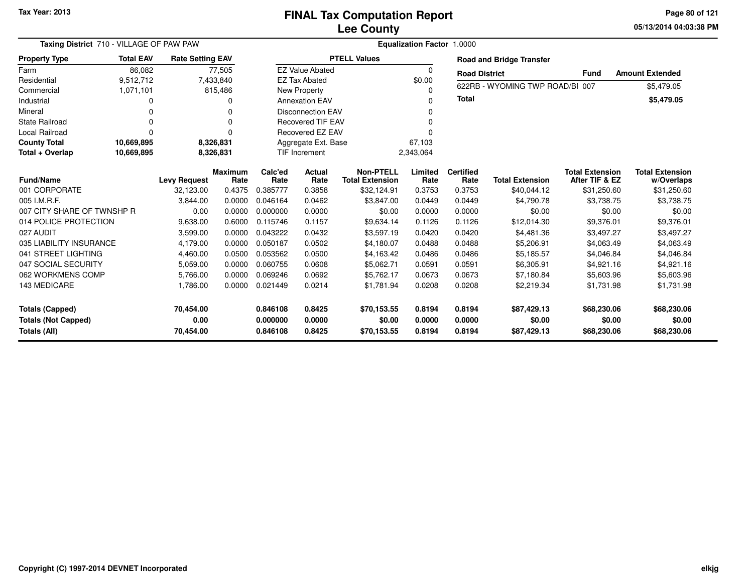**05/13/2014 04:03:38 PM Page 80 of 121**

| Taxing District 710 - VILLAGE OF PAW PAW |                  | Equalization Factor 1.0000       |                        |                 |                          |                                            |                 |                          |                                 |                                          |                                      |
|------------------------------------------|------------------|----------------------------------|------------------------|-----------------|--------------------------|--------------------------------------------|-----------------|--------------------------|---------------------------------|------------------------------------------|--------------------------------------|
| <b>Property Type</b>                     | <b>Total EAV</b> | <b>Rate Setting EAV</b>          |                        |                 |                          | <b>PTELL Values</b>                        |                 |                          | <b>Road and Bridge Transfer</b> |                                          |                                      |
| Farm                                     | 86.082           |                                  | 77,505                 |                 | <b>EZ Value Abated</b>   |                                            | 0               | <b>Road District</b>     |                                 | <b>Fund</b>                              | <b>Amount Extended</b>               |
| Residential                              | 9,512,712        |                                  | 7,433,840              |                 | <b>EZ Tax Abated</b>     |                                            | \$0.00          |                          |                                 |                                          |                                      |
| Commercial                               | 1,071,101        |                                  | 815,486                |                 | New Property             |                                            | 0               |                          | 622RB - WYOMING TWP ROAD/BI     | 007                                      | \$5,479.05                           |
| Industrial                               | O                |                                  | 0                      |                 | <b>Annexation EAV</b>    |                                            | 0               | <b>Total</b>             |                                 |                                          | \$5,479.05                           |
| Mineral                                  | $\Omega$         |                                  | 0                      |                 | <b>Disconnection EAV</b> |                                            | 0               |                          |                                 |                                          |                                      |
| <b>State Railroad</b>                    | $\Omega$         |                                  | $\Omega$               |                 | <b>Recovered TIF EAV</b> |                                            | 0               |                          |                                 |                                          |                                      |
| <b>Local Railroad</b>                    | $\Omega$         |                                  | $\Omega$               |                 | <b>Recovered EZ EAV</b>  |                                            | ŋ               |                          |                                 |                                          |                                      |
| <b>County Total</b>                      | 10,669,895       |                                  | 8,326,831              |                 | Aggregate Ext. Base      |                                            | 67,103          |                          |                                 |                                          |                                      |
| Total + Overlap                          | 10,669,895       |                                  | 8,326,831              |                 | <b>TIF Increment</b>     |                                            | 2,343,064       |                          |                                 |                                          |                                      |
| <b>Fund/Name</b>                         |                  |                                  | <b>Maximum</b><br>Rate | Calc'ed<br>Rate | Actual<br>Rate           | <b>Non-PTELL</b><br><b>Total Extension</b> | Limited<br>Rate | <b>Certified</b><br>Rate | <b>Total Extension</b>          | <b>Total Extension</b><br>After TIF & EZ | <b>Total Extension</b><br>w/Overlaps |
| 001 CORPORATE                            |                  | <b>Levy Request</b><br>32,123.00 | 0.4375                 | 0.385777        | 0.3858                   | \$32,124.91                                | 0.3753          | 0.3753                   | \$40,044.12                     | \$31,250.60                              | \$31,250.60                          |
| 005 I.M.R.F.                             |                  | 3,844.00                         | 0.0000                 | 0.046164        | 0.0462                   | \$3,847.00                                 | 0.0449          | 0.0449                   | \$4,790.78                      | \$3,738.75                               | \$3,738.75                           |
| 007 CITY SHARE OF TWNSHP R               |                  | 0.00                             | 0.0000                 | 0.000000        | 0.0000                   | \$0.00                                     | 0.0000          | 0.0000                   | \$0.00                          | \$0.00                                   | \$0.00                               |
| 014 POLICE PROTECTION                    |                  | 9,638.00                         | 0.6000                 | 0.115746        | 0.1157                   | \$9,634.14                                 | 0.1126          | 0.1126                   | \$12,014.30                     | \$9,376.01                               | \$9,376.01                           |
| 027 AUDIT                                |                  | 3,599.00                         | 0.0000                 | 0.043222        | 0.0432                   | \$3,597.19                                 | 0.0420          | 0.0420                   | \$4,481.36                      | \$3,497.27                               | \$3,497.27                           |
| 035 LIABILITY INSURANCE                  |                  | 4,179.00                         | 0.0000                 | 0.050187        | 0.0502                   | \$4,180.07                                 | 0.0488          | 0.0488                   | \$5,206.91                      | \$4,063.49                               | \$4,063.49                           |
| 041 STREET LIGHTING                      |                  | 4,460.00                         | 0.0500                 | 0.053562        | 0.0500                   | \$4,163.42                                 | 0.0486          | 0.0486                   | \$5,185.57                      | \$4,046.84                               | \$4,046.84                           |
| 047 SOCIAL SECURITY                      |                  | 5,059.00                         | 0.0000                 | 0.060755        | 0.0608                   | \$5.062.71                                 | 0.0591          | 0.0591                   | \$6,305.91                      | \$4,921.16                               | \$4,921.16                           |
| 062 WORKMENS COMP                        |                  | 5,766.00                         | 0.0000                 | 0.069246        | 0.0692                   | \$5.762.17                                 | 0.0673          | 0.0673                   | \$7,180.84                      | \$5,603.96                               | \$5,603.96                           |
| 143 MEDICARE                             |                  | 1,786.00                         | 0.0000                 | 0.021449        | 0.0214                   | \$1,781.94                                 | 0.0208          | 0.0208                   | \$2,219.34                      | \$1,731.98                               | \$1,731.98                           |
| <b>Totals (Capped)</b>                   |                  | 70,454.00                        |                        | 0.846108        | 0.8425                   | \$70,153.55                                | 0.8194          | 0.8194                   | \$87,429.13                     | \$68,230.06                              | \$68,230.06                          |
| <b>Totals (Not Capped)</b>               |                  | 0.00                             |                        | 0.000000        | 0.0000                   | \$0.00                                     | 0.0000          | 0.0000                   | \$0.00                          | \$0.00                                   | \$0.00                               |
| Totals (All)                             |                  | 70,454.00                        |                        | 0.846108        | 0.8425                   | \$70,153.55                                | 0.8194          | 0.8194                   | \$87,429.13                     | \$68,230.06                              | \$68,230.06                          |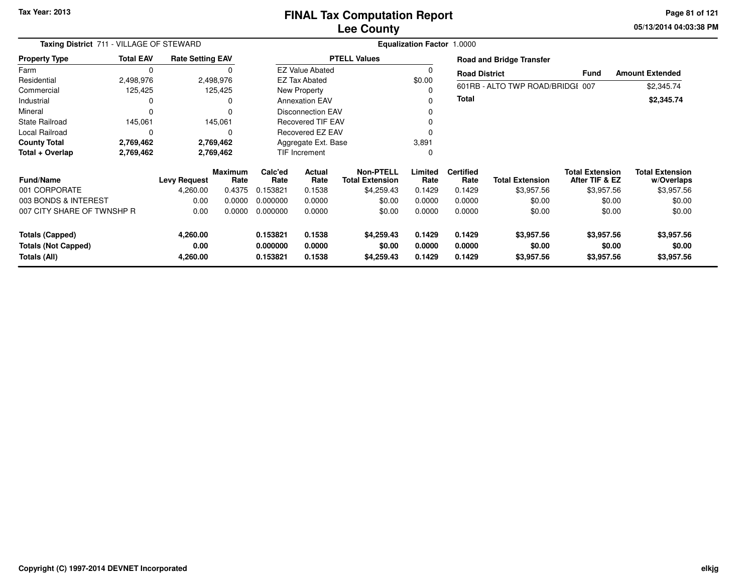**05/13/2014 04:03:38 PM Page 81 of 121**

| Taxing District 711 - VILLAGE OF STEWARD   |                  |                         |                        | Equalization Factor 1.0000 |                          |                                            |                  |                          |                                  |                                          |                                      |
|--------------------------------------------|------------------|-------------------------|------------------------|----------------------------|--------------------------|--------------------------------------------|------------------|--------------------------|----------------------------------|------------------------------------------|--------------------------------------|
| <b>Property Type</b>                       | <b>Total EAV</b> | <b>Rate Setting EAV</b> |                        |                            |                          | <b>PTELL Values</b>                        |                  |                          | <b>Road and Bridge Transfer</b>  |                                          |                                      |
| Farm                                       | 0                |                         |                        |                            | <b>EZ Value Abated</b>   |                                            | 0                | <b>Road District</b>     |                                  | <b>Fund</b>                              | <b>Amount Extended</b>               |
| Residential                                | 2,498,976        |                         | 2,498,976              |                            | <b>EZ Tax Abated</b>     |                                            | \$0.00           |                          |                                  |                                          |                                      |
| Commercial                                 | 125,425          |                         | 125,425                |                            | New Property             |                                            |                  |                          | 601RB - ALTO TWP ROAD/BRIDGI 007 |                                          | \$2,345.74                           |
| Industrial                                 | 0                |                         | 0                      |                            | <b>Annexation EAV</b>    |                                            |                  | Total                    |                                  |                                          | \$2,345.74                           |
| Mineral                                    | $\Omega$         |                         | $\Omega$               |                            | <b>Disconnection EAV</b> |                                            | ი                |                          |                                  |                                          |                                      |
| <b>State Railroad</b>                      | 145,061          |                         | 145,061                |                            | <b>Recovered TIF EAV</b> |                                            |                  |                          |                                  |                                          |                                      |
| Local Railroad                             | $\Omega$         |                         | 0                      |                            | Recovered EZ EAV         |                                            |                  |                          |                                  |                                          |                                      |
| <b>County Total</b>                        | 2,769,462        |                         | 2,769,462              |                            | Aggregate Ext. Base      |                                            | 3,891            |                          |                                  |                                          |                                      |
| Total + Overlap                            | 2,769,462        |                         | 2,769,462              | TIF Increment              |                          |                                            | 0                |                          |                                  |                                          |                                      |
| <b>Fund/Name</b>                           |                  | <b>Levy Request</b>     | <b>Maximum</b><br>Rate | Calc'ed<br>Rate            | Actual<br>Rate           | <b>Non-PTELL</b><br><b>Total Extension</b> | Limited<br>Rate  | <b>Certified</b><br>Rate | <b>Total Extension</b>           | <b>Total Extension</b><br>After TIF & EZ | <b>Total Extension</b><br>w/Overlaps |
| 001 CORPORATE                              |                  | 4,260.00                | 0.4375                 | 0.153821                   | 0.1538                   | \$4,259.43                                 | 0.1429           | 0.1429                   | \$3,957.56                       | \$3,957.56                               | \$3,957.56                           |
| 003 BONDS & INTEREST                       |                  | 0.00                    | 0.0000                 | 0.000000                   | 0.0000                   | \$0.00                                     | 0.0000           | 0.0000                   | \$0.00                           | \$0.00                                   | \$0.00                               |
| 007 CITY SHARE OF TWNSHP R                 |                  | 0.00                    | 0.0000                 | 0.000000                   | 0.0000                   | \$0.00                                     | 0.0000           | 0.0000                   | \$0.00                           | \$0.00                                   | \$0.00                               |
| <b>Totals (Capped)</b>                     |                  | 4,260.00                |                        | 0.153821                   | 0.1538                   | \$4,259.43                                 | 0.1429           | 0.1429                   | \$3,957.56                       | \$3,957.56                               | \$3,957.56                           |
| <b>Totals (Not Capped)</b><br>Totals (All) |                  | 0.00<br>4,260.00        |                        | 0.000000<br>0.153821       | 0.0000<br>0.1538         | \$0.00<br>\$4,259.43                       | 0.0000<br>0.1429 | 0.0000<br>0.1429         | \$0.00<br>\$3,957.56             | \$0.00<br>\$3,957.56                     | \$0.00<br>\$3,957.56                 |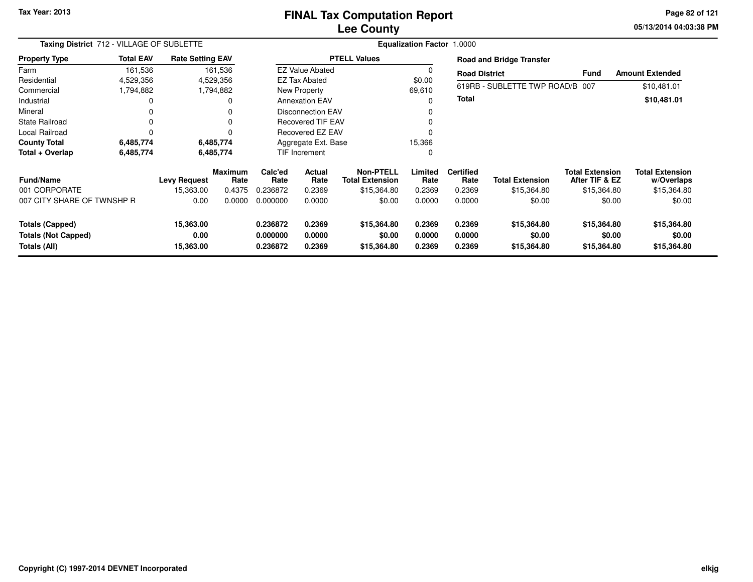#### **Lee CountyFINAL Tax Computation Report**

**05/13/2014 04:03:38 PM Page 82 of 121**

|                            | Taxing District 712 - VILLAGE OF SUBLETTE |                         |                 |                 | <b>Equalization Factor 1.0000</b>                    |                                     |                 |                          |                                 |                                          |                                      |  |  |  |
|----------------------------|-------------------------------------------|-------------------------|-----------------|-----------------|------------------------------------------------------|-------------------------------------|-----------------|--------------------------|---------------------------------|------------------------------------------|--------------------------------------|--|--|--|
| <b>Property Type</b>       | <b>Total EAV</b>                          | <b>Rate Setting EAV</b> |                 |                 |                                                      | <b>PTELL Values</b>                 |                 |                          | <b>Road and Bridge Transfer</b> |                                          |                                      |  |  |  |
| Farm                       | 161,536                                   |                         | 161,536         |                 | <b>EZ Value Abated</b>                               |                                     | 0               | <b>Road District</b>     |                                 | Fund                                     | <b>Amount Extended</b>               |  |  |  |
| Residential                | 4,529,356                                 |                         | 4,529,356       |                 | <b>EZ Tax Abated</b>                                 |                                     | \$0.00          |                          |                                 |                                          |                                      |  |  |  |
| Commercial                 | 1,794,882                                 |                         | 1,794,882       |                 | New Property                                         |                                     | 69,610          |                          | 619RB - SUBLETTE TWP ROAD/B 007 |                                          | \$10,481.01                          |  |  |  |
| Industrial                 | 0                                         |                         | 0               |                 | <b>Annexation EAV</b>                                |                                     | $\Omega$        | Total                    |                                 |                                          | \$10,481.01                          |  |  |  |
| Mineral                    | 0                                         |                         |                 |                 | <b>Disconnection EAV</b><br><b>Recovered TIF EAV</b> |                                     |                 |                          |                                 |                                          |                                      |  |  |  |
| State Railroad             | 0                                         |                         |                 |                 |                                                      |                                     | 0               |                          |                                 |                                          |                                      |  |  |  |
| Local Railroad             | 0                                         |                         |                 |                 | <b>Recovered EZ EAV</b>                              |                                     |                 |                          |                                 |                                          |                                      |  |  |  |
| <b>County Total</b>        | 6,485,774                                 |                         | 6,485,774       |                 | Aggregate Ext. Base                                  |                                     |                 |                          |                                 |                                          |                                      |  |  |  |
| Total + Overlap            | 6,485,774                                 |                         | 6,485,774       |                 | TIF Increment                                        |                                     | 0               |                          |                                 |                                          |                                      |  |  |  |
| <b>Fund/Name</b>           |                                           | <b>Levy Request</b>     | Maximum<br>Rate | Calc'ed<br>Rate | Actual<br>Rate                                       | Non-PTELL<br><b>Total Extension</b> | Limited<br>Rate | <b>Certified</b><br>Rate | Total Extension                 | <b>Total Extension</b><br>After TIF & EZ | <b>Total Extension</b><br>w/Overlaps |  |  |  |
| 001 CORPORATE              |                                           | 15,363.00               | 0.4375          | 0.236872        | 0.2369                                               | \$15,364.80                         | 0.2369          | 0.2369                   | \$15,364.80                     | \$15,364.80                              | \$15,364.80                          |  |  |  |
| 007 CITY SHARE OF TWNSHP R |                                           | 0.00                    | 0.0000          | 0.000000        | 0.0000                                               | \$0.00                              | 0.0000          | 0.0000                   | \$0.00                          | \$0.00                                   | \$0.00                               |  |  |  |
| <b>Totals (Capped)</b>     |                                           | 15,363.00               |                 | 0.236872        | 0.2369                                               | \$15,364.80                         | 0.2369          | 0.2369                   | \$15,364.80                     | \$15,364.80                              | \$15,364.80                          |  |  |  |
| <b>Totals (Not Capped)</b> |                                           | 0.00                    |                 | 0.000000        | 0.0000                                               | \$0.00                              | 0.0000          | 0.0000                   | \$0.00                          | \$0.00                                   | \$0.00                               |  |  |  |
| Totals (All)               |                                           | 15,363.00               |                 | 0.236872        | 0.2369                                               | \$15,364.80                         | 0.2369          | 0.2369                   | \$15,364.80                     | \$15,364.80                              | \$15,364.80                          |  |  |  |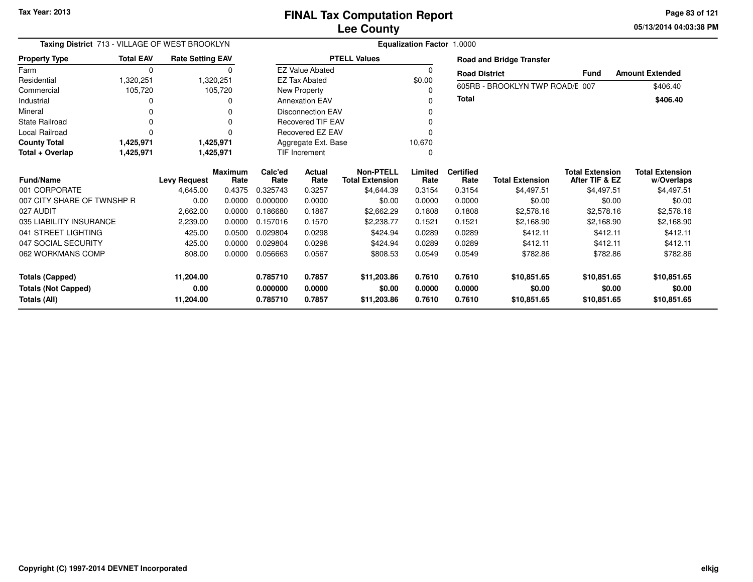**05/13/2014 04:03:38 PMPage 83 of 121**

| Taxing District 713 - VILLAGE OF WEST BROOKLYN |                  |                         | <b>Equalization Factor 1.0000</b> |                 |                          |                                            |                 |                          |                                 |                                          |                                      |  |
|------------------------------------------------|------------------|-------------------------|-----------------------------------|-----------------|--------------------------|--------------------------------------------|-----------------|--------------------------|---------------------------------|------------------------------------------|--------------------------------------|--|
| <b>Property Type</b>                           | <b>Total EAV</b> | <b>Rate Setting EAV</b> |                                   |                 |                          | <b>PTELL Values</b>                        |                 |                          | <b>Road and Bridge Transfer</b> |                                          |                                      |  |
| Farm                                           | 0                |                         | 0                                 |                 | <b>EZ Value Abated</b>   |                                            | 0               | <b>Road District</b>     |                                 | <b>Fund</b>                              | <b>Amount Extended</b>               |  |
| Residential                                    | 1,320,251        |                         | 1,320,251                         |                 | <b>EZ Tax Abated</b>     |                                            | \$0.00          |                          |                                 |                                          |                                      |  |
| Commercial                                     | 105,720          |                         | 105,720                           |                 | New Property             |                                            |                 |                          | 605RB - BROOKLYN TWP ROAD/E 007 |                                          | \$406.40                             |  |
| Industrial                                     |                  |                         | 0                                 |                 | <b>Annexation EAV</b>    |                                            |                 | <b>Total</b>             |                                 |                                          | \$406.40                             |  |
| Mineral                                        |                  |                         |                                   |                 | <b>Disconnection EAV</b> |                                            |                 |                          |                                 |                                          |                                      |  |
| <b>State Railroad</b>                          |                  |                         |                                   |                 | <b>Recovered TIF EAV</b> |                                            |                 |                          |                                 |                                          |                                      |  |
| <b>Local Railroad</b>                          | $\Omega$         |                         | $\Omega$                          |                 | Recovered EZ EAV         |                                            |                 |                          |                                 |                                          |                                      |  |
| <b>County Total</b>                            | 1,425,971        |                         | 1,425,971                         |                 | Aggregate Ext. Base      |                                            | 10,670          |                          |                                 |                                          |                                      |  |
| Total + Overlap                                | 1,425,971        |                         | 1,425,971                         | TIF Increment   |                          |                                            |                 |                          |                                 |                                          |                                      |  |
| <b>Fund/Name</b>                               |                  | <b>Levy Request</b>     | <b>Maximum</b><br>Rate            | Calc'ed<br>Rate | Actual<br>Rate           | <b>Non-PTELL</b><br><b>Total Extension</b> | Limited<br>Rate | <b>Certified</b><br>Rate | <b>Total Extension</b>          | <b>Total Extension</b><br>After TIF & EZ | <b>Total Extension</b><br>w/Overlaps |  |
| 001 CORPORATE                                  |                  | 4,645.00                | 0.4375                            | 0.325743        | 0.3257                   | \$4,644.39                                 | 0.3154          | 0.3154                   | \$4.497.51                      | \$4,497.51                               | \$4,497.51                           |  |
| 007 CITY SHARE OF TWNSHP R                     |                  | 0.00                    | 0.0000                            | 0.000000        | 0.0000                   | \$0.00                                     | 0.0000          | 0.0000                   | \$0.00                          | \$0.00                                   | \$0.00                               |  |
| 027 AUDIT                                      |                  | 2,662.00                | 0.0000                            | 0.186680        | 0.1867                   | \$2,662.29                                 | 0.1808          | 0.1808                   | \$2,578.16                      | \$2,578.16                               | \$2,578.16                           |  |
| 035 LIABILITY INSURANCE                        |                  | 2,239.00                | 0.0000                            | 0.157016        | 0.1570                   | \$2,238.77                                 | 0.1521          | 0.1521                   | \$2,168.90                      | \$2,168.90                               | \$2,168.90                           |  |
| 041 STREET LIGHTING                            |                  | 425.00                  | 0.0500                            | 0.029804        | 0.0298                   | \$424.94                                   | 0.0289          | 0.0289                   | \$412.11                        | \$412.11                                 | \$412.11                             |  |
| 047 SOCIAL SECURITY                            |                  | 425.00                  | 0.0000                            | 0.029804        | 0.0298                   | \$424.94                                   | 0.0289          | 0.0289                   | \$412.11                        | \$412.11                                 | \$412.11                             |  |
| 062 WORKMANS COMP                              |                  | 808.00                  | 0.0000                            | 0.056663        | 0.0567                   | \$808.53                                   | 0.0549          | 0.0549                   | \$782.86                        | \$782.86                                 | \$782.86                             |  |
| <b>Totals (Capped)</b>                         |                  | 11,204.00               |                                   | 0.785710        | 0.7857                   | \$11,203.86                                | 0.7610          | 0.7610                   | \$10,851.65                     | \$10,851.65                              | \$10,851.65                          |  |
|                                                |                  |                         |                                   |                 |                          |                                            |                 |                          |                                 |                                          |                                      |  |
|                                                |                  | 0.00                    |                                   | 0.000000        | 0.0000                   | \$0.00                                     | 0.0000          | 0.0000                   | \$0.00                          | \$0.00                                   | \$0.00                               |  |
| <b>Totals (Not Capped)</b><br>Totals (All)     |                  | 11,204.00               |                                   | 0.785710        | 0.7857                   | \$11,203.86                                | 0.7610          | 0.7610                   | \$10,851.65                     | \$10,851.65                              | \$10,851.65                          |  |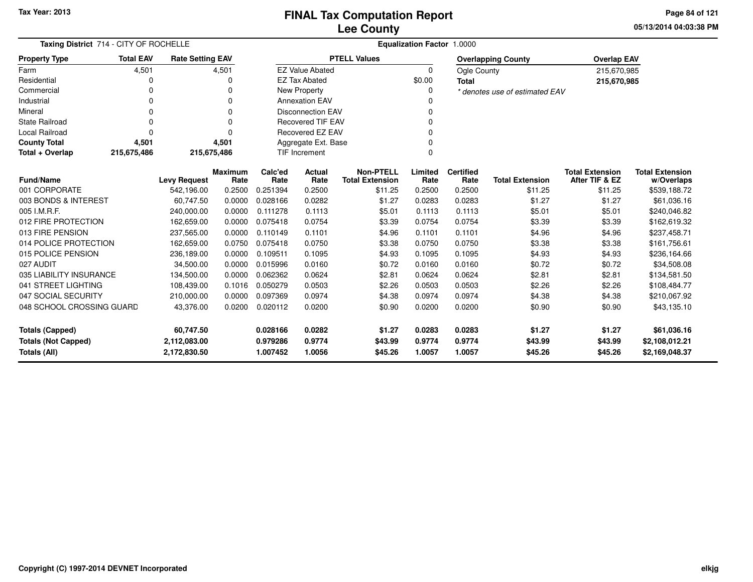**05/13/2014 04:03:38 PM Page 84 of 121**

| Taxing District 714 - CITY OF ROCHELLE                                     |                  |                         |                 | <b>Equalization Factor 1.0000</b> |                          |                                            |                  |                          |                                |                                          |                                      |
|----------------------------------------------------------------------------|------------------|-------------------------|-----------------|-----------------------------------|--------------------------|--------------------------------------------|------------------|--------------------------|--------------------------------|------------------------------------------|--------------------------------------|
| <b>Property Type</b>                                                       | <b>Total EAV</b> | <b>Rate Setting EAV</b> |                 |                                   |                          | <b>PTELL Values</b>                        |                  |                          | <b>Overlapping County</b>      | <b>Overlap EAV</b>                       |                                      |
| Farm                                                                       | 4,501            |                         | 4,501           |                                   | <b>EZ Value Abated</b>   |                                            | $\Omega$         | Ogle County              |                                | 215,670,985                              |                                      |
| Residential                                                                | 0                |                         | 0               |                                   | <b>EZ Tax Abated</b>     |                                            | \$0.00           | <b>Total</b>             |                                | 215,670,985                              |                                      |
| Commercial                                                                 | 0                |                         | $\Omega$        |                                   | New Property             |                                            |                  |                          | * denotes use of estimated EAV |                                          |                                      |
| Industrial                                                                 | 0                |                         | $\Omega$        |                                   | <b>Annexation EAV</b>    |                                            |                  |                          |                                |                                          |                                      |
| Mineral                                                                    | 0                |                         | $\Omega$        |                                   | <b>Disconnection EAV</b> |                                            |                  |                          |                                |                                          |                                      |
| <b>State Railroad</b>                                                      | 0                |                         | $\Omega$        |                                   | Recovered TIF EAV        |                                            |                  |                          |                                |                                          |                                      |
| Local Railroad                                                             | 0                |                         | $\Omega$        |                                   | <b>Recovered EZ EAV</b>  |                                            |                  |                          |                                |                                          |                                      |
| <b>County Total</b>                                                        | 4,501            |                         | 4,501           |                                   | Aggregate Ext. Base      |                                            |                  |                          |                                |                                          |                                      |
| Total + Overlap                                                            | 215,675,486      | 215,675,486             |                 |                                   | <b>TIF Increment</b>     |                                            |                  |                          |                                |                                          |                                      |
| <b>Fund/Name</b>                                                           |                  | <b>Levy Request</b>     | Maximum<br>Rate | Calc'ed<br>Rate                   | <b>Actual</b><br>Rate    | <b>Non-PTELL</b><br><b>Total Extension</b> | Limited<br>Rate  | <b>Certified</b><br>Rate | <b>Total Extension</b>         | <b>Total Extension</b><br>After TIF & EZ | <b>Total Extension</b><br>w/Overlaps |
| 001 CORPORATE                                                              |                  | 542,196.00              | 0.2500          | 0.251394                          | 0.2500                   | \$11.25                                    | 0.2500           | 0.2500                   | \$11.25                        | \$11.25                                  | \$539,188.72                         |
| 003 BONDS & INTEREST                                                       |                  | 60,747.50               | 0.0000          | 0.028166                          | 0.0282                   | \$1.27                                     | 0.0283           | 0.0283                   | \$1.27                         | \$1.27                                   | \$61,036.16                          |
| 005 I.M.R.F.                                                               |                  | 240,000.00              | 0.0000          | 0.111278                          | 0.1113                   | \$5.01                                     | 0.1113           | 0.1113                   | \$5.01                         | \$5.01                                   | \$240,046.82                         |
| 012 FIRE PROTECTION                                                        |                  | 162,659.00              | 0.0000          | 0.075418                          | 0.0754                   | \$3.39                                     | 0.0754           | 0.0754                   | \$3.39                         | \$3.39                                   | \$162,619.32                         |
| 013 FIRE PENSION                                                           |                  | 237,565.00              | 0.0000          | 0.110149                          | 0.1101                   | \$4.96                                     | 0.1101           | 0.1101                   | \$4.96                         | \$4.96                                   | \$237,458.71                         |
| 014 POLICE PROTECTION                                                      |                  | 162,659.00              | 0.0750          | 0.075418                          | 0.0750                   | \$3.38                                     | 0.0750           | 0.0750                   | \$3.38                         | \$3.38                                   | \$161,756.61                         |
| 015 POLICE PENSION                                                         |                  | 236,189.00              | 0.0000          | 0.109511                          | 0.1095                   | \$4.93                                     | 0.1095           | 0.1095                   | \$4.93                         | \$4.93                                   | \$236,164.66                         |
| 027 AUDIT                                                                  |                  | 34,500.00               | 0.0000          | 0.015996                          | 0.0160                   | \$0.72                                     | 0.0160           | 0.0160                   | \$0.72                         | \$0.72                                   | \$34,508.08                          |
| 035 LIABILITY INSURANCE                                                    |                  | 134,500.00              | 0.0000          | 0.062362                          | 0.0624                   | \$2.81                                     | 0.0624           | 0.0624                   | \$2.81                         | \$2.81                                   | \$134,581.50                         |
| 041 STREET LIGHTING                                                        |                  | 108,439.00              | 0.1016          | 0.050279                          | 0.0503                   | \$2.26                                     | 0.0503           | 0.0503                   | \$2.26                         | \$2.26                                   | \$108,484.77                         |
| 047 SOCIAL SECURITY                                                        |                  | 210,000.00              | 0.0000          | 0.097369                          | 0.0974                   | \$4.38                                     | 0.0974           | 0.0974                   | \$4.38                         | \$4.38                                   | \$210,067.92                         |
| 048 SCHOOL CROSSING GUARD                                                  |                  | 43,376.00               | 0.0200          | 0.020112                          | 0.0200                   | \$0.90                                     | 0.0200           | 0.0200                   | \$0.90                         | \$0.90                                   | \$43,135.10                          |
| <b>Totals (Capped)</b><br>60,747.50                                        |                  | 0.028166                | 0.0282          | \$1.27                            | 0.0283                   | 0.0283                                     | \$1.27           | \$1.27                   | \$61,036.16                    |                                          |                                      |
| <b>Totals (Not Capped)</b><br>2,112,083.00<br>Totals (All)<br>2,172,830.50 |                  |                         |                 | 0.979286<br>1.007452              | 0.9774<br>1.0056         | \$43.99<br>\$45.26                         | 0.9774<br>1.0057 | 0.9774<br>1.0057         | \$43.99<br>\$45.26             | \$43.99<br>\$45.26                       | \$2,108,012.21<br>\$2,169,048.37     |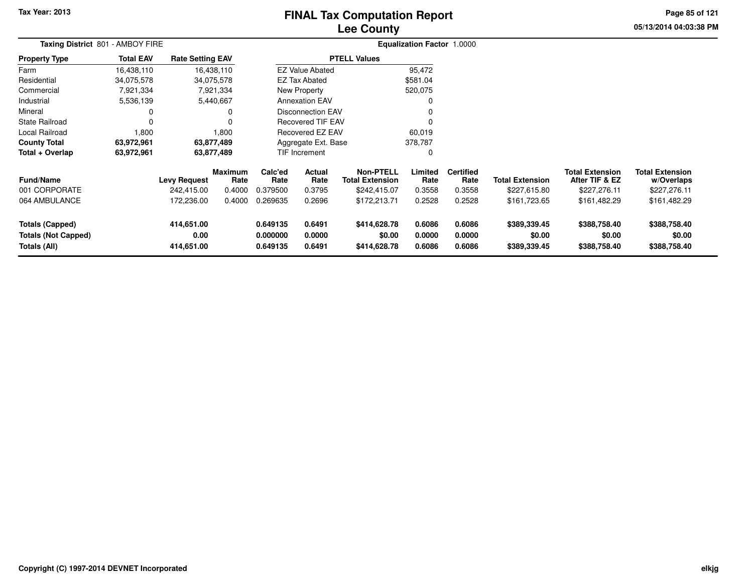# **Lee CountyFINAL Tax Computation Report**

**05/13/2014 04:03:38 PM Page 85 of 121**

| Taxing District 801 - AMBOY FIRE                                     |                  |                                  |                 |                                  |                                          |                                        | <b>Equalization Factor 1.0000</b> |                            |                                        |                                          |                                        |  |
|----------------------------------------------------------------------|------------------|----------------------------------|-----------------|----------------------------------|------------------------------------------|----------------------------------------|-----------------------------------|----------------------------|----------------------------------------|------------------------------------------|----------------------------------------|--|
| <b>Property Type</b>                                                 | <b>Total EAV</b> | <b>Rate Setting EAV</b>          |                 |                                  |                                          | <b>PTELL Values</b>                    |                                   |                            |                                        |                                          |                                        |  |
| Farm                                                                 | 16,438,110       |                                  | 16,438,110      |                                  | <b>EZ Value Abated</b>                   |                                        | 95,472                            |                            |                                        |                                          |                                        |  |
| Residential                                                          | 34,075,578       |                                  | 34,075,578      |                                  | <b>EZ Tax Abated</b>                     |                                        | \$581.04                          |                            |                                        |                                          |                                        |  |
| Commercial                                                           | 7,921,334        |                                  | 7,921,334       |                                  | New Property                             |                                        | 520,075                           |                            |                                        |                                          |                                        |  |
| Industrial                                                           | 5,536,139        |                                  | 5,440,667       |                                  | <b>Annexation EAV</b>                    |                                        |                                   |                            |                                        |                                          |                                        |  |
| Mineral                                                              | 0                |                                  | 0               |                                  | <b>Disconnection EAV</b>                 |                                        |                                   |                            |                                        |                                          |                                        |  |
| State Railroad                                                       | 0                |                                  |                 |                                  |                                          | <b>Recovered TIF EAV</b><br>$\Omega$   |                                   |                            |                                        |                                          |                                        |  |
| Local Railroad                                                       | 1,800            |                                  | 1,800           |                                  | <b>Recovered EZ EAV</b>                  |                                        | 60,019                            |                            |                                        |                                          |                                        |  |
| <b>County Total</b>                                                  | 63,972,961       |                                  | 63,877,489      |                                  | Aggregate Ext. Base                      |                                        | 378,787                           |                            |                                        |                                          |                                        |  |
| Total + Overlap                                                      | 63,972,961       |                                  | 63,877,489      |                                  | <b>TIF Increment</b>                     |                                        | 0                                 |                            |                                        |                                          |                                        |  |
| <b>Fund/Name</b>                                                     |                  | <b>Levy Request</b>              | Maximum<br>Rate | Calc'ed<br>Rate                  | Actual<br>Rate<br><b>Total Extension</b> |                                        | Limited<br>Rate                   | <b>Certified</b><br>Rate   | <b>Total Extension</b>                 | <b>Total Extension</b><br>After TIF & EZ | <b>Total Extension</b><br>w/Overlaps   |  |
| 001 CORPORATE                                                        |                  | 242,415.00                       | 0.4000          | 0.379500                         | 0.3795                                   | \$242,415.07                           | 0.3558                            | 0.3558                     | \$227,615.80                           | \$227,276.11                             | \$227,276.11                           |  |
| 064 AMBULANCE                                                        |                  | 172,236.00                       | 0.4000          | 0.269635                         | 0.2696                                   | \$172,213.71                           | 0.2528                            | 0.2528                     | \$161,723.65                           | \$161,482.29                             | \$161,482.29                           |  |
| <b>Totals (Capped)</b><br><b>Totals (Not Capped)</b><br>Totals (All) |                  | 414,651.00<br>0.00<br>414,651.00 |                 | 0.649135<br>0.000000<br>0.649135 | 0.6491<br>0.0000<br>0.6491               | \$414,628.78<br>\$0.00<br>\$414,628.78 | 0.6086<br>0.0000<br>0.6086        | 0.6086<br>0.0000<br>0.6086 | \$389,339.45<br>\$0.00<br>\$389,339.45 | \$388,758.40<br>\$0.00<br>\$388,758.40   | \$388,758.40<br>\$0.00<br>\$388,758.40 |  |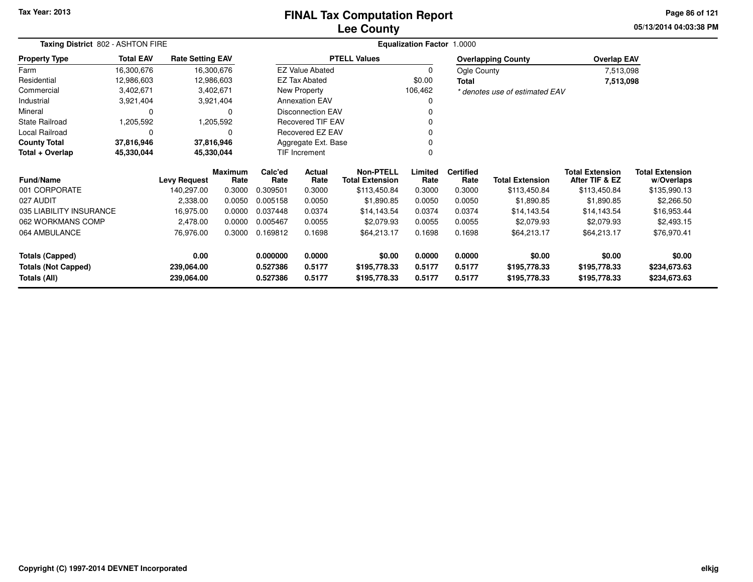#### **Lee CountyFINAL Tax Computation Report**

**05/13/2014 04:03:38 PM Page 86 of 121**

| Taxing District 802 - ASHTON FIRE                 |                  |                          |                        |                      |                                                              | Equalization Factor 1.0000   |                  |                          |                                |                                          |                                      |
|---------------------------------------------------|------------------|--------------------------|------------------------|----------------------|--------------------------------------------------------------|------------------------------|------------------|--------------------------|--------------------------------|------------------------------------------|--------------------------------------|
| <b>Property Type</b>                              | <b>Total EAV</b> | <b>Rate Setting EAV</b>  |                        |                      |                                                              | <b>PTELL Values</b>          |                  |                          | <b>Overlapping County</b>      | <b>Overlap EAV</b>                       |                                      |
| Farm                                              | 16,300,676       | 16,300,676               |                        |                      | <b>EZ Value Abated</b>                                       |                              | $\mathbf 0$      | Ogle County              |                                | 7,513,098                                |                                      |
| Residential                                       | 12,986,603       | 12,986,603               |                        |                      | <b>EZ Tax Abated</b>                                         |                              | \$0.00           | Total                    |                                | 7,513,098                                |                                      |
| Commercial                                        | 3,402,671        |                          | 3,402,671              |                      | New Property                                                 |                              | 106,462          |                          | * denotes use of estimated EAV |                                          |                                      |
| Industrial                                        | 3,921,404        |                          | 3,921,404              |                      | <b>Annexation EAV</b>                                        |                              | 0                |                          |                                |                                          |                                      |
| Mineral                                           | 0                |                          | $\Omega$               |                      | <b>Disconnection EAV</b>                                     |                              |                  |                          |                                |                                          |                                      |
| <b>State Railroad</b>                             | 1,205,592        |                          | 1,205,592              |                      | Recovered TIF EAV                                            |                              |                  |                          |                                |                                          |                                      |
| Local Railroad                                    | 0                |                          | O                      |                      | Recovered EZ EAV                                             |                              |                  |                          |                                |                                          |                                      |
| <b>County Total</b>                               | 37,816,946       | 37,816,946               |                        |                      | Aggregate Ext. Base                                          |                              |                  |                          |                                |                                          |                                      |
| Total + Overlap                                   | 45,330,044       | 45,330,044               |                        |                      | TIF Increment                                                |                              | $\Omega$         |                          |                                |                                          |                                      |
| <b>Fund/Name</b>                                  |                  | <b>Levy Request</b>      | <b>Maximum</b><br>Rate | Calc'ed<br>Rate      | <b>Non-PTELL</b><br>Actual<br><b>Total Extension</b><br>Rate |                              | Limited<br>Rate  | <b>Certified</b><br>Rate | <b>Total Extension</b>         | <b>Total Extension</b><br>After TIF & EZ | <b>Total Extension</b><br>w/Overlaps |
| 001 CORPORATE                                     |                  | 140,297.00               | 0.3000                 | 0.309501             | 0.3000                                                       | \$113,450.84                 | 0.3000           | 0.3000                   | \$113,450.84                   | \$113,450.84                             | \$135,990.13                         |
| 027 AUDIT                                         |                  | 2,338.00                 | 0.0050                 | 0.005158             | 0.0050                                                       | \$1,890.85                   | 0.0050           | 0.0050                   | \$1,890.85                     | \$1,890.85                               | \$2,266.50                           |
| 035 LIABILITY INSURANCE                           |                  | 16,975.00                | 0.0000                 | 0.037448             | 0.0374                                                       | \$14,143.54                  | 0.0374           | 0.0374                   | \$14,143.54                    | \$14,143.54                              | \$16,953.44                          |
| 062 WORKMANS COMP                                 |                  | 2,478.00                 | 0.0000                 | 0.005467             | 0.0055                                                       | \$2,079.93                   | 0.0055           | 0.0055                   | \$2,079.93                     | \$2,079.93                               | \$2,493.15                           |
| 064 AMBULANCE                                     |                  | 76,976.00                | 0.3000                 | 0.169812             | 0.1698                                                       | \$64,213.17                  | 0.1698           | 0.1698                   | \$64,213.17                    | \$64,213.17                              | \$76,970.41                          |
| 0.00<br><b>Totals (Capped)</b>                    |                  | 0.000000                 | 0.0000                 | \$0.00               | 0.0000                                                       | 0.0000                       | \$0.00           | \$0.00                   | \$0.00                         |                                          |                                      |
| <b>Totals (Not Capped)</b><br><b>Totals (All)</b> |                  | 239,064.00<br>239,064.00 |                        | 0.527386<br>0.527386 | 0.5177<br>0.5177                                             | \$195,778.33<br>\$195,778.33 | 0.5177<br>0.5177 | 0.5177<br>0.5177         | \$195,778.33<br>\$195,778.33   | \$195,778.33<br>\$195,778.33             | \$234,673.63<br>\$234,673.63         |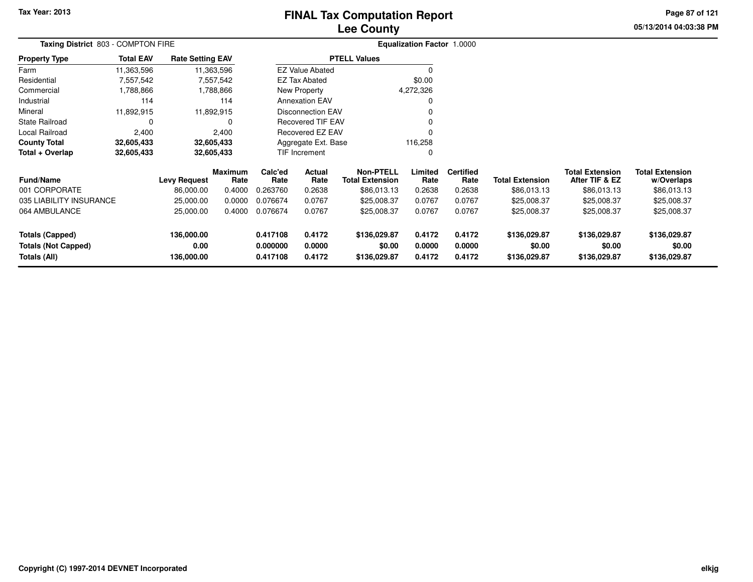# **Lee CountyFINAL Tax Computation Report**

**05/13/2014 04:03:38 PM Page 87 of 121**

| Taxing District 803 - COMPTON FIRE                                   |                     |                                  |                        |                                  |                            |                                            | Equalization Factor 1.0000 |                            |                                        |                                          |                                        |
|----------------------------------------------------------------------|---------------------|----------------------------------|------------------------|----------------------------------|----------------------------|--------------------------------------------|----------------------------|----------------------------|----------------------------------------|------------------------------------------|----------------------------------------|
| <b>Property Type</b>                                                 | <b>Total EAV</b>    | <b>Rate Setting EAV</b>          |                        |                                  |                            | <b>PTELL Values</b>                        |                            |                            |                                        |                                          |                                        |
| Farm                                                                 | 11,363,596          |                                  | 11,363,596             |                                  | <b>EZ Value Abated</b>     |                                            | 0                          |                            |                                        |                                          |                                        |
| Residential                                                          | 7,557,542           |                                  | 7,557,542              |                                  | EZ Tax Abated              |                                            | \$0.00                     |                            |                                        |                                          |                                        |
| Commercial                                                           | 1,788,866           |                                  | 1,788,866              |                                  | New Property               |                                            | 4,272,326                  |                            |                                        |                                          |                                        |
| Industrial                                                           | 114                 |                                  | 114                    |                                  | <b>Annexation EAV</b>      |                                            | 0                          |                            |                                        |                                          |                                        |
| Mineral                                                              | 11,892,915          |                                  | 11,892,915             |                                  | <b>Disconnection EAV</b>   |                                            | 0                          |                            |                                        |                                          |                                        |
| <b>State Railroad</b>                                                | 0<br>0              |                                  |                        |                                  | <b>Recovered TIF EAV</b>   |                                            |                            |                            |                                        |                                          |                                        |
| Local Railroad                                                       | 2,400<br>2,400      |                                  |                        |                                  | Recovered EZ EAV           |                                            |                            |                            |                                        |                                          |                                        |
| <b>County Total</b>                                                  | 32,605,433          |                                  | 32,605,433             |                                  | Aggregate Ext. Base        |                                            | 116,258                    |                            |                                        |                                          |                                        |
| Total + Overlap                                                      | 32,605,433          |                                  | 32,605,433             |                                  | TIF Increment              |                                            | 0                          |                            |                                        |                                          |                                        |
| <b>Fund/Name</b>                                                     | <b>Levy Request</b> |                                  | <b>Maximum</b><br>Rate | Calc'ed<br>Rate                  | Actual<br>Rate             | <b>Non-PTELL</b><br><b>Total Extension</b> | Limited<br>Rate            | <b>Certified</b><br>Rate   | <b>Total Extension</b>                 | <b>Total Extension</b><br>After TIF & EZ | <b>Total Extension</b><br>w/Overlaps   |
| 001 CORPORATE                                                        |                     | 86,000.00                        | 0.4000                 | 0.263760                         | 0.2638                     | \$86,013.13                                | 0.2638                     | 0.2638                     | \$86,013.13                            | \$86,013.13                              | \$86,013.13                            |
| 035 LIABILITY INSURANCE                                              |                     | 25,000.00                        | 0.0000                 | 0.076674                         | 0.0767                     | \$25,008.37                                | 0.0767                     | 0.0767                     | \$25,008.37                            | \$25,008.37                              | \$25,008.37                            |
| 064 AMBULANCE                                                        | 25,000.00           |                                  | 0.4000                 | 0.076674                         | 0.0767                     | \$25,008.37                                | 0.0767                     | 0.0767                     | \$25,008.37                            | \$25,008.37                              | \$25,008.37                            |
| <b>Totals (Capped)</b><br><b>Totals (Not Capped)</b><br>Totals (All) |                     | 136,000.00<br>0.00<br>136,000.00 |                        | 0.417108<br>0.000000<br>0.417108 | 0.4172<br>0.0000<br>0.4172 | \$136,029.87<br>\$0.00<br>\$136,029.87     | 0.4172<br>0.0000<br>0.4172 | 0.4172<br>0.0000<br>0.4172 | \$136,029.87<br>\$0.00<br>\$136,029.87 | \$136,029.87<br>\$0.00<br>\$136,029.87   | \$136,029.87<br>\$0.00<br>\$136,029.87 |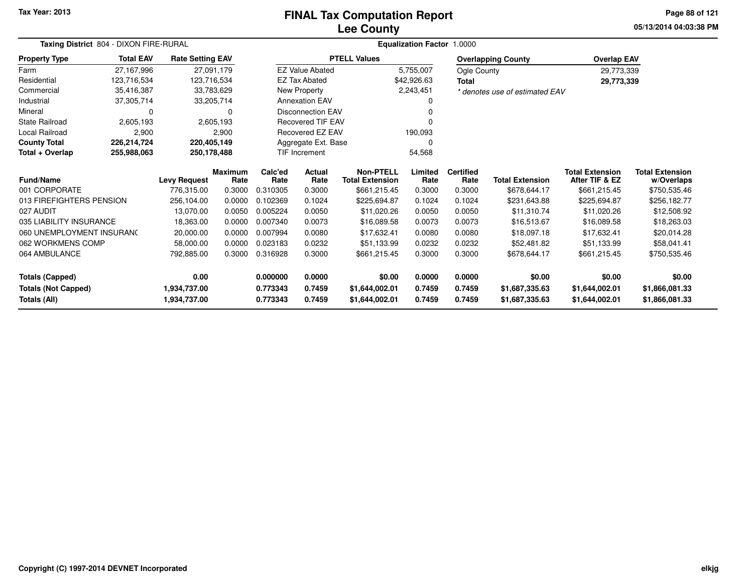#### **Lee CountyFINAL Tax Computation Report**

**05/13/2014 04:03:38 PM Page 88 of 121**

|                            | Taxing District 804 - DIXON FIRE-RURAL |                         |                        |                 |                          |                                            | <b>Equalization Factor</b> | 1.0000                   |                                |                                          |                                      |
|----------------------------|----------------------------------------|-------------------------|------------------------|-----------------|--------------------------|--------------------------------------------|----------------------------|--------------------------|--------------------------------|------------------------------------------|--------------------------------------|
| <b>Property Type</b>       | <b>Total EAV</b>                       | <b>Rate Setting EAV</b> |                        |                 |                          | <b>PTELL Values</b>                        |                            |                          | <b>Overlapping County</b>      | <b>Overlap EAV</b>                       |                                      |
| Farm                       | 27,167,996                             | 27,091,179              |                        |                 | <b>EZ Value Abated</b>   |                                            | 5,755,007                  | Ogle County              |                                | 29,773,339                               |                                      |
| Residential                | 123,716,534                            | 123,716,534             |                        |                 | <b>EZ Tax Abated</b>     |                                            | \$42,926.63                | <b>Total</b>             |                                | 29,773,339                               |                                      |
| Commercial                 | 35,416,387                             | 33,783,629              |                        |                 | <b>New Property</b>      |                                            | 2,243,451                  |                          | * denotes use of estimated EAV |                                          |                                      |
| Industrial                 | 37,305,714                             | 33,205,714              |                        |                 | <b>Annexation EAV</b>    |                                            |                            |                          |                                |                                          |                                      |
| Mineral                    |                                        |                         | $\Omega$               |                 | <b>Disconnection EAV</b> |                                            |                            |                          |                                |                                          |                                      |
| <b>State Railroad</b>      | 2,605,193                              |                         | 2,605,193              |                 | <b>Recovered TIF EAV</b> |                                            |                            |                          |                                |                                          |                                      |
| <b>Local Railroad</b>      | 2,900                                  |                         | 2,900                  |                 | Recovered EZ EAV         |                                            | 190,093                    |                          |                                |                                          |                                      |
| <b>County Total</b>        | 226,214,724                            | 220,405,149             |                        |                 | Aggregate Ext. Base      |                                            | ∩                          |                          |                                |                                          |                                      |
| Total + Overlap            | 255,988,063                            | 250,178,488             |                        |                 | <b>TIF Increment</b>     |                                            | 54,568                     |                          |                                |                                          |                                      |
| <b>Fund/Name</b>           |                                        | <b>Levy Request</b>     | <b>Maximum</b><br>Rate | Calc'ed<br>Rate | <b>Actual</b><br>Rate    | <b>Non-PTELL</b><br><b>Total Extension</b> | Limited<br>Rate            | <b>Certified</b><br>Rate | <b>Total Extension</b>         | <b>Total Extension</b><br>After TIF & EZ | <b>Total Extension</b><br>w/Overlaps |
| 001 CORPORATE              |                                        | 776,315.00              | 0.3000                 | 0.310305        | 0.3000                   | \$661,215.45                               | 0.3000                     | 0.3000                   | \$678,644.17                   | \$661,215.45                             | \$750,535.46                         |
| 013 FIREFIGHTERS PENSION   |                                        | 256,104.00              | 0.0000                 | 0.102369        | 0.1024                   | \$225,694.87                               | 0.1024                     | 0.1024                   | \$231,643.88                   | \$225,694.87                             | \$256,182.77                         |
| 027 AUDIT                  |                                        | 13,070.00               | 0.0050                 | 0.005224        | 0.0050                   | \$11,020.26                                | 0.0050                     | 0.0050                   | \$11,310.74                    | \$11,020.26                              | \$12,508.92                          |
| 035 LIABILITY INSURANCE    |                                        | 18,363.00               | 0.0000                 | 0.007340        | 0.0073                   | \$16,089.58                                | 0.0073                     | 0.0073                   | \$16,513.67                    | \$16,089.58                              | \$18,263.03                          |
| 060 UNEMPLOYMENT INSURANC  |                                        | 20,000.00               | 0.0000                 | 0.007994        | 0.0080                   | \$17,632.41                                | 0.0080                     | 0.0080                   | \$18,097.18                    | \$17,632.41                              | \$20,014.28                          |
| 062 WORKMENS COMP          |                                        | 58,000.00               | 0.0000                 | 0.023183        | 0.0232                   | \$51,133.99                                | 0.0232                     | 0.0232                   | \$52,481.82                    | \$51,133.99                              | \$58,041.41                          |
| 064 AMBULANCE              |                                        | 792,885.00              | 0.3000                 | 0.316928        | 0.3000                   | \$661,215.45                               | 0.3000                     | 0.3000                   | \$678,644.17                   | \$661,215.45                             | \$750,535.46                         |
| <b>Totals (Capped)</b>     |                                        | 0.00                    |                        | 0.000000        | 0.0000                   | \$0.00                                     | 0.0000                     | 0.0000                   | \$0.00                         | \$0.00                                   | \$0.00                               |
| <b>Totals (Not Capped)</b> |                                        | 1,934,737.00            |                        | 0.773343        | 0.7459                   | \$1,644,002.01                             | 0.7459                     | 0.7459                   | \$1,687,335.63                 | \$1,644,002.01                           | \$1,866,081.33                       |
| Totals (All)               |                                        | 1,934,737.00            |                        | 0.773343        | 0.7459                   | \$1,644,002.01                             | 0.7459                     | 0.7459                   | \$1,687,335.63                 | \$1,644,002.01                           | \$1,866,081.33                       |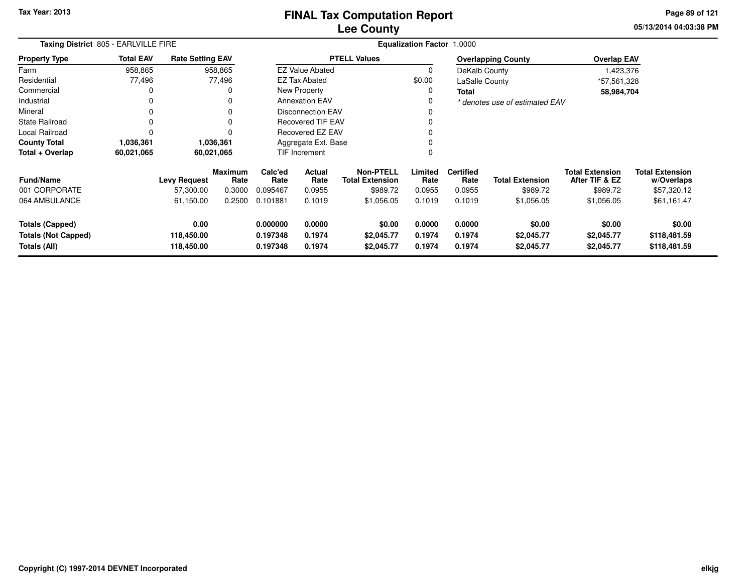**05/13/2014 04:03:38 PM Page 89 of 121**

|                                                               | Taxing District 805 - EARLVILLE FIRE |                                  |                        |                                  |                            |                                            | <b>Equalization Factor</b> | 1.0000                     |                                    |                                          |                                        |
|---------------------------------------------------------------|--------------------------------------|----------------------------------|------------------------|----------------------------------|----------------------------|--------------------------------------------|----------------------------|----------------------------|------------------------------------|------------------------------------------|----------------------------------------|
| <b>Property Type</b>                                          | <b>Total EAV</b>                     | <b>Rate Setting EAV</b>          |                        |                                  |                            | <b>PTELL Values</b>                        |                            |                            | <b>Overlapping County</b>          | <b>Overlap EAV</b>                       |                                        |
| Farm                                                          | 958,865                              |                                  | 958,865                |                                  | <b>EZ Value Abated</b>     |                                            | $\Omega$                   | DeKalb County              |                                    | 1,423,376                                |                                        |
| Residential                                                   | 77,496                               |                                  | 77,496                 |                                  | <b>EZ Tax Abated</b>       |                                            | \$0.00                     | LaSalle County             |                                    | *57,561,328                              |                                        |
| Commercial                                                    |                                      |                                  | O                      |                                  | <b>New Property</b>        |                                            | 0                          | <b>Total</b>               |                                    | 58,984,704                               |                                        |
| Industrial                                                    |                                      |                                  | 0                      |                                  | <b>Annexation EAV</b>      |                                            | 0                          |                            | * denotes use of estimated EAV     |                                          |                                        |
| Mineral                                                       |                                      |                                  | $\Omega$               |                                  | <b>Disconnection EAV</b>   |                                            |                            |                            |                                    |                                          |                                        |
| <b>State Railroad</b>                                         |                                      |                                  | 0                      | <b>Recovered TIF EAV</b>         |                            |                                            | $\Omega$                   |                            |                                    |                                          |                                        |
| <b>Local Railroad</b>                                         |                                      |                                  | n                      |                                  | Recovered EZ EAV           |                                            | 0                          |                            |                                    |                                          |                                        |
| <b>County Total</b>                                           | 1,036,361                            |                                  | 1,036,361              |                                  | Aggregate Ext. Base        |                                            | $\Omega$                   |                            |                                    |                                          |                                        |
| Total + Overlap                                               | 60,021,065                           | 60,021,065                       |                        |                                  | TIF Increment              |                                            | $\Omega$                   |                            |                                    |                                          |                                        |
| <b>Fund/Name</b>                                              |                                      | <b>Levy Request</b>              | <b>Maximum</b><br>Rate | Calc'ed<br>Rate                  | Actual<br>Rate             | <b>Non-PTELL</b><br><b>Total Extension</b> | Limited<br>Rate            | <b>Certified</b><br>Rate   | <b>Total Extension</b>             | <b>Total Extension</b><br>After TIF & EZ | <b>Total Extension</b><br>w/Overlaps   |
| 001 CORPORATE                                                 |                                      | 57,300.00                        | 0.3000                 | 0.095467                         | 0.0955                     | \$989.72                                   | 0.0955                     | 0.0955                     | \$989.72                           | \$989.72                                 | \$57,320.12                            |
| 064 AMBULANCE                                                 |                                      | 61,150.00                        | 0.2500                 | 0.101881                         | 0.1019                     | \$1,056.05                                 | 0.1019                     | 0.1019                     | \$1,056.05                         | \$1,056.05                               | \$61,161.47                            |
| Totals (Capped)<br><b>Totals (Not Capped)</b><br>Totals (All) |                                      | 0.00<br>118,450.00<br>118,450.00 |                        | 0.000000<br>0.197348<br>0.197348 | 0.0000<br>0.1974<br>0.1974 | \$0.00<br>\$2,045.77<br>\$2,045.77         | 0.0000<br>0.1974<br>0.1974 | 0.0000<br>0.1974<br>0.1974 | \$0.00<br>\$2,045.77<br>\$2,045.77 | \$0.00<br>\$2,045.77<br>\$2,045.77       | \$0.00<br>\$118,481.59<br>\$118,481.59 |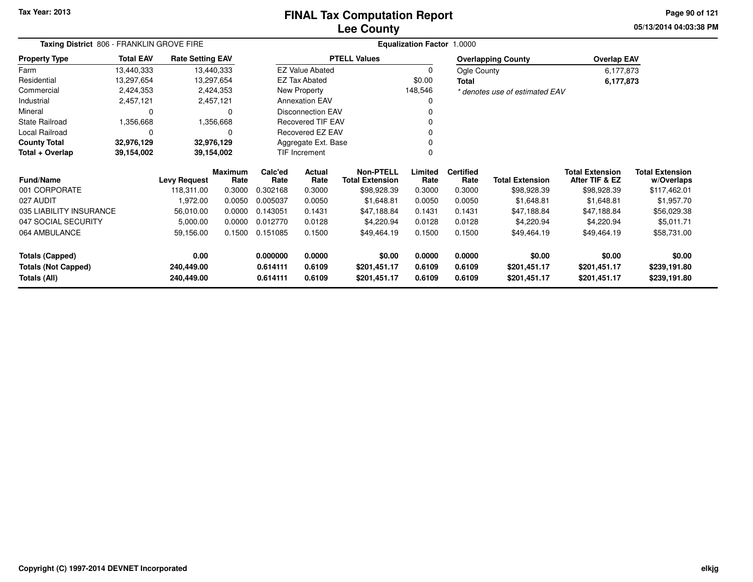#### **Lee CountyFINAL Tax Computation Report**

**05/13/2014 04:03:38 PM Page 90 of 121**

| Taxing District 806 - FRANKLIN GROVE FIRE |                  |                         |                        | <b>Equalization Factor 1.0000</b> |                          |                                            |                 |                          |                                |                                          |                                      |  |  |
|-------------------------------------------|------------------|-------------------------|------------------------|-----------------------------------|--------------------------|--------------------------------------------|-----------------|--------------------------|--------------------------------|------------------------------------------|--------------------------------------|--|--|
| <b>Property Type</b>                      | <b>Total EAV</b> | <b>Rate Setting EAV</b> |                        |                                   |                          | <b>PTELL Values</b>                        |                 |                          | <b>Overlapping County</b>      | <b>Overlap EAV</b>                       |                                      |  |  |
| Farm                                      | 13,440,333       |                         | 13,440,333             |                                   | <b>EZ Value Abated</b>   |                                            | 0               | Ogle County              |                                | 6,177,873                                |                                      |  |  |
| Residential                               | 13,297,654       |                         | 13,297,654             |                                   | <b>EZ Tax Abated</b>     |                                            | \$0.00          | Total                    |                                | 6,177,873                                |                                      |  |  |
| Commercial                                | 2,424,353        |                         | 2,424,353              |                                   | New Property             |                                            | 148,546         |                          | * denotes use of estimated EAV |                                          |                                      |  |  |
| Industrial                                | 2,457,121        |                         | 2,457,121              |                                   | <b>Annexation EAV</b>    |                                            | 0               |                          |                                |                                          |                                      |  |  |
| Mineral                                   | $\Omega$         |                         | $\Omega$               |                                   | <b>Disconnection EAV</b> |                                            | 0               |                          |                                |                                          |                                      |  |  |
| <b>State Railroad</b>                     | 1,356,668        |                         | 1,356,668              |                                   | <b>Recovered TIF EAV</b> |                                            | 0               |                          |                                |                                          |                                      |  |  |
| Local Railroad                            | $\Omega$         |                         | 0                      |                                   | Recovered EZ EAV         |                                            | 0               |                          |                                |                                          |                                      |  |  |
| <b>County Total</b>                       | 32,976,129       |                         | 32,976,129             |                                   | Aggregate Ext. Base      |                                            | 0               |                          |                                |                                          |                                      |  |  |
| Total + Overlap                           | 39,154,002       |                         | 39,154,002             |                                   | <b>TIF Increment</b>     |                                            | 0               |                          |                                |                                          |                                      |  |  |
| <b>Fund/Name</b>                          |                  | <b>Levy Request</b>     | <b>Maximum</b><br>Rate | Calc'ed<br>Rate                   | Actual<br>Rate           | <b>Non-PTELL</b><br><b>Total Extension</b> | Limited<br>Rate | <b>Certified</b><br>Rate | <b>Total Extension</b>         | <b>Total Extension</b><br>After TIF & EZ | <b>Total Extension</b><br>w/Overlaps |  |  |
| 001 CORPORATE                             |                  | 118,311.00              | 0.3000                 | 0.302168                          | 0.3000                   | \$98,928.39                                | 0.3000          | 0.3000                   | \$98,928.39                    | \$98,928.39                              | \$117,462.01                         |  |  |
| 027 AUDIT                                 |                  | 1,972.00                | 0.0050                 | 0.005037                          | 0.0050                   | \$1,648.81                                 | 0.0050          | 0.0050                   | \$1,648.81                     | \$1,648.81                               | \$1,957.70                           |  |  |
| 035 LIABILITY INSURANCE                   |                  | 56,010.00               | 0.0000                 | 0.143051                          | 0.1431                   | \$47,188.84                                | 0.1431          | 0.1431                   | \$47,188.84                    | \$47,188.84                              | \$56,029.38                          |  |  |
| 047 SOCIAL SECURITY                       |                  | 5,000.00                | 0.0000                 | 0.012770                          | 0.0128                   | \$4,220.94                                 | 0.0128          | 0.0128                   | \$4,220.94                     | \$4,220.94                               | \$5,011.71                           |  |  |
| 064 AMBULANCE                             |                  | 59,156.00               | 0.1500                 | 0.151085                          | 0.1500                   | \$49,464.19                                | 0.1500          | 0.1500                   | \$49,464.19                    | \$49,464.19                              | \$58,731.00                          |  |  |
| 0.00<br><b>Totals (Capped)</b>            |                  |                         | 0.000000               | 0.0000                            | \$0.00                   | 0.0000                                     | 0.0000          | \$0.00                   | \$0.00                         | \$0.00                                   |                                      |  |  |
| <b>Totals (Not Capped)</b>                |                  | 240,449.00              |                        | 0.614111                          | 0.6109                   | \$201,451.17                               | 0.6109          | 0.6109                   | \$201,451.17                   | \$201,451.17                             | \$239,191.80                         |  |  |
| Totals (All)                              |                  | 240,449.00              |                        | 0.614111                          | 0.6109                   | \$201,451.17                               | 0.6109          | 0.6109                   | \$201,451.17                   | \$201,451.17                             | \$239,191.80                         |  |  |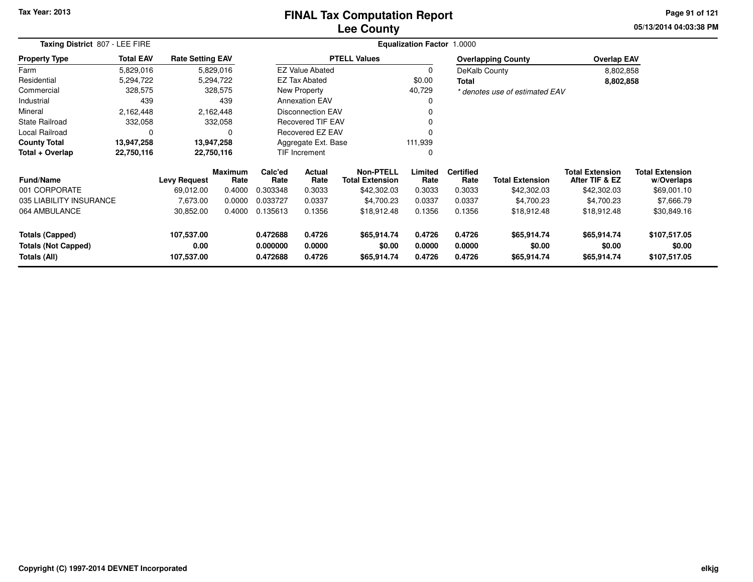#### **Lee CountyFINAL Tax Computation Report**

**05/13/2014 04:03:38 PM Page 91 of 121**

|                                                                  | Taxing District 807 - LEE FIRE |                         |                        |                       |                          |                                            | <b>Equalization Factor 1.0000</b> |                          |                                |                                          |                                      |
|------------------------------------------------------------------|--------------------------------|-------------------------|------------------------|-----------------------|--------------------------|--------------------------------------------|-----------------------------------|--------------------------|--------------------------------|------------------------------------------|--------------------------------------|
| <b>Property Type</b>                                             | <b>Total EAV</b>               | <b>Rate Setting EAV</b> |                        |                       |                          | <b>PTELL Values</b>                        |                                   |                          | <b>Overlapping County</b>      | <b>Overlap EAV</b>                       |                                      |
| Farm                                                             | 5,829,016                      |                         | 5,829,016              |                       | <b>EZ Value Abated</b>   |                                            | $\Omega$                          | DeKalb County            |                                | 8,802,858                                |                                      |
| Residential                                                      | 5,294,722                      |                         | 5,294,722              |                       | <b>EZ Tax Abated</b>     |                                            | \$0.00                            | Total                    |                                | 8,802,858                                |                                      |
| Commercial                                                       | 328,575                        |                         | 328,575                |                       | <b>New Property</b>      |                                            | 40,729                            |                          | * denotes use of estimated EAV |                                          |                                      |
| Industrial                                                       | 439                            |                         | 439                    |                       | <b>Annexation EAV</b>    |                                            | 0                                 |                          |                                |                                          |                                      |
| Mineral                                                          | 2,162,448                      |                         | 2,162,448              |                       | <b>Disconnection EAV</b> |                                            |                                   |                          |                                |                                          |                                      |
| <b>State Railroad</b>                                            | 332,058                        |                         | 332,058                |                       | <b>Recovered TIF EAV</b> |                                            |                                   |                          |                                |                                          |                                      |
| Local Railroad                                                   | 0                              |                         | 0                      |                       | <b>Recovered EZ EAV</b>  |                                            |                                   |                          |                                |                                          |                                      |
| <b>County Total</b>                                              | 13,947,258                     |                         | 13,947,258             |                       | Aggregate Ext. Base      |                                            | 111,939                           |                          |                                |                                          |                                      |
| Total + Overlap                                                  | 22,750,116                     |                         | 22,750,116             |                       | <b>TIF Increment</b>     |                                            | 0                                 |                          |                                |                                          |                                      |
| <b>Fund/Name</b>                                                 |                                | <b>Levy Request</b>     | <b>Maximum</b><br>Rate | Calc'ed<br>Rate       | Actual<br>Rate           | <b>Non-PTELL</b><br><b>Total Extension</b> | Limited<br>Rate                   | <b>Certified</b><br>Rate | <b>Total Extension</b>         | <b>Total Extension</b><br>After TIF & EZ | <b>Total Extension</b><br>w/Overlaps |
| 001 CORPORATE                                                    |                                | 69,012.00               | 0.4000                 | 0.303348              | 0.3033                   | \$42,302.03                                | 0.3033                            | 0.3033                   | \$42,302.03                    | \$42,302.03                              | \$69,001.10                          |
| 035 LIABILITY INSURANCE                                          |                                | 7,673.00                | 0.0000                 | 0.033727              | 0.0337                   | \$4,700.23                                 | 0.0337                            | 0.0337                   | \$4,700.23                     | \$4,700.23                               | \$7,666.79                           |
| 064 AMBULANCE                                                    |                                | 30,852.00               | 0.4000                 | 0.135613              | 0.1356                   | \$18,912.48                                | 0.1356                            | 0.1356                   | \$18,912.48                    | \$18,912.48                              | \$30,849.16                          |
| <b>Totals (Capped)</b>                                           | 107,537.00                     |                         |                        | 0.472688              | 0.4726                   | \$65,914.74                                | 0.4726                            | 0.4726                   | \$65,914.74                    | \$65,914.74                              | \$107,517.05                         |
| 0.00<br><b>Totals (Not Capped)</b><br>107,537.00<br>Totals (All) |                                | 0.000000<br>0.472688    | 0.0000<br>0.4726       | \$0.00<br>\$65,914.74 | 0.0000<br>0.4726         | 0.0000<br>0.4726                           | \$0.00<br>\$65,914.74             | \$0.00<br>\$65,914.74    | \$0.00<br>\$107,517.05         |                                          |                                      |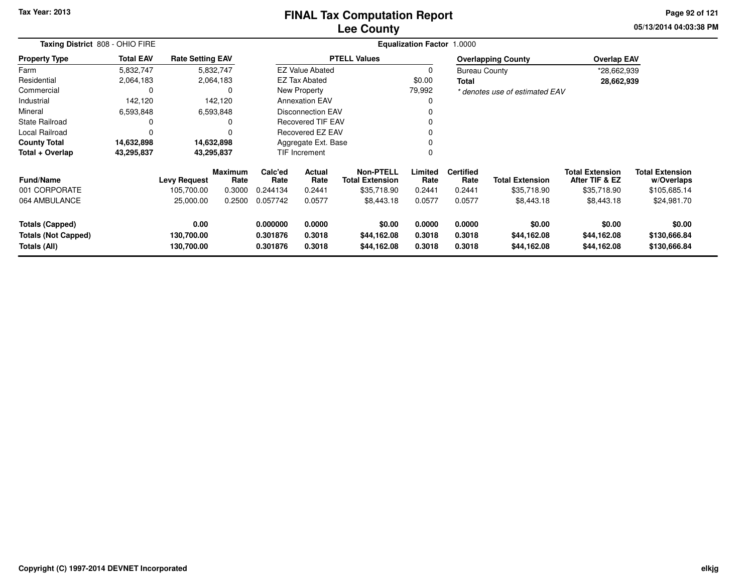# **Lee CountyFINAL Tax Computation Report**

**05/13/2014 04:03:38 PM Page 92 of 121**

|                            | Taxing District 808 - OHIO FIRE |                         |                 |                 |                          | <b>Equalization Factor</b><br>1.0000       |                 |                          |                                |                                          |                                      |  |  |  |
|----------------------------|---------------------------------|-------------------------|-----------------|-----------------|--------------------------|--------------------------------------------|-----------------|--------------------------|--------------------------------|------------------------------------------|--------------------------------------|--|--|--|
| <b>Property Type</b>       | <b>Total EAV</b>                | <b>Rate Setting EAV</b> |                 |                 |                          | <b>PTELL Values</b>                        |                 |                          | <b>Overlapping County</b>      | <b>Overlap EAV</b>                       |                                      |  |  |  |
| Farm                       | 5,832,747                       | 5,832,747               |                 |                 | <b>EZ Value Abated</b>   |                                            | 0               | <b>Bureau County</b>     |                                | *28,662,939                              |                                      |  |  |  |
| Residential                | 2,064,183                       |                         | 2,064,183       |                 | <b>EZ Tax Abated</b>     |                                            | \$0.00          | Total                    |                                | 28,662,939                               |                                      |  |  |  |
| Commercial                 | <sup>0</sup>                    |                         | 0               |                 | New Property             |                                            | 79,992          |                          | * denotes use of estimated EAV |                                          |                                      |  |  |  |
| Industrial                 | 142,120                         |                         | 142,120         |                 | <b>Annexation EAV</b>    |                                            | 0               |                          |                                |                                          |                                      |  |  |  |
| Mineral                    | 6,593,848                       |                         | 6,593,848       |                 | <b>Disconnection EAV</b> |                                            |                 |                          |                                |                                          |                                      |  |  |  |
| <b>State Railroad</b>      |                                 |                         | 0               |                 | <b>Recovered TIF EAV</b> |                                            |                 |                          |                                |                                          |                                      |  |  |  |
| Local Railroad             |                                 |                         | $\Omega$        |                 | Recovered EZ EAV         |                                            |                 |                          |                                |                                          |                                      |  |  |  |
| <b>County Total</b>        | 14,632,898                      | 14,632,898              |                 |                 | Aggregate Ext. Base      |                                            |                 |                          |                                |                                          |                                      |  |  |  |
| Total + Overlap            | 43,295,837                      | 43,295,837              |                 |                 | TIF Increment            |                                            |                 |                          |                                |                                          |                                      |  |  |  |
| <b>Fund/Name</b>           |                                 | <b>Levy Request</b>     | Maximum<br>Rate | Calc'ed<br>Rate | Actual<br>Rate           | <b>Non-PTELL</b><br><b>Total Extension</b> | Limited<br>Rate | <b>Certified</b><br>Rate | <b>Total Extension</b>         | <b>Total Extension</b><br>After TIF & EZ | <b>Total Extension</b><br>w/Overlaps |  |  |  |
| 001 CORPORATE              |                                 | 105,700.00              | 0.3000          | 0.244134        | 0.2441                   | \$35,718.90                                | 0.2441          | 0.2441                   | \$35,718.90                    | \$35,718.90                              | \$105,685.14                         |  |  |  |
| 064 AMBULANCE              |                                 | 25,000.00               | 0.2500          | 0.057742        | 0.0577                   | \$8,443.18                                 | 0.0577          | 0.0577                   | \$8,443.18                     | \$8,443.18                               | \$24,981.70                          |  |  |  |
| <b>Totals (Capped)</b>     |                                 | 0.00                    |                 | 0.000000        | 0.0000                   | \$0.00                                     | 0.0000          | 0.0000                   | \$0.00                         | \$0.00                                   | \$0.00                               |  |  |  |
| <b>Totals (Not Capped)</b> |                                 | 130,700.00              |                 | 0.301876        | 0.3018                   | \$44,162.08                                | 0.3018          | 0.3018                   | \$44,162.08                    | \$44,162.08                              | \$130,666.84                         |  |  |  |
| Totals (All)<br>130,700.00 |                                 |                         |                 | 0.301876        | 0.3018                   | \$44,162.08                                | 0.3018          | 0.3018                   | \$44,162.08                    | \$44,162.08                              | \$130,666.84                         |  |  |  |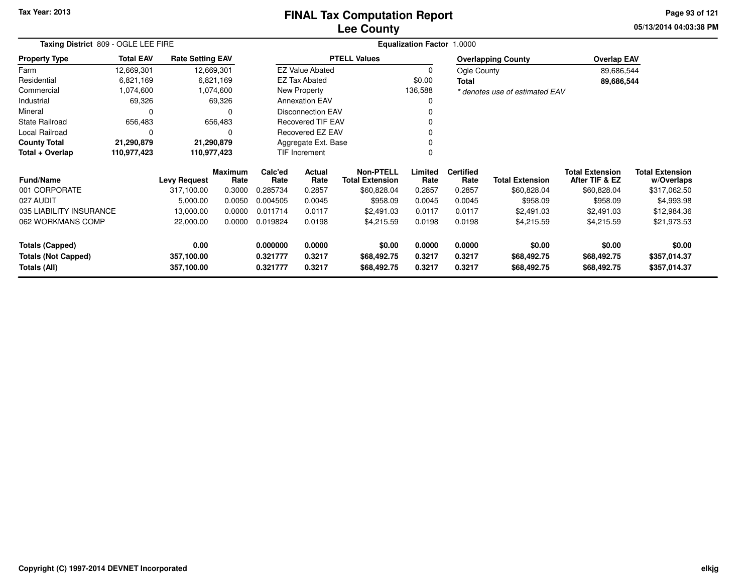# **Lee CountyFINAL Tax Computation Report**

**05/13/2014 04:03:38 PM Page 93 of 121**

| Taxing District 809 - OGLE LEE FIRE     |                  |                         |                 |                |                                            |                     | <b>Equalization Factor 1.0000</b> |                        |                                          |                                      |              |
|-----------------------------------------|------------------|-------------------------|-----------------|----------------|--------------------------------------------|---------------------|-----------------------------------|------------------------|------------------------------------------|--------------------------------------|--------------|
| <b>Property Type</b>                    | <b>Total EAV</b> | <b>Rate Setting EAV</b> |                 |                |                                            | <b>PTELL Values</b> |                                   |                        | <b>Overlapping County</b>                | <b>Overlap EAV</b>                   |              |
| Farm                                    | 12,669,301       | 12,669,301              |                 |                | <b>EZ Value Abated</b>                     |                     | 0                                 | Ogle County            |                                          | 89,686,544                           |              |
| Residential                             | 6,821,169        |                         | 6,821,169       |                | <b>EZ Tax Abated</b>                       |                     | \$0.00                            | Total                  |                                          | 89,686,544                           |              |
| Commercial                              | 1,074,600        |                         | 1,074,600       |                | New Property                               |                     | 136,588                           |                        | * denotes use of estimated EAV           |                                      |              |
| Industrial                              | 69,326           |                         | 69,326          |                | <b>Annexation EAV</b>                      |                     | 0                                 |                        |                                          |                                      |              |
| Mineral                                 | 0                |                         |                 |                | <b>Disconnection EAV</b>                   |                     |                                   |                        |                                          |                                      |              |
| <b>State Railroad</b>                   | 656,483          |                         | 656,483         |                | <b>Recovered TIF EAV</b>                   |                     | n                                 |                        |                                          |                                      |              |
| Local Railroad                          | 0                |                         | 0               |                | Recovered EZ EAV                           |                     |                                   |                        |                                          |                                      |              |
| <b>County Total</b>                     | 21,290,879       | 21,290,879              |                 |                | Aggregate Ext. Base                        |                     |                                   |                        |                                          |                                      |              |
| Total + Overlap                         | 110,977,423      | 110,977,423             |                 |                | TIF Increment                              |                     | 0                                 |                        |                                          |                                      |              |
| <b>Fund/Name</b><br><b>Levy Request</b> |                  | <b>Maximum</b><br>Rate  | Calc'ed<br>Rate | Actual<br>Rate | <b>Non-PTELL</b><br><b>Total Extension</b> | Limited<br>Rate     | <b>Certified</b><br>Rate          | <b>Total Extension</b> | <b>Total Extension</b><br>After TIF & EZ | <b>Total Extension</b><br>w/Overlaps |              |
| 001 CORPORATE                           |                  | 317,100.00              | 0.3000          | 0.285734       | 0.2857                                     | \$60,828.04         | 0.2857                            | 0.2857                 | \$60,828.04                              | \$60,828.04                          | \$317,062.50 |
| 027 AUDIT                               |                  | 5,000.00                | 0.0050          | 0.004505       | 0.0045                                     | \$958.09            | 0.0045                            | 0.0045                 | \$958.09                                 | \$958.09                             | \$4,993.98   |
| 035 LIABILITY INSURANCE                 |                  | 13,000.00               | 0.0000          | 0.011714       | 0.0117                                     | \$2,491.03          | 0.0117                            | 0.0117                 | \$2,491.03                               | \$2,491.03                           | \$12,984.36  |
| 062 WORKMANS COMP                       | 22,000.00        |                         | 0.0000          | 0.019824       | 0.0198                                     | \$4,215.59          | 0.0198                            | 0.0198                 | \$4,215.59                               | \$4,215.59                           | \$21,973.53  |
| 0.00<br>Totals (Capped)                 |                  |                         | 0.000000        | 0.0000         | \$0.00                                     | 0.0000              | 0.0000                            | \$0.00                 | \$0.00                                   | \$0.00                               |              |
| <b>Totals (Not Capped)</b>              |                  | 357,100.00              |                 | 0.321777       | 0.3217                                     | \$68,492.75         | 0.3217                            | 0.3217                 | \$68,492.75                              | \$68,492.75                          | \$357,014.37 |
| Totals (All)                            |                  | 357,100.00              |                 | 0.321777       | 0.3217                                     | \$68,492.75         | 0.3217                            | 0.3217                 | \$68,492.75                              | \$68,492.75                          | \$357,014.37 |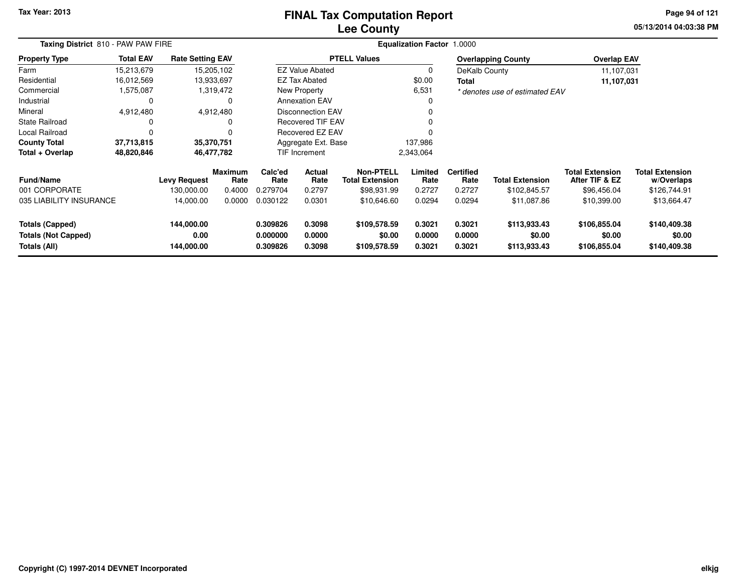# **Lee CountyFINAL Tax Computation Report**

**05/13/2014 04:03:38 PM Page 94 of 121**

|                                                                      | Taxing District 810 - PAW PAW FIRE |                                  |                 |                                  |                            |                                            | Equalization Factor 1.0000 |                            |                                        |                                          |                                        |
|----------------------------------------------------------------------|------------------------------------|----------------------------------|-----------------|----------------------------------|----------------------------|--------------------------------------------|----------------------------|----------------------------|----------------------------------------|------------------------------------------|----------------------------------------|
| <b>Property Type</b>                                                 | <b>Total EAV</b>                   | <b>Rate Setting EAV</b>          |                 |                                  |                            | <b>PTELL Values</b>                        |                            |                            | <b>Overlapping County</b>              | <b>Overlap EAV</b>                       |                                        |
| Farm                                                                 | 15,213,679                         | 15,205,102                       |                 |                                  | <b>EZ Value Abated</b>     |                                            | 0                          | DeKalb County              |                                        | 11,107,031                               |                                        |
| Residential                                                          | 16,012,569                         | 13,933,697                       |                 |                                  | <b>EZ Tax Abated</b>       |                                            | \$0.00                     | Total                      |                                        | 11,107,031                               |                                        |
| Commercial                                                           | 1,575,087                          |                                  | 1,319,472       |                                  | New Property               |                                            | 6,531                      |                            | * denotes use of estimated EAV         |                                          |                                        |
| Industrial                                                           | 0                                  |                                  | 0               |                                  | <b>Annexation EAV</b>      |                                            | 0                          |                            |                                        |                                          |                                        |
| Mineral                                                              | 4,912,480                          | 4,912,480                        |                 |                                  | <b>Disconnection EAV</b>   |                                            |                            |                            |                                        |                                          |                                        |
| <b>State Railroad</b>                                                |                                    |                                  | 0               |                                  | Recovered TIF EAV          |                                            |                            |                            |                                        |                                          |                                        |
| Local Railroad                                                       |                                    |                                  | $\Omega$        |                                  | Recovered EZ EAV           |                                            |                            |                            |                                        |                                          |                                        |
| <b>County Total</b>                                                  | 37,713,815                         | 35,370,751                       |                 |                                  | Aggregate Ext. Base        |                                            | 137,986                    |                            |                                        |                                          |                                        |
| Total + Overlap                                                      | 48,820,846                         | 46,477,782                       |                 |                                  | TIF Increment              |                                            | 2,343,064                  |                            |                                        |                                          |                                        |
| <b>Fund/Name</b>                                                     |                                    | <b>Levy Request</b>              | Maximum<br>Rate | Calc'ed<br>Rate                  | Actual<br>Rate             | <b>Non-PTELL</b><br><b>Total Extension</b> | Limited<br>Rate            | <b>Certified</b><br>Rate   | <b>Total Extension</b>                 | <b>Total Extension</b><br>After TIF & EZ | <b>Total Extension</b><br>w/Overlaps   |
| 001 CORPORATE                                                        |                                    | 130,000.00                       | 0.4000          | 0.279704                         | 0.2797                     | \$98,931.99                                | 0.2727                     | 0.2727                     | \$102,845.57                           | \$96,456.04                              | \$126,744.91                           |
| 035 LIABILITY INSURANCE                                              |                                    | 14,000.00                        | 0.0000          | 0.030122                         | 0.0301                     | \$10,646.60                                | 0.0294                     | 0.0294                     | \$11,087.86                            | \$10,399.00                              | \$13,664.47                            |
| <b>Totals (Capped)</b><br><b>Totals (Not Capped)</b><br>Totals (All) |                                    | 144,000.00<br>0.00<br>144,000.00 |                 | 0.309826<br>0.000000<br>0.309826 | 0.3098<br>0.0000<br>0.3098 | \$109,578.59<br>\$0.00<br>\$109,578.59     | 0.3021<br>0.0000<br>0.3021 | 0.3021<br>0.0000<br>0.3021 | \$113,933.43<br>\$0.00<br>\$113,933.43 | \$106,855.04<br>\$0.00<br>\$106,855.04   | \$140,409.38<br>\$0.00<br>\$140,409.38 |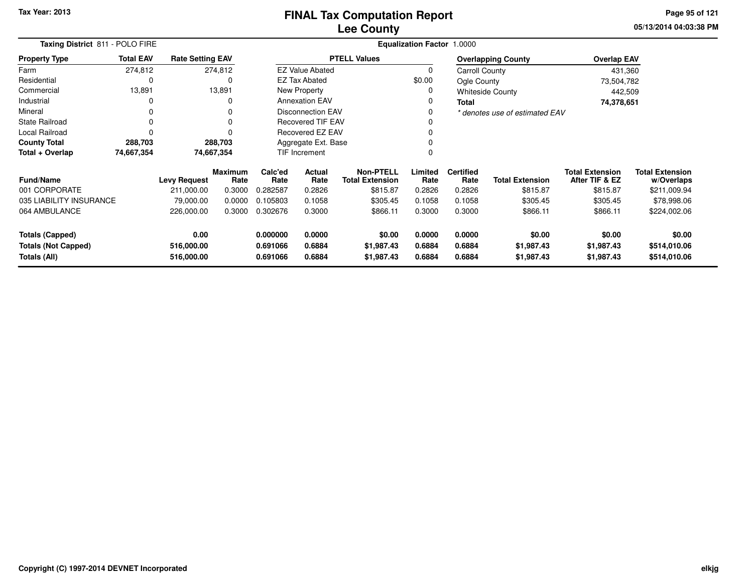**05/13/2014 04:03:38 PMPage 95 of 121**

| Taxing District 811 - POLO FIRE                                            |                  |                         |                        | Equalization Factor 1.0000 |                          |                                            |                  |                          |                                |                                          |                                      |  |  |
|----------------------------------------------------------------------------|------------------|-------------------------|------------------------|----------------------------|--------------------------|--------------------------------------------|------------------|--------------------------|--------------------------------|------------------------------------------|--------------------------------------|--|--|
| <b>Property Type</b>                                                       | <b>Total EAV</b> | <b>Rate Setting EAV</b> |                        |                            |                          | <b>PTELL Values</b>                        |                  |                          | <b>Overlapping County</b>      | <b>Overlap EAV</b>                       |                                      |  |  |
| Farm                                                                       | 274,812          |                         | 274,812                |                            | <b>EZ Value Abated</b>   |                                            | 0                | Carroll County           |                                | 431,360                                  |                                      |  |  |
| Residential                                                                | 0                |                         | 0                      |                            | <b>EZ Tax Abated</b>     |                                            | \$0.00           | Ogle County              |                                | 73,504,782                               |                                      |  |  |
| Commercial                                                                 | 13,891           |                         | 13,891                 |                            | New Property             |                                            |                  |                          | <b>Whiteside County</b>        | 442,509                                  |                                      |  |  |
| Industrial                                                                 | 0                |                         | 0                      |                            | <b>Annexation EAV</b>    |                                            |                  | <b>Total</b>             |                                | 74,378,651                               |                                      |  |  |
| Mineral                                                                    | 0                |                         | 0                      |                            | <b>Disconnection EAV</b> |                                            |                  |                          | * denotes use of estimated EAV |                                          |                                      |  |  |
| <b>State Railroad</b>                                                      | 0                |                         |                        |                            | <b>Recovered TIF EAV</b> |                                            |                  |                          |                                |                                          |                                      |  |  |
| Local Railroad                                                             | $\Omega$         |                         |                        |                            | <b>Recovered EZ EAV</b>  |                                            |                  |                          |                                |                                          |                                      |  |  |
| <b>County Total</b>                                                        | 288,703          |                         | 288,703                |                            | Aggregate Ext. Base      |                                            |                  |                          |                                |                                          |                                      |  |  |
| Total + Overlap                                                            | 74,667,354       |                         | 74,667,354             |                            | <b>TIF Increment</b>     |                                            |                  |                          |                                |                                          |                                      |  |  |
| <b>Fund/Name</b>                                                           |                  | <b>Levy Request</b>     | <b>Maximum</b><br>Rate | Calc'ed<br>Rate            | <b>Actual</b><br>Rate    | <b>Non-PTELL</b><br><b>Total Extension</b> | Limited<br>Rate  | <b>Certified</b><br>Rate | <b>Total Extension</b>         | <b>Total Extension</b><br>After TIF & EZ | <b>Total Extension</b><br>w/Overlaps |  |  |
| 001 CORPORATE                                                              |                  | 211,000.00              | 0.3000                 | 0.282587                   | 0.2826                   | \$815.87                                   | 0.2826           | 0.2826                   | \$815.87                       | \$815.87                                 | \$211,009.94                         |  |  |
| 035 LIABILITY INSURANCE                                                    |                  | 79,000.00               | 0.0000                 | 0.105803                   | 0.1058                   | \$305.45                                   | 0.1058           | 0.1058                   | \$305.45                       | \$305.45                                 | \$78,998.06                          |  |  |
| 064 AMBULANCE                                                              | 226,000.00       |                         | 0.3000                 | 0.302676                   | 0.3000                   | \$866.11                                   | 0.3000           | 0.3000                   | \$866.11                       | \$866.11                                 | \$224,002.06                         |  |  |
| <b>Totals (Capped)</b><br>0.00<br><b>Totals (Not Capped)</b><br>516,000.00 |                  |                         | 0.000000<br>0.691066   | 0.0000<br>0.6884           | \$0.00<br>\$1,987.43     | 0.0000<br>0.6884                           | 0.0000<br>0.6884 | \$0.00<br>\$1,987.43     | \$0.00<br>\$1,987.43           | \$0.00<br>\$514,010.06                   |                                      |  |  |
| 516,000.00<br>Totals (All)                                                 |                  |                         | 0.691066               | 0.6884                     | \$1,987.43               | 0.6884                                     | 0.6884           | \$1,987.43               | \$1,987.43                     | \$514,010.06                             |                                      |  |  |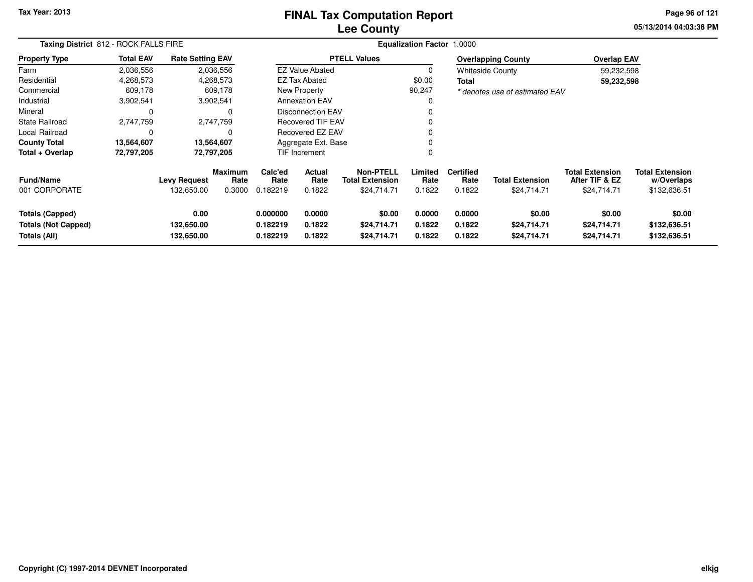#### **Lee CountyFINAL Tax Computation Report**

**05/13/2014 04:03:38 PM Page 96 of 121**

|                                                                      | Taxing District 812 - ROCK FALLS FIRE |                                   |                                  |                                  |                            |                                                           | <b>Equalization Factor 1.0000</b> |                                    |                                       |                                                         |                                                      |  |
|----------------------------------------------------------------------|---------------------------------------|-----------------------------------|----------------------------------|----------------------------------|----------------------------|-----------------------------------------------------------|-----------------------------------|------------------------------------|---------------------------------------|---------------------------------------------------------|------------------------------------------------------|--|
| <b>Property Type</b>                                                 | <b>Total EAV</b>                      | <b>Rate Setting EAV</b>           |                                  |                                  |                            | <b>PTELL Values</b>                                       |                                   |                                    | <b>Overlapping County</b>             | <b>Overlap EAV</b>                                      |                                                      |  |
| Farm                                                                 | 2,036,556                             |                                   | 2,036,556                        |                                  | <b>EZ Value Abated</b>     |                                                           | <sup>0</sup>                      |                                    | <b>Whiteside County</b>               | 59,232,598                                              |                                                      |  |
| Residential                                                          | 4,268,573                             |                                   | 4,268,573                        |                                  | EZ Tax Abated              |                                                           | \$0.00                            | Total                              |                                       | 59,232,598                                              |                                                      |  |
| Commercial                                                           | 609,178                               |                                   | 609,178                          |                                  | New Property               |                                                           | 90,247                            |                                    | * denotes use of estimated EAV        |                                                         |                                                      |  |
| Industrial                                                           | 3,902,541                             |                                   | 3,902,541                        |                                  | <b>Annexation EAV</b>      |                                                           |                                   |                                    |                                       |                                                         |                                                      |  |
| Mineral                                                              | 0                                     |                                   | 0                                |                                  | <b>Disconnection EAV</b>   |                                                           |                                   |                                    |                                       |                                                         |                                                      |  |
| <b>State Railroad</b>                                                | 2,747,759                             |                                   | 2,747,759                        |                                  | Recovered TIF EAV          |                                                           |                                   |                                    |                                       |                                                         |                                                      |  |
| Local Railroad                                                       | $\Omega$                              |                                   | 0                                |                                  | <b>Recovered EZ EAV</b>    |                                                           |                                   |                                    |                                       |                                                         |                                                      |  |
| <b>County Total</b>                                                  | 13,564,607                            | 13,564,607                        |                                  |                                  | Aggregate Ext. Base        |                                                           |                                   |                                    |                                       |                                                         |                                                      |  |
| Total + Overlap                                                      | 72,797,205                            | 72,797,205                        |                                  |                                  | <b>TIF Increment</b>       |                                                           |                                   |                                    |                                       |                                                         |                                                      |  |
| <b>Fund/Name</b><br>001 CORPORATE                                    |                                       | <b>Levy Request</b><br>132,650.00 | <b>Maximum</b><br>Rate<br>0.3000 | Calc'ed<br>Rate<br>0.182219      | Actual<br>Rate<br>0.1822   | <b>Non-PTELL</b><br><b>Total Extension</b><br>\$24,714.71 | Limited<br>Rate<br>0.1822         | <b>Certified</b><br>Rate<br>0.1822 | <b>Total Extension</b><br>\$24,714.71 | <b>Total Extension</b><br>After TIF & EZ<br>\$24,714.71 | <b>Total Extension</b><br>w/Overlaps<br>\$132,636.51 |  |
| <b>Totals (Capped)</b><br><b>Totals (Not Capped)</b><br>Totals (All) |                                       | 0.00<br>132,650.00<br>132,650.00  |                                  | 0.000000<br>0.182219<br>0.182219 | 0.0000<br>0.1822<br>0.1822 | \$0.00<br>\$24,714.71<br>\$24,714.71                      | 0.0000<br>0.1822<br>0.1822        | 0.0000<br>0.1822<br>0.1822         | \$0.00<br>\$24,714.71<br>\$24,714.71  | \$0.00<br>\$24,714.71<br>\$24,714.71                    | \$0.00<br>\$132,636.51<br>\$132,636.51               |  |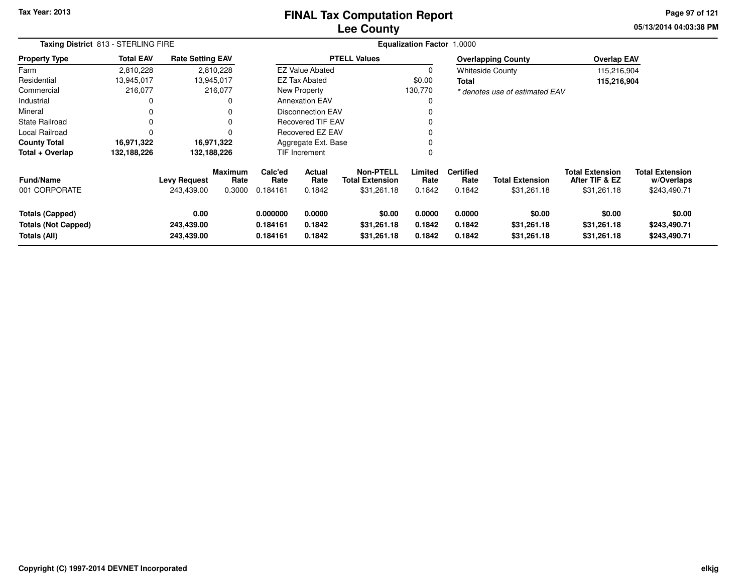#### **Lee CountyFINAL Tax Computation Report**

**05/13/2014 04:03:38 PM Page 97 of 121**

|                                                               | Taxing District 813 - STERLING FIRE |                                   |                           |                                  |                                 |                                                           | <b>Equalization Factor 1.0000</b> |                                    |                                       |                                                         |                                                      |  |
|---------------------------------------------------------------|-------------------------------------|-----------------------------------|---------------------------|----------------------------------|---------------------------------|-----------------------------------------------------------|-----------------------------------|------------------------------------|---------------------------------------|---------------------------------------------------------|------------------------------------------------------|--|
| <b>Property Type</b>                                          | <b>Total EAV</b>                    | <b>Rate Setting EAV</b>           |                           |                                  |                                 | <b>PTELL Values</b>                                       |                                   |                                    | <b>Overlapping County</b>             | <b>Overlap EAV</b>                                      |                                                      |  |
| Farm                                                          | 2,810,228                           |                                   | 2,810,228                 |                                  | <b>EZ Value Abated</b>          |                                                           | 0                                 |                                    | <b>Whiteside County</b>               | 115,216,904                                             |                                                      |  |
| Residential                                                   | 13,945,017                          | 13,945,017                        |                           |                                  | <b>EZ Tax Abated</b>            |                                                           | \$0.00                            | Total                              |                                       | 115,216,904                                             |                                                      |  |
| Commercial                                                    | 216,077                             |                                   | 216,077                   |                                  | New Property                    |                                                           | 130,770                           |                                    | * denotes use of estimated EAV        |                                                         |                                                      |  |
| Industrial                                                    | 0                                   |                                   | 0                         |                                  | <b>Annexation EAV</b>           |                                                           |                                   |                                    |                                       |                                                         |                                                      |  |
| Mineral                                                       | 0                                   |                                   | 0                         |                                  | <b>Disconnection EAV</b>        |                                                           |                                   |                                    |                                       |                                                         |                                                      |  |
| State Railroad                                                | 0                                   |                                   | 0                         |                                  | <b>Recovered TIF EAV</b>        |                                                           |                                   |                                    |                                       |                                                         |                                                      |  |
| Local Railroad                                                | 0                                   |                                   | $\Omega$                  |                                  | Recovered EZ EAV                |                                                           |                                   |                                    |                                       |                                                         |                                                      |  |
| <b>County Total</b>                                           | 16,971,322                          |                                   | 16,971,322                |                                  | Aggregate Ext. Base             |                                                           |                                   |                                    |                                       |                                                         |                                                      |  |
| Total + Overlap                                               | 132,188,226                         | 132,188,226                       |                           |                                  | <b>TIF Increment</b>            |                                                           | $\Omega$                          |                                    |                                       |                                                         |                                                      |  |
| <b>Fund/Name</b><br>001 CORPORATE                             |                                     | <b>Levy Request</b><br>243,439.00 | Maximum<br>Rate<br>0.3000 | Calc'ed<br>Rate<br>0.184161      | <b>Actual</b><br>Rate<br>0.1842 | <b>Non-PTELL</b><br><b>Total Extension</b><br>\$31,261.18 | Limited<br>Rate<br>0.1842         | <b>Certified</b><br>Rate<br>0.1842 | <b>Total Extension</b><br>\$31,261.18 | <b>Total Extension</b><br>After TIF & EZ<br>\$31,261.18 | <b>Total Extension</b><br>w/Overlaps<br>\$243,490.71 |  |
| Totals (Capped)<br><b>Totals (Not Capped)</b><br>Totals (All) |                                     | 0.00<br>243,439.00<br>243,439.00  |                           | 0.000000<br>0.184161<br>0.184161 | 0.0000<br>0.1842<br>0.1842      | \$0.00<br>\$31,261.18<br>\$31,261.18                      | 0.0000<br>0.1842<br>0.1842        | 0.0000<br>0.1842<br>0.1842         | \$0.00<br>\$31,261.18<br>\$31,261.18  | \$0.00<br>\$31,261.18<br>\$31,261.18                    | \$0.00<br>\$243,490.71<br>\$243,490.71               |  |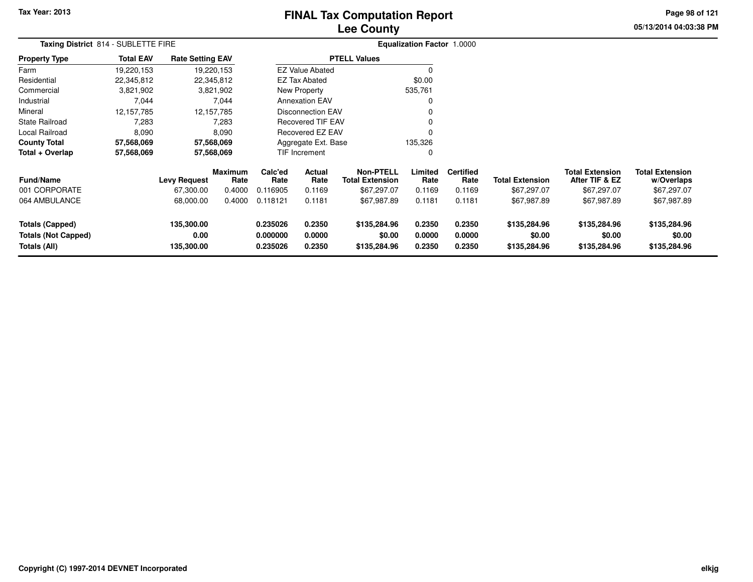# **Lee CountyFINAL Tax Computation Report**

**05/13/2014 04:03:38 PM Page 98 of 121**

| Taxing District 814 - SUBLETTE FIRE                                  |                  |                                  |                        |                                   |                            |                                            | <b>Equalization Factor 1.0000</b> |                            |                                        |                                          |                                        |  |
|----------------------------------------------------------------------|------------------|----------------------------------|------------------------|-----------------------------------|----------------------------|--------------------------------------------|-----------------------------------|----------------------------|----------------------------------------|------------------------------------------|----------------------------------------|--|
| <b>Property Type</b>                                                 | <b>Total EAV</b> | <b>Rate Setting EAV</b>          |                        |                                   |                            | <b>PTELL Values</b>                        |                                   |                            |                                        |                                          |                                        |  |
| Farm                                                                 | 19,220,153       |                                  | 19,220,153             |                                   | <b>EZ Value Abated</b>     |                                            | $\Omega$                          |                            |                                        |                                          |                                        |  |
| Residential                                                          | 22,345,812       | 22,345,812                       |                        |                                   | <b>EZ Tax Abated</b>       |                                            | \$0.00                            |                            |                                        |                                          |                                        |  |
| Commercial                                                           | 3,821,902        |                                  | 3,821,902              |                                   | New Property               |                                            | 535,761                           |                            |                                        |                                          |                                        |  |
| Industrial                                                           | 7,044            |                                  | 7,044                  |                                   | <b>Annexation EAV</b>      |                                            | 0                                 |                            |                                        |                                          |                                        |  |
| Mineral                                                              | 12,157,785       |                                  | 12, 157, 785           |                                   | <b>Disconnection EAV</b>   |                                            | 0                                 |                            |                                        |                                          |                                        |  |
| <b>State Railroad</b>                                                | 7,283            |                                  | 7,283                  |                                   | <b>Recovered TIF EAV</b>   |                                            | 0                                 |                            |                                        |                                          |                                        |  |
| Local Railroad                                                       | 8,090            |                                  | 8,090                  |                                   | Recovered EZ EAV           |                                            | 0                                 |                            |                                        |                                          |                                        |  |
| <b>County Total</b>                                                  | 57,568,069       | 57,568,069                       |                        |                                   | Aggregate Ext. Base        |                                            | 135,326                           |                            |                                        |                                          |                                        |  |
| Total + Overlap                                                      | 57,568,069       |                                  | 57,568,069             |                                   | TIF Increment              |                                            | 0                                 |                            |                                        |                                          |                                        |  |
| <b>Fund/Name</b>                                                     |                  | <b>Levy Request</b>              | <b>Maximum</b><br>Rate | Calc'ed<br>Actual<br>Rate<br>Rate |                            | <b>Non-PTELL</b><br><b>Total Extension</b> | Limited<br>Rate                   | <b>Certified</b><br>Rate   | <b>Total Extension</b>                 | <b>Total Extension</b><br>After TIF & EZ | <b>Total Extension</b><br>w/Overlaps   |  |
| 001 CORPORATE                                                        |                  | 67,300.00                        | 0.4000                 | 0.116905                          | 0.1169                     | \$67,297.07                                | 0.1169                            | 0.1169                     | \$67,297.07                            | \$67,297.07                              | \$67,297.07                            |  |
| 064 AMBULANCE                                                        |                  | 68,000.00                        | 0.4000                 | 0.118121                          | 0.1181                     | \$67,987.89                                | 0.1181                            | 0.1181                     | \$67,987.89                            | \$67,987.89                              | \$67,987.89                            |  |
| <b>Totals (Capped)</b><br><b>Totals (Not Capped)</b><br>Totals (All) |                  | 135,300.00<br>0.00<br>135,300.00 |                        | 0.235026<br>0.000000<br>0.235026  | 0.2350<br>0.0000<br>0.2350 | \$135,284.96<br>\$0.00<br>\$135,284.96     | 0.2350<br>0.0000<br>0.2350        | 0.2350<br>0.0000<br>0.2350 | \$135,284.96<br>\$0.00<br>\$135,284.96 | \$135,284.96<br>\$0.00<br>\$135,284.96   | \$135,284.96<br>\$0.00<br>\$135,284.96 |  |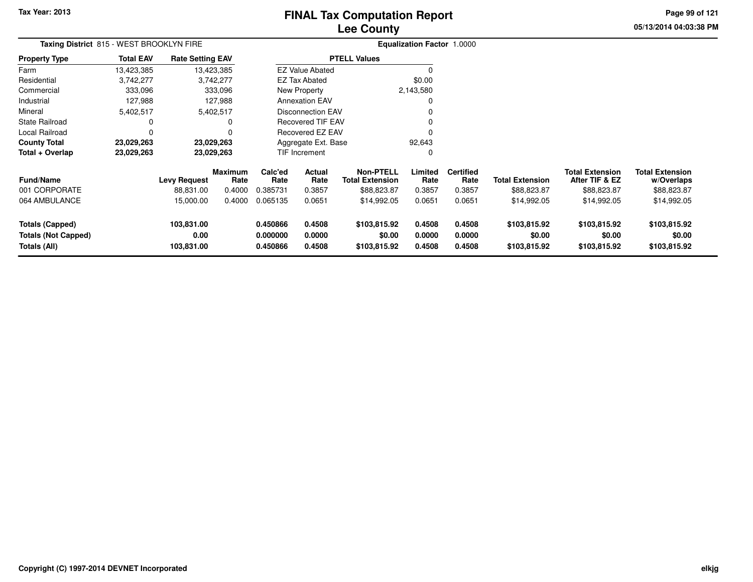# **Lee CountyFINAL Tax Computation Report**

**05/13/2014 04:03:38 PM Page 99 of 121**

|                                                                      | Taxing District 815 - WEST BROOKLYN FIRE |                                  |                        |                 |                                          |                                        | Equalization Factor 1.0000 |                            |                                        |                                          |                                        |  |
|----------------------------------------------------------------------|------------------------------------------|----------------------------------|------------------------|-----------------|------------------------------------------|----------------------------------------|----------------------------|----------------------------|----------------------------------------|------------------------------------------|----------------------------------------|--|
| Property Type                                                        | <b>Total EAV</b>                         | <b>Rate Setting EAV</b>          |                        |                 |                                          | <b>PTELL Values</b>                    |                            |                            |                                        |                                          |                                        |  |
| Farm                                                                 | 13,423,385                               |                                  | 13,423,385             |                 | <b>EZ Value Abated</b>                   |                                        |                            |                            |                                        |                                          |                                        |  |
| Residential                                                          | 3,742,277                                |                                  | 3,742,277              |                 | EZ Tax Abated                            |                                        | \$0.00                     |                            |                                        |                                          |                                        |  |
| Commercial                                                           | 333,096                                  |                                  | 333,096                |                 | New Property                             |                                        | 2,143,580                  |                            |                                        |                                          |                                        |  |
| Industrial                                                           | 127,988                                  |                                  | 127,988                |                 | <b>Annexation EAV</b>                    |                                        | 0                          |                            |                                        |                                          |                                        |  |
| Mineral                                                              | 5,402,517                                |                                  | 5,402,517              |                 | <b>Disconnection EAV</b>                 |                                        |                            |                            |                                        |                                          |                                        |  |
| State Railroad                                                       | 0                                        |                                  |                        |                 | <b>Recovered TIF EAV</b>                 |                                        | 0                          |                            |                                        |                                          |                                        |  |
| Local Railroad                                                       | $\Omega$                                 |                                  |                        |                 | Recovered EZ EAV                         |                                        | 0                          |                            |                                        |                                          |                                        |  |
| County Total                                                         | 23,029,263                               |                                  | 23,029,263             |                 | Aggregate Ext. Base                      |                                        | 92,643                     |                            |                                        |                                          |                                        |  |
| Total + Overlap                                                      | 23,029,263                               |                                  | 23,029,263             |                 | <b>TIF Increment</b>                     |                                        | 0                          |                            |                                        |                                          |                                        |  |
| Fund/Name                                                            |                                          | <b>Levy Request</b>              | <b>Maximum</b><br>Rate | Calc'ed<br>Rate | Actual<br>Rate<br><b>Total Extension</b> |                                        | Limited<br>Rate            | <b>Certified</b><br>Rate   | <b>Total Extension</b>                 | <b>Total Extension</b><br>After TIF & EZ | <b>Total Extension</b><br>w/Overlaps   |  |
| 001 CORPORATE                                                        |                                          | 88,831.00                        | 0.4000                 | 0.385731        | 0.3857                                   | \$88,823.87                            | 0.3857                     | 0.3857                     | \$88,823.87                            | \$88,823.87                              | \$88,823.87                            |  |
| 064 AMBULANCE                                                        |                                          | 15,000.00                        | 0.4000                 | 0.065135        | 0.0651                                   | \$14,992.05                            | 0.0651                     | 0.0651                     | \$14,992.05                            | \$14,992.05                              | \$14,992.05                            |  |
| <b>Totals (Capped)</b><br><b>Totals (Not Capped)</b><br>Totals (All) |                                          | 103,831.00<br>0.00<br>103,831.00 |                        |                 | 0.4508<br>0.0000<br>0.4508               | \$103,815.92<br>\$0.00<br>\$103,815.92 | 0.4508<br>0.0000<br>0.4508 | 0.4508<br>0.0000<br>0.4508 | \$103,815.92<br>\$0.00<br>\$103,815.92 | \$103,815.92<br>\$0.00<br>\$103,815.92   | \$103,815.92<br>\$0.00<br>\$103,815.92 |  |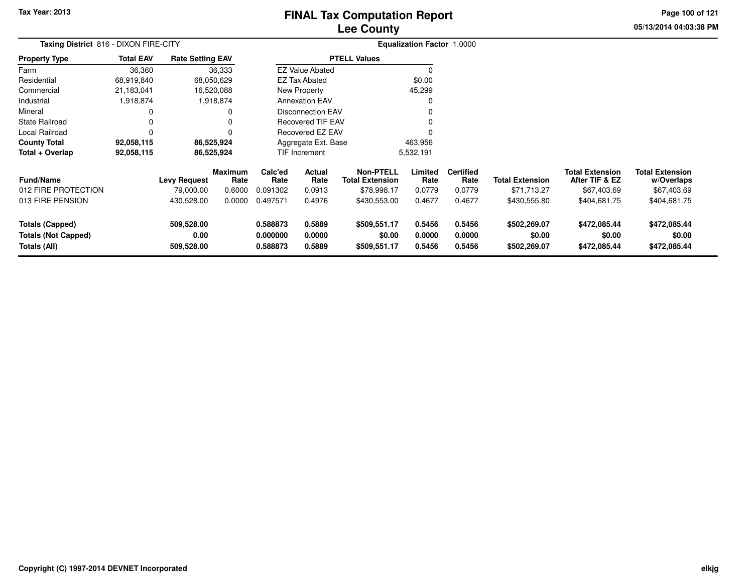# **Lee CountyFINAL Tax Computation Report**

**05/13/2014 04:03:38 PM Page 100 of 121**

|                                                                      | Taxing District 816 - DIXON FIRE-CITY |                                  |                        |                                                                |                                                 |                                        | Equalization Factor 1.0000 |                            |                                        |                                          |                                        |
|----------------------------------------------------------------------|---------------------------------------|----------------------------------|------------------------|----------------------------------------------------------------|-------------------------------------------------|----------------------------------------|----------------------------|----------------------------|----------------------------------------|------------------------------------------|----------------------------------------|
| <b>Property Type</b>                                                 | <b>Total EAV</b>                      | <b>Rate Setting EAV</b>          |                        |                                                                |                                                 | <b>PTELL Values</b>                    |                            |                            |                                        |                                          |                                        |
| Farm                                                                 | 36,360                                |                                  | 36,333                 |                                                                | <b>EZ Value Abated</b>                          |                                        | $\Omega$                   |                            |                                        |                                          |                                        |
| Residential                                                          | 68,919,840                            |                                  | 68,050,629             |                                                                | <b>EZ Tax Abated</b>                            |                                        | \$0.00                     |                            |                                        |                                          |                                        |
| Commercial                                                           | 21,183,041                            |                                  | 16,520,088             |                                                                | New Property                                    |                                        | 45,299                     |                            |                                        |                                          |                                        |
| Industrial                                                           | 1,918,874                             |                                  | 1,918,874              |                                                                | <b>Annexation EAV</b>                           |                                        | $\Omega$                   |                            |                                        |                                          |                                        |
| Mineral                                                              |                                       |                                  | 0                      |                                                                | <b>Disconnection EAV</b>                        |                                        | 0                          |                            |                                        |                                          |                                        |
| State Railroad                                                       |                                       |                                  |                        |                                                                | <b>Recovered TIF EAV</b>                        |                                        | 0                          |                            |                                        |                                          |                                        |
| Local Railroad                                                       |                                       |                                  |                        |                                                                | <b>Recovered EZ EAV</b>                         |                                        | $\Omega$                   |                            |                                        |                                          |                                        |
| <b>County Total</b>                                                  | 92,058,115                            |                                  | 86,525,924             |                                                                | Aggregate Ext. Base                             |                                        | 463,956                    |                            |                                        |                                          |                                        |
| Total + Overlap                                                      | 92,058,115                            |                                  | 86,525,924             |                                                                | TIF Increment                                   |                                        | 5,532,191                  |                            |                                        |                                          |                                        |
| Fund/Name                                                            |                                       | <b>Levy Request</b>              | <b>Maximum</b><br>Rate | Calc'ed<br>Rate                                                | <b>Actual</b><br><b>Total Extension</b><br>Rate |                                        | Limited<br>Rate            | <b>Certified</b><br>Rate   | <b>Total Extension</b>                 | <b>Total Extension</b><br>After TIF & EZ | <b>Total Extension</b><br>w/Overlaps   |
| 012 FIRE PROTECTION                                                  |                                       | 79,000.00                        | 0.6000                 | 0.091302                                                       | 0.0913                                          | \$78,998.17                            | 0.0779                     | 0.0779                     | \$71,713.27                            | \$67,403.69                              | \$67,403.69                            |
| 013 FIRE PENSION                                                     |                                       | 430,528.00                       | 0.0000                 | 0.497571                                                       | 0.4976                                          | \$430,553.00                           | 0.4677                     | 0.4677                     | \$430,555.80                           | \$404,681.75                             | \$404,681.75                           |
| <b>Totals (Capped)</b><br><b>Totals (Not Capped)</b><br>Totals (All) |                                       | 509,528.00<br>0.00<br>509,528.00 |                        | 0.588873<br>0.5889<br>0.000000<br>0.0000<br>0.588873<br>0.5889 |                                                 | \$509,551.17<br>\$0.00<br>\$509,551.17 | 0.5456<br>0.0000<br>0.5456 | 0.5456<br>0.0000<br>0.5456 | \$502,269.07<br>\$0.00<br>\$502,269.07 | \$472,085.44<br>\$0.00<br>\$472,085.44   | \$472,085.44<br>\$0.00<br>\$472,085.44 |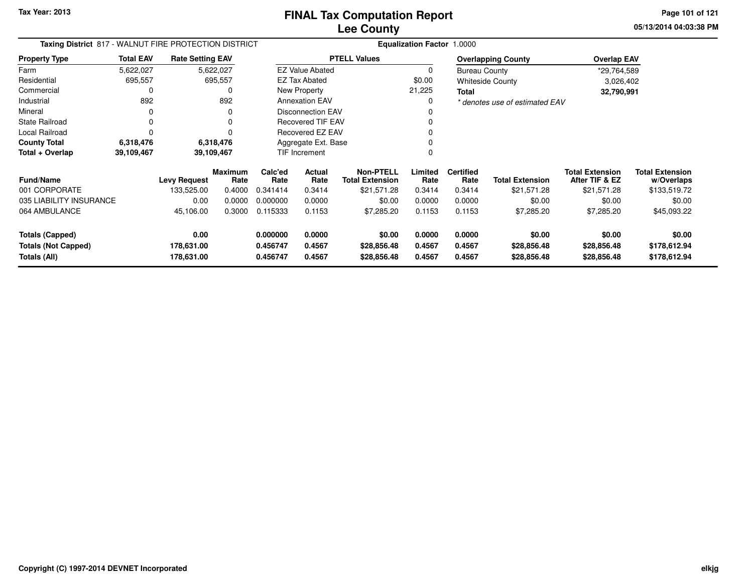**05/13/2014 04:03:38 PM Page 101 of 121**

| Taxing District 817 - WALNUT FIRE PROTECTION DISTRICT |                  |                          |                        | <b>Equalization Factor 1.0000</b> |                                                              |                            |                  |                          |                                |                                          |                                      |
|-------------------------------------------------------|------------------|--------------------------|------------------------|-----------------------------------|--------------------------------------------------------------|----------------------------|------------------|--------------------------|--------------------------------|------------------------------------------|--------------------------------------|
| <b>Property Type</b>                                  | <b>Total EAV</b> | <b>Rate Setting EAV</b>  |                        |                                   |                                                              | <b>PTELL Values</b>        |                  |                          | <b>Overlapping County</b>      | <b>Overlap EAV</b>                       |                                      |
| Farm                                                  | 5,622,027        |                          | 5,622,027              |                                   | <b>EZ Value Abated</b>                                       |                            | $\Omega$         | <b>Bureau County</b>     |                                | *29,764,589                              |                                      |
| Residential                                           | 695,557          |                          | 695,557                |                                   | <b>EZ Tax Abated</b>                                         |                            | \$0.00           |                          | <b>Whiteside County</b>        | 3,026,402                                |                                      |
| Commercial                                            |                  |                          | 0                      |                                   | New Property                                                 |                            | 21,225           | Total                    |                                | 32,790,991                               |                                      |
| Industrial                                            | 892              |                          | 892                    |                                   | <b>Annexation EAV</b>                                        |                            | 0                |                          | * denotes use of estimated EAV |                                          |                                      |
| Mineral                                               | 0                |                          | 0                      |                                   | <b>Disconnection EAV</b>                                     |                            |                  |                          |                                |                                          |                                      |
| <b>State Railroad</b>                                 | 0                |                          | 0                      |                                   | Recovered TIF EAV                                            |                            |                  |                          |                                |                                          |                                      |
| Local Railroad                                        | $\Omega$         |                          | O                      |                                   | Recovered EZ EAV                                             |                            |                  |                          |                                |                                          |                                      |
| <b>County Total</b>                                   | 6,318,476        |                          | 6,318,476              |                                   | Aggregate Ext. Base                                          |                            |                  |                          |                                |                                          |                                      |
| Total + Overlap                                       | 39,109,467       |                          | 39,109,467             |                                   | TIF Increment                                                |                            | 0                |                          |                                |                                          |                                      |
| <b>Fund/Name</b>                                      |                  | <b>Levy Request</b>      | <b>Maximum</b><br>Rate | Calc'ed<br>Rate                   | <b>Non-PTELL</b><br>Actual<br><b>Total Extension</b><br>Rate |                            | Limited<br>Rate  | <b>Certified</b><br>Rate | <b>Total Extension</b>         | <b>Total Extension</b><br>After TIF & EZ | <b>Total Extension</b><br>w/Overlaps |
| 001 CORPORATE                                         |                  | 133,525.00               | 0.4000                 | 0.341414                          | 0.3414                                                       | \$21,571.28                | 0.3414           | 0.3414                   | \$21,571.28                    | \$21,571.28                              | \$133,519.72                         |
| 035 LIABILITY INSURANCE                               |                  | 0.00                     | 0.0000                 | 0.000000                          | 0.0000                                                       | \$0.00                     | 0.0000           | 0.0000                   | \$0.00                         | \$0.00                                   | \$0.00                               |
| 064 AMBULANCE                                         |                  | 45,106.00                | 0.3000                 | 0.115333                          | 0.1153                                                       | \$7,285.20                 | 0.1153           | 0.1153                   | \$7,285.20                     | \$7,285.20                               | \$45,093.22                          |
| <b>Totals (Capped)</b>                                |                  | 0.00                     |                        | 0.000000                          | 0.0000                                                       | \$0.00                     | 0.0000           | 0.0000                   | \$0.00                         | \$0.00                                   | \$0.00                               |
| <b>Totals (Not Capped)</b><br>Totals (All)            |                  | 178,631.00<br>178,631.00 |                        | 0.456747<br>0.456747              | 0.4567<br>0.4567                                             | \$28,856.48<br>\$28,856.48 | 0.4567<br>0.4567 | 0.4567<br>0.4567         | \$28,856.48<br>\$28,856.48     | \$28,856.48<br>\$28,856.48               | \$178,612.94<br>\$178,612.94         |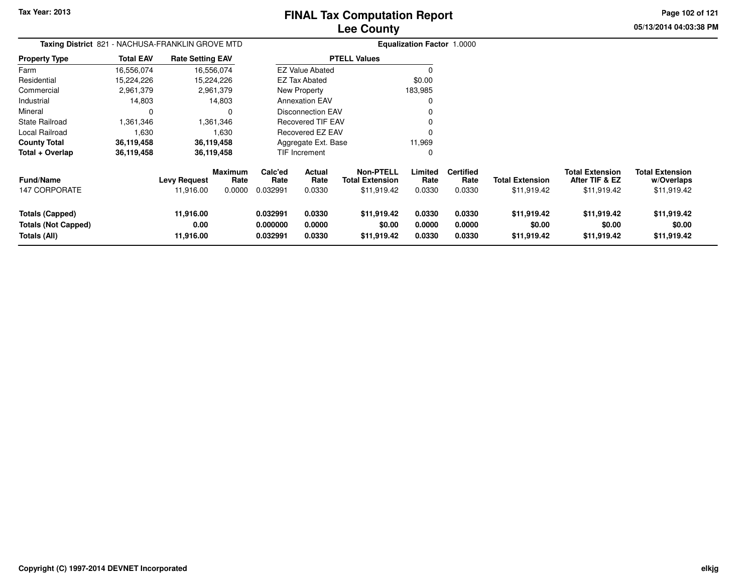**05/13/2014 04:03:38 PM Page 102 of 121**

|                                                                      | Taxing District 821 - NACHUSA-FRANKLIN GROVE MTD |                                |                                  |                                  |                            |                                                           | <b>Equalization Factor 1.0000</b> |                                    |                                       |                                                         |                                                     |
|----------------------------------------------------------------------|--------------------------------------------------|--------------------------------|----------------------------------|----------------------------------|----------------------------|-----------------------------------------------------------|-----------------------------------|------------------------------------|---------------------------------------|---------------------------------------------------------|-----------------------------------------------------|
| <b>Property Type</b>                                                 | <b>Total EAV</b>                                 | <b>Rate Setting EAV</b>        |                                  |                                  |                            | <b>PTELL Values</b>                                       |                                   |                                    |                                       |                                                         |                                                     |
| Farm                                                                 | 16,556,074                                       | 16,556,074                     |                                  |                                  | <b>EZ Value Abated</b>     |                                                           | $\Omega$                          |                                    |                                       |                                                         |                                                     |
| Residential                                                          | 15,224,226                                       | 15,224,226                     |                                  |                                  | <b>EZ Tax Abated</b>       |                                                           | \$0.00                            |                                    |                                       |                                                         |                                                     |
| Commercial                                                           | 2,961,379                                        |                                | 2,961,379                        |                                  | New Property               |                                                           | 183,985                           |                                    |                                       |                                                         |                                                     |
| Industrial                                                           | 14,803                                           |                                | 14,803                           |                                  | <b>Annexation EAV</b>      |                                                           | 0                                 |                                    |                                       |                                                         |                                                     |
| Mineral                                                              | 0                                                |                                | 0                                |                                  | <b>Disconnection EAV</b>   |                                                           | O                                 |                                    |                                       |                                                         |                                                     |
| <b>State Railroad</b>                                                | 361,346.                                         |                                | 1,361,346                        |                                  | <b>Recovered TIF EAV</b>   |                                                           | 0                                 |                                    |                                       |                                                         |                                                     |
| Local Railroad                                                       | 1,630                                            |                                | 1,630                            |                                  | Recovered EZ EAV           |                                                           | $\Omega$                          |                                    |                                       |                                                         |                                                     |
| <b>County Total</b>                                                  | 36,119,458                                       | 36,119,458                     |                                  |                                  | Aggregate Ext. Base        |                                                           | 11,969                            |                                    |                                       |                                                         |                                                     |
| Total + Overlap                                                      | 36,119,458                                       | 36,119,458                     |                                  |                                  | TIF Increment              |                                                           | 0                                 |                                    |                                       |                                                         |                                                     |
| <b>Fund/Name</b><br><b>147 CORPORATE</b>                             |                                                  | Levy Request<br>11,916.00      | <b>Maximum</b><br>Rate<br>0.0000 | Calc'ed<br>Rate<br>0.032991      | Actual<br>Rate<br>0.0330   | <b>Non-PTELL</b><br><b>Total Extension</b><br>\$11,919.42 | Limited<br>Rate<br>0.0330         | <b>Certified</b><br>Rate<br>0.0330 | <b>Total Extension</b><br>\$11,919.42 | <b>Total Extension</b><br>After TIF & EZ<br>\$11,919.42 | <b>Total Extension</b><br>w/Overlaps<br>\$11,919.42 |
| <b>Totals (Capped)</b><br><b>Totals (Not Capped)</b><br>Totals (All) |                                                  | 11,916.00<br>0.00<br>11,916.00 |                                  | 0.032991<br>0.000000<br>0.032991 | 0.0330<br>0.0000<br>0.0330 | \$11,919.42<br>\$0.00<br>\$11,919.42                      | 0.0330<br>0.0000<br>0.0330        | 0.0330<br>0.0000<br>0.0330         | \$11,919.42<br>\$0.00<br>\$11,919.42  | \$11,919.42<br>\$0.00<br>\$11,919.42                    | \$11,919.42<br>\$0.00<br>\$11,919.42                |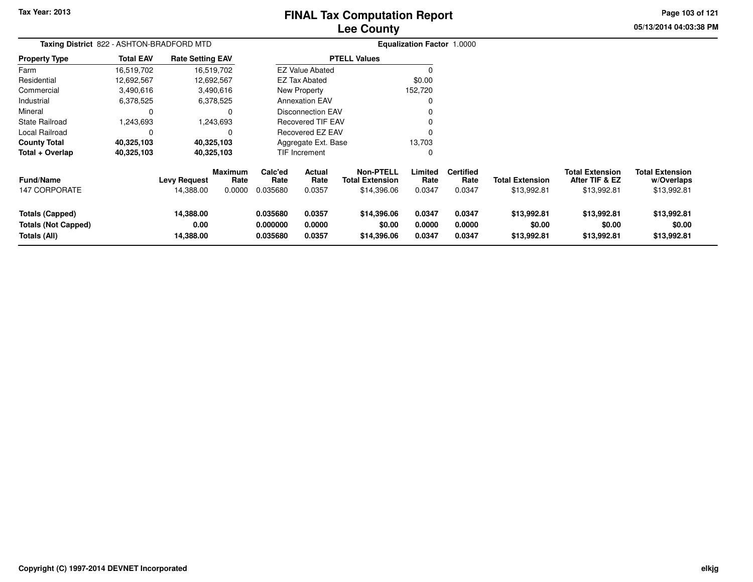# **Lee CountyFINAL Tax Computation Report**

**05/13/2014 04:03:38 PM Page 103 of 121**

|                                                                      | Taxing District 822 - ASHTON-BRADFORD MTD |                                  |                           |                                  |                            |                                                           | Equalization Factor 1.0000 |                                    |                                       |                                                         |                                                     |
|----------------------------------------------------------------------|-------------------------------------------|----------------------------------|---------------------------|----------------------------------|----------------------------|-----------------------------------------------------------|----------------------------|------------------------------------|---------------------------------------|---------------------------------------------------------|-----------------------------------------------------|
| Property Type                                                        | <b>Total EAV</b>                          | <b>Rate Setting EAV</b>          |                           |                                  |                            | <b>PTELL Values</b>                                       |                            |                                    |                                       |                                                         |                                                     |
| Farm                                                                 | 16,519,702                                |                                  | 16,519,702                |                                  | <b>EZ Value Abated</b>     |                                                           |                            |                                    |                                       |                                                         |                                                     |
| Residential                                                          | 12,692,567                                | 12,692,567                       |                           |                                  | <b>EZ Tax Abated</b>       |                                                           | \$0.00                     |                                    |                                       |                                                         |                                                     |
| Commercial                                                           | 3,490,616                                 |                                  | 3,490,616                 |                                  | New Property               |                                                           | 152,720                    |                                    |                                       |                                                         |                                                     |
| Industrial                                                           | 6,378,525                                 |                                  | 6,378,525                 |                                  | <b>Annexation EAV</b>      |                                                           |                            |                                    |                                       |                                                         |                                                     |
| Mineral                                                              | 0                                         |                                  |                           |                                  | Disconnection EAV          |                                                           |                            |                                    |                                       |                                                         |                                                     |
| <b>State Railroad</b>                                                | 1,243,693                                 |                                  | 1,243,693                 |                                  | <b>Recovered TIF EAV</b>   |                                                           |                            |                                    |                                       |                                                         |                                                     |
| Local Railroad                                                       |                                           |                                  |                           |                                  | Recovered EZ EAV           |                                                           |                            |                                    |                                       |                                                         |                                                     |
| <b>County Total</b>                                                  | 40,325,103                                |                                  | 40,325,103                |                                  | Aggregate Ext. Base        |                                                           | 13,703                     |                                    |                                       |                                                         |                                                     |
| Total + Overlap                                                      | 40,325,103                                |                                  | 40,325,103                |                                  | <b>TIF Increment</b>       |                                                           | 0                          |                                    |                                       |                                                         |                                                     |
| Fund/Name<br><b>147 CORPORATE</b>                                    |                                           | <b>Levy Request</b><br>14,388.00 | Maximum<br>Rate<br>0.0000 | Calc'ed<br>Rate<br>0.035680      | Actual<br>Rate<br>0.0357   | <b>Non-PTELL</b><br><b>Total Extension</b><br>\$14,396.06 | Limited<br>Rate<br>0.0347  | <b>Certified</b><br>Rate<br>0.0347 | <b>Total Extension</b><br>\$13,992.81 | <b>Total Extension</b><br>After TIF & EZ<br>\$13,992.81 | <b>Total Extension</b><br>w/Overlaps<br>\$13,992.81 |
| <b>Totals (Capped)</b><br><b>Totals (Not Capped)</b><br>Totals (All) |                                           | 14,388.00<br>0.00<br>14,388.00   |                           | 0.035680<br>0.000000<br>0.035680 | 0.0357<br>0.0000<br>0.0357 | \$14,396.06<br>\$0.00<br>\$14,396.06                      | 0.0347<br>0.0000<br>0.0347 | 0.0347<br>0.0000<br>0.0347         | \$13,992.81<br>\$0.00<br>\$13,992.81  | \$13,992.81<br>\$0.00<br>\$13,992.81                    | \$13,992.81<br>\$0.00<br>\$13,992.81                |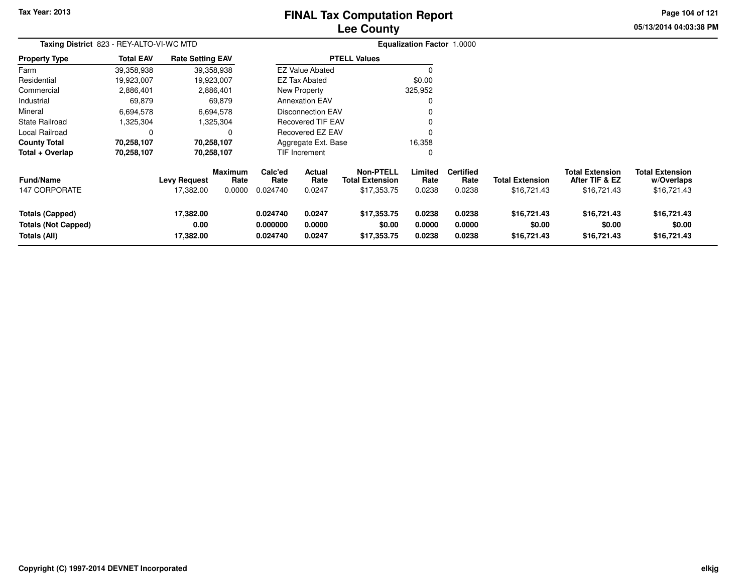# **Lee CountyFINAL Tax Computation Report**

**05/13/2014 04:03:38 PM Page 104 of 121**

| Taxing District 823 - REY-ALTO-VI-WC MTD                      |                  |                                  |                                  |                             |                            |                                                           | <b>Equalization Factor 1.0000</b> |                                    |                                       |                                                         |                                                     |
|---------------------------------------------------------------|------------------|----------------------------------|----------------------------------|-----------------------------|----------------------------|-----------------------------------------------------------|-----------------------------------|------------------------------------|---------------------------------------|---------------------------------------------------------|-----------------------------------------------------|
| <b>Property Type</b>                                          | <b>Total EAV</b> | <b>Rate Setting EAV</b>          |                                  |                             |                            | <b>PTELL Values</b>                                       |                                   |                                    |                                       |                                                         |                                                     |
| Farm                                                          | 39,358,938       |                                  | 39,358,938                       |                             | <b>EZ Value Abated</b>     |                                                           | $\Omega$                          |                                    |                                       |                                                         |                                                     |
| Residential                                                   | 19,923,007       |                                  | 19,923,007                       |                             | <b>EZ Tax Abated</b>       |                                                           | \$0.00                            |                                    |                                       |                                                         |                                                     |
| Commercial                                                    | 2,886,401        |                                  | 2,886,401                        |                             | New Property               |                                                           | 325,952                           |                                    |                                       |                                                         |                                                     |
| Industrial                                                    | 69,879           |                                  | 69,879                           |                             | <b>Annexation EAV</b>      |                                                           | 0                                 |                                    |                                       |                                                         |                                                     |
| Mineral                                                       | 6,694,578        |                                  | 6,694,578                        |                             | <b>Disconnection EAV</b>   |                                                           | 0                                 |                                    |                                       |                                                         |                                                     |
| <b>State Railroad</b>                                         | 1,325,304        |                                  | 1,325,304                        |                             | <b>Recovered TIF EAV</b>   |                                                           |                                   |                                    |                                       |                                                         |                                                     |
| Local Railroad                                                | $\Omega$         |                                  | 0                                |                             | Recovered EZ EAV           |                                                           |                                   |                                    |                                       |                                                         |                                                     |
| <b>County Total</b>                                           | 70,258,107       |                                  | 70,258,107                       |                             | Aggregate Ext. Base        |                                                           | 16,358                            |                                    |                                       |                                                         |                                                     |
| Total + Overlap                                               | 70,258,107       |                                  | 70,258,107                       |                             | TIF Increment              |                                                           | $\Omega$                          |                                    |                                       |                                                         |                                                     |
| <b>Fund/Name</b><br>147 CORPORATE                             |                  | <b>Levy Request</b><br>17,382.00 | Maximum<br>Rate<br>0.0000        | Calc'ed<br>Rate<br>0.024740 | Actual<br>Rate<br>0.0247   | <b>Non-PTELL</b><br><b>Total Extension</b><br>\$17,353.75 | Limited<br>Rate<br>0.0238         | <b>Certified</b><br>Rate<br>0.0238 | <b>Total Extension</b><br>\$16,721.43 | <b>Total Extension</b><br>After TIF & EZ<br>\$16,721.43 | <b>Total Extension</b><br>w/Overlaps<br>\$16,721.43 |
| Totals (Capped)<br><b>Totals (Not Capped)</b><br>Totals (All) |                  | 17,382.00<br>0.00<br>17,382.00   | 0.024740<br>0.000000<br>0.024740 |                             | 0.0247<br>0.0000<br>0.0247 | \$17,353.75<br>\$0.00<br>\$17,353.75                      | 0.0238<br>0.0000<br>0.0238        | 0.0238<br>0.0000<br>0.0238         | \$16,721.43<br>\$0.00<br>\$16,721.43  | \$16,721.43<br>\$0.00<br>\$16,721.43                    | \$16,721.43<br>\$0.00<br>\$16,721.43                |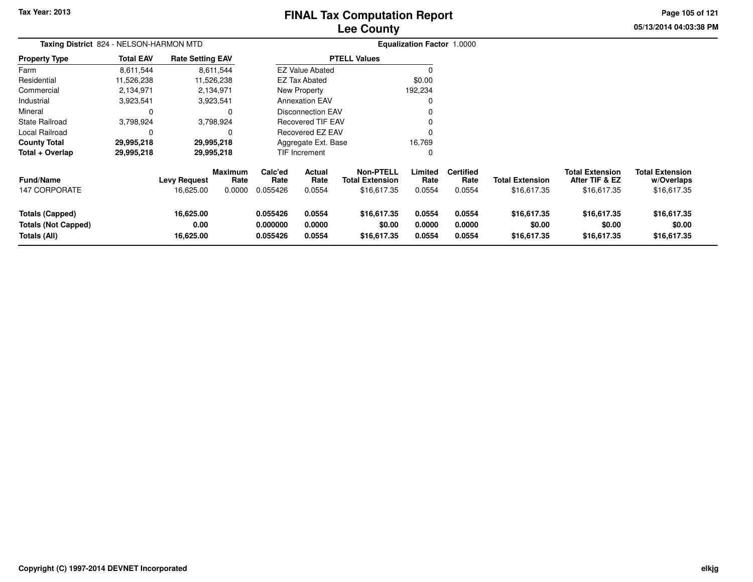# **Lee CountyFINAL Tax Computation Report**

**05/13/2014 04:03:38 PMPage 105 of 121**

|                                                                      | Taxing District 824 - NELSON-HARMON MTD |                                  |                           |                                  |                            |                                                           | <b>Equalization Factor 1.0000</b> |                                    |                                       |                                                         |                                                     |
|----------------------------------------------------------------------|-----------------------------------------|----------------------------------|---------------------------|----------------------------------|----------------------------|-----------------------------------------------------------|-----------------------------------|------------------------------------|---------------------------------------|---------------------------------------------------------|-----------------------------------------------------|
| <b>Property Type</b>                                                 | <b>Total EAV</b>                        | <b>Rate Setting EAV</b>          |                           |                                  |                            | <b>PTELL Values</b>                                       |                                   |                                    |                                       |                                                         |                                                     |
| Farm                                                                 | 8,611,544                               |                                  | 8,611,544                 |                                  | <b>EZ Value Abated</b>     |                                                           |                                   |                                    |                                       |                                                         |                                                     |
| Residential                                                          | 11,526,238                              |                                  | 11,526,238                |                                  | <b>EZ Tax Abated</b>       |                                                           | \$0.00                            |                                    |                                       |                                                         |                                                     |
| Commercial                                                           | 2,134,971                               |                                  | 2,134,971                 |                                  | New Property               |                                                           | 192,234                           |                                    |                                       |                                                         |                                                     |
| Industrial                                                           | 3,923,541                               |                                  | 3,923,541                 |                                  | Annexation EAV             |                                                           |                                   |                                    |                                       |                                                         |                                                     |
| Mineral                                                              |                                         |                                  | 0                         |                                  | <b>Disconnection EAV</b>   |                                                           |                                   |                                    |                                       |                                                         |                                                     |
| State Railroad                                                       | 3,798,924                               |                                  | 3,798,924                 |                                  | <b>Recovered TIF EAV</b>   |                                                           |                                   |                                    |                                       |                                                         |                                                     |
| Local Railroad                                                       |                                         |                                  | 0                         |                                  | Recovered EZ EAV           |                                                           |                                   |                                    |                                       |                                                         |                                                     |
| <b>County Total</b>                                                  | 29,995,218                              |                                  | 29,995,218                |                                  | Aggregate Ext. Base        |                                                           | 16,769                            |                                    |                                       |                                                         |                                                     |
| Total + Overlap                                                      | 29,995,218                              |                                  | 29,995,218                |                                  | TIF Increment              |                                                           | 0                                 |                                    |                                       |                                                         |                                                     |
| <b>Fund/Name</b><br>147 CORPORATE                                    |                                         | <b>Levy Request</b><br>16,625.00 | Maximum<br>Rate<br>0.0000 | Calc'ed<br>Rate<br>0.055426      | Actual<br>Rate<br>0.0554   | <b>Non-PTELL</b><br><b>Total Extension</b><br>\$16,617.35 | Limited<br>Rate<br>0.0554         | <b>Certified</b><br>Rate<br>0.0554 | <b>Total Extension</b><br>\$16,617.35 | <b>Total Extension</b><br>After TIF & EZ<br>\$16,617.35 | <b>Total Extension</b><br>w/Overlaps<br>\$16,617.35 |
| <b>Totals (Capped)</b><br><b>Totals (Not Capped)</b><br>Totals (All) |                                         | 16,625.00<br>0.00<br>16,625.00   |                           | 0.055426<br>0.000000<br>0.055426 | 0.0554<br>0.0000<br>0.0554 | \$16,617.35<br>\$0.00<br>\$16,617.35                      | 0.0554<br>0.0000<br>0.0554        | 0.0554<br>0.0000<br>0.0554         | \$16,617.35<br>\$0.00<br>\$16,617.35  | \$16,617.35<br>\$0.00<br>\$16,617.35                    | \$16,617.35<br>\$0.00<br>\$16,617.35                |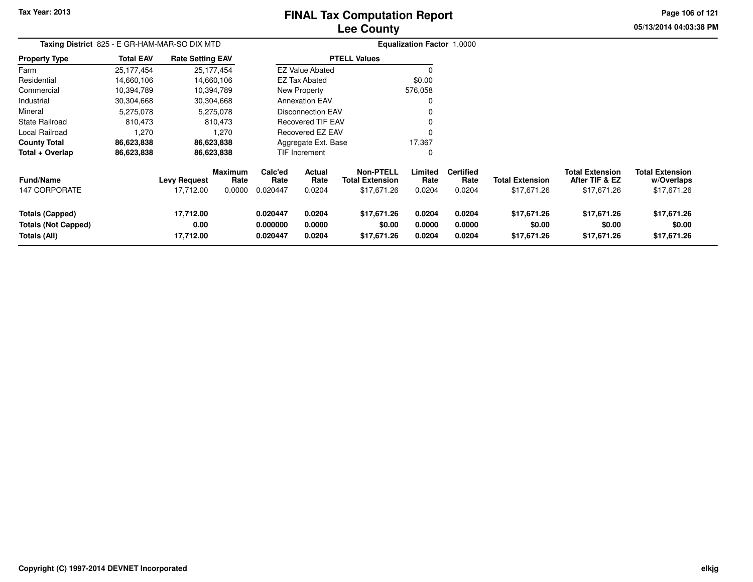# **Lee CountyFINAL Tax Computation Report**

**05/13/2014 04:03:38 PM Page 106 of 121**

| Taxing District 825 - E GR-HAM-MAR-SO DIX MTD                        |                  |                                  |                                  |                                  |                            |                                                           | Equalization Factor 1.0000 |                                    |                                       |                                                         |                                                     |
|----------------------------------------------------------------------|------------------|----------------------------------|----------------------------------|----------------------------------|----------------------------|-----------------------------------------------------------|----------------------------|------------------------------------|---------------------------------------|---------------------------------------------------------|-----------------------------------------------------|
| <b>Property Type</b>                                                 | <b>Total EAV</b> | <b>Rate Setting EAV</b>          |                                  |                                  |                            | <b>PTELL Values</b>                                       |                            |                                    |                                       |                                                         |                                                     |
| Farm                                                                 | 25,177,454       | 25, 177, 454                     |                                  |                                  | <b>EZ Value Abated</b>     |                                                           |                            |                                    |                                       |                                                         |                                                     |
| Residential                                                          | 14,660,106       | 14,660,106                       |                                  |                                  | <b>EZ Tax Abated</b>       |                                                           | \$0.00                     |                                    |                                       |                                                         |                                                     |
| Commercial                                                           | 10,394,789       | 10,394,789                       |                                  |                                  | New Property               |                                                           | 576,058                    |                                    |                                       |                                                         |                                                     |
| Industrial                                                           | 30,304,668       | 30,304,668                       |                                  |                                  | <b>Annexation EAV</b>      |                                                           | 0                          |                                    |                                       |                                                         |                                                     |
| Mineral                                                              | 5,275,078        |                                  | 5,275,078                        |                                  | <b>Disconnection EAV</b>   |                                                           |                            |                                    |                                       |                                                         |                                                     |
| <b>State Railroad</b>                                                | 810,473          |                                  | 810,473                          |                                  | <b>Recovered TIF EAV</b>   |                                                           |                            |                                    |                                       |                                                         |                                                     |
| Local Railroad                                                       | 1,270            |                                  | 1,270                            |                                  | Recovered EZ EAV           |                                                           |                            |                                    |                                       |                                                         |                                                     |
| <b>County Total</b>                                                  | 86,623,838       | 86,623,838                       |                                  |                                  | Aggregate Ext. Base        |                                                           | 17,367                     |                                    |                                       |                                                         |                                                     |
| Total + Overlap                                                      | 86,623,838       | 86,623,838                       |                                  |                                  | TIF Increment              |                                                           | 0                          |                                    |                                       |                                                         |                                                     |
| <b>Fund/Name</b><br>147 CORPORATE                                    |                  | <b>Levy Request</b><br>17,712.00 | <b>Maximum</b><br>Rate<br>0.0000 | Calc'ed<br>Rate<br>0.020447      | Actual<br>Rate<br>0.0204   | <b>Non-PTELL</b><br><b>Total Extension</b><br>\$17,671.26 | Limited<br>Rate<br>0.0204  | <b>Certified</b><br>Rate<br>0.0204 | <b>Total Extension</b><br>\$17,671.26 | <b>Total Extension</b><br>After TIF & EZ<br>\$17,671.26 | <b>Total Extension</b><br>w/Overlaps<br>\$17,671.26 |
| <b>Totals (Capped)</b><br><b>Totals (Not Capped)</b><br>Totals (All) |                  | 17,712.00<br>0.00<br>17,712.00   |                                  | 0.020447<br>0.000000<br>0.020447 | 0.0204<br>0.0000<br>0.0204 | \$17,671.26<br>\$0.00<br>\$17,671.26                      | 0.0204<br>0.0000<br>0.0204 | 0.0204<br>0.0000<br>0.0204         | \$17,671.26<br>\$0.00<br>\$17,671.26  | \$17,671.26<br>\$0.00<br>\$17,671.26                    | \$17,671.26<br>\$0.00<br>\$17,671.26                |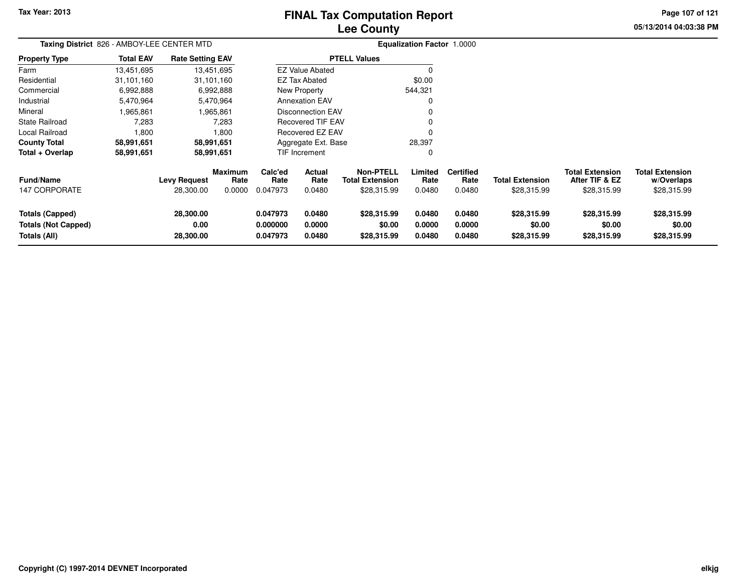# **Lee CountyFINAL Tax Computation Report**

**05/13/2014 04:03:38 PM Page 107 of 121**

|                                                                      | Taxing District 826 - AMBOY-LEE CENTER MTD |                                  |                                  |                                  |                            |                                                           | <b>Equalization Factor 1.0000</b> |                                    |                                       |                                                         |                                                     |
|----------------------------------------------------------------------|--------------------------------------------|----------------------------------|----------------------------------|----------------------------------|----------------------------|-----------------------------------------------------------|-----------------------------------|------------------------------------|---------------------------------------|---------------------------------------------------------|-----------------------------------------------------|
| <b>Property Type</b>                                                 | <b>Total EAV</b>                           | <b>Rate Setting EAV</b>          |                                  |                                  |                            | <b>PTELL Values</b>                                       |                                   |                                    |                                       |                                                         |                                                     |
| Farm                                                                 | 13,451,695                                 |                                  | 13,451,695                       |                                  | <b>EZ Value Abated</b>     |                                                           | 0                                 |                                    |                                       |                                                         |                                                     |
| Residential                                                          | 31,101,160                                 |                                  | 31,101,160                       |                                  | <b>EZ Tax Abated</b>       |                                                           | \$0.00                            |                                    |                                       |                                                         |                                                     |
| Commercial                                                           | 6,992,888                                  |                                  | 6,992,888                        |                                  | New Property               |                                                           | 544,321                           |                                    |                                       |                                                         |                                                     |
| Industrial                                                           | 5,470,964                                  |                                  | 5,470,964                        |                                  | <b>Annexation EAV</b>      |                                                           | 0                                 |                                    |                                       |                                                         |                                                     |
| Mineral                                                              | 1,965,861                                  |                                  | 1,965,861                        |                                  | <b>Disconnection EAV</b>   |                                                           | 0                                 |                                    |                                       |                                                         |                                                     |
| State Railroad                                                       | 7,283                                      |                                  | 7,283                            |                                  | Recovered TIF EAV          |                                                           | 0                                 |                                    |                                       |                                                         |                                                     |
| Local Railroad                                                       | 1,800                                      |                                  | 1,800                            |                                  | Recovered EZ EAV           |                                                           | 0                                 |                                    |                                       |                                                         |                                                     |
| <b>County Total</b>                                                  | 58,991,651                                 |                                  | 58,991,651                       |                                  | Aggregate Ext. Base        |                                                           | 28,397                            |                                    |                                       |                                                         |                                                     |
| Total + Overlap                                                      | 58,991,651                                 |                                  | 58,991,651                       |                                  | TIF Increment              |                                                           | 0                                 |                                    |                                       |                                                         |                                                     |
| <b>Fund/Name</b><br><b>147 CORPORATE</b>                             |                                            | <b>Levy Request</b><br>28,300.00 | <b>Maximum</b><br>Rate<br>0.0000 | Calc'ed<br>Rate<br>0.047973      | Actual<br>Rate<br>0.0480   | <b>Non-PTELL</b><br><b>Total Extension</b><br>\$28,315.99 | Limited<br>Rate<br>0.0480         | <b>Certified</b><br>Rate<br>0.0480 | <b>Total Extension</b><br>\$28,315.99 | <b>Total Extension</b><br>After TIF & EZ<br>\$28,315.99 | <b>Total Extension</b><br>w/Overlaps<br>\$28,315.99 |
| <b>Totals (Capped)</b><br><b>Totals (Not Capped)</b><br>Totals (All) |                                            | 28,300.00<br>0.00<br>28,300.00   |                                  | 0.047973<br>0.000000<br>0.047973 | 0.0480<br>0.0000<br>0.0480 | \$28,315.99<br>\$0.00<br>\$28,315.99                      | 0.0480<br>0.0000<br>0.0480        | 0.0480<br>0.0000<br>0.0480         | \$28,315.99<br>\$0.00<br>\$28,315.99  | \$28,315.99<br>\$0.00<br>\$28,315.99                    | \$28,315.99<br>\$0.00<br>\$28,315.99                |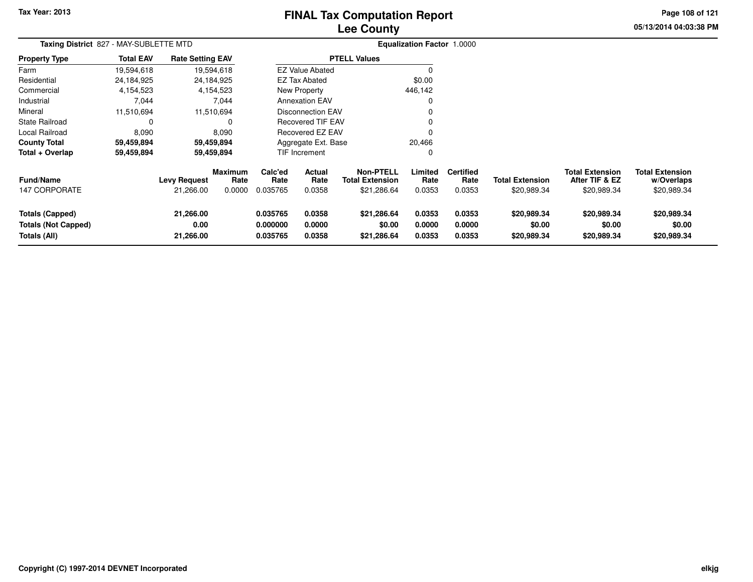# **Lee CountyFINAL Tax Computation Report**

**05/13/2014 04:03:38 PM Page 108 of 121**

|                                                                      | Taxing District 827 - MAY-SUBLETTE MTD |                                  |                                  |                                  |                            |                                                           | <b>Equalization Factor 1.0000</b> |                                    |                                       |                                                         |                                                     |  |
|----------------------------------------------------------------------|----------------------------------------|----------------------------------|----------------------------------|----------------------------------|----------------------------|-----------------------------------------------------------|-----------------------------------|------------------------------------|---------------------------------------|---------------------------------------------------------|-----------------------------------------------------|--|
| <b>Property Type</b>                                                 | <b>Total EAV</b>                       | <b>Rate Setting EAV</b>          |                                  |                                  |                            | <b>PTELL Values</b>                                       |                                   |                                    |                                       |                                                         |                                                     |  |
| Farm                                                                 | 19,594,618                             |                                  | 19,594,618                       |                                  | <b>EZ Value Abated</b>     |                                                           |                                   |                                    |                                       |                                                         |                                                     |  |
| Residential                                                          | 24,184,925                             |                                  | 24,184,925                       |                                  | EZ Tax Abated              |                                                           | \$0.00                            |                                    |                                       |                                                         |                                                     |  |
| Commercial                                                           | 4,154,523                              |                                  | 4,154,523                        |                                  | New Property               |                                                           | 446,142                           |                                    |                                       |                                                         |                                                     |  |
| Industrial                                                           | 7,044                                  |                                  | 7,044                            |                                  | <b>Annexation EAV</b>      |                                                           | 0                                 |                                    |                                       |                                                         |                                                     |  |
| Mineral                                                              | 11,510,694                             |                                  | 11,510,694                       |                                  | Disconnection EAV          |                                                           | 0                                 |                                    |                                       |                                                         |                                                     |  |
| <b>State Railroad</b>                                                | 0                                      |                                  | 0                                |                                  | <b>Recovered TIF EAV</b>   |                                                           | 0                                 |                                    |                                       |                                                         |                                                     |  |
| Local Railroad                                                       | 8,090                                  |                                  | 8,090                            |                                  | Recovered EZ EAV           |                                                           | $\Omega$                          |                                    |                                       |                                                         |                                                     |  |
| <b>County Total</b>                                                  | 59,459,894                             |                                  | 59,459,894                       |                                  | Aggregate Ext. Base        |                                                           | 20,466                            |                                    |                                       |                                                         |                                                     |  |
| Total + Overlap                                                      | 59,459,894                             |                                  | 59,459,894                       |                                  | <b>TIF Increment</b>       |                                                           | 0                                 |                                    |                                       |                                                         |                                                     |  |
| <b>Fund/Name</b><br>147 CORPORATE                                    |                                        | <b>Levy Request</b><br>21,266.00 | <b>Maximum</b><br>Rate<br>0.0000 | Calc'ed<br>Rate<br>0.035765      | Actual<br>Rate<br>0.0358   | <b>Non-PTELL</b><br><b>Total Extension</b><br>\$21,286.64 | Limited<br>Rate<br>0.0353         | <b>Certified</b><br>Rate<br>0.0353 | <b>Total Extension</b><br>\$20,989.34 | <b>Total Extension</b><br>After TIF & EZ<br>\$20,989.34 | <b>Total Extension</b><br>w/Overlaps<br>\$20,989.34 |  |
| <b>Totals (Capped)</b><br><b>Totals (Not Capped)</b><br>Totals (All) |                                        | 21,266.00<br>0.00<br>21,266.00   |                                  | 0.035765<br>0.000000<br>0.035765 | 0.0358<br>0.0000<br>0.0358 | \$21,286.64<br>\$0.00<br>\$21,286.64                      | 0.0353<br>0.0000<br>0.0353        | 0.0353<br>0.0000<br>0.0353         | \$20,989.34<br>\$0.00<br>\$20,989.34  | \$20,989.34<br>\$0.00<br>\$20,989.34                    | \$20,989.34<br>\$0.00<br>\$20,989.34                |  |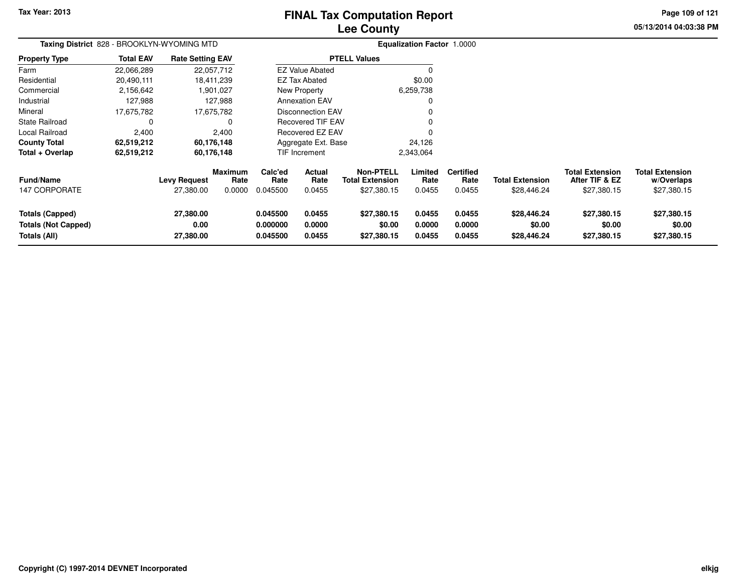**Tax Year: 2013**

# **Lee CountyFINAL Tax Computation Report**

**05/13/2014 04:03:38 PM Page 109 of 121**

| Taxing District 828 - BROOKLYN-WYOMING MTD                           |                  |                                |                                  | <b>Equalization Factor 1.0000</b>                                        |                            |                                                           |                            |                                    |                                       |                                                         |                                                     |
|----------------------------------------------------------------------|------------------|--------------------------------|----------------------------------|--------------------------------------------------------------------------|----------------------------|-----------------------------------------------------------|----------------------------|------------------------------------|---------------------------------------|---------------------------------------------------------|-----------------------------------------------------|
| <b>Property Type</b>                                                 | <b>Total EAV</b> | <b>Rate Setting EAV</b>        |                                  |                                                                          |                            | <b>PTELL Values</b>                                       |                            |                                    |                                       |                                                         |                                                     |
| Farm                                                                 | 22,066,289       |                                | 22,057,712                       |                                                                          | <b>EZ Value Abated</b>     |                                                           |                            |                                    |                                       |                                                         |                                                     |
| Residential                                                          | 20,490,111       |                                | 18,411,239                       |                                                                          | <b>EZ Tax Abated</b>       |                                                           | \$0.00                     |                                    |                                       |                                                         |                                                     |
| Commercial                                                           | 2,156,642        |                                | 1,901,027                        |                                                                          | New Property               |                                                           | 6,259,738                  |                                    |                                       |                                                         |                                                     |
| Industrial                                                           | 127,988          |                                | 127,988                          |                                                                          | <b>Annexation EAV</b>      |                                                           | 0                          |                                    |                                       |                                                         |                                                     |
| Mineral                                                              | 17,675,782       |                                | 17,675,782                       | <b>Disconnection EAV</b><br><b>Recovered TIF EAV</b><br>Recovered EZ EAV |                            |                                                           |                            |                                    |                                       |                                                         |                                                     |
| <b>State Railroad</b>                                                | 0                |                                | 0                                |                                                                          |                            |                                                           |                            |                                    |                                       |                                                         |                                                     |
| Local Railroad                                                       | 2,400            |                                | 2,400                            |                                                                          |                            |                                                           |                            |                                    |                                       |                                                         |                                                     |
| <b>County Total</b>                                                  | 62,519,212       |                                | 60,176,148                       |                                                                          | Aggregate Ext. Base        |                                                           | 24,126                     |                                    |                                       |                                                         |                                                     |
| Total + Overlap                                                      | 62,519,212       |                                | 60,176,148                       |                                                                          | TIF Increment              |                                                           | 2,343,064                  |                                    |                                       |                                                         |                                                     |
| <b>Fund/Name</b><br>147 CORPORATE                                    |                  | Levy Request<br>27,380.00      | <b>Maximum</b><br>Rate<br>0.0000 | Calc'ed<br>Rate<br>0.045500                                              | Actual<br>Rate<br>0.0455   | <b>Non-PTELL</b><br><b>Total Extension</b><br>\$27,380.15 | Limited<br>Rate<br>0.0455  | <b>Certified</b><br>Rate<br>0.0455 | <b>Total Extension</b><br>\$28,446.24 | <b>Total Extension</b><br>After TIF & EZ<br>\$27,380.15 | <b>Total Extension</b><br>w/Overlaps<br>\$27,380.15 |
| <b>Totals (Capped)</b><br><b>Totals (Not Capped)</b><br>Totals (All) |                  | 27,380.00<br>0.00<br>27,380.00 |                                  | 0.045500<br>0.000000<br>0.045500                                         | 0.0455<br>0.0000<br>0.0455 | \$27,380.15<br>\$0.00<br>\$27,380.15                      | 0.0455<br>0.0000<br>0.0455 | 0.0455<br>0.0000<br>0.0455         | \$28,446.24<br>\$0.00<br>\$28,446.24  | \$27,380.15<br>\$0.00<br>\$27,380.15                    | \$27,380.15<br>\$0.00<br>\$27,380.15                |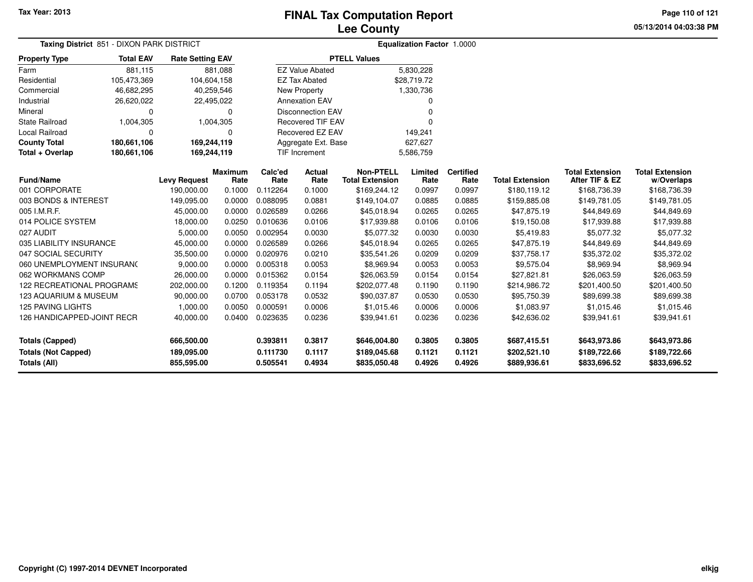**05/13/2014 04:03:38 PMPage 110 of 121**

| Taxing District 851 - DIXON PARK DISTRICT |                  |                                     |                        |                 |                          |                                            | Equalization Factor 1.0000 |                          |                        |                                          |                                      |
|-------------------------------------------|------------------|-------------------------------------|------------------------|-----------------|--------------------------|--------------------------------------------|----------------------------|--------------------------|------------------------|------------------------------------------|--------------------------------------|
| <b>Property Type</b>                      | <b>Total EAV</b> | <b>Rate Setting EAV</b>             |                        |                 |                          | <b>PTELL Values</b>                        |                            |                          |                        |                                          |                                      |
| Farm                                      | 881,115          |                                     | 881,088                |                 | <b>EZ Value Abated</b>   |                                            | 5,830,228                  |                          |                        |                                          |                                      |
| Residential                               | 105,473,369      | 104,604,158                         |                        |                 | <b>EZ Tax Abated</b>     |                                            | \$28,719.72                |                          |                        |                                          |                                      |
| Commercial                                | 46,682,295       | 40,259,546                          |                        |                 | New Property             |                                            | 1,330,736                  |                          |                        |                                          |                                      |
| Industrial                                | 26,620,022       |                                     | 22,495,022             |                 | <b>Annexation EAV</b>    |                                            | 0                          |                          |                        |                                          |                                      |
| Mineral                                   | $\Omega$         |                                     | $\Omega$               |                 | <b>Disconnection EAV</b> |                                            | $\Omega$                   |                          |                        |                                          |                                      |
| <b>State Railroad</b>                     | 1,004,305        |                                     | 1,004,305              |                 | <b>Recovered TIF EAV</b> |                                            | $\Omega$                   |                          |                        |                                          |                                      |
| Local Railroad                            | $\Omega$         |                                     | $\Omega$               |                 | Recovered EZ EAV         |                                            | 149,241                    |                          |                        |                                          |                                      |
| <b>County Total</b>                       | 180,661,106      | 169,244,119                         |                        |                 | Aggregate Ext. Base      |                                            | 627,627                    |                          |                        |                                          |                                      |
| Total + Overlap                           | 180,661,106      | 169,244,119<br><b>TIF Increment</b> |                        |                 |                          | 5,586,759                                  |                            |                          |                        |                                          |                                      |
| <b>Fund/Name</b>                          |                  | <b>Levy Request</b>                 | <b>Maximum</b><br>Rate | Calc'ed<br>Rate | <b>Actual</b><br>Rate    | <b>Non-PTELL</b><br><b>Total Extension</b> | Limited<br>Rate            | <b>Certified</b><br>Rate | <b>Total Extension</b> | <b>Total Extension</b><br>After TIF & EZ | <b>Total Extension</b><br>w/Overlaps |
| 001 CORPORATE                             |                  | 190,000.00                          | 0.1000                 | 0.112264        | 0.1000                   | \$169,244.12                               | 0.0997                     | 0.0997                   | \$180,119.12           | \$168,736.39                             | \$168,736.39                         |
| 003 BONDS & INTEREST                      |                  | 149,095.00                          | 0.0000                 | 0.088095        | 0.0881                   | \$149,104.07                               | 0.0885                     | 0.0885                   | \$159,885.08           | \$149,781.05                             | \$149,781.05                         |
| 005 I.M.R.F.                              |                  | 45,000.00                           | 0.0000                 | 0.026589        | 0.0266                   | \$45,018.94                                | 0.0265                     | 0.0265                   | \$47,875.19            | \$44,849.69                              | \$44,849.69                          |
| 014 POLICE SYSTEM                         |                  | 18,000.00                           | 0.0250                 | 0.010636        | 0.0106                   | \$17,939.88                                | 0.0106                     | 0.0106                   | \$19,150.08            | \$17,939.88                              | \$17,939.88                          |
| 027 AUDIT                                 |                  | 5,000.00                            | 0.0050                 | 0.002954        | 0.0030                   | \$5,077.32                                 | 0.0030                     | 0.0030                   | \$5,419.83             | \$5,077.32                               | \$5,077.32                           |
| 035 LIABILITY INSURANCE                   |                  | 45,000.00                           | 0.0000                 | 0.026589        | 0.0266                   | \$45,018.94                                | 0.0265                     | 0.0265                   | \$47,875.19            | \$44,849.69                              | \$44,849.69                          |
| 047 SOCIAL SECURITY                       |                  | 35,500.00                           | 0.0000                 | 0.020976        | 0.0210                   | \$35,541.26                                | 0.0209                     | 0.0209                   | \$37,758.17            | \$35,372.02                              | \$35,372.02                          |
| 060 UNEMPLOYMENT INSURANC                 |                  | 9,000.00                            | 0.0000                 | 0.005318        | 0.0053                   | \$8,969.94                                 | 0.0053                     | 0.0053                   | \$9,575.04             | \$8,969.94                               | \$8,969.94                           |
| 062 WORKMANS COMP                         |                  | 26,000.00                           | 0.0000                 | 0.015362        | 0.0154                   | \$26,063.59                                | 0.0154                     | 0.0154                   | \$27,821.81            | \$26,063.59                              | \$26,063.59                          |
| 122 RECREATIONAL PROGRAMS                 |                  | 202,000.00                          | 0.1200                 | 0.119354        | 0.1194                   | \$202,077.48                               | 0.1190                     | 0.1190                   | \$214,986.72           | \$201,400.50                             | \$201,400.50                         |
| 123 AQUARIUM & MUSEUM                     |                  | 90,000.00                           | 0.0700                 | 0.053178        | 0.0532                   | \$90,037.87                                | 0.0530                     | 0.0530                   | \$95,750.39            | \$89,699.38                              | \$89,699.38                          |
| <b>125 PAVING LIGHTS</b>                  |                  | 1,000.00                            | 0.0050                 | 0.000591        | 0.0006                   | \$1,015.46                                 | 0.0006                     | 0.0006                   | \$1,083.97             | \$1,015.46                               | \$1,015.46                           |
| 126 HANDICAPPED-JOINT RECR                |                  | 40,000.00                           | 0.0400                 | 0.023635        | 0.0236                   | \$39,941.61                                | 0.0236                     | 0.0236                   | \$42,636.02            | \$39,941.61                              | \$39,941.61                          |
| <b>Totals (Capped)</b>                    |                  | 666,500.00                          |                        | 0.393811        | 0.3817                   | \$646,004.80                               | 0.3805                     | 0.3805                   | \$687,415.51           | \$643,973.86                             | \$643,973.86                         |
| <b>Totals (Not Capped)</b>                |                  | 189,095.00                          |                        | 0.111730        | 0.1117                   | \$189,045.68                               | 0.1121                     | 0.1121                   | \$202,521.10           | \$189,722.66                             | \$189,722.66                         |
| Totals (All)                              |                  | 855,595.00                          |                        | 0.505541        | 0.4934                   | \$835,050.48                               | 0.4926                     | 0.4926                   | \$889,936.61           | \$833,696.52                             | \$833,696.52                         |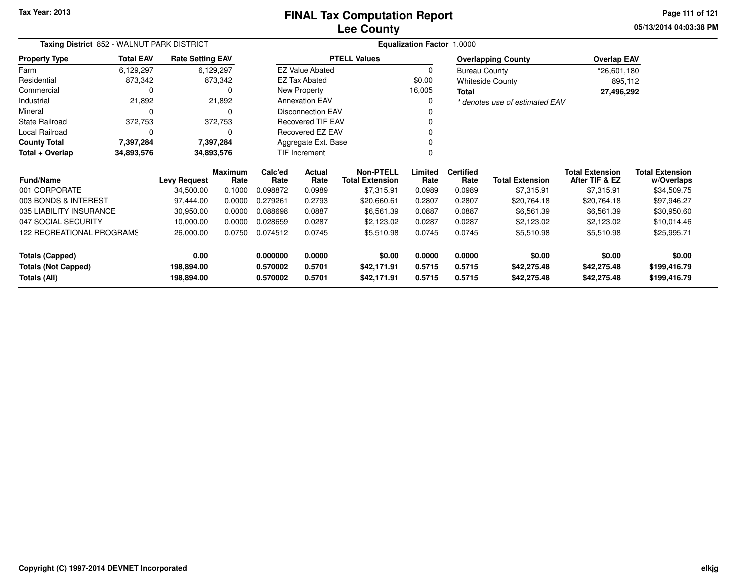**05/13/2014 04:03:38 PMPage 111 of 121**

| Taxing District 852 - WALNUT PARK DISTRICT<br><b>Total EAV</b><br><b>Rate Setting EAV</b><br><b>Property Type</b> |            |                                                                                                                                                                                                                                                                                    |           |                 |                          |                                                               | <b>Equalization Factor 1.0000</b>        |                                      |                                |                           |              |  |
|-------------------------------------------------------------------------------------------------------------------|------------|------------------------------------------------------------------------------------------------------------------------------------------------------------------------------------------------------------------------------------------------------------------------------------|-----------|-----------------|--------------------------|---------------------------------------------------------------|------------------------------------------|--------------------------------------|--------------------------------|---------------------------|--------------|--|
|                                                                                                                   |            |                                                                                                                                                                                                                                                                                    |           |                 |                          | <b>PTELL Values</b>                                           |                                          |                                      | <b>Overlapping County</b>      | <b>Overlap EAV</b>        |              |  |
| Farm                                                                                                              | 6,129,297  |                                                                                                                                                                                                                                                                                    | 6,129,297 |                 | <b>EZ Value Abated</b>   |                                                               | 0                                        | <b>Bureau County</b>                 |                                | *26,601,180               |              |  |
| Residential                                                                                                       | 873,342    |                                                                                                                                                                                                                                                                                    | 873,342   |                 | EZ Tax Abated            |                                                               | \$0.00                                   |                                      | <b>Whiteside County</b>        | 895,112                   |              |  |
| Commercial                                                                                                        | 0          |                                                                                                                                                                                                                                                                                    | 0         |                 | New Property             |                                                               | 16,005                                   | Total                                |                                | 27,496,292                |              |  |
| Industrial                                                                                                        | 21,892     |                                                                                                                                                                                                                                                                                    | 21,892    |                 | <b>Annexation EAV</b>    |                                                               | $\Omega$                                 |                                      | * denotes use of estimated EAV |                           |              |  |
| Mineral                                                                                                           | 0          |                                                                                                                                                                                                                                                                                    | 0         |                 | <b>Disconnection EAV</b> |                                                               |                                          |                                      |                                |                           |              |  |
| <b>State Railroad</b>                                                                                             | 372,753    |                                                                                                                                                                                                                                                                                    | 372,753   |                 | <b>Recovered TIF EAV</b> |                                                               |                                          |                                      |                                |                           |              |  |
| Local Railroad                                                                                                    | $\Omega$   |                                                                                                                                                                                                                                                                                    | 0         |                 |                          |                                                               |                                          |                                      |                                |                           |              |  |
| <b>County Total</b>                                                                                               | 7,397,284  |                                                                                                                                                                                                                                                                                    |           |                 |                          |                                                               |                                          |                                      |                                |                           |              |  |
| Total + Overlap                                                                                                   | 34,893,576 |                                                                                                                                                                                                                                                                                    |           |                 |                          |                                                               | <sup>0</sup>                             |                                      |                                |                           |              |  |
| Fund/Name                                                                                                         |            | Recovered EZ EAV<br>7,397,284<br>Aggregate Ext. Base<br>TIF Increment<br>34,893,576<br><b>Non-PTELL</b><br><b>Maximum</b><br>Calc'ed<br>Actual<br><b>Levy Request</b><br>Rate<br>Rate<br>Rate<br><b>Total Extension</b><br>0.1000<br>34,500.00<br>0.098872<br>\$7,315.91<br>0.0989 |           | Limited<br>Rate | <b>Certified</b><br>Rate | <b>Total Extension</b>                                        | <b>Total Extension</b><br>After TIF & EZ | <b>Total Extension</b><br>w/Overlaps |                                |                           |              |  |
| 001 CORPORATE                                                                                                     |            |                                                                                                                                                                                                                                                                                    |           |                 |                          |                                                               | 0.0989                                   | 0.0989                               | \$7,315.91                     | \$7,315.91                | \$34,509.75  |  |
| 003 BONDS & INTEREST                                                                                              |            | 97,444.00                                                                                                                                                                                                                                                                          | 0.0000    | 0.279261        | 0.2793                   | \$20,660.61                                                   | 0.2807                                   | 0.2807                               | \$20,764.18                    | \$20,764.18               | \$97,946.27  |  |
| 035 LIABILITY INSURANCE                                                                                           |            | 30,950.00                                                                                                                                                                                                                                                                          | 0.0000    | 0.088698        | 0.0887                   | \$6,561.39                                                    | 0.0887                                   | 0.0887                               | \$6,561.39                     | \$6,561.39                | \$30,950.60  |  |
| 047 SOCIAL SECURITY                                                                                               |            | 10,000.00                                                                                                                                                                                                                                                                          | 0.0000    | 0.028659        | 0.0287                   | \$2,123.02                                                    | 0.0287                                   | 0.0287                               | \$2,123.02                     | \$2,123.02                | \$10,014.46  |  |
| 122 RECREATIONAL PROGRAMS                                                                                         |            | 26,000.00                                                                                                                                                                                                                                                                          | 0.0750    | 0.074512        | 0.0745                   | \$5,510.98                                                    | 0.0745                                   | 0.0745                               | \$5,510.98                     | \$5,510.98<br>\$25,995.71 |              |  |
| <b>Totals (Capped)</b>                                                                                            |            | 0.00                                                                                                                                                                                                                                                                               |           | 0.000000        | 0.0000                   | \$0.00                                                        | 0.0000                                   | 0.0000                               | \$0.00                         | \$0.00                    | \$0.00       |  |
| <b>Totals (Not Capped)</b>                                                                                        |            | 198,894.00                                                                                                                                                                                                                                                                         |           | 0.570002        | 0.5701                   | 0.5715<br>\$42,171.91<br>0.5715<br>\$42,275.48<br>\$42,275.48 |                                          |                                      | \$199,416.79                   |                           |              |  |
| Totals (All)                                                                                                      |            | 198,894.00                                                                                                                                                                                                                                                                         |           | 0.570002        | 0.5701                   | \$42,171.91                                                   | 0.5715                                   | 0.5715                               | \$42,275.48                    | \$42,275.48               | \$199,416.79 |  |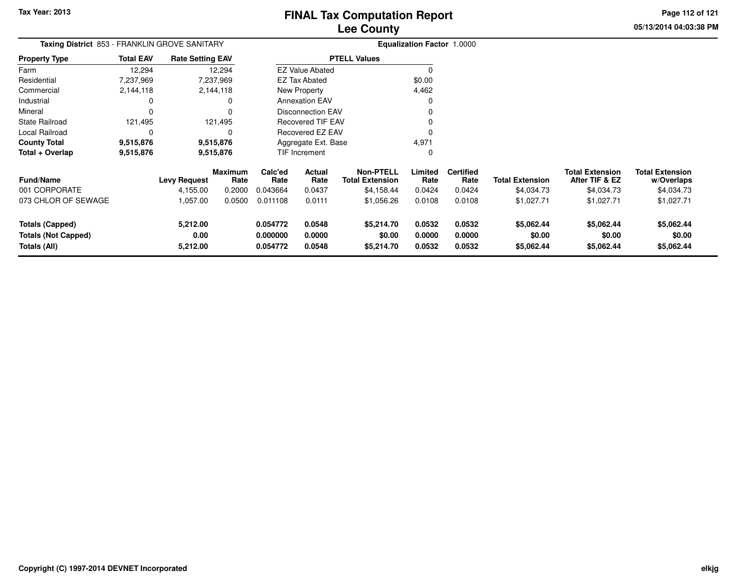**05/13/2014 04:03:38 PMPage 112 of 121**

| Taxing District 853 - FRANKLIN GROVE SANITARY |                  |                         |                        |                               |                         |                                            | Equalization Factor 1.0000 |                          |                        |                                          |                                      |
|-----------------------------------------------|------------------|-------------------------|------------------------|-------------------------------|-------------------------|--------------------------------------------|----------------------------|--------------------------|------------------------|------------------------------------------|--------------------------------------|
| <b>Property Type</b>                          | <b>Total EAV</b> | <b>Rate Setting EAV</b> |                        |                               |                         | <b>PTELL Values</b>                        |                            |                          |                        |                                          |                                      |
| Farm                                          | 12,294           |                         | 12,294                 |                               | <b>EZ Value Abated</b>  |                                            | $\Omega$                   |                          |                        |                                          |                                      |
| Residential                                   | 7,237,969        |                         | 7,237,969              |                               | EZ Tax Abated           |                                            | \$0.00                     |                          |                        |                                          |                                      |
| Commercial                                    | 2,144,118        |                         | 2,144,118              |                               | New Property            |                                            | 4,462                      |                          |                        |                                          |                                      |
| Industrial                                    | 0                |                         | 0                      |                               | <b>Annexation EAV</b>   |                                            | 0                          |                          |                        |                                          |                                      |
| Mineral                                       |                  |                         |                        | <b>Disconnection EAV</b><br>0 |                         |                                            |                            |                          |                        |                                          |                                      |
| <b>State Railroad</b>                         | 121,495          |                         | 121,495                | <b>Recovered TIF EAV</b>      |                         |                                            |                            |                          |                        |                                          |                                      |
| Local Railroad                                | $\Omega$         |                         | $\Omega$               |                               | <b>Recovered EZ EAV</b> |                                            | C                          |                          |                        |                                          |                                      |
| <b>County Total</b>                           | 9,515,876        |                         | 9,515,876              |                               | Aggregate Ext. Base     |                                            | 4,971                      |                          |                        |                                          |                                      |
| Total + Overlap                               | 9,515,876        | 9,515,876               |                        |                               | TIF Increment           |                                            | 0                          |                          |                        |                                          |                                      |
| <b>Fund/Name</b>                              |                  | <b>Levy Request</b>     | <b>Maximum</b><br>Rate | Calc'ed<br>Rate               | <b>Actual</b><br>Rate   | <b>Non-PTELL</b><br><b>Total Extension</b> | Limited<br>Rate            | <b>Certified</b><br>Rate | <b>Total Extension</b> | <b>Total Extension</b><br>After TIF & EZ | <b>Total Extension</b><br>w/Overlaps |
| 001 CORPORATE                                 |                  | 4,155.00                | 0.2000                 | 0.043664                      | 0.0437                  | \$4,158.44                                 | 0.0424                     | 0.0424                   | \$4,034.73             | \$4,034.73                               | \$4,034.73                           |
| 073 CHLOR OF SEWAGE                           |                  | 1,057.00                | 0.0500                 | 0.011108                      | 0.0111                  | \$1,056.26                                 | 0.0108                     | 0.0108                   | \$1,027.71             | \$1,027.71                               | \$1,027.71                           |
| <b>Totals (Capped)</b>                        |                  | 5,212.00                |                        | 0.054772                      | 0.0548                  | \$5,214.70                                 | 0.0532                     | 0.0532                   | \$5,062.44             | \$5,062.44                               | \$5,062.44                           |
| <b>Totals (Not Capped)</b><br>Totals (All)    |                  | 0.00<br>5,212.00        |                        | 0.000000<br>0.054772          | 0.0000<br>0.0548        | \$0.00<br>\$5,214.70                       | 0.0000<br>0.0532           | 0.0000<br>0.0532         | \$0.00<br>\$5,062.44   | \$0.00<br>\$5,062.44                     | \$0.00<br>\$5,062.44                 |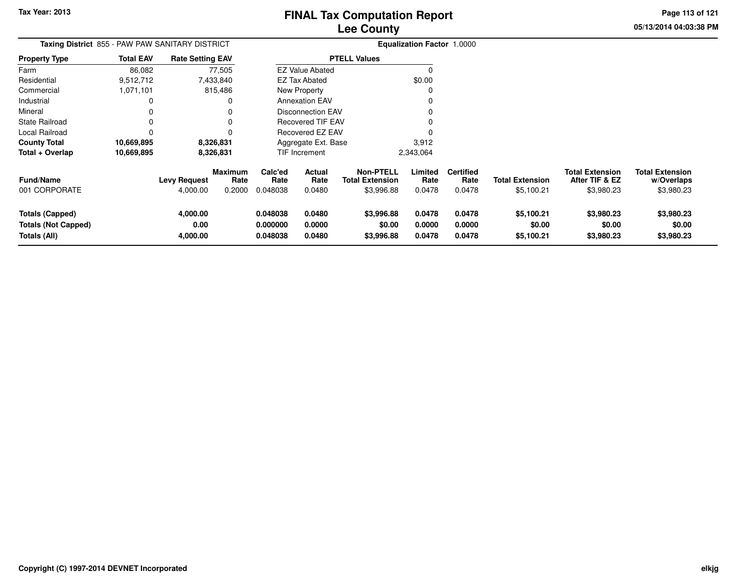**05/13/2014 04:03:38 PMPage 113 of 121**

| Taxing District 855 - PAW PAW SANITARY DISTRICT<br><b>Total EAV</b><br><b>Rate Setting EAV</b> |            |                                 |                                  |                                  |                            |                                                          | <b>Equalization Factor 1.0000</b> |                                    |                                      |                                                        |                                                    |
|------------------------------------------------------------------------------------------------|------------|---------------------------------|----------------------------------|----------------------------------|----------------------------|----------------------------------------------------------|-----------------------------------|------------------------------------|--------------------------------------|--------------------------------------------------------|----------------------------------------------------|
| <b>Property Type</b>                                                                           |            |                                 |                                  |                                  |                            | <b>PTELL Values</b>                                      |                                   |                                    |                                      |                                                        |                                                    |
| Farm                                                                                           | 86,082     |                                 | 77,505                           |                                  | <b>EZ Value Abated</b>     |                                                          | $\Omega$                          |                                    |                                      |                                                        |                                                    |
| Residential                                                                                    | 9,512,712  |                                 | 7,433,840                        |                                  | EZ Tax Abated              |                                                          | \$0.00                            |                                    |                                      |                                                        |                                                    |
| Commercial                                                                                     | 1,071,101  |                                 | 815,486                          |                                  | New Property               |                                                          |                                   |                                    |                                      |                                                        |                                                    |
| Industrial                                                                                     | 0          |                                 | 0                                |                                  | <b>Annexation EAV</b>      |                                                          |                                   |                                    |                                      |                                                        |                                                    |
| Mineral                                                                                        | 0          |                                 | 0                                |                                  | <b>Disconnection EAV</b>   |                                                          |                                   |                                    |                                      |                                                        |                                                    |
| <b>State Railroad</b>                                                                          |            |                                 | 0                                |                                  | <b>Recovered TIF EAV</b>   |                                                          |                                   |                                    |                                      |                                                        |                                                    |
| Local Railroad                                                                                 | 0          |                                 | 0                                | Recovered EZ EAV                 |                            |                                                          |                                   |                                    |                                      |                                                        |                                                    |
| <b>County Total</b>                                                                            | 10,669,895 |                                 | 8,326,831                        |                                  | Aggregate Ext. Base        |                                                          | 3,912                             |                                    |                                      |                                                        |                                                    |
| Total + Overlap                                                                                | 10,669,895 |                                 | 8,326,831                        |                                  | TIF Increment              |                                                          | 2,343,064                         |                                    |                                      |                                                        |                                                    |
| <b>Fund/Name</b><br>001 CORPORATE                                                              |            | <b>Levy Request</b><br>4,000.00 | <b>Maximum</b><br>Rate<br>0.2000 | Calc'ed<br>Rate<br>0.048038      | Actual<br>Rate<br>0.0480   | <b>Non-PTELL</b><br><b>Total Extension</b><br>\$3,996.88 | Limited<br>Rate<br>0.0478         | <b>Certified</b><br>Rate<br>0.0478 | <b>Total Extension</b><br>\$5,100.21 | <b>Total Extension</b><br>After TIF & EZ<br>\$3,980.23 | <b>Total Extension</b><br>w/Overlaps<br>\$3,980.23 |
| <b>Totals (Capped)</b><br><b>Totals (Not Capped)</b><br>Totals (All)                           |            | 4,000.00<br>0.00<br>4,000.00    |                                  | 0.048038<br>0.000000<br>0.048038 | 0.0480<br>0.0000<br>0.0480 | \$3,996.88<br>\$0.00<br>\$3,996.88                       | 0.0478<br>0.0000<br>0.0478        | 0.0478<br>0.0000<br>0.0478         | \$5,100.21<br>\$0.00<br>\$5,100.21   | \$3,980.23<br>\$0.00<br>\$3,980.23                     | \$3,980.23<br>\$0.00<br>\$3,980.23                 |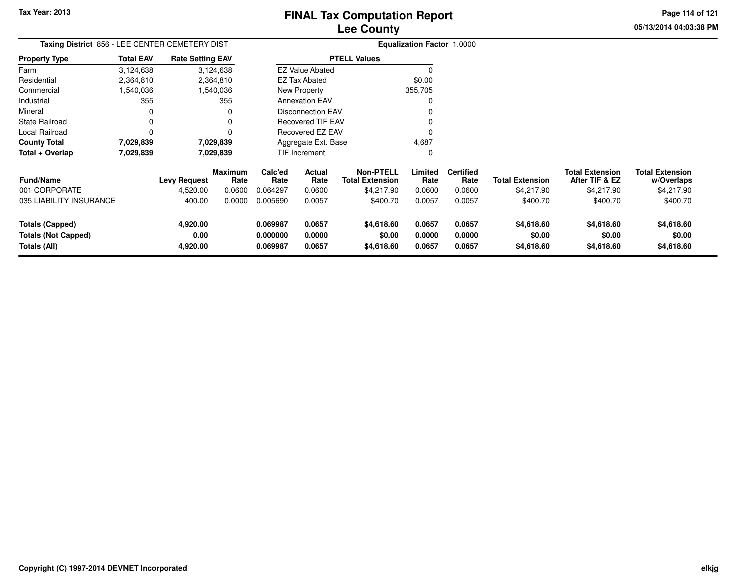**05/13/2014 04:03:38 PM Page 114 of 121**

| Taxing District 856 - LEE CENTER CEMETERY DIST<br><b>Total EAV</b><br><b>Rate Setting EAV</b> |                        |                  |                 |                                               |                          |                                            | <b>Equalization Factor 1.0000</b> |                          |                        |                                          |                                      |
|-----------------------------------------------------------------------------------------------|------------------------|------------------|-----------------|-----------------------------------------------|--------------------------|--------------------------------------------|-----------------------------------|--------------------------|------------------------|------------------------------------------|--------------------------------------|
| <b>Property Type</b>                                                                          |                        |                  |                 | <b>PTELL Values</b><br><b>EZ Value Abated</b> |                          |                                            |                                   |                          |                        |                                          |                                      |
| Farm                                                                                          | 3,124,638              |                  | 3,124,638       |                                               |                          |                                            |                                   |                          |                        |                                          |                                      |
| Residential                                                                                   | 2,364,810              |                  | 2,364,810       |                                               | <b>EZ Tax Abated</b>     |                                            | \$0.00                            |                          |                        |                                          |                                      |
| Commercial                                                                                    | 1,540,036              |                  | 1,540,036       |                                               | New Property             |                                            | 355,705                           |                          |                        |                                          |                                      |
| Industrial                                                                                    | 355                    |                  | 355             |                                               | <b>Annexation EAV</b>    |                                            | <sup>0</sup>                      |                          |                        |                                          |                                      |
| Mineral                                                                                       |                        |                  |                 |                                               | <b>Disconnection EAV</b> |                                            |                                   |                          |                        |                                          |                                      |
| <b>State Railroad</b>                                                                         |                        |                  |                 |                                               | <b>Recovered TIF EAV</b> |                                            |                                   |                          |                        |                                          |                                      |
| Local Railroad                                                                                |                        |                  |                 | Recovered EZ EAV                              |                          |                                            |                                   |                          |                        |                                          |                                      |
| <b>County Total</b>                                                                           | 7,029,839              |                  | 7,029,839       | 4,687<br>Aggregate Ext. Base                  |                          |                                            |                                   |                          |                        |                                          |                                      |
| Total + Overlap                                                                               | 7,029,839<br>7,029,839 |                  |                 |                                               | TIF Increment            |                                            | 0                                 |                          |                        |                                          |                                      |
| <b>Fund/Name</b>                                                                              |                        | Levy Request     | Maximum<br>Rate | Calc'ed<br>Rate                               | Actual<br>Rate           | <b>Non-PTELL</b><br><b>Total Extension</b> | Limited<br>Rate                   | <b>Certified</b><br>Rate | <b>Total Extension</b> | <b>Total Extension</b><br>After TIF & EZ | <b>Total Extension</b><br>w/Overlaps |
| 001 CORPORATE                                                                                 |                        | 4,520.00         | 0.0600          | 0.064297                                      | 0.0600                   | \$4,217.90                                 | 0.0600                            | 0.0600                   | \$4,217.90             | \$4,217.90                               | \$4,217.90                           |
| 035 LIABILITY INSURANCE                                                                       |                        | 400.00           | 0.0000          | 0.005690                                      | 0.0057                   | \$400.70                                   | 0.0057                            | 0.0057                   | \$400.70               | \$400.70                                 | \$400.70                             |
| Totals (Capped)<br><b>Totals (Not Capped)</b>                                                 |                        | 4,920.00<br>0.00 |                 | 0.069987<br>0.000000                          | 0.0657<br>0.0000         | \$4,618.60<br>\$0.00                       | 0.0657<br>0.0000                  | 0.0657<br>0.0000         | \$4,618.60<br>\$0.00   | \$4,618.60<br>\$0.00                     | \$4,618.60<br>\$0.00                 |
| Totals (All)                                                                                  |                        | 4,920.00         |                 | 0.069987                                      | 0.0657                   | \$4,618.60                                 | 0.0657                            | 0.0657                   | \$4,618.60             | \$4,618.60                               | \$4,618.60                           |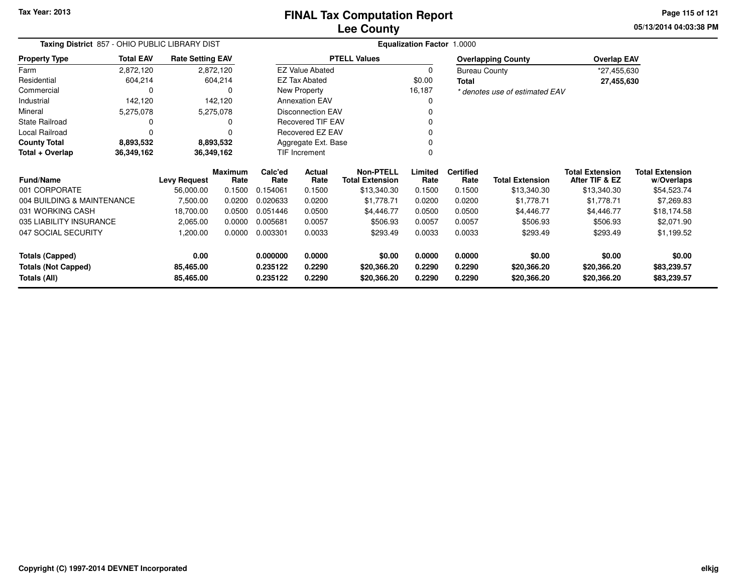**Tax Year: 2013**

#### **Lee CountyFINAL Tax Computation Report**

**05/13/2014 04:03:38 PM Page 115 of 121**

| Taxing District 857 - OHIO PUBLIC LIBRARY DIST<br><b>Total EAV</b><br><b>Rate Setting EAV</b><br><b>Property Type</b> |            |                     |                        |                 |                          |                                            | Equalization Factor 1.0000 |                                      |                                |                                          |                                      |  |
|-----------------------------------------------------------------------------------------------------------------------|------------|---------------------|------------------------|-----------------|--------------------------|--------------------------------------------|----------------------------|--------------------------------------|--------------------------------|------------------------------------------|--------------------------------------|--|
|                                                                                                                       |            |                     |                        |                 |                          | <b>PTELL Values</b>                        |                            |                                      | <b>Overlapping County</b>      | <b>Overlap EAV</b>                       |                                      |  |
| Farm                                                                                                                  | 2,872,120  |                     | 2,872,120              |                 | <b>EZ Value Abated</b>   |                                            | 0                          | <b>Bureau County</b>                 |                                | *27,455,630                              |                                      |  |
| Residential                                                                                                           | 604,214    |                     | 604,214                |                 | <b>EZ Tax Abated</b>     |                                            | \$0.00                     | <b>Total</b>                         |                                | 27,455,630                               |                                      |  |
| Commercial                                                                                                            | 0          |                     |                        |                 | New Property             |                                            | 16,187                     |                                      | * denotes use of estimated EAV |                                          |                                      |  |
| Industrial                                                                                                            | 142,120    |                     | 142,120                |                 | <b>Annexation EAV</b>    |                                            | 0                          |                                      |                                |                                          |                                      |  |
| Mineral                                                                                                               | 5,275,078  |                     | 5,275,078              |                 | <b>Disconnection EAV</b> |                                            | 0                          |                                      |                                |                                          |                                      |  |
| <b>State Railroad</b>                                                                                                 | 0          |                     |                        |                 | <b>Recovered TIF EAV</b> |                                            | 0                          |                                      |                                |                                          |                                      |  |
| Local Railroad                                                                                                        |            |                     |                        |                 | Recovered EZ EAV         |                                            | 0                          |                                      |                                |                                          |                                      |  |
| <b>County Total</b>                                                                                                   | 8,893,532  |                     | 8,893,532              |                 | Aggregate Ext. Base      |                                            |                            |                                      |                                |                                          |                                      |  |
| Total + Overlap                                                                                                       | 36,349,162 |                     | 36,349,162             |                 | TIF Increment            |                                            | 0                          |                                      |                                |                                          |                                      |  |
| <b>Fund/Name</b>                                                                                                      |            | <b>Levy Request</b> | <b>Maximum</b><br>Rate | Calc'ed<br>Rate | Actual<br>Rate           | <b>Non-PTELL</b><br><b>Total Extension</b> | Limited<br>Rate            | <b>Certified</b><br>Rate             | <b>Total Extension</b>         | <b>Total Extension</b><br>After TIF & EZ | <b>Total Extension</b><br>w/Overlaps |  |
| 001 CORPORATE                                                                                                         |            | 56,000.00           | 0.1500                 | 0.154061        | 0.1500                   | \$13,340.30                                | 0.1500                     | 0.1500                               | \$13,340.30                    | \$13,340.30                              | \$54,523.74                          |  |
| 004 BUILDING & MAINTENANCE                                                                                            |            | 7,500.00            | 0.0200                 | 0.020633        | 0.0200                   | \$1,778.71                                 | 0.0200                     | 0.0200                               | \$1,778.71                     | \$1,778.71                               | \$7,269.83                           |  |
| 031 WORKING CASH                                                                                                      |            | 18,700.00           | 0.0500                 | 0.051446        | 0.0500                   | \$4,446.77                                 | 0.0500                     | 0.0500                               | \$4,446.77                     | \$4,446.77                               | \$18,174.58                          |  |
| 035 LIABILITY INSURANCE                                                                                               |            | 2,065.00            | 0.0000                 | 0.005681        | 0.0057                   | \$506.93                                   | 0.0057                     | 0.0057                               | \$506.93                       | \$506.93                                 | \$2,071.90                           |  |
| 047 SOCIAL SECURITY                                                                                                   |            | 1,200.00            | 0.0000                 | 0.003301        | 0.0033                   | \$293.49                                   | 0.0033                     | 0.0033                               | \$293.49                       | \$293.49                                 | \$1,199.52                           |  |
| <b>Totals (Capped)</b>                                                                                                |            | 0.00                |                        | 0.000000        | 0.0000                   | \$0.00                                     | 0.0000                     | 0.0000                               | \$0.00                         | \$0.00                                   | \$0.00                               |  |
| <b>Totals (Not Capped)</b>                                                                                            |            | 85,465.00           |                        | 0.235122        | 0.2290                   | \$20,366.20                                | 0.2290                     | 0.2290<br>\$20,366.20<br>\$20,366.20 |                                |                                          | \$83,239.57                          |  |
| Totals (All)                                                                                                          |            | 85,465.00           |                        | 0.235122        | 0.2290                   | \$20,366.20                                | 0.2290                     | 0.2290                               | \$20,366.20                    | \$20,366.20                              | \$83,239.57                          |  |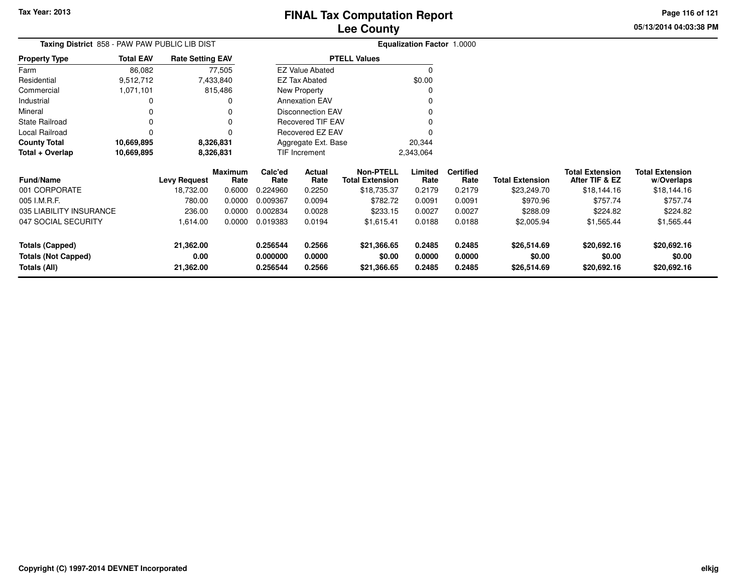**Totals (Not Capped)**

**Totals (All)**

### **Lee CountyFINAL Tax Computation Report**

**0.000000 0.0000 \$0.00 0.0000 0.0000 \$0.00 \$0.00 \$0.00**

**0.256544 0.2566 \$21,366.65 0.2485 0.2485 \$26,514.69 \$20,692.16 \$20,692.16**

**05/13/2014 04:03:38 PMPage 116 of 121**

| Taxing District 858 - PAW PAW PUBLIC LIB DIST |                         |                                                                |                | <b>Equalization Factor 1.0000</b>             |                          |                        |         |                  |                        |                        |                        |
|-----------------------------------------------|-------------------------|----------------------------------------------------------------|----------------|-----------------------------------------------|--------------------------|------------------------|---------|------------------|------------------------|------------------------|------------------------|
| <b>Property Type</b>                          | <b>Total EAV</b>        | <b>Rate Setting EAV</b>                                        |                | <b>PTELL Values</b><br><b>EZ Value Abated</b> |                          |                        |         |                  |                        |                        |                        |
| Farm                                          | 86,082                  |                                                                | 77,505         |                                               |                          |                        |         |                  |                        |                        |                        |
| Residential                                   | 9,512,712               |                                                                | 7,433,840      |                                               | <b>EZ Tax Abated</b>     |                        | \$0.00  |                  |                        |                        |                        |
| Commercial                                    | 1,071,101               |                                                                | 815,486        |                                               | <b>New Property</b>      |                        |         |                  |                        |                        |                        |
| Industrial                                    |                         |                                                                | 0              |                                               | <b>Annexation EAV</b>    |                        |         |                  |                        |                        |                        |
| Mineral                                       | $\Omega$                |                                                                | 0              |                                               | <b>Disconnection EAV</b> |                        |         |                  |                        |                        |                        |
| State Railroad                                | 0                       |                                                                | 0              |                                               | Recovered TIF EAV        |                        |         |                  |                        |                        |                        |
| Local Railroad                                | $\Omega$                |                                                                | 0              |                                               | Recovered EZ EAV         |                        |         |                  |                        |                        |                        |
| <b>County Total</b>                           | 10,669,895<br>8,326,831 |                                                                |                |                                               |                          | 20,344                 |         |                  |                        |                        |                        |
| Total + Overlap                               | 10,669,895              | Aggregate Ext. Base<br>TIF Increment<br>8,326,831<br>2,343,064 |                |                                               |                          |                        |         |                  |                        |                        |                        |
|                                               |                         |                                                                | <b>Maximum</b> | Calc'ed                                       | Actual                   | <b>Non-PTELL</b>       | Limited | <b>Certified</b> |                        | <b>Total Extension</b> | <b>Total Extension</b> |
| <b>Fund/Name</b>                              |                         | <b>Levy Request</b>                                            | Rate           | Rate                                          | Rate                     | <b>Total Extension</b> | Rate    | Rate             | <b>Total Extension</b> | After TIF & EZ         | w/Overlaps             |
| 001 CORPORATE                                 |                         | 18,732.00                                                      | 0.6000         | 0.224960                                      | 0.2250                   | \$18,735.37            | 0.2179  | 0.2179           | \$23,249.70            | \$18,144.16            | \$18,144.16            |
| 005 I.M.R.F.                                  |                         | 780.00                                                         | 0.0000         | 0.009367                                      | 0.0094                   | \$782.72               | 0.0091  | 0.0091           | \$970.96               | \$757.74               | \$757.74               |
| 035 LIABILITY INSURANCE                       |                         | 236.00                                                         | 0.0000         | 0.002834                                      | 0.0028                   | \$233.15               | 0.0027  | 0.0027           | \$288.09               | \$224.82               | \$224.82               |
| 047 SOCIAL SECURITY                           |                         | 1,614.00                                                       | 0.0000         | 0.019383                                      | 0.0194                   | \$1,615.41             | 0.0188  | 0.0188           | \$2,005.94             | \$1,565.44             | \$1,565.44             |
| <b>Totals (Capped)</b>                        |                         | 21,362.00                                                      |                | 0.256544                                      | 0.2566                   | \$21,366.65            | 0.2485  | 0.2485           | \$26,514.69            | \$20,692.16            | \$20,692.16            |

**0.00**

**21,362.00**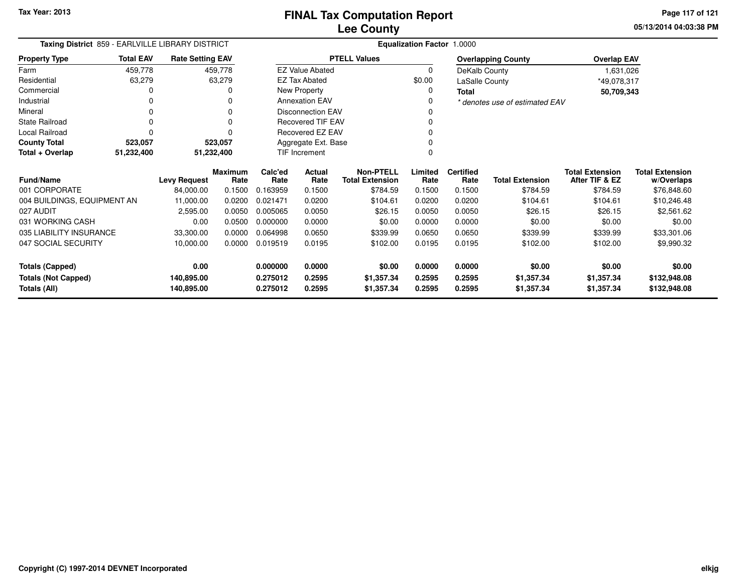**05/13/2014 04:03:38 PM Page 117 of 121**

| Taxing District 859 - EARLVILLE LIBRARY DISTRICT<br><b>Rate Setting EAV</b> |                  |                     |                        |                     |                          |                                            | Equalization Factor 1.0000 |                          |                                |                                          |                                      |
|-----------------------------------------------------------------------------|------------------|---------------------|------------------------|---------------------|--------------------------|--------------------------------------------|----------------------------|--------------------------|--------------------------------|------------------------------------------|--------------------------------------|
| <b>Property Type</b>                                                        | <b>Total EAV</b> |                     |                        |                     |                          | <b>PTELL Values</b>                        |                            |                          | <b>Overlapping County</b>      | <b>Overlap EAV</b>                       |                                      |
| Farm                                                                        | 459,778          |                     | 459,778                |                     | <b>EZ Value Abated</b>   |                                            | $\Omega$                   | DeKalb County            |                                | 1,631,026                                |                                      |
| Residential                                                                 | 63,279           |                     | 63,279                 |                     | <b>EZ Tax Abated</b>     |                                            | \$0.00                     | LaSalle County           |                                | *49,078,317                              |                                      |
| Commercial                                                                  |                  |                     | 0                      |                     | New Property             |                                            | 0                          | Total                    |                                | 50,709,343                               |                                      |
| Industrial                                                                  |                  |                     | 0                      |                     | <b>Annexation EAV</b>    |                                            | O                          |                          | * denotes use of estimated EAV |                                          |                                      |
| Mineral                                                                     |                  |                     |                        |                     | <b>Disconnection EAV</b> |                                            |                            |                          |                                |                                          |                                      |
| <b>State Railroad</b>                                                       |                  |                     | 0                      |                     | <b>Recovered TIF EAV</b> |                                            | 0                          |                          |                                |                                          |                                      |
| Local Railroad                                                              |                  |                     | 0                      | Recovered EZ EAV    |                          |                                            | 0                          |                          |                                |                                          |                                      |
| <b>County Total</b>                                                         | 523,057          |                     | 523,057                | Aggregate Ext. Base |                          |                                            | 0                          |                          |                                |                                          |                                      |
| Total + Overlap                                                             | 51,232,400       |                     | 51,232,400             |                     | TIF Increment<br>O       |                                            |                            |                          |                                |                                          |                                      |
| <b>Fund/Name</b>                                                            |                  | <b>Levy Request</b> | <b>Maximum</b><br>Rate | Calc'ed<br>Rate     | <b>Actual</b><br>Rate    | <b>Non-PTELL</b><br><b>Total Extension</b> | Limited<br>Rate            | <b>Certified</b><br>Rate | <b>Total Extension</b>         | <b>Total Extension</b><br>After TIF & EZ | <b>Total Extension</b><br>w/Overlaps |
| 001 CORPORATE                                                               |                  | 84,000.00           | 0.1500                 | 0.163959            | 0.1500                   | \$784.59                                   | 0.1500                     | 0.1500                   | \$784.59                       | \$784.59                                 | \$76,848.60                          |
| 004 BUILDINGS, EQUIPMENT AN                                                 |                  | 11,000.00           | 0.0200                 | 0.021471            | 0.0200                   | \$104.61                                   | 0.0200                     | 0.0200                   | \$104.61                       | \$104.61                                 | \$10,246.48                          |
| 027 AUDIT                                                                   |                  | 2,595.00            | 0.0050                 | 0.005065            | 0.0050                   | \$26.15                                    | 0.0050                     | 0.0050                   | \$26.15                        | \$26.15                                  | \$2,561.62                           |
| 031 WORKING CASH                                                            |                  | 0.00                | 0.0500                 | 0.000000            | 0.0000                   | \$0.00                                     | 0.0000                     | 0.0000                   | \$0.00                         | \$0.00                                   | \$0.00                               |
| 035 LIABILITY INSURANCE                                                     |                  | 33,300.00           | 0.0000                 | 0.064998            | 0.0650                   | \$339.99                                   | 0.0650                     | 0.0650                   | \$339.99                       | \$339.99                                 | \$33,301.06                          |
| 047 SOCIAL SECURITY                                                         |                  | 10,000.00           | 0.0000                 | 0.019519            | 0.0195                   | \$102.00                                   | 0.0195                     | 0.0195                   | \$102.00                       | \$102.00                                 | \$9,990.32                           |
| <b>Totals (Capped)</b>                                                      |                  | 0.00                |                        | 0.000000            | 0.0000                   | \$0.00                                     | 0.0000                     | 0.0000                   | \$0.00                         | \$0.00                                   | \$0.00                               |
| <b>Totals (Not Capped)</b>                                                  |                  | 140,895.00          |                        | 0.275012            | 0.2595                   | \$1,357.34                                 | 0.2595                     | 0.2595                   | \$1,357.34                     | \$1,357.34                               | \$132,948.08                         |
| Totals (All)                                                                |                  | 140,895.00          |                        | 0.275012            | 0.2595                   | \$1,357.34                                 | 0.2595                     | 0.2595                   | \$1,357.34                     | \$1,357.34                               | \$132,948.08                         |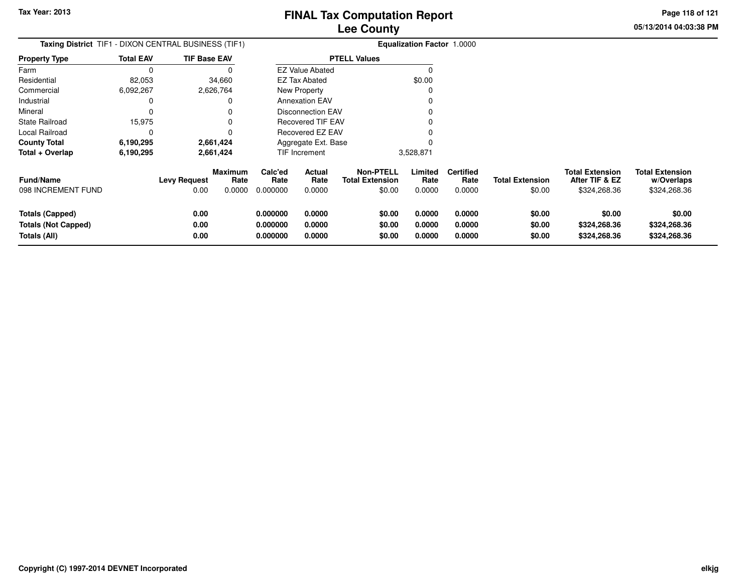**05/13/2014 04:03:38 PMPage 118 of 121**

| <b>Taxing District</b> TIF1 - DIXON CENTRAL BUSINESS (TIF1)          |                  |                             |                                  |                                  | <b>Equalization Factor 1.0000</b> |                                                      |                            |                                    |                                  |                                                          |                                                      |
|----------------------------------------------------------------------|------------------|-----------------------------|----------------------------------|----------------------------------|-----------------------------------|------------------------------------------------------|----------------------------|------------------------------------|----------------------------------|----------------------------------------------------------|------------------------------------------------------|
| Property Type                                                        | <b>Total EAV</b> | <b>TIF Base EAV</b>         |                                  |                                  |                                   | <b>PTELL Values</b>                                  |                            |                                    |                                  |                                                          |                                                      |
| Farm                                                                 | 0                |                             |                                  |                                  | <b>EZ Value Abated</b>            |                                                      | O                          |                                    |                                  |                                                          |                                                      |
| Residential                                                          | 82,053           |                             | 34,660                           |                                  | <b>EZ Tax Abated</b>              |                                                      | \$0.00                     |                                    |                                  |                                                          |                                                      |
| Commercial                                                           | 6,092,267        |                             | 2,626,764                        |                                  | New Property                      |                                                      |                            |                                    |                                  |                                                          |                                                      |
| Industrial                                                           | 0                |                             |                                  |                                  | <b>Annexation EAV</b>             |                                                      |                            |                                    |                                  |                                                          |                                                      |
| Mineral                                                              | 0                |                             |                                  |                                  | Disconnection EAV                 |                                                      |                            |                                    |                                  |                                                          |                                                      |
| State Railroad                                                       | 15,975           |                             |                                  |                                  | <b>Recovered TIF EAV</b>          |                                                      |                            |                                    |                                  |                                                          |                                                      |
| Local Railroad                                                       | 0                |                             |                                  | Recovered EZ EAV                 |                                   |                                                      |                            |                                    |                                  |                                                          |                                                      |
| County Total                                                         | 6,190,295        |                             | 2,661,424                        | Aggregate Ext. Base              |                                   |                                                      |                            |                                    |                                  |                                                          |                                                      |
| Total + Overlap                                                      | 6,190,295        |                             | 2,661,424                        | <b>TIF Increment</b>             |                                   |                                                      | 3,528,871                  |                                    |                                  |                                                          |                                                      |
| <b>Fund/Name</b><br>098 INCREMENT FUND                               |                  | <b>Levy Request</b><br>0.00 | <b>Maximum</b><br>Rate<br>0.0000 | Calc'ed<br>Rate<br>0.000000      | Actual<br>Rate<br>0.0000          | <b>Non-PTELL</b><br><b>Total Extension</b><br>\$0.00 | Limited<br>Rate<br>0.0000  | <b>Certified</b><br>Rate<br>0.0000 | <b>Total Extension</b><br>\$0.00 | <b>Total Extension</b><br>After TIF & EZ<br>\$324,268.36 | <b>Total Extension</b><br>w/Overlaps<br>\$324,268.36 |
| <b>Totals (Capped)</b><br><b>Totals (Not Capped)</b><br>Totals (All) |                  | 0.00<br>0.00<br>0.00        |                                  | 0.000000<br>0.000000<br>0.000000 | 0.0000<br>0.0000<br>0.0000        | \$0.00<br>\$0.00<br>\$0.00                           | 0.0000<br>0.0000<br>0.0000 | 0.0000<br>0.0000<br>0.0000         | \$0.00<br>\$0.00<br>\$0.00       | \$0.00<br>\$324,268.36<br>\$324,268.36                   | \$0.00<br>\$324,268.36<br>\$324,268.36               |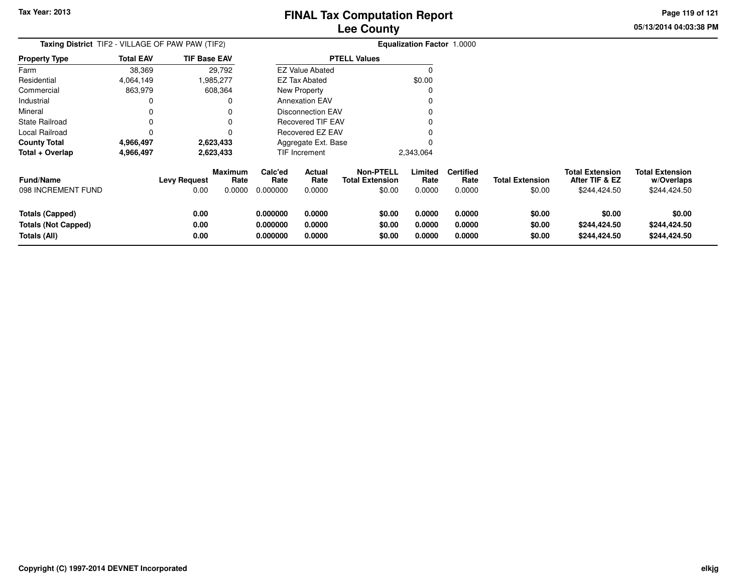**05/13/2014 04:03:38 PMPage 119 of 121**

|                                                               | <b>Taxing District</b> TIF2 - VILLAGE OF PAW PAW (TIF2)<br><b>TIF Base EAV</b> |                             |                                  |                                  |                            |                                                      | <b>Equalization Factor 1.0000</b> |                                    |                                  |                                                          |                                                      |
|---------------------------------------------------------------|--------------------------------------------------------------------------------|-----------------------------|----------------------------------|----------------------------------|----------------------------|------------------------------------------------------|-----------------------------------|------------------------------------|----------------------------------|----------------------------------------------------------|------------------------------------------------------|
| <b>Property Type</b>                                          | <b>Total EAV</b>                                                               |                             |                                  |                                  |                            | <b>PTELL Values</b>                                  |                                   |                                    |                                  |                                                          |                                                      |
| Farm                                                          | 38,369                                                                         |                             | 29,792                           |                                  | <b>EZ Value Abated</b>     |                                                      |                                   |                                    |                                  |                                                          |                                                      |
| Residential                                                   | 4,064,149                                                                      |                             | .985,277                         |                                  | <b>EZ Tax Abated</b>       |                                                      | \$0.00                            |                                    |                                  |                                                          |                                                      |
| Commercial                                                    | 863,979                                                                        |                             | 608,364                          |                                  | New Property               |                                                      |                                   |                                    |                                  |                                                          |                                                      |
| Industrial                                                    | 0                                                                              |                             |                                  |                                  | <b>Annexation EAV</b>      |                                                      |                                   |                                    |                                  |                                                          |                                                      |
| Mineral                                                       |                                                                                |                             |                                  |                                  | <b>Disconnection EAV</b>   |                                                      |                                   |                                    |                                  |                                                          |                                                      |
| State Railroad                                                |                                                                                |                             |                                  |                                  | Recovered TIF EAV          |                                                      |                                   |                                    |                                  |                                                          |                                                      |
| Local Railroad                                                | 0                                                                              |                             |                                  |                                  | Recovered EZ EAV           |                                                      |                                   |                                    |                                  |                                                          |                                                      |
| <b>County Total</b>                                           | 4,966,497                                                                      |                             | 2,623,433                        |                                  | Aggregate Ext. Base        |                                                      |                                   |                                    |                                  |                                                          |                                                      |
| Total + Overlap                                               | 4,966,497                                                                      |                             | 2,623,433                        | <b>TIF Increment</b>             |                            |                                                      | 2,343,064                         |                                    |                                  |                                                          |                                                      |
| <b>Fund/Name</b><br>098 INCREMENT FUND                        |                                                                                | <b>Levy Request</b><br>0.00 | <b>Maximum</b><br>Rate<br>0.0000 | Calc'ed<br>Rate<br>0.000000      | Actual<br>Rate<br>0.0000   | <b>Non-PTELL</b><br><b>Total Extension</b><br>\$0.00 | Limited<br>Rate<br>0.0000         | <b>Certified</b><br>Rate<br>0.0000 | <b>Total Extension</b><br>\$0.00 | <b>Total Extension</b><br>After TIF & EZ<br>\$244,424.50 | <b>Total Extension</b><br>w/Overlaps<br>\$244,424.50 |
| Totals (Capped)<br><b>Totals (Not Capped)</b><br>Totals (All) |                                                                                | 0.00<br>0.00<br>0.00        |                                  | 0.000000<br>0.000000<br>0.000000 | 0.0000<br>0.0000<br>0.0000 | \$0.00<br>\$0.00<br>\$0.00                           | 0.0000<br>0.0000<br>0.0000        | 0.0000<br>0.0000<br>0.0000         | \$0.00<br>\$0.00<br>\$0.00       | \$0.00<br>\$244,424.50<br>\$244,424.50                   | \$0.00<br>\$244,424.50<br>\$244,424.50               |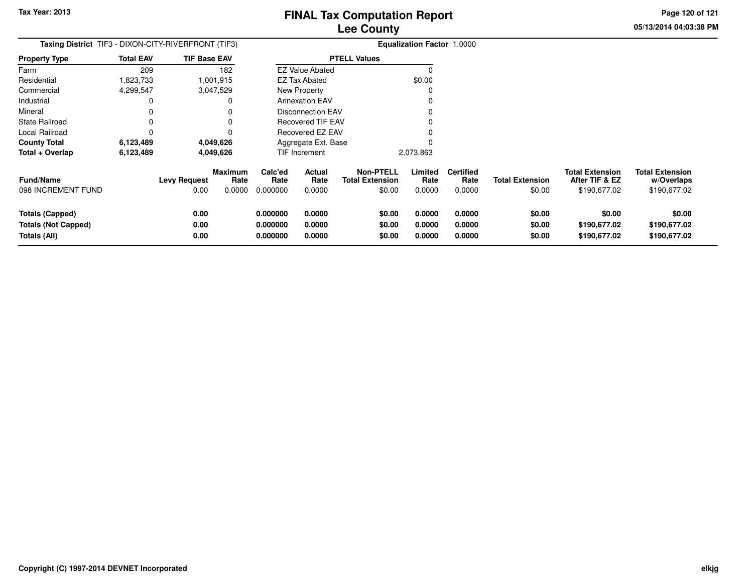**05/13/2014 04:03:38 PMPage 120 of 121**

| <b>Taxing District</b> TIF3 - DIXON-CITY-RIVERFRONT (TIF3)           |                  |                             |                                  | Equalization Factor 1.0000       |                            |                                                      |                            |                                    |                                  |                                                          |                                                      |
|----------------------------------------------------------------------|------------------|-----------------------------|----------------------------------|----------------------------------|----------------------------|------------------------------------------------------|----------------------------|------------------------------------|----------------------------------|----------------------------------------------------------|------------------------------------------------------|
| <b>Property Type</b>                                                 | <b>Total EAV</b> | <b>TIF Base EAV</b>         |                                  |                                  |                            | <b>PTELL Values</b>                                  |                            |                                    |                                  |                                                          |                                                      |
| Farm                                                                 | 209              |                             | 182                              |                                  | <b>EZ Value Abated</b>     |                                                      | $\Omega$                   |                                    |                                  |                                                          |                                                      |
| Residential                                                          | 1,823,733        |                             | 1,001,915                        |                                  | EZ Tax Abated              |                                                      | \$0.00                     |                                    |                                  |                                                          |                                                      |
| Commercial                                                           | 4,299,547        |                             | 3,047,529                        |                                  | New Property               |                                                      | 0                          |                                    |                                  |                                                          |                                                      |
| Industrial                                                           | 0                |                             | 0                                |                                  | <b>Annexation EAV</b>      |                                                      |                            |                                    |                                  |                                                          |                                                      |
| Mineral                                                              | 0                |                             | 0                                |                                  | <b>Disconnection EAV</b>   |                                                      |                            |                                    |                                  |                                                          |                                                      |
| State Railroad                                                       | 0                |                             | 0                                |                                  | <b>Recovered TIF EAV</b>   |                                                      |                            |                                    |                                  |                                                          |                                                      |
| Local Railroad                                                       | 0                |                             | 0                                |                                  | Recovered EZ EAV           |                                                      |                            |                                    |                                  |                                                          |                                                      |
| <b>County Total</b>                                                  | 6,123,489        |                             | 4,049,626                        |                                  | Aggregate Ext. Base        |                                                      |                            |                                    |                                  |                                                          |                                                      |
| Total + Overlap                                                      | 6,123,489        |                             | 4,049,626                        | TIF Increment                    |                            |                                                      | 2,073,863                  |                                    |                                  |                                                          |                                                      |
| <b>Fund/Name</b><br>098 INCREMENT FUND                               |                  | <b>Levy Request</b><br>0.00 | <b>Maximum</b><br>Rate<br>0.0000 | Calc'ed<br>Rate<br>0.000000      | Actual<br>Rate<br>0.0000   | <b>Non-PTELL</b><br><b>Total Extension</b><br>\$0.00 | Limited<br>Rate<br>0.0000  | <b>Certified</b><br>Rate<br>0.0000 | <b>Total Extension</b><br>\$0.00 | <b>Total Extension</b><br>After TIF & EZ<br>\$190,677.02 | <b>Total Extension</b><br>w/Overlaps<br>\$190,677.02 |
| <b>Totals (Capped)</b><br><b>Totals (Not Capped)</b><br>Totals (All) |                  | 0.00<br>0.00<br>0.00        |                                  | 0.000000<br>0.000000<br>0.000000 | 0.0000<br>0.0000<br>0.0000 | \$0.00<br>\$0.00<br>\$0.00                           | 0.0000<br>0.0000<br>0.0000 | 0.0000<br>0.0000<br>0.0000         | \$0.00<br>\$0.00<br>\$0.00       | \$0.00<br>\$190,677.02<br>\$190,677.02                   | \$0.00<br>\$190,677.02<br>\$190,677.02               |